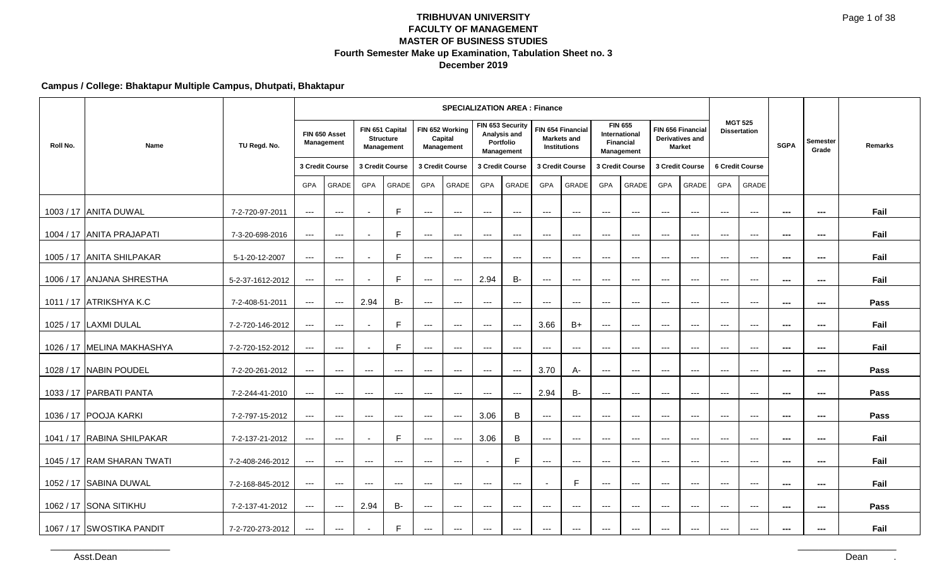### **Campus / College: Bhaktapur Multiple Campus, Dhutpati, Bhaktapur**

|          |                            |                  |                      |                             |                   |                                                   |                     | <b>SPECIALIZATION AREA: Finance</b>      |                          |                                                             |                        |                                                                |                      |                                                                   |                      |                                                       |                          |                                          |                          |                          |         |
|----------|----------------------------|------------------|----------------------|-----------------------------|-------------------|---------------------------------------------------|---------------------|------------------------------------------|--------------------------|-------------------------------------------------------------|------------------------|----------------------------------------------------------------|----------------------|-------------------------------------------------------------------|----------------------|-------------------------------------------------------|--------------------------|------------------------------------------|--------------------------|--------------------------|---------|
| Roll No. | Name                       | TU Regd. No.     |                      | FIN 650 Asset<br>Management |                   | FIN 651 Capital<br><b>Structure</b><br>Management |                     | FIN 652 Working<br>Capital<br>Management |                          | FIN 653 Security<br>Analysis and<br>Portfolio<br>Management |                        | FIN 654 Financial<br><b>Markets and</b><br><b>Institutions</b> |                      | <b>FIN 655</b><br><b>International</b><br>Financial<br>Management |                      | FIN 656 Financial<br>Derivatives and<br><b>Market</b> |                          | <b>MGT 525</b><br><b>Dissertation</b>    | <b>SGPA</b>              | Semester<br>Grade        | Remarks |
|          |                            |                  |                      | 3 Credit Course             |                   | 3 Credit Course                                   |                     | 3 Credit Course                          |                          | 3 Credit Course                                             |                        | 3 Credit Course                                                |                      | 3 Credit Course                                                   |                      | 3 Credit Course                                       |                          | 6 Credit Course                          |                          |                          |         |
|          |                            |                  | <b>GPA</b>           | GRADE                       | <b>GPA</b>        | <b>GRADE</b>                                      | <b>GPA</b>          | <b>GRADE</b>                             | <b>GPA</b>               | <b>GRADE</b>                                                | <b>GPA</b>             | GRADE                                                          | <b>GPA</b>           | <b>GRADE</b>                                                      | <b>GPA</b>           | GRADE                                                 | <b>GPA</b>               | <b>GRADE</b>                             |                          |                          |         |
|          | 1003 / 17 ANITA DUWAL      | 7-2-720-97-2011  | ---                  | $\overline{a}$              |                   | E                                                 | $\cdots$            | $\sim$ $\sim$                            | $\cdots$                 | $\scriptstyle\cdots$                                        | $\qquad \qquad - -$    | $\hspace{0.05cm} \ldots$                                       | $---$                | $\scriptstyle\cdots$                                              | $---$                | $\scriptstyle\cdots$                                  | $\scriptstyle\cdots$     | $\scriptstyle\cdots$                     | $\scriptstyle\cdots$     | $\overline{\phantom{a}}$ | Fail    |
|          | 1004 / 17 ANITA PRAJAPATI  | 7-3-20-698-2016  | $---$                | $\hspace{0.05cm} \ldots$    |                   | E                                                 | $\cdots$            | $\overline{\phantom{a}}$                 | $\qquad \qquad - -$      | $\qquad \qquad - -$                                         | $\qquad \qquad - -$    | $\qquad \qquad \cdots$                                         | $\qquad \qquad - -$  | $---$                                                             | $---$                | $---$                                                 | $\cdots$                 | $\hspace{0.05cm} \ldots$                 | $\hspace{0.05cm} \ldots$ | ---                      | Fail    |
|          | 1005 / 17 ANITA SHILPAKAR  | 5-1-20-12-2007   | $\qquad \qquad - -$  | $\cdots$                    | $\blacksquare$    | E                                                 | $\cdots$            | $  -$                                    | $\qquad \qquad - -$      | $\cdots$                                                    | $\cdots$               | $\qquad \qquad -\qquad -$                                      | $\qquad \qquad - -$  | $\qquad \qquad - -$                                               | $\qquad \qquad - -$  | $\qquad \qquad - -$                                   | $\cdots$                 | $\qquad \qquad -\qquad$                  | $\hspace{0.05cm} \ldots$ | $\sim$                   | Fail    |
|          | 1006 / 17 ANJANA SHRESTHA  | 5-2-37-1612-2012 | $\qquad \qquad - -$  | $\qquad \qquad \cdots$      |                   | E                                                 | $\qquad \qquad - -$ | $\hspace{0.05cm} \ldots$                 | 2.94                     | <b>B-</b>                                                   | $\qquad \qquad - -$    | $\qquad \qquad \cdots$                                         | $\qquad \qquad - -$  | $---$                                                             | $\qquad \qquad - -$  | $---$                                                 | $\hspace{0.05cm} \ldots$ | $\hspace{0.05cm} \ldots$                 | $\hspace{0.05cm} \ldots$ | ---                      | Fail    |
|          | 1011 / 17 ATRIKSHYA K.C    | 7-2-408-51-2011  | $\scriptstyle\cdots$ | $\hspace{0.05cm} \ldots$    | 2.94              | <b>B-</b>                                         | $\qquad \qquad - -$ | $\hspace{0.05cm} \ldots$                 | $\qquad \qquad - -$      | $\qquad \qquad - -$                                         | $\qquad \qquad - -$    | $\qquad \qquad \cdots$                                         | $---$                | $---$                                                             | $\cdots$             | $---$                                                 | $---$                    | $\hspace{0.05cm} \ldots$                 | $\overline{\phantom{a}}$ | $\scriptstyle\cdots$     | Pass    |
|          | 1025 / 17   LAXMI DULAL    | 7-2-720-146-2012 | $\qquad \qquad - -$  | $\cdots$                    |                   | E                                                 | $\cdots$            | $\cdots$                                 | $---$                    | $\hspace{0.05cm} \ldots \hspace{0.05cm}$                    | 3.66                   | $B+$                                                           | $\cdots$             | $---$                                                             | $---$                | $\cdots$                                              | $\cdots$                 | $\hspace{0.05cm} \ldots$                 | $- - -$                  | ---                      | Fail    |
|          | 1026 / 17 MELINA MAKHASHYA | 7-2-720-152-2012 | $\qquad \qquad - -$  | $\cdots$                    |                   | E                                                 | $\cdots$            | $  -$                                    | $\qquad \qquad - -$      | $\qquad \qquad - -$                                         | $\cdots$               | $\qquad \qquad -\qquad -$                                      | $\qquad \qquad - -$  | $\qquad \qquad - -$                                               | $\qquad \qquad - -$  | $\qquad \qquad - -$                                   | $\cdots$                 | $\hspace{0.05cm} \ldots$                 | $\hspace{0.05cm} \ldots$ | $\overline{\phantom{a}}$ | Fail    |
|          | 1028 / 17 NABIN POUDEL     | 7-2-20-261-2012  | ---                  | $\scriptstyle\cdots$        | $\qquad \qquad -$ | $\qquad \qquad \cdots$                            | $---$               | $\qquad \qquad - -$                      | $---$                    | $\hspace{0.05cm} \ldots$                                    | 3.70                   | A-                                                             | $\qquad \qquad - -$  | $\qquad \qquad - -$                                               | $\qquad \qquad - -$  | $\qquad \qquad - -$                                   | $\qquad \qquad -\qquad$  | $\hspace{0.05cm} \ldots \hspace{0.05cm}$ | $\hspace{0.05cm} \ldots$ | ---                      | Pass    |
|          | 1033 / 17 PARBATI PANTA    | 7-2-244-41-2010  | ---                  | $\scriptstyle\cdots$        | ---               | $\cdots$                                          | $\cdots$            | $\cdots$                                 | $\cdots$                 | $\sim$ $\sim$                                               | 2.94                   | <b>B-</b>                                                      | $\scriptstyle\cdots$ | $\scriptstyle\cdots$                                              | $\scriptstyle\cdots$ | $\overline{a}$                                        | $\scriptstyle\cdots$     | $\overline{a}$                           | $\sim$                   | ---                      | Pass    |
|          | 1036 / 17 POOJA KARKI      | 7-2-797-15-2012  | $\qquad \qquad - -$  | $\cdots$                    | $\cdots$          | $\cdots$                                          | $\cdots$            | $  -$                                    | 3.06                     | B                                                           | $\cdots$               | $\qquad \qquad \cdots$                                         | $\cdots$             | $\cdots$                                                          | $\cdots$             | $\cdots$                                              | $\cdots$                 | $\cdots$                                 | $\hspace{0.05cm} \ldots$ | $\scriptstyle\cdots$     | Pass    |
|          | 1041 / 17 RABINA SHILPAKAR | 7-2-137-21-2012  | $\scriptstyle\cdots$ | $\qquad \qquad - -$         |                   | E                                                 | $\cdots$            | $\scriptstyle\cdots$                     | 3.06                     | B                                                           | $\scriptstyle\cdots$   | $\hspace{0.05cm} \ldots$                                       | $\qquad \qquad - -$  | $\qquad \qquad - -$                                               | $\qquad \qquad - -$  | $\scriptstyle\cdots$                                  | $\qquad \qquad -\qquad$  | $\scriptstyle\cdots$                     | $\sim$                   | $\overline{\phantom{a}}$ | Fail    |
|          | 1045 / 17 RAM SHARAN TWATI | 7-2-408-246-2012 | $---$                | $\cdots$                    | $---$             | $---$                                             | $---$               | $\sim$ $\sim$                            |                          | E                                                           | $\cdots$               | $\qquad \qquad \cdots$                                         | $\cdots$             | $\hspace{0.05cm} \ldots$                                          | $---$                | $---$                                                 | $---$                    | $---$                                    | $\hspace{0.05cm} \ldots$ | $\hspace{0.05cm} \ldots$ | Fail    |
|          | 1052 / 17 SABINA DUWAL     | 7-2-168-845-2012 | ---                  | $\hspace{0.05cm} \ldots$    | ---               | ---                                               | ---                 | $\overline{\phantom{a}}$                 | $\overline{\phantom{a}}$ | ---                                                         |                        | E                                                              | $---$                | $---$                                                             | $---$                | $---$                                                 | $\hspace{0.05cm} \ldots$ | $\overline{\phantom{a}}$                 | $- - -$                  | ---                      | Fail    |
|          | 1062 / 17 SONA SITIKHU     | 7-2-137-41-2012  | ---                  | $\qquad \qquad - -$         | 2.94              | <b>B-</b>                                         | $\qquad \qquad - -$ | $\hspace{0.05cm} \ldots$                 | $---$                    | $\qquad \qquad - -$                                         | $\qquad \qquad - -$    | $\qquad \qquad \cdots$                                         | $---$                | $---$                                                             | $---$                | $---$                                                 | $---$                    | $\hspace{0.05cm} \ldots$                 | $\sim$ $\sim$            | $\hspace{0.05cm} \ldots$ | Pass    |
|          | 1067 / 17 SWOSTIKA PANDIT  | 7-2-720-273-2012 | $---$                | $\qquad \qquad \cdots$      |                   | F                                                 | ---                 | $\qquad \qquad - -$                      | $\qquad \qquad - -$      | $\qquad \qquad - -$                                         | $\qquad \qquad \cdots$ | $\qquad \qquad \cdots$                                         | $\qquad \qquad - -$  | $\qquad \qquad - -$                                               | $\qquad \qquad - -$  | $\qquad \qquad - -$                                   | $\qquad \qquad -\qquad$  | $\qquad \qquad -\qquad$                  | $- - -$                  | ---                      | Fail    |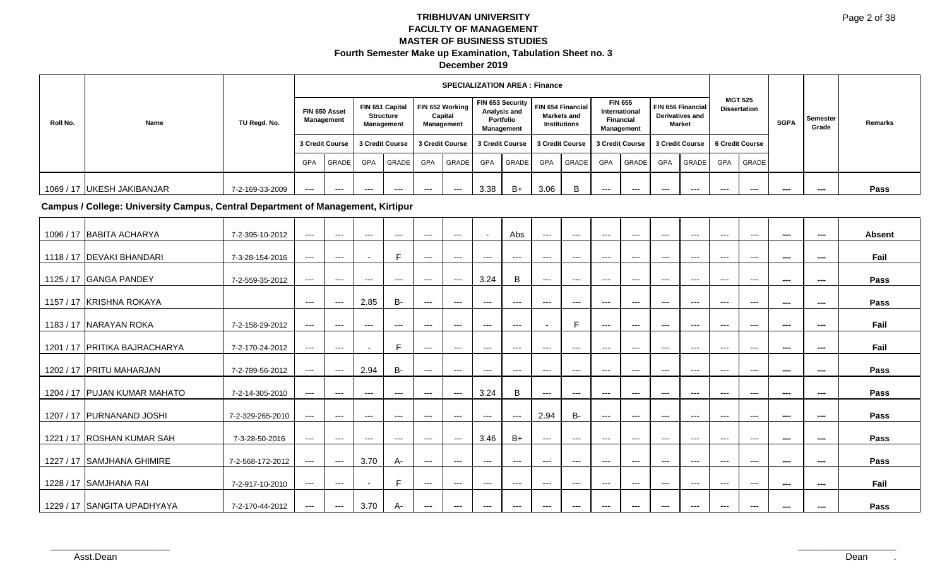|          |                            |                 |       |                             |       |                                            |            | <b>SPECIALIZATION AREA: Finance</b>             |      |                                                             |      |                                                         |                                                                          |                                   |                                             |        |                 |                                       |             |                   |         |
|----------|----------------------------|-----------------|-------|-----------------------------|-------|--------------------------------------------|------------|-------------------------------------------------|------|-------------------------------------------------------------|------|---------------------------------------------------------|--------------------------------------------------------------------------|-----------------------------------|---------------------------------------------|--------|-----------------|---------------------------------------|-------------|-------------------|---------|
| Roll No. | Name                       | TU Regd. No.    |       | FIN 650 Asset<br>Management |       | FIN 651 Capital<br>Structure<br>Management |            | FIN 652 Working<br>Capital<br><b>Management</b> |      | FIN 653 Security<br>Analysis and<br>Portfolio<br>Management |      | FIN 654 Financial<br>Markets and<br><b>Institutions</b> | <b>FIN 655</b><br>International<br><b>Financial</b><br><b>Management</b> |                                   | FIN 656 Financial<br><b>Derivatives and</b> | Market |                 | <b>MGT 525</b><br><b>Dissertation</b> | <b>SGPA</b> | Semester<br>Grade | Remarks |
|          |                            |                 |       | 3 Credit Course             |       | 3 Credit Course                            |            | 3 Credit Course   3 Credit Course               |      |                                                             |      | 3 Credit Course                                         |                                                                          | 3 Credit Course   3 Credit Course |                                             |        | 6 Credit Course |                                       |             |                   |         |
|          |                            |                 | GPA   | GRADE                       | GPA   | GRADE                                      | <b>GPA</b> | <b>GRADE</b>                                    | GPA  | <b>GRADE</b>                                                | GPA  | GRADE                                                   | <b>GPA</b>                                                               | GRADE                             | <b>GPA</b>                                  | GRADE  | <b>GPA</b>      | <b>GRADE</b>                          |             |                   |         |
|          | 1069 / 17 UKESH JAKIBANJAR | 7-2-169-33-2009 | $---$ | $---$                       | $---$ | ---                                        | $---$      | $---$                                           | 3.38 | B+                                                          | 3.06 |                                                         | $---$                                                                    | ---                               | $---$                                       | $---$  | $--$            | $--$                                  | ---         | ---               | Pass    |

**Campus / College: University Campus, Central Department of Management, Kirtipur**

| 1096 / 17 BABITA ACHARYA      | 7-2-395-10-2012  | $--$          | $---$               | ---                      | $---$             | $---$             | $---$                 |                     | Abs                                      | $---$                    | $---$                  | $---$ | $---$ | $---$    | $---$                     | $---$ | $---$                                    | $\sim$        | $- - -$ | <b>Absent</b> |
|-------------------------------|------------------|---------------|---------------------|--------------------------|-------------------|-------------------|-----------------------|---------------------|------------------------------------------|--------------------------|------------------------|-------|-------|----------|---------------------------|-------|------------------------------------------|---------------|---------|---------------|
| 1118 / 17 DEVAKI BHANDARI     | 7-3-28-154-2016  | $--$          | $\cdots$            |                          | E                 | $---$             | $\scriptstyle\cdots$  | $--$                | $\hspace{0.05cm} \ldots$                 | $--$                     | $\qquad \qquad \cdots$ | $---$ | $---$ | $---$    | $---$                     | $---$ | $---$                                    | $\sim$        | $\sim$  | Fail          |
| 1125 / 17 GANGA PANDEY        | 7-2-559-35-2012  | $--$          | $---$               | $---$                    | $\qquad \qquad -$ | $--$              | $\scriptstyle \cdots$ | 3.24                | B                                        | $--$                     | $--$                   | $---$ | $---$ | $---$    | $---$                     | $---$ | $---$                                    | $\sim$        | $\sim$  | Pass          |
| 1157 / 17 KRISHNA ROKAYA      |                  | $\sim$ $\sim$ | $\cdots$            | 2.85                     | <b>B-</b>         | $---$             | $\sim$ $\sim$ $\sim$  | $---$               | $\sim$ $\sim$                            | $---$                    | $---$                  | $---$ | $---$ | $---$    | $---$                     | $---$ | $---$                                    | $\sim$        | $\sim$  | Pass          |
| 1183 / 17 INARAYAN ROKA       | 7-2-158-29-2012  | $--$          | $---$               | $---$                    | $\qquad \qquad -$ | $\qquad \qquad -$ | $--$                  | $\qquad \qquad - -$ | $\hspace{0.05cm} \ldots \hspace{0.05cm}$ | $\overline{\phantom{a}}$ | E                      | $---$ | $---$ | $\cdots$ | $\qquad \qquad -\qquad -$ | $---$ | $\qquad \qquad \cdots$                   | $\cdots$      | $\sim$  | Fail          |
| 1201 / 17 PRITIKA BAJRACHARYA | 7-2-170-24-2012  | $---$         | $---$               | $\overline{\phantom{a}}$ | E                 | $---$             | $---$                 | $---$               | $---$                                    | $---$                    | $---$                  | $--$  | $---$ | $\cdots$ | $---$                     | $---$ | $\hspace{0.05cm} \ldots$                 | $\sim$        | $\sim$  | Fail          |
| 1202 / 17   PRITU MAHARJAN    | 7-2-789-56-2012  | $--$          | $\qquad \qquad - -$ | 2.94                     | <b>B-</b>         | $---$             | $\scriptstyle\cdots$  | $--$                | $\hspace{0.05cm} \ldots \hspace{0.05cm}$ | $--$                     | $\qquad \qquad \cdots$ | $---$ | $---$ | $---$    | $---$                     | $---$ | $\qquad \qquad \cdots$                   | $\sim$        | ---     | Pass          |
| 1204 / 17 PUJAN KUMAR MAHATO  | 7-2-14-305-2010  | $---$         | $---$               | $---$                    | $---$             | $---$             | $\scriptstyle\cdots$  | 3.24                | B                                        | $---$                    | $---$                  | $---$ | $---$ | $---$    | $---$                     | $---$ | $\hspace{0.05cm} \ldots \hspace{0.05cm}$ | $\sim$        | ---     | Pass          |
| 1207 / 17 PURNANAND JOSHI     | 7-2-329-265-2010 | $---$         | $---$               | $---$                    | $---$             | $---$             | $---$                 | $---$               | $\sim$ $\sim$                            | 2.94                     | <b>B-</b>              | $---$ | $---$ | $---$    | $---$                     | $---$ | $---$                                    | $\sim$ $\sim$ | $\sim$  | Pass          |
| 1221 / 17 ROSHAN KUMAR SAH    | 7-3-28-50-2016   | $---$         | $---$               | $---$                    | $---$             | $---$             | $\scriptstyle\cdots$  | 3.46                | $B+$                                     | $--$                     | $--$                   | $--$  | $--$  | $---$    | $---$                     | $---$ | $\qquad \qquad \cdots$                   | $\sim$        | $\sim$  | Pass          |
| 1227 / 17 SAMJHANA GHIMIRE    | 7-2-568-172-2012 | $---$         | $\cdots$            | 3.70                     | A-                | $\qquad \qquad -$ | $\scriptstyle\cdots$  | $---$               | $\hspace{0.05cm} \ldots$                 | $---$                    | $---$                  | $--$  | $--$  | $\cdots$ | $\cdots$                  | $---$ | $\qquad \qquad \cdots$                   | $\sim$        | $\sim$  | Pass          |
| 1228 / 17 SAMJHANA RAI        | 7-2-917-10-2010  | $--$          | $---$               |                          | F                 | $---$             | $\sim$ $\sim$ $\sim$  | $---$               | $\sim$ $\sim$                            | $---$                    | $---$                  | $---$ | $---$ | $\cdots$ | $\cdots$                  | $---$ | $\hspace{0.05cm} \ldots \hspace{0.05cm}$ | $\sim$        | $\sim$  | Fail          |
| 1229 / 17 SANGITA UPADHYAYA   | 7-2-170-44-2012  | $---$         | $\sim$ $\sim$       | 3.70                     | A-                | $--$              | $--$                  | $--$                | $--$                                     | $--$                     | $--$                   | $---$ | $--$  | $---$    | $---$                     | $---$ | $---$                                    | $\sim$        | ---     | Pass          |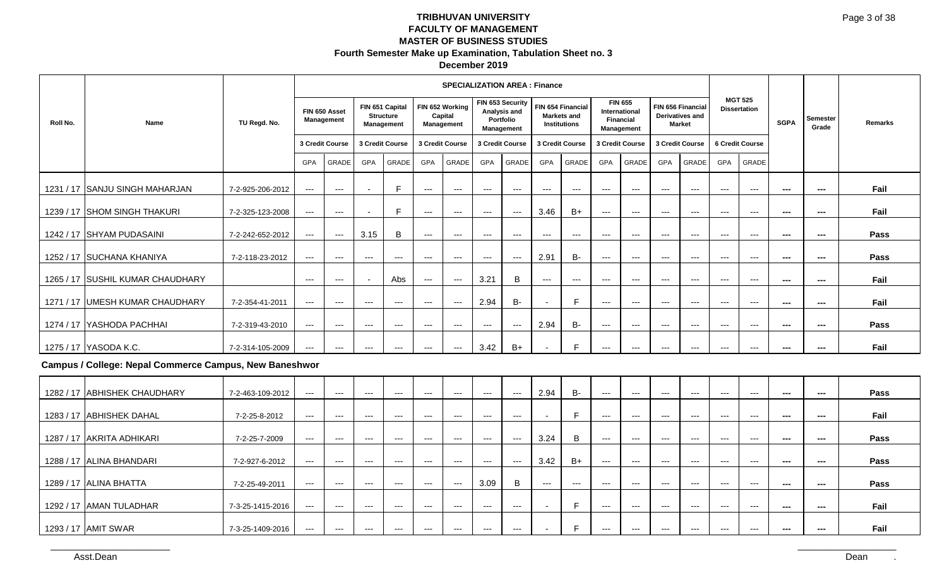|          |                                                               |                  |                      |                                          |                                          |                                                          |                          | <b>SPECIALIZATION AREA: Finance</b>      |                     |                                          |                          |                                                                |                                        |                                        |                        |                                                              |                                          |                                          |                          |                          |         |
|----------|---------------------------------------------------------------|------------------|----------------------|------------------------------------------|------------------------------------------|----------------------------------------------------------|--------------------------|------------------------------------------|---------------------|------------------------------------------|--------------------------|----------------------------------------------------------------|----------------------------------------|----------------------------------------|------------------------|--------------------------------------------------------------|------------------------------------------|------------------------------------------|--------------------------|--------------------------|---------|
| Roll No. | Name                                                          | TU Regd. No.     |                      | FIN 650 Asset<br>Management              |                                          | FIN 651 Capital<br><b>Structure</b><br><b>Management</b> |                          | FIN 652 Working<br>Capital<br>Management | FIN 653 Security    | Analysis and<br>Portfolio<br>Management  |                          | FIN 654 Financial<br><b>Markets and</b><br><b>Institutions</b> | <b>FIN 655</b><br><b>Financial</b>     | <b>International</b><br>Management     |                        | FIN 656 Financial<br><b>Derivatives and</b><br><b>Market</b> |                                          | <b>MGT 525</b><br><b>Dissertation</b>    | <b>SGPA</b>              | <b>Semester</b><br>Grade | Remarks |
|          |                                                               |                  |                      | 3 Credit Course                          |                                          | 3 Credit Course                                          | 3 Credit Course          |                                          | 3 Credit Course     |                                          |                          | 3 Credit Course                                                | 3 Credit Course                        |                                        | 3 Credit Course        |                                                              |                                          | 6 Credit Course                          |                          |                          |         |
|          |                                                               |                  | <b>GPA</b>           | <b>GRADE</b>                             | <b>GPA</b>                               | GRADE                                                    | <b>GPA</b>               | GRADE                                    | <b>GPA</b>          | <b>GRADE</b>                             | <b>GPA</b>               | <b>GRADE</b>                                                   | <b>GPA</b>                             | <b>GRADE</b>                           | <b>GPA</b>             | <b>GRADE</b>                                                 | <b>GPA</b>                               | <b>GRADE</b>                             |                          |                          |         |
|          | 1231 / 17 SANJU SINGH MAHARJAN                                | 7-2-925-206-2012 | ---                  | $\qquad \qquad \cdots$                   |                                          | F                                                        | $\qquad \qquad - -$      | $\qquad \qquad - -$                      | $\cdots$            | $\hspace{0.05cm} \ldots \hspace{0.05cm}$ | $---$                    | $\hspace{0.05cm} \ldots$                                       | $---$                                  | $\hspace{0.05cm} \ldots$               | $\qquad \qquad - -$    | $\qquad \qquad - -$                                          | $\cdots$                                 | $\qquad \qquad - -$                      | $\sim$                   | $\sim$                   | Fail    |
|          | 1239 / 17 SHOM SINGH THAKURI                                  | 7-2-325-123-2008 | $---$                | $\hspace{0.05cm} \ldots$                 |                                          | F                                                        | $\hspace{0.05cm} \ldots$ | $--$                                     | $\qquad \qquad - -$ | $--$                                     | 3.46                     | $B+$                                                           | $\qquad \qquad - -$                    | $\scriptstyle\cdots\scriptstyle\cdots$ | $\qquad \qquad - -$    | $\hspace{0.05cm} \ldots$                                     | $\cdots$                                 | $\qquad \qquad - -$                      | $\sim$                   | $\cdots$                 | Fail    |
|          | 1242 / 17 SHYAM PUDASAINI                                     | 7-2-242-652-2012 | $\qquad \qquad - -$  | $\qquad \qquad - -$                      | 3.15                                     | $\, {\bf B}$                                             | $\qquad \qquad - -$      | $---$                                    | $---$               | $\hspace{0.05cm}---$                     | $\scriptstyle\cdots$     | $\overline{a}$                                                 | $\cdots$                               | $\scriptstyle\cdots$                   | $\cdots$               | $\cdots$                                                     | $\qquad \qquad - -$                      | $\hspace{0.05cm} \ldots \hspace{0.05cm}$ | ---                      | ---                      | Pass    |
|          | 1252 / 17 SUCHANA KHANIYA                                     | 7-2-118-23-2012  | $---$                | $\qquad \qquad - -$                      | $\hspace{0.05cm} \ldots$                 | $\hspace{0.05cm} \ldots$                                 | $\hspace{0.05cm} \ldots$ | $\qquad \qquad - -$                      | $\qquad \qquad - -$ | $\hspace{0.05cm} \ldots$                 | 2.91                     | <b>B-</b>                                                      | ---                                    | $\hspace{0.05cm} \ldots$               | $\qquad \qquad \cdots$ | $\scriptstyle\cdots$                                         | $\qquad \qquad - -$                      | $\hspace{0.05cm} \ldots$                 | $\sim$                   | $\sim$                   | Pass    |
|          | 1265 / 17 SUSHIL KUMAR CHAUDHARY                              |                  | $--$                 | $\qquad \qquad - -$                      |                                          | Abs                                                      | $\qquad \qquad - -$      | $---$                                    | 3.21                | B                                        | $\scriptstyle\cdots$     | $\scriptstyle\cdots$                                           | $\cdots$                               | $\scriptstyle \cdots$ .                | $\qquad \qquad - -$    | $\scriptstyle\cdots$                                         | $\qquad \qquad \cdots$                   | $\hspace{0.05cm} \ldots \hspace{0.05cm}$ | $\sim$ $\sim$            | $\sim$                   | Fail    |
|          | 1271 / 17 UMESH KUMAR CHAUDHARY                               | 7-2-354-41-2011  | $---$                | $\qquad \qquad - -$                      | $\hspace{0.05cm} \ldots$                 | $\hspace{0.05cm} \ldots$                                 | $---$                    | $--$                                     | 2.94                | <b>B-</b>                                | $\blacksquare$           | F                                                              | ---                                    | $\scriptstyle \cdots$ .                | $\qquad \qquad - -$    | $--$                                                         | $\qquad \qquad - -$                      | $\hspace{0.05cm} \ldots$                 | ---                      | $\sim$                   | Fail    |
|          | 1274 / 17 YASHODA PACHHAI                                     | 7-2-319-43-2010  | $--$                 | $\qquad \qquad - -$                      | $\hspace{0.05cm} \ldots \hspace{0.05cm}$ | $\qquad \qquad \cdots$                                   | $\cdots$                 | $--$                                     | $\qquad \qquad - -$ | $--$                                     | 2.94                     | <b>B-</b>                                                      | $\scriptstyle\cdots\scriptstyle\cdots$ | $\scriptstyle \cdots$ .                | $\qquad \qquad - -$    | $\hspace{0.05cm} \ldots$                                     | $\qquad \qquad - -$                      | $\hspace{0.05cm} \ldots \hspace{0.05cm}$ | ---                      | $\sim$                   | Pass    |
|          | 1275 / 17 YASODA K.C.                                         | 7-2-314-105-2009 | ---                  | $\qquad \qquad - -$                      | $---$                                    | $\qquad \qquad \cdots$                                   | $\qquad \qquad \cdots$   | $---$                                    | 3.42                | $B+$                                     |                          | F                                                              | ---                                    | ---                                    | $---$                  | $\overline{\phantom{a}}$                                     | $\cdots$                                 | $\overline{a}$                           | ---                      | ---                      | Fail    |
|          | <b>Campus / College: Nepal Commerce Campus, New Baneshwor</b> |                  |                      |                                          |                                          |                                                          |                          |                                          |                     |                                          |                          |                                                                |                                        |                                        |                        |                                                              |                                          |                                          |                          |                          |         |
|          | 1282 / 17 ABHISHEK CHAUDHARY                                  | 7-2-463-109-2012 | $\scriptstyle\cdots$ | $\qquad \qquad - -$                      | ---                                      | $\qquad \qquad - -$                                      | $--$                     | $---$                                    | $---$               | $\hspace{0.05cm} \ldots$                 | 2.94                     | <b>B-</b>                                                      | $\cdots$                               | $\scriptstyle \cdots$ .                | $\scriptstyle\cdots$   | $\scriptstyle\cdots$                                         | $\hspace{0.05cm} \ldots \hspace{0.05cm}$ | $\hspace{0.05cm} \ldots \hspace{0.05cm}$ | ---                      | $\hspace{0.05cm} \ldots$ | Pass    |
|          | 1283 / 17 ABHISHEK DAHAL                                      | 7-2-25-8-2012    | $---$                | $\qquad \qquad - -$                      | $\hspace{0.05cm} \ldots \hspace{0.05cm}$ | $\qquad \qquad \cdots$                                   | $\qquad \qquad \cdots$   | $\qquad \qquad - -$                      | $\qquad \qquad - -$ | $\qquad \qquad - -$                      | $\overline{\phantom{a}}$ | E                                                              | $\qquad \qquad - -$                    | $\scriptstyle\cdots\scriptstyle\cdots$ | $\qquad \qquad - -$    | $\qquad \qquad - -$                                          | $\qquad \qquad \cdots$                   | $\qquad \qquad \cdots$                   | $\hspace{0.05cm} \ldots$ | $\hspace{0.05cm} \ldots$ | Fail    |
|          | 1287 / 17 AKRITA ADHIKARI                                     | 7-2-25-7-2009    | $--$                 | $\qquad \qquad - -$                      | $---$                                    | $\hspace{0.05cm} \ldots$                                 | $\qquad \qquad - -$      | $---$                                    | $---$               | $\hspace{0.05cm} \ldots$                 | 3.24                     | $\sf B$                                                        | $\overline{a}$                         | $\cdots$                               | $\overline{a}$         | $\overline{a}$                                               | $\qquad \qquad - -$                      | $\qquad \qquad -$                        | ---                      | ---                      | Pass    |
|          | 1288 / 17 ALINA BHANDARI                                      | 7-2-927-6-2012   | $---$                | $\qquad \qquad - -$                      | $\hspace{0.05cm} \ldots$                 | $\hspace{0.05cm} \ldots$                                 | $---$                    | $\qquad \qquad - -$                      | $\qquad \qquad - -$ | $\hspace{0.05cm} \ldots$                 | 3.42                     | $B+$                                                           | ---                                    | $\scriptstyle \cdots$ .                | $\qquad \qquad - -$    | $\qquad \qquad - -$                                          | $\qquad \qquad - -$                      | $\hspace{0.05cm} \ldots \hspace{0.05cm}$ | ---                      | $\sim$                   | Pass    |
|          | 1289 / 17 ALINA BHATTA                                        | 7-2-25-49-2011   | $--$                 | $\cdots$                                 | $\hspace{0.05cm} \ldots \hspace{0.05cm}$ | $\cdots$                                                 | $\cdots$                 | $--$                                     | 3.09                | B                                        | $\qquad \qquad \cdots$   | $---$                                                          | $\qquad \qquad - -$                    | $\scriptstyle\cdots\scriptstyle\cdots$ | $\qquad \qquad - -$    | $\qquad \qquad - -$                                          | $\qquad \qquad - -$                      | $\qquad \qquad - -$                      | ---                      | ---                      | Pass    |
|          | 1292 / 17 AMAN TULADHAR                                       | 7-3-25-1415-2016 | ---                  | $\cdots$                                 | $\cdots$                                 | $\qquad \qquad - -$                                      | $\qquad \qquad - -$      | $\qquad \qquad - -$                      | $\qquad \qquad - -$ | $\qquad \qquad - -$                      |                          | $\mathsf{F}$                                                   | ---                                    | ---                                    | $---$                  | $---$                                                        | $---$                                    | $---$                                    | $\overline{a}$           | $\sim$                   | Fail    |
|          | 1293 / 17 AMIT SWAR                                           | 7-3-25-1409-2016 | $\qquad \qquad -$    | $\hspace{0.05cm} \ldots \hspace{0.05cm}$ | $\hspace{0.05cm} \ldots$                 | $\scriptstyle\cdots$                                     | $---$                    | $\cdots$                                 | $\cdots$            | $\cdots$                                 |                          | F                                                              | $\qquad \qquad - -$                    | $\scriptstyle\cdots\scriptstyle\cdots$ | $\cdots$               | $\qquad \qquad - -$                                          | $\cdots$                                 | $\qquad \qquad - -$                      | $\overline{a}$           | ---                      | Fail    |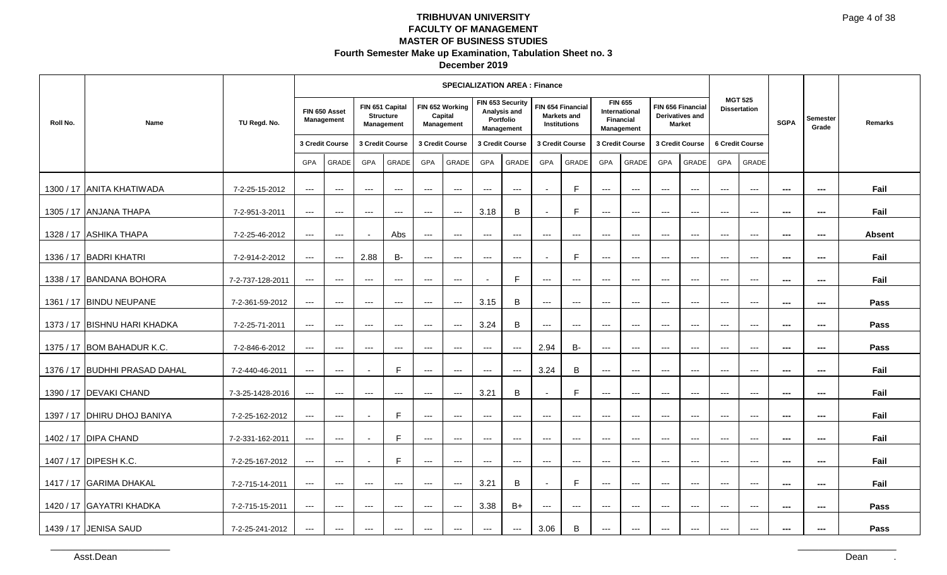#### **December 2019**

|           |                               |                  |                          |                                          |                                          |                                                   |                          | <b>SPECIALIZATION AREA: Finance</b>      |                                        |                                                             |                          |                                                                |                     |                                                                          |                     |                                                       |                        |                                       |                          |                          |               |
|-----------|-------------------------------|------------------|--------------------------|------------------------------------------|------------------------------------------|---------------------------------------------------|--------------------------|------------------------------------------|----------------------------------------|-------------------------------------------------------------|--------------------------|----------------------------------------------------------------|---------------------|--------------------------------------------------------------------------|---------------------|-------------------------------------------------------|------------------------|---------------------------------------|--------------------------|--------------------------|---------------|
| Roll No.  | Name                          | TU Regd. No.     |                          | FIN 650 Asset<br>Management              |                                          | FIN 651 Capital<br><b>Structure</b><br>Management |                          | FIN 652 Working<br>Capital<br>Management |                                        | FIN 653 Security<br>Analysis and<br>Portfolio<br>Management |                          | FIN 654 Financial<br><b>Markets and</b><br><b>Institutions</b> |                     | <b>FIN 655</b><br>International<br><b>Financial</b><br><b>Management</b> |                     | FIN 656 Financial<br>Derivatives and<br><b>Market</b> |                        | <b>MGT 525</b><br><b>Dissertation</b> | <b>SGPA</b>              | <b>Semester</b><br>Grade | Remarks       |
|           |                               |                  |                          | 3 Credit Course                          |                                          | 3 Credit Course                                   |                          | 3 Credit Course                          |                                        | 3 Credit Course                                             | 3 Credit Course          |                                                                |                     | 3 Credit Course                                                          |                     | 3 Credit Course                                       |                        | 6 Credit Course                       |                          |                          |               |
|           |                               |                  | <b>GPA</b>               | <b>GRADE</b>                             | <b>GPA</b>                               | GRADE                                             | GPA                      | <b>GRADE</b>                             | <b>GPA</b>                             | <b>GRADE</b>                                                | <b>GPA</b>               | <b>GRADE</b>                                                   | GPA                 | GRADE                                                                    | GPA                 | GRADE                                                 | GPA                    | <b>GRADE</b>                          |                          |                          |               |
|           | 1300 / 17 ANITA KHATIWADA     | 7-2-25-15-2012   | $\qquad \qquad - -$      | $\qquad \qquad \cdots$                   | $\qquad \qquad - -$                      | $\qquad \qquad \cdots$                            | $\hspace{0.05cm} \ldots$ | $\scriptstyle\cdots\scriptstyle\cdots$   | $\hspace{0.05cm} \ldots$               | $--$                                                        | $\overline{\phantom{a}}$ | E                                                              | $\qquad \qquad - -$ | $\hspace{0.05cm} \ldots$                                                 | $\qquad \qquad - -$ | $\qquad \qquad - -$                                   | $\qquad \qquad - -$    | $\hspace{0.05cm} \ldots$              | $\sim$                   | $\overline{\phantom{a}}$ | Fail          |
| 1305 / 17 | <b>ANJANA THAPA</b>           | 7-2-951-3-2011   | $---$                    | $\hspace{0.05cm} \ldots \hspace{0.05cm}$ | $\qquad \qquad - -$                      | $--$                                              | $\qquad \qquad - -$      | $\qquad \qquad -1$                       | 3.18                                   | B                                                           | ÷,                       | E                                                              | $\qquad \qquad - -$ | $\scriptstyle\cdots$                                                     | $\cdots$            | $\overline{a}$                                        | $\qquad \qquad - -$    | $\overline{a}$                        | $\sim$                   | ---                      | Fail          |
|           | 1328 / 17 ASHIKA THAPA        | 7-2-25-46-2012   | $\qquad \qquad - -$      | $\hspace{0.05cm} \ldots$                 |                                          | Abs                                               | $\qquad \qquad - -$      | $--$                                     | $---$                                  | $\hspace{0.05cm} \ldots$                                    | $\qquad \qquad - -$      | $\hspace{0.05cm} \ldots$                                       | $\cdots$            | $\cdots$                                                                 | $\cdots$            | $\cdots$                                              | $---$                  | $---$                                 | $\overline{\phantom{a}}$ | $\qquad \qquad \cdots$   | <b>Absent</b> |
|           | 1336 / 17 BADRI KHATRI        | 7-2-914-2-2012   | $\qquad \qquad - -$      | $--$                                     | 2.88                                     | <b>B-</b>                                         | $\cdots$                 | $  -$                                    | $\qquad \qquad -$                      | $\cdots$                                                    | $\overline{\phantom{a}}$ | E                                                              | $\qquad \qquad - -$ | $\hspace{0.05cm} \ldots$                                                 | $---$               | $\qquad \qquad - -$                                   | $\cdots$               | $\qquad \qquad -\qquad$               | $\sim$                   | $\sim$                   | Fail          |
|           | 1338 / 17 BANDANA BOHORA      | 7-2-737-128-2011 | $---$                    | $\hspace{0.05cm} \ldots \hspace{0.05cm}$ | $\hspace{0.05cm} \ldots \hspace{0.05cm}$ | $---$                                             | $---$                    | $--$                                     |                                        | F                                                           | $\qquad \qquad - -$      | $\qquad \qquad - -$                                            | $\qquad \qquad - -$ | $\qquad \qquad - -$                                                      | $\qquad \qquad - -$ | $\qquad \qquad - -$                                   | $\qquad \qquad - -$    | $\scriptstyle\cdots$                  | $\scriptstyle\cdots$     | $\sim$                   | Fail          |
|           | 1361 / 17   BINDU NEUPANE     | 7-2-361-59-2012  | $---$                    | $\hspace{0.05cm} \ldots$                 | $\qquad \qquad \cdots$                   | $\qquad \qquad \cdots$                            | $\qquad \qquad \cdots$   | $--$                                     | 3.15                                   | $\mathsf B$                                                 | $\qquad \qquad - -$      | $\hspace{0.05cm} \ldots$                                       | $\qquad \qquad - -$ | $\hspace{0.05cm} \ldots$                                                 | $\qquad \qquad - -$ | $\qquad \qquad - -$                                   | $\qquad \qquad - -$    | $\hspace{0.05cm} \ldots$              | $\scriptstyle\cdots$     | $\sim$                   | Pass          |
|           | 1373 / 17 BISHNU HARI KHADKA  | 7-2-25-71-2011   | $--$                     | $\hspace{0.05cm} \ldots$                 | $\cdots$                                 | $\qquad \qquad \cdots$                            | $\cdots$                 | $\scriptstyle\cdots\scriptstyle\cdots$   | 3.24                                   | B                                                           | $\qquad \qquad - -$      | $\hspace{0.05cm} \ldots$                                       | $\cdots$            | $\hspace{0.05cm} \ldots$                                                 | $\cdots$            | $--$                                                  | $\qquad \qquad \cdots$ | $\hspace{0.05cm} \ldots$              | $\sim$                   | $\sim$                   | Pass          |
| 1375 / 17 | <b>BOM BAHADUR K.C.</b>       | 7-2-846-6-2012   | $\scriptstyle\cdots$     | $\qquad \qquad - -$                      | $\qquad \qquad - -$                      | $\qquad \qquad - -$                               | $\qquad \qquad - -$      | $\qquad \qquad -1$                       | $\qquad \qquad -1$                     | $\hspace{0.05cm} \ldots$                                    | 2.94                     | <b>B-</b>                                                      | $\qquad \qquad - -$ | $\qquad \qquad - -$                                                      | $---$               | $\cdots$                                              | $\qquad \qquad - -$    | $\qquad \qquad -\qquad$               | $- - -$                  | $- - -$                  | Pass          |
|           | 1376 / 17 BUDHHI PRASAD DAHAL | 7-2-440-46-2011  | $\qquad \qquad - -$      | $\qquad \qquad - -$                      | $\blacksquare$                           | $\mathsf{F}$                                      | $---$                    | $\scriptstyle\cdots\scriptstyle\cdots$   | $\scriptstyle\cdots\scriptstyle\cdots$ | $--$                                                        | 3.24                     | B                                                              | $\qquad \qquad - -$ | $\qquad \qquad - -$                                                      | $\qquad \qquad - -$ | $\qquad \qquad - -$                                   | $\qquad \qquad - -$    | $\hspace{0.05cm} \ldots$              | $\scriptstyle\cdots$     | $\sim$                   | Fail          |
| 1390 / 17 | DEVAKI CHAND                  | 7-3-25-1428-2016 | $\qquad \qquad - -$      | $---$                                    | $---$                                    | $---$                                             | $---$                    | $--$                                     | 3.21                                   | $\mathsf B$                                                 |                          | $\mathsf{F}$                                                   | $---$               | $---$                                                                    | $---$               | $---$                                                 | $---$                  | $---$                                 | $\overline{\phantom{a}}$ | $\overline{\phantom{a}}$ | Fail          |
| 1397 / 17 | <b>DHIRU DHOJ BANIYA</b>      | 7-2-25-162-2012  | $\qquad \qquad - -$      | $\qquad \qquad - -$                      |                                          | E                                                 | $---$                    | $\qquad \qquad -1$                       | $---$                                  | $\hspace{0.05cm} \ldots$                                    | $---$                    | $\hspace{0.05cm} \ldots$                                       | $---$               | $\hspace{0.05cm} \ldots$                                                 | $---$               | $\cdots$                                              | $---$                  | $\qquad \qquad -\qquad$               | $- - -$                  | $- - -$                  | Fail          |
|           | 1402 / 17   DIPA CHAND        | 7-2-331-162-2011 | $--$                     | $\hspace{0.05cm} \ldots$                 |                                          | E                                                 | $\qquad \qquad - -$      | $\hspace{0.05cm} \ldots \hspace{0.05cm}$ | $\qquad \qquad - -$                    | $\hspace{0.05cm} \ldots \hspace{0.05cm}$                    | $---$                    | $---$                                                          | $---$               | $---$                                                                    | $\qquad \qquad - -$ | $\qquad \qquad - -$                                   | $\qquad \qquad - -$    | $\hspace{0.05cm} \ldots$              | $\scriptstyle\cdots$     | ---                      | Fail          |
|           | 1407 / 17 DIPESH K.C.         | 7-2-25-167-2012  | $--$                     | $--$                                     |                                          | E                                                 | $\qquad \qquad -$        | $\scriptstyle\cdots\scriptstyle\cdots$   | $- - -$                                | $\hspace{0.05cm} \ldots$                                    | $\cdots$                 | $\hspace{0.05cm} \ldots$                                       | $\cdots$            | $\hspace{0.05cm} \ldots \hspace{0.05cm}$                                 | $---$               | $---$                                                 | $---$                  | $\hspace{0.05cm} \ldots$              | $\scriptstyle\cdots$     | $\sim$                   | Fail          |
|           | 1417 / 17 GARIMA DHAKAL       | 7-2-715-14-2011  | $\hspace{0.05cm} \ldots$ | $\qquad \qquad - -$                      | $---$                                    | $---$                                             | $---$                    | $\qquad \qquad -1$                       | 3.21                                   | B                                                           | $\blacksquare$           | F                                                              | $---$               | $---$                                                                    | $---$               | $---$                                                 | $---$                  | $---$                                 | $- - -$                  | $\overline{\phantom{a}}$ | Fail          |
|           | 1420 / 17 GAYATRI KHADKA      | 7-2-715-15-2011  | $\qquad \qquad - -$      | $--$                                     | $\qquad \qquad \cdots$                   | $---$                                             | $\qquad \qquad \cdots$   | $--$                                     | 3.38                                   | $B+$                                                        | $\qquad \qquad - -$      | $\qquad \qquad - -$                                            | $\qquad \qquad - -$ | $\qquad \qquad - -$                                                      | $\qquad \qquad - -$ | $---$                                                 | $\qquad \qquad \cdots$ | $\scriptstyle\cdots$                  | $\sim$                   | $\sim$                   | Pass          |
|           | 1439 / 17 JENISA SAUD         | 7-2-25-241-2012  | $\cdots$                 | $\cdots$                                 | $\cdots$                                 | $\qquad \qquad - -$                               | $\qquad \qquad -$        | $\scriptstyle\cdots$                     | $\cdots$                               | $\scriptstyle\cdots$                                        | 3.06                     | B                                                              | $\cdots$            | $\qquad \qquad - -$                                                      | $\cdots$            | $\cdots$                                              | $---$                  | $---$                                 | $\overline{\phantom{a}}$ | ---                      | Pass          |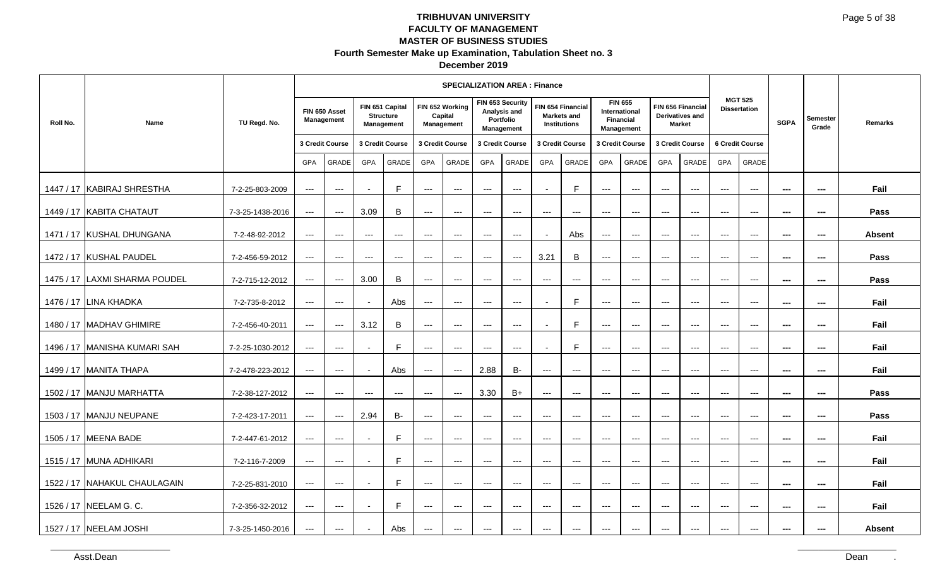| December 2019 |  |
|---------------|--|
|---------------|--|

|          |                               |                  |                      |                                          |                          |                                                          |                          | <b>SPECIALIZATION AREA: Finance</b>      |                     |                                                             |                          |                                                         |                                        |                                                      |                           |                                                       |                        |                                          |                |                          |               |
|----------|-------------------------------|------------------|----------------------|------------------------------------------|--------------------------|----------------------------------------------------------|--------------------------|------------------------------------------|---------------------|-------------------------------------------------------------|--------------------------|---------------------------------------------------------|----------------------------------------|------------------------------------------------------|---------------------------|-------------------------------------------------------|------------------------|------------------------------------------|----------------|--------------------------|---------------|
| Roll No. | Name                          | TU Regd. No.     |                      | FIN 650 Asset<br>Management              |                          | FIN 651 Capital<br><b>Structure</b><br><b>Management</b> |                          | FIN 652 Working<br>Capital<br>Management |                     | FIN 653 Security<br>Analysis and<br>Portfolio<br>Management |                          | FIN 654 Financial<br><b>Markets and</b><br>Institutions | <b>Financial</b>                       | <b>FIN 655</b><br><b>International</b><br>Management |                           | FIN 656 Financial<br>Derivatives and<br><b>Market</b> |                        | <b>MGT 525</b><br><b>Dissertation</b>    | <b>SGPA</b>    | <b>Semester</b><br>Grade | Remarks       |
|          |                               |                  |                      | 3 Credit Course                          |                          | 3 Credit Course                                          |                          | 3 Credit Course                          | 3 Credit Course     |                                                             |                          | 3 Credit Course                                         |                                        | 3 Credit Course                                      |                           | 3 Credit Course                                       |                        | 6 Credit Course                          |                |                          |               |
|          |                               |                  | GPA                  | GRADE                                    | GPA                      | GRADE                                                    | GPA                      | GRADE                                    | <b>GPA</b>          | GRADE                                                       | GPA                      | GRADE                                                   | GPA                                    | GRADE                                                | GPA                       | GRADE                                                 | GPA                    | GRADE                                    |                |                          |               |
|          | 1447 / 17 KABIRAJ SHRESTHA    | 7-2-25-803-2009  | $--$                 | $\cdots$                                 |                          | F                                                        | $\qquad \qquad - -$      | $\qquad \qquad - -$                      | $\qquad \qquad - -$ | $\hspace{0.05cm} \ldots$                                    |                          | F                                                       | $---$                                  | $\hspace{0.05cm} \ldots$                             | $\overline{\phantom{a}}$  | $--$                                                  | $---$                  | $\hspace{0.05cm} \ldots$                 | ---            | $\hspace{0.05cm} \ldots$ | Fail          |
|          | 1449 / 17 KABITA CHATAUT      | 7-3-25-1438-2016 | $\qquad \qquad - -$  | $\hspace{0.05cm} \ldots$                 | 3.09                     | B                                                        | $\hspace{0.05cm} \ldots$ | $\qquad \qquad - -$                      | $\qquad \qquad - -$ | $\hspace{0.05cm} \ldots$                                    | $\qquad \qquad -$        | $---$                                                   | $\qquad \qquad -$                      | $\qquad \qquad -$                                    | $---$                     | $---$                                                 | $---$                  | $\qquad \qquad - -$                      | $\sim$         | $\sim$                   | Pass          |
|          | 1471 / 17 KUSHAL DHUNGANA     | 7-2-48-92-2012   | $\qquad \qquad - -$  | $---$                                    | $---$                    | $\qquad \qquad - -$                                      | $\qquad \qquad - -$      | $\cdots$                                 | $\cdots$            | $\qquad \qquad - -$                                         |                          | Abs                                                     | $\overline{a}$                         | $\overline{a}$                                       | $\overline{a}$            | $\overline{a}$                                        | $\qquad \qquad - -$    | $\qquad \qquad -$                        | $\overline{a}$ | $\hspace{0.05cm} \ldots$ | <b>Absent</b> |
|          | 1472 / 17 KUSHAL PAUDEL       | 7-2-456-59-2012  | $\qquad \qquad - -$  | $\qquad \qquad - -$                      | $---$                    | $---$                                                    | $\qquad \qquad - -$      | $\qquad \qquad - -$                      | $\qquad \qquad - -$ | $\hspace{0.05cm} \ldots$                                    | 3.21                     | B                                                       | $\scriptstyle\cdots$                   | $\qquad \qquad - -$                                  | $\scriptstyle\cdots$      | $\hspace{0.05cm} \ldots$                              | $\cdots$               | $\hspace{0.05cm} \ldots$                 | ---            | ---                      | Pass          |
|          | 1475 / 17 LAXMI SHARMA POUDEL | 7-2-715-12-2012  | $---$                | $\hspace{0.05cm} \ldots$                 | 3.00                     | B                                                        | $\cdots$                 | $--$                                     | $--$                | $--$                                                        | $\hspace{0.05cm} \ldots$ | $\qquad \qquad \cdots$                                  | $\scriptstyle\cdots\scriptstyle\cdots$ | $\scriptstyle\cdots\scriptstyle\cdots$               | $\hspace{0.05cm} \ldots$  | $\hspace{0.05cm} \ldots$                              | $\qquad \qquad \cdots$ | $--$                                     | $\sim$         | $\sim$                   | Pass          |
|          | 1476 / 17 LINA KHADKA         | 7-2-735-8-2012   | $--$                 | $\cdots$                                 |                          | Abs                                                      | $\qquad \qquad - -$      | $\qquad \qquad - -$                      | $\qquad \qquad - -$ | $\hspace{0.05cm} \ldots \hspace{0.05cm}$                    | $\overline{\phantom{a}}$ | E                                                       | ---                                    | $\scriptstyle\cdots\scriptstyle\cdots$               | $\qquad \qquad - -$       | $\hspace{0.05cm} \ldots$                              | $\qquad \qquad - -$    | $\qquad \qquad - -$                      | ---            | $\sim$                   | Fail          |
|          | 1480 / 17 MADHAV GHIMIRE      | 7-2-456-40-2011  | $---$                | $\qquad \qquad - -$                      | 3.12                     | B                                                        | $---$                    | $\qquad \qquad - -$                      | $\qquad \qquad - -$ | $\hspace{0.05cm} \ldots$                                    |                          | $\mathsf{F}$                                            | ---                                    | $\scriptstyle\cdots$                                 | $\qquad \qquad -\qquad -$ | $\qquad \qquad \cdots$                                | $\qquad \qquad - -$    | $\hspace{0.05cm} \ldots$                 | ---            | $\sim$                   | Fail          |
|          | 1496 / 17 MANISHA KUMARI SAH  | 7-2-25-1030-2012 | $\scriptstyle\cdots$ | $\qquad \qquad \cdots$                   |                          | F                                                        | $\qquad \qquad - -$      | $\qquad \qquad - -$                      | $\qquad \qquad - -$ | $\hspace{0.05cm} \ldots \hspace{0.05cm}$                    | $\overline{\phantom{a}}$ | E                                                       | ---                                    | $\scriptstyle\cdots$                                 | $\qquad \qquad - -$       | $\qquad \qquad - -$                                   | $\scriptstyle{\cdots}$ | $\scriptstyle{\cdots}$                   | $\sim$         | $\qquad \qquad \cdots$   | Fail          |
|          | 1499 / 17 MANITA THAPA        | 7-2-478-223-2012 | $---$                | $\cdots$                                 |                          | Abs                                                      | $\qquad \qquad - -$      | $  \sim$                                 | 2.88                | <b>B-</b>                                                   | $---$                    | $---$                                                   | $---$                                  | $---$                                                | $---$                     | $---$                                                 | $---$                  | $\qquad \qquad - -$                      | $\sim$         | $\sim$                   | Fail          |
|          | 1502 / 17 MANJU MARHATTA      | 7-2-38-127-2012  | $\qquad \qquad - -$  | $\cdots$                                 | $\hspace{0.05cm} \ldots$ | $\hspace{0.05cm} \ldots$                                 | $\hspace{0.05cm} \ldots$ | $\hspace{0.05cm} \ldots$                 | 3.30                | $B+$                                                        | ---                      | $\qquad \qquad \cdots$                                  | $\qquad \qquad - -$                    | $\scriptstyle\cdots\scriptstyle\cdots$               | $\qquad \qquad - -$       | $\qquad \qquad - -$                                   | $\qquad \qquad - -$    | $\hspace{0.05cm} \ldots \hspace{0.05cm}$ | $---$          | $\hspace{0.05cm} \ldots$ | Pass          |
|          | 1503 / 17 MANJU NEUPANE       | 7-2-423-17-2011  | $--$                 | $\cdots$                                 | 2.94                     | <b>B-</b>                                                | $\qquad \qquad - -$      | $\qquad \qquad - -$                      | $\qquad \qquad - -$ | $\qquad \qquad - -$                                         | $\qquad \qquad \cdots$   | $\qquad \qquad \cdots$                                  | $\qquad \qquad - -$                    | $\scriptstyle\cdots\scriptstyle\cdots$               | $\qquad \qquad - -$       | $\hspace{0.05cm} \ldots$                              | $\qquad \qquad - -$    | $\qquad \qquad - -$                      | ---            | ---                      | Pass          |
|          | 1505 / 17 MEENA BADE          | 7-2-447-61-2012  | $--$                 | $\cdots$                                 |                          | F                                                        | $---$                    | $---$                                    | $---$               | $---$                                                       | $\qquad \qquad -$        | $---$                                                   | $\qquad \qquad -$                      | $\qquad \qquad -$                                    | $---$                     | $---$                                                 | $---$                  | $\hspace{0.05cm} \ldots$                 | $\sim$         | $\sim$                   | Fail          |
|          | 1515 / 17 MUNA ADHIKARI       | 7-2-116-7-2009   | $--$                 | $\qquad \qquad - -$                      | $\sim$                   | F                                                        | $\hspace{0.05cm} \ldots$ | $\qquad \qquad - -$                      | $\qquad \qquad - -$ | $\qquad \qquad - -$                                         | $---$                    | $---$                                                   | $---$                                  | $\cdots$                                             | $---$                     | $  \sim$                                              | $---$                  | $\cdots$                                 | $\sim$         | $\sim$                   | Fail          |
|          | 1522 / 17 NAHAKUL CHAULAGAIN  | 7-2-25-831-2010  | $--$                 | $\qquad \qquad - -$                      |                          | F                                                        | $\qquad \qquad - -$      | $---$                                    | $\qquad \qquad - -$ | $\hspace{0.05cm} \ldots \hspace{0.05cm}$                    | $\hspace{0.05cm} \ldots$ | $\hspace{0.05cm} \ldots$                                | $\hspace{0.05cm} \ldots$               | $\scriptstyle \cdots$ .                              | $\qquad \qquad - -$       | $\hspace{0.05cm} \ldots$                              | $\qquad \qquad - -$    | $\hspace{0.05cm} \ldots \hspace{0.05cm}$ | ---            | $\sim$                   | Fail          |
|          | 1526 / 17 NEELAM G. C.        | 7-2-356-32-2012  | $\qquad \qquad - -$  | $\qquad \qquad - -$                      | $\overline{\phantom{a}}$ | E                                                        | $\qquad \qquad - -$      | $\qquad \qquad - -$                      | $\qquad \qquad - -$ | $\hspace{0.05cm} \ldots$                                    | ---                      | $\hspace{0.05cm} \ldots$                                | $\qquad \qquad - -$                    | $\qquad \qquad - -$                                  | $\qquad \qquad - -$       | $\qquad \qquad - -$                                   | $\qquad \qquad - -$    | $\qquad \qquad - -$                      | ---            | $\sim$                   | Fail          |
|          | 1527 / 17 NEELAM JOSHI        | 7-3-25-1450-2016 | $\qquad \qquad -$    | $\hspace{0.05cm} \ldots \hspace{0.05cm}$ | $\overline{\phantom{0}}$ | Abs                                                      | $---$                    | $\sim$ $\sim$                            | $\cdots$            | $\cdots$                                                    | $---$                    | $\hspace{0.05cm} \ldots \hspace{0.05cm}$                | $---$                                  | $\hspace{0.05cm} \ldots$                             | $---$                     | $\hspace{0.05cm} \ldots \hspace{0.05cm}$              | $---$                  | $\qquad \qquad - -$                      | $\overline{a}$ | $\cdots$                 | <b>Absent</b> |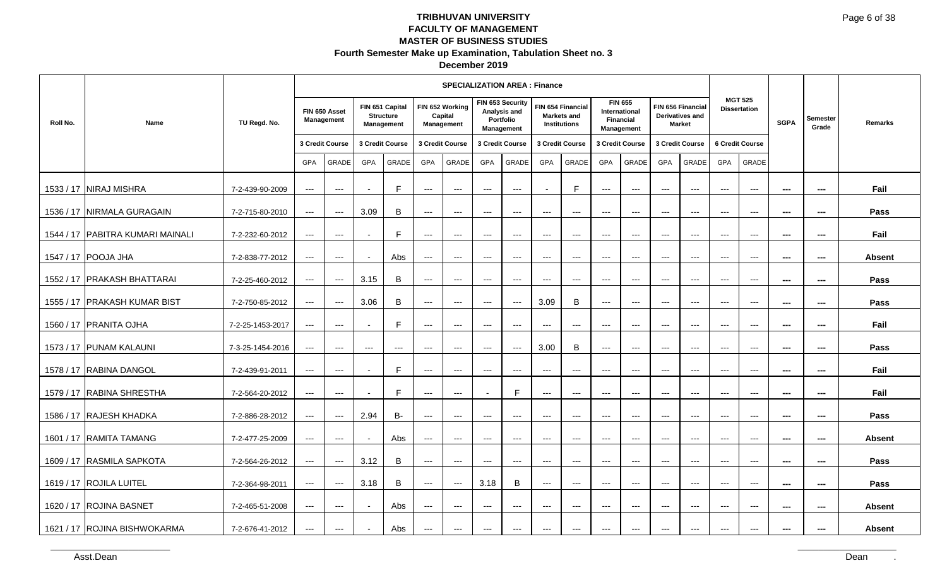#### **December 2019**

|           |                                  |                  |                     |                                          |                     |                                                   |                          | <b>SPECIALIZATION AREA: Finance</b>      |                                        |                                         |                     |                                                                |                     |                                                                   |                          |                                                       |                          |                                       |                          |                          |               |
|-----------|----------------------------------|------------------|---------------------|------------------------------------------|---------------------|---------------------------------------------------|--------------------------|------------------------------------------|----------------------------------------|-----------------------------------------|---------------------|----------------------------------------------------------------|---------------------|-------------------------------------------------------------------|--------------------------|-------------------------------------------------------|--------------------------|---------------------------------------|--------------------------|--------------------------|---------------|
| Roll No.  | <b>Name</b>                      | TU Regd. No.     |                     | FIN 650 Asset<br>Management              |                     | FIN 651 Capital<br><b>Structure</b><br>Management |                          | FIN 652 Working<br>Capital<br>Management | FIN 653 Security                       | Analysis and<br>Portfolio<br>Management |                     | FIN 654 Financial<br><b>Markets and</b><br><b>Institutions</b> |                     | <b>FIN 655</b><br>International<br><b>Financial</b><br>Management |                          | FIN 656 Financial<br>Derivatives and<br><b>Market</b> |                          | <b>MGT 525</b><br><b>Dissertation</b> | <b>SGPA</b>              | <b>Semester</b><br>Grade | Remarks       |
|           |                                  |                  |                     | 3 Credit Course                          |                     | 3 Credit Course                                   |                          | 3 Credit Course                          | 3 Credit Course                        |                                         | 3 Credit Course     |                                                                |                     | 3 Credit Course                                                   |                          | 3 Credit Course                                       |                          | <b>6 Credit Course</b>                |                          |                          |               |
|           |                                  |                  | GPA                 | GRADE                                    | <b>GPA</b>          | GRADE                                             | GPA                      | GRADE                                    | GPA                                    | GRADE                                   | GPA                 | <b>GRADE</b>                                                   | GPA                 | <b>GRADE</b>                                                      | GPA                      | <b>GRADE</b>                                          | GPA                      | <b>GRADE</b>                          |                          |                          |               |
|           | 1533 / 17 NIRAJ MISHRA           | 7-2-439-90-2009  | $--$                | $\hspace{0.05cm} \ldots \hspace{0.05cm}$ |                     | $\mathsf{F}$                                      | $\hspace{0.05cm} \ldots$ | $--$                                     | $---$                                  | $\hspace{0.05cm} \ldots$                |                     | E                                                              | $\qquad \qquad - -$ | $\qquad \qquad - -$                                               | $\qquad \qquad - -$      | $\qquad \qquad - -$                                   | $\qquad \qquad - -$      | $\hspace{0.05cm} \ldots$              | $\hspace{0.05cm} \ldots$ | $\hspace{0.05cm} \ldots$ | Fail          |
| 1536 / 17 | NIRMALA GURAGAIN                 | 7-2-715-80-2010  | $\qquad \qquad - -$ | $\qquad \qquad - -$                      | 3.09                | B                                                 | $---$                    | $\hspace{0.05cm} \ldots$                 | $---$                                  | $---$                                   | $\qquad \qquad - -$ | $\hspace{0.05cm} \ldots \hspace{0.05cm}$                       | $---$               | $\qquad \qquad - -$                                               | $\qquad \qquad - -$      | $\qquad \qquad - -$                                   | $\qquad \qquad - -$      | $\overline{\phantom{a}}$              | $\hspace{0.05cm} \ldots$ | ---                      | Pass          |
|           | 1544 / 17 PABITRA KUMARI MAINALI | 7-2-232-60-2012  | $\qquad \qquad - -$ | $\qquad \qquad - -$                      |                     | $\mathsf{F}$                                      | $---$                    | $---$                                    | $---$                                  | $---$                                   | $---$               | $---$                                                          | $---$               | $---$                                                             | $---$                    | $---$                                                 | $---$                    | $---$                                 | $\sim$                   | $\sim$                   | Fail          |
|           | 1547 / 17 POOJA JHA              | 7-2-838-77-2012  | $\qquad \qquad - -$ | $\qquad \qquad - -$                      |                     | Abs                                               | $---$                    | $\scriptstyle\cdots\scriptstyle\cdots$   | $\cdots$                               | $\hspace{0.05cm} \ldots$                | $\cdots$            | $\hspace{0.05cm} \ldots$                                       | $\cdots$            | $\qquad \qquad - -$                                               | $\qquad \qquad - -$      | $\qquad \qquad - -$                                   | $\qquad \qquad - -$      | $\hspace{0.05cm} \ldots$              | $\sim$                   | $\sim$                   | <b>Absent</b> |
| 1552 / 17 | <b>PRAKASH BHATTARAI</b>         | 7-2-25-460-2012  | $\qquad \qquad - -$ | $\hspace{0.05cm} \ldots \hspace{0.05cm}$ | 3.15                | B                                                 | $\qquad \qquad - -$      | $--$                                     | $\hspace{0.05cm} \ldots$               | $\hspace{0.05cm} \ldots$                | $\qquad \qquad - -$ | $\hspace{0.05cm} \ldots \hspace{0.05cm}$                       | $---$               | $\qquad \qquad - -$                                               | $\qquad \qquad - -$      | $---$                                                 | $\qquad \qquad - -$      | $\scriptstyle\cdots$                  | $\scriptstyle\cdots$     | ---                      | Pass          |
|           | 1555 / 17 PRAKASH KUMAR BIST     | 7-2-750-85-2012  | $--$                | $\hspace{0.05cm} \ldots$                 | 3.06                | B                                                 | $\qquad \qquad \cdots$   | $--$                                     | $\scriptstyle\cdots$                   | $\hspace{0.05cm} \ldots$                | 3.09                | B                                                              | $\cdots$            | $\hspace{0.05cm} \ldots$                                          | $\cdots$                 | $\qquad \qquad - -$                                   | $---$                    | $\hspace{0.05cm} \ldots$              | $\overline{\phantom{a}}$ | $\qquad \qquad \cdots$   | Pass          |
|           | 1560 / 17 PRANITA OJHA           | 7-2-25-1453-2017 | $--$                | $\qquad \qquad - -$                      |                     | E                                                 | $---$                    | $\scriptstyle\cdots\scriptstyle\cdots$   | $\scriptstyle\cdots$                   | $\hspace{0.05cm} \ldots$                | $\qquad \qquad - -$ | $\hspace{0.05cm} \ldots$                                       | $\qquad \qquad - -$ | $\hspace{0.05cm} \ldots$                                          | $\qquad \qquad - -$      | $---$                                                 | $\qquad \qquad - -$      | $\scriptstyle\cdots$                  | $\sim$                   | $\sim$                   | Fail          |
| 1573 / 17 | <b>PUNAM KALAUNI</b>             | 7-3-25-1454-2016 | $---$               | $\hspace{0.05cm} \ldots \hspace{0.05cm}$ | $\qquad \qquad - -$ | $\qquad \qquad - -$                               | $---$                    | $\hspace{0.05cm} \ldots$                 | $---$                                  | $\hspace{0.05cm} \ldots$                | 3.00                | B                                                              | $---$               | $---$                                                             | $\overline{\phantom{a}}$ | $\overline{\phantom{a}}$                              | $\overline{\phantom{a}}$ | $\overline{\phantom{a}}$              | $\scriptstyle\cdots$     | ---                      | Pass          |
|           | 1578 / 17 RABINA DANGOL          | 7-2-439-91-2011  | $\qquad \qquad - -$ | $\qquad \qquad - -$                      |                     | E                                                 | $---$                    | $\scriptstyle\cdots\scriptstyle\cdots$   | $\qquad \qquad - -$                    | $\hspace{0.05cm} \ldots$                | $\qquad \qquad - -$ | $\qquad \qquad \cdots$                                         | $\qquad \qquad - -$ | $\qquad \qquad - -$                                               | $\qquad \qquad - -$      | $\qquad \qquad - -$                                   | $\qquad \qquad - -$      | $\hspace{0.05cm} \ldots$              | $\scriptstyle\cdots$     | $\sim$                   | Fail          |
|           | 1579 / 17 RABINA SHRESTHA        | 7-2-564-20-2012  | $\cdots$            | $\qquad \qquad - -$                      |                     | $\mathsf{F}$                                      | $---$                    | $---$                                    |                                        | $\mathsf{F}$                            | $---$               | $\hspace{0.05cm} \ldots$                                       | $---$               | $\cdots$                                                          | $---$                    | $\qquad \qquad - -$                                   | $---$                    | $\hspace{0.05cm} \ldots$              | $\overline{\phantom{a}}$ | $\overline{\phantom{a}}$ | Fail          |
| 1586 / 17 | RAJESH KHADKA                    | 7-2-886-28-2012  | $\cdots$            | $\qquad \qquad - -$                      | 2.94                | <b>B-</b>                                         | $\qquad \qquad - -$      | $\qquad \qquad -1$                       | $---$                                  | $\hspace{0.05cm} \ldots$                | $---$               | $\hspace{0.05cm} \ldots$                                       | $---$               | $\qquad \qquad - -$                                               | $---$                    | $\cdots$                                              | $---$                    | $\overline{a}$                        | $\sim$                   | ---                      | Pass          |
|           | 1601 / 17 RAMITA TAMANG          | 7-2-477-25-2009  | $--$                | $\hspace{0.05cm} \ldots$                 |                     | Abs                                               | $\qquad \qquad \cdots$   | $\scriptstyle\cdots\scriptstyle\cdots$   | $\qquad \qquad - -$                    | $\qquad \qquad - -$                     | $---$               | $---$                                                          | $---$               | $---$                                                             | $\qquad \qquad - -$      | $\qquad \qquad - -$                                   | $\qquad \qquad - -$      | $\hspace{0.05cm} \ldots$              | $\scriptstyle\cdots$     | ---                      | <b>Absent</b> |
|           | 1609 / 17 RASMILA SAPKOTA        | 7-2-564-26-2012  | $--$                | $\hspace{0.05cm} \ldots$                 | 3.12                | $\, {\bf B}$                                      | $\qquad \qquad -$        | $\qquad \qquad -$                        | $---$                                  | $\hspace{0.05cm} \ldots$                | $---$               | $---$                                                          | $---$               | $---$                                                             | $---$                    | $---$                                                 | $---$                    | $---$                                 | $\scriptstyle\cdots$     | ---                      | Pass          |
|           | 1619 / 17 ROJILA LUITEL          | 7-2-364-98-2011  | $--$                | $\hspace{0.05cm} \ldots$                 | 3.18                | B                                                 | $---$                    | $\qquad \qquad -1$                       | 3.18                                   | B                                       | $---$               | $\hspace{0.05cm} \ldots$                                       | $---$               | $---$                                                             | $---$                    | $---$                                                 | $---$                    | $---$                                 | $- - -$                  | $- - -$                  | Pass          |
|           | 1620 / 17 ROJINA BASNET          | 7-2-465-51-2008  | $--$                | $--$                                     | $\blacksquare$      | Abs                                               | $\qquad \qquad \cdots$   | $--$                                     | $\scriptstyle\cdots\scriptstyle\cdots$ | $--$                                    | $\qquad \qquad - -$ | $\qquad \qquad - -$                                            | $\qquad \qquad - -$ | $\qquad \qquad - -$                                               | $\qquad \qquad - -$      | $\qquad \qquad - -$                                   | $\qquad \qquad - -$      | $\scriptstyle\cdots$                  | $\sim$                   | $\sim$                   | <b>Absent</b> |
|           | 1621 / 17 ROJINA BISHWOKARMA     | 7-2-676-41-2012  | $\cdots$            | $\cdots$                                 |                     | Abs                                               | $\cdots$                 | $\scriptstyle\cdots$                     | $\cdots$                               | $\scriptstyle\cdots$                    | $\cdots$            | $\qquad \qquad - -$                                            | $\cdots$            | $\qquad \qquad - -$                                               | $\cdots$                 | $\cdots$                                              | $---$                    | $---$                                 | $\overline{\phantom{a}}$ | ---                      | <b>Absent</b> |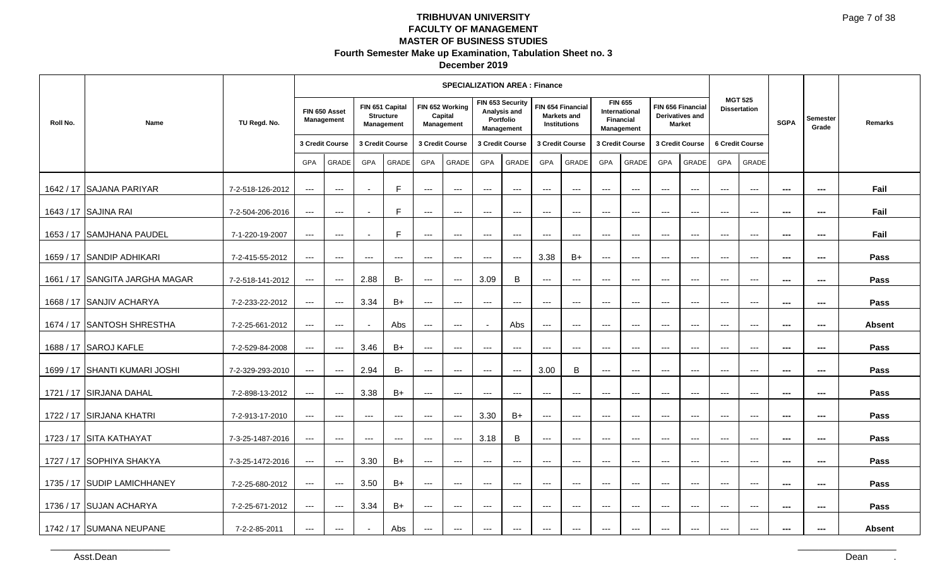| December 2019 |  |
|---------------|--|
|---------------|--|

|           |                                |                  |                      |                                          |                          |                                                   |                          | <b>SPECIALIZATION AREA: Finance</b>      |                     |                                                             |                          |                                                         |                     |                                                      |                          |                                                       |                      |                                          |                |                          |               |
|-----------|--------------------------------|------------------|----------------------|------------------------------------------|--------------------------|---------------------------------------------------|--------------------------|------------------------------------------|---------------------|-------------------------------------------------------------|--------------------------|---------------------------------------------------------|---------------------|------------------------------------------------------|--------------------------|-------------------------------------------------------|----------------------|------------------------------------------|----------------|--------------------------|---------------|
| Roll No.  | Name                           | TU Regd. No.     |                      | FIN 650 Asset<br>Management              |                          | FIN 651 Capital<br><b>Structure</b><br>Management |                          | FIN 652 Working<br>Capital<br>Management |                     | FIN 653 Security<br>Analysis and<br>Portfolio<br>Management |                          | FIN 654 Financial<br><b>Markets and</b><br>Institutions | Financial           | <b>FIN 655</b><br><b>International</b><br>Management |                          | FIN 656 Financial<br>Derivatives and<br><b>Market</b> |                      | <b>MGT 525</b><br><b>Dissertation</b>    | <b>SGPA</b>    | <b>Semester</b><br>Grade | Remarks       |
|           |                                |                  |                      | 3 Credit Course                          |                          | 3 Credit Course                                   |                          | 3 Credit Course                          | 3 Credit Course     |                                                             |                          | 3 Credit Course                                         |                     | 3 Credit Course                                      |                          | 3 Credit Course                                       |                      | 6 Credit Course                          |                |                          |               |
|           |                                |                  | GPA                  | GRADE                                    | GPA                      | GRADE                                             | GPA                      | GRADE                                    | <b>GPA</b>          | GRADE                                                       | <b>GPA</b>               | GRADE                                                   | GPA                 | GRADE                                                | GPA                      | <b>GRADE</b>                                          | <b>GPA</b>           | GRADE                                    |                |                          |               |
|           | 1642 / 17 SAJANA PARIYAR       | 7-2-518-126-2012 | $\qquad \qquad - -$  | $\cdots$                                 |                          | F                                                 | $\qquad \qquad - -$      | $---$                                    | $---$               | $---$                                                       | $---$                    | $---$                                                   | $---$               | $\cdots$                                             | $---$                    | $\overline{a}$                                        | $---$                | $\qquad \qquad -$                        | ---            | $\qquad \qquad \cdots$   | Fail          |
|           | 1643 / 17 SAJINA RAI           | 7-2-504-206-2016 | $\qquad \qquad - -$  | $\cdots$                                 | $\overline{\phantom{a}}$ | F                                                 | $---$                    | $\cdots$                                 | $---$               | $\qquad \qquad - -$                                         | $\qquad \qquad -$        | $\qquad \qquad -\qquad -$                               | $---$               | $\cdots$                                             | $---$                    | $\qquad \qquad - -$                                   | $\qquad \qquad - -$  | $\qquad \qquad - -$                      | $\sim$         | $\hspace{0.05cm} \ldots$ | Fail          |
|           | 1653 / 17 SAMJHANA PAUDEL      | 7-1-220-19-2007  | $\qquad \qquad - -$  | $\qquad \qquad - -$                      |                          | E                                                 | $\qquad \qquad - -$      | $\qquad \qquad - -$                      | $\qquad \qquad - -$ | $\qquad \qquad - -$                                         | ---                      | $\hspace{0.05cm} \ldots$                                | ---                 | ---                                                  | $---$                    | $\overline{\phantom{a}}$                              | $\cdots$             | $\qquad \qquad - -$                      | ---            | ---                      | Fail          |
|           | 1659 / 17 SANDIP ADHIKARI      | 7-2-415-55-2012  | $--$                 | $\qquad \qquad -$                        | $---$                    | $\qquad \qquad - -$                               | $\qquad \qquad - -$      | $\cdots$                                 | $---$               | $\qquad \qquad - -$                                         | 3.38                     | $B+$                                                    | $---$               | $\cdots$                                             | $---$                    | $  -$                                                 | $---$                | $\hspace{0.05cm} \ldots$                 | ---            | ---                      | Pass          |
|           | 1661 / 17 SANGITA JARGHA MAGAR | 7-2-518-141-2012 | $--$                 | $\hspace{0.05cm} \ldots$                 | 2.88                     | <b>B-</b>                                         | $\cdots$                 | $--$                                     | 3.09                | $\, {\bf B}$                                                | $\qquad \qquad \cdots$   | $---$                                                   | $\qquad \qquad -$   | $\qquad \qquad -$                                    | $\hspace{0.05cm} \ldots$ | $---$                                                 | $---$                | $\hspace{0.05cm} \ldots$                 | $\sim$         | $\sim$                   | Pass          |
|           | 1668 / 17 SANJIV ACHARYA       | 7-2-233-22-2012  | $\qquad \qquad - -$  | $\qquad \qquad - -$                      | 3.34                     | $B+$                                              | $\qquad \qquad - -$      | $---$                                    | $\qquad \qquad - -$ | $\hspace{0.05cm}---$                                        | $\hspace{0.05cm} \ldots$ | $\hspace{0.05cm} \ldots$                                | ---                 | $\hspace{0.05cm} \ldots$                             | $\qquad \qquad - -$      | $\qquad \qquad - -$                                   | $\qquad \qquad - -$  | $\qquad \qquad - -$                      | ---            | $\sim$                   | Pass          |
|           | 1674 / 17 SANTOSH SHRESTHA     | 7-2-25-661-2012  | $\qquad \qquad - -$  | $\hspace{0.05cm} \ldots \hspace{0.05cm}$ |                          | Abs                                               | $\qquad \qquad - -$      | $\qquad \qquad - -$                      |                     | Abs                                                         | ---                      | $\hspace{0.05cm} \ldots$                                | ---                 | $\hspace{0.05cm} \ldots$                             | $\scriptstyle\cdots$     | $\scriptstyle\cdots$                                  | $\scriptstyle\cdots$ | $\scriptstyle\cdots$                     | ---            | $\hspace{0.05cm} \ldots$ | <b>Absent</b> |
|           | 1688 / 17 SAROJ KAFLE          | 7-2-529-84-2008  | $--$                 | $\qquad \qquad \cdots$                   | 3.46                     | $B+$                                              | $\qquad \qquad - -$      | $---$                                    | $---$               | $\hspace{0.05cm} \ldots \hspace{0.05cm}$                    | $\qquad \qquad -$        | $---$                                                   | $---$               | $\qquad \qquad -$                                    | $---$                    | $---$                                                 | $---$                | $---$                                    | ---            | $\sim$                   | Pass          |
| 1699 / 17 | <b>SHANTI KUMARI JOSHI</b>     | 7-2-329-293-2010 | $\qquad \qquad - -$  | $\cdots$                                 | 2.94                     | <b>B-</b>                                         | $\qquad \qquad - -$      | $\qquad \qquad - -$                      | $---$               | $\qquad \qquad - -$                                         | 3.00                     | B                                                       | $\overline{a}$      | $\cdots$                                             | $---$                    | $\qquad \qquad - -$                                   | $---$                | $\qquad \qquad - -$                      | $\overline{a}$ | $\hspace{0.05cm} \ldots$ | Pass          |
|           | 1721 / 17 SIRJANA DAHAL        | 7-2-898-13-2012  | $\scriptstyle\cdots$ | $\qquad \qquad - -$                      | 3.38                     | $B+$                                              | $---$                    | $\qquad \qquad - -$                      | ---                 | ---                                                         | ---                      | $\hspace{0.05cm} \ldots$                                | ---                 | $\scriptstyle\cdots\scriptstyle\cdots$               | $\qquad \qquad - -$      | $\qquad \qquad - -$                                   | $\qquad \qquad - -$  | $\hspace{0.05cm} \ldots$                 | ---            | $\sim$                   | Pass          |
|           | 1722 / 17 SIRJANA KHATRI       | 7-2-913-17-2010  | $--$                 | $\qquad \qquad \cdots$                   | $\hspace{0.05cm} \ldots$ | $--$                                              | $\hspace{0.05cm} \ldots$ | $--$                                     | 3.30                | $B+$                                                        | $\qquad \qquad \cdots$   | $\hspace{0.05cm} \ldots \hspace{0.05cm}$                | $\qquad \qquad - -$ | $\scriptstyle\cdots\scriptstyle\cdots$               | $---$                    | $---$                                                 | $---$                | $\hspace{0.05cm} \ldots \hspace{0.05cm}$ | ---            | $\sim$                   | Pass          |
|           | 1723 / 17 SITA KATHAYAT        | 7-3-25-1487-2016 | $--$                 | $\hspace{0.05cm} \ldots$                 | $  -$                    | $\cdots$                                          | $\hspace{0.05cm} \ldots$ | $--$                                     | 3.18                | B                                                           | $---$                    | $---$                                                   | $---$               | $\qquad \qquad -$                                    | $---$                    | $---$                                                 | $---$                | $---$                                    | $\sim$         | $\cdots$                 | Pass          |
|           | 1727 / 17 SOPHIYA SHAKYA       | 7-3-25-1472-2016 | $--$                 | $\qquad \qquad - -$                      | 3.30                     | $B+$                                              | $\qquad \qquad - -$      | $---$                                    | $\qquad \qquad - -$ | $\hspace{0.05cm}---$                                        | $\hspace{0.05cm} \ldots$ | $\scriptstyle\cdots$                                    | ---                 | $\cdots$                                             | $\qquad \qquad - -$      | $\scriptstyle\cdots$                                  | $\qquad \qquad - -$  | $\hspace{0.05cm} \ldots \hspace{0.05cm}$ | $- - -$        | $\sim$                   | Pass          |
| 1735 / 17 | <b>SUDIP LAMICHHANEY</b>       | 7-2-25-680-2012  | $--$                 | $\qquad \qquad \cdots$                   | 3.50                     | $B+$                                              | $\qquad \qquad - -$      | $\qquad \qquad - -$                      | $\qquad \qquad - -$ | $\hspace{0.05cm} \ldots \hspace{0.05cm}$                    | $\hspace{0.05cm} \ldots$ | $\hspace{0.05cm} \ldots$                                | $\qquad \qquad - -$ | $\scriptstyle\cdots\scriptstyle\cdots$               | $\qquad \qquad - -$      | $\qquad \qquad - -$                                   | $\qquad \qquad - -$  | $\qquad \qquad - -$                      | ---            | ---                      | Pass          |
|           | 1736 / 17 SUJAN ACHARYA        | 7-2-25-671-2012  | $\qquad \qquad - -$  | $\hspace{0.05cm} \ldots$                 | 3.34                     | $B+$                                              | $\qquad \qquad - -$      | $\qquad \qquad - -$                      | $\cdots$            | $\qquad \qquad - -$                                         | $---$                    | $---$                                                   | $---$               | $\scriptstyle\cdots\scriptstyle\cdots$               | $---$                    | $---$                                                 | $---$                | $---$                                    | $\overline{a}$ | $\sim$                   | Pass          |
|           | 1742 / 17 SUMANA NEUPANE       | 7-2-2-85-2011    | $---$                | $\qquad \qquad \cdots$                   | $\overline{\phantom{a}}$ | Abs                                               | $---$                    | $---$                                    | $---$               | $---$                                                       | $---$                    | $---$                                                   | $---$               | $---$                                                | $---$                    | $---$                                                 | $---$                | $\qquad \qquad \cdots$                   | $- - -$        | $\cdots$                 | <b>Absent</b> |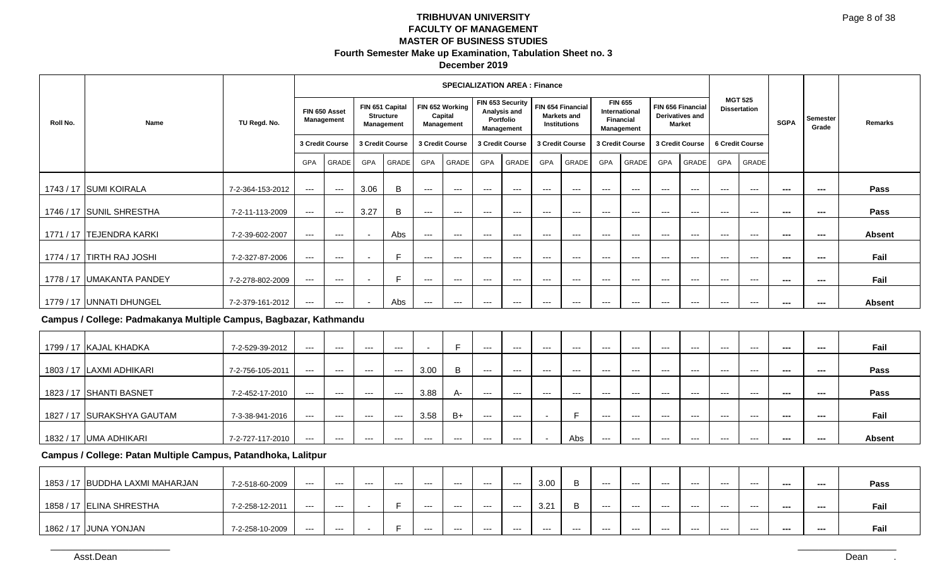### **December 2019**

|          |                           |                  |       |                                    |                          |                                                          |       | <b>SPECIALIZATION AREA: Finance</b>      |            |                                                             |       |                                                         |            |                                                                          |                   |                                         |            |                                       |             |                   |               |
|----------|---------------------------|------------------|-------|------------------------------------|--------------------------|----------------------------------------------------------|-------|------------------------------------------|------------|-------------------------------------------------------------|-------|---------------------------------------------------------|------------|--------------------------------------------------------------------------|-------------------|-----------------------------------------|------------|---------------------------------------|-------------|-------------------|---------------|
| Roll No. | Name                      | TU Regd. No.     |       | FIN 650 Asset<br><b>Management</b> |                          | FIN 651 Capital<br><b>Structure</b><br><b>Management</b> |       | FIN 652 Working<br>Capital<br>Management |            | FIN 653 Security<br>Analysis and<br>Portfolio<br>Management |       | FIN 654 Financial<br>Markets and<br><b>Institutions</b> |            | <b>FIN 655</b><br>International<br><b>Financial</b><br><b>Management</b> | FIN 656 Financial | <b>Derivatives and</b><br><b>Market</b> |            | <b>MGT 525</b><br><b>Dissertation</b> | <b>SGPA</b> | Semester<br>Grade | Remarks       |
|          |                           |                  |       | 3 Credit Course                    |                          | 3 Credit Course                                          |       | 3 Credit Course                          |            | 3 Credit Course                                             |       | 3 Credit Course                                         |            | 3 Credit Course                                                          | 3 Credit Course   |                                         |            | 6 Credit Course                       |             |                   |               |
|          |                           |                  | GPA   | GRADE                              | GPA                      | GRADE                                                    | GPA   | GRADE                                    | <b>GPA</b> | <b>GRADE</b>                                                | GPA   | GRADE                                                   | <b>GPA</b> | GRADE                                                                    | <b>GPA</b>        | GRADE                                   | <b>GPA</b> | GRADE                                 |             |                   |               |
|          | 1743 / 17 SUMI KOIRALA    | 7-2-364-153-2012 | $---$ | $---$                              | 3.06                     | B                                                        | $---$ | $---$                                    | $---$      | $---$                                                       | $--$  | $---$                                                   | $--$       | $---$                                                                    | $---$             | $--$                                    | $--$       | $--$                                  | ---         | ---               | Pass          |
|          | 1746 / 17 SUNIL SHRESTHA  | 7-2-11-113-2009  | $---$ | $\hspace{0.05cm} \ldots$           | 3.27                     | B                                                        | $--$  | ---                                      | ---        | $--$                                                        | $--$  | $---$                                                   | ---        | $---$                                                                    | $---$             | $--$                                    | $--$       | $--$                                  | $\sim$      | ---               | Pass          |
|          | 1771 / 17 ITEJENDRA KARKI | 7-2-39-602-2007  | $---$ | $---$                              |                          | Abs                                                      | $--$  | $--$                                     | $--$       | $---$                                                       | $---$ | $--$                                                    | $---$      | $--$                                                                     | $--$              | $--$                                    | $---$      | $---$                                 | $\sim$      | ---               | <b>Absent</b> |
|          | 1774 / 17 TIRTH RAJ JOSHI | 7-2-327-87-2006  | $---$ | $---$                              | $\sim$                   |                                                          | $---$ | $---$                                    | ---        | $---$                                                       | $--$  | $---$                                                   | $---$      | $---$                                                                    | $---$             | $---$                                   | $--$       | $---$                                 | $\sim$      | ---               | Fail          |
|          | 1778 / 17 UMAKANTA PANDEY | 7-2-278-802-2009 | $---$ | $--$                               | $\overline{\phantom{a}}$ |                                                          | $---$ | $---$                                    | ---        | $--$                                                        | $--$  | $---$                                                   | $---$      | $---$                                                                    | $---$             | $---$                                   | $--$       | $---$                                 | $\sim$      | ---               | Fail          |
|          | 1779 / 17 UNNATI DHUNGEL  | 7-2-379-161-2012 | $---$ | $---$                              |                          | Abs                                                      | ---   | $---$                                    | $---$      | $--$                                                        | $--$  | $---$                                                   | $---$      | $--$                                                                     | $---$             | $---$                                   | $--$       | $---$                                 | ---         | ---               | <b>Absent</b> |

### **Campus / College: Padmakanya Multiple Campus, Bagbazar, Kathmandu**

| 1799 / 17 KAJAL KHADKA     | 7-2-529-39-2012  | $---$ | $---$ | $---$   | $---$ |       |       | $--$  | $--$  | $--$    | $---$ | $---$ | $--$ | $--$  | $--$  | $--$  | $--$  | $- - -$ | --- | Fail          |
|----------------------------|------------------|-------|-------|---------|-------|-------|-------|-------|-------|---------|-------|-------|------|-------|-------|-------|-------|---------|-----|---------------|
|                            |                  |       |       |         |       |       |       |       |       |         |       |       |      |       |       |       |       |         |     |               |
| 1803 / 17 LAXMI ADHIKARI   | 7-2-756-105-2011 | ---   | $---$ | $---$   | $---$ | 3.00  | B     | $---$ | $---$ | $- - -$ | ---   | $--$  | $--$ | $---$ | $---$ | $---$ | $---$ | ---     | --- | Pass          |
|                            |                  |       |       |         |       |       |       |       |       |         |       |       |      |       |       |       |       |         |     |               |
| 1823 / 17 SHANTI BASNET    | 7-2-452-17-2010  | ---   | $---$ | $- - -$ | $---$ | 3.88  | A-    | $--$  | $--$  | $- - -$ | ---   | $---$ | ---  | $--$  | $--$  | $--$  | $---$ | ---     | --- | Pass          |
|                            |                  |       |       |         |       |       |       |       |       |         |       |       |      |       |       |       |       |         |     |               |
| 1827 / 17 SURAKSHYA GAUTAM | 7-3-38-941-2016  | ---   | $---$ | $- - -$ | $---$ | 3.58  | $B+$  | $--$  | $--$  |         | -     | $--$  | ---  | $--$  | $--$  | $--$  | $--$  | ---     | --- | Fail          |
|                            |                  |       |       |         |       |       |       |       |       |         |       |       |      |       |       |       |       |         |     |               |
| 1832 / 17 UMA ADHIKARI     | 7-2-727-117-2010 | ---   | $---$ | $--$    | $---$ | $---$ | $---$ | $---$ | $---$ |         | Abs   | ---   | $--$ | $---$ | $---$ | $---$ | $---$ | ---     | --- | <b>Absent</b> |

### **Campus / College: Patan Multiple Campus, Patandhoka, Lalitpur**

| 1853 / 17 BUDDHA LAXMI MAHARJAN | 7-2-518-60-2009 | $---$   | --- | $- - -$ | $--$ | $--$ | $---$ | $---$ | $---$ | 3.00          |       | $--$    | $--$    | $---$ | $---$ | $---$ | $---$ | --- | --- | Pass |
|---------------------------------|-----------------|---------|-----|---------|------|------|-------|-------|-------|---------------|-------|---------|---------|-------|-------|-------|-------|-----|-----|------|
| 1858 / 17 ELINA SHRESTHA        | 7-2-258-12-2011 | $- - -$ | --- |         |      | ---  | $--$  | $--$  | $--$  | 3.21<br>ا ے.ب |       | $- - -$ | $- - -$ | ---   | ---   | ---   | ---   | --- | --- | Fail |
| 1862 / 17   JUNA YONJAN         | 7-2-258-10-2009 | $---$   | --- |         |      | $--$ | $---$ | $---$ | $---$ | $---$         | $---$ | $--$    | $--$    | $---$ | $---$ | $---$ | $---$ | --- | --- | Fail |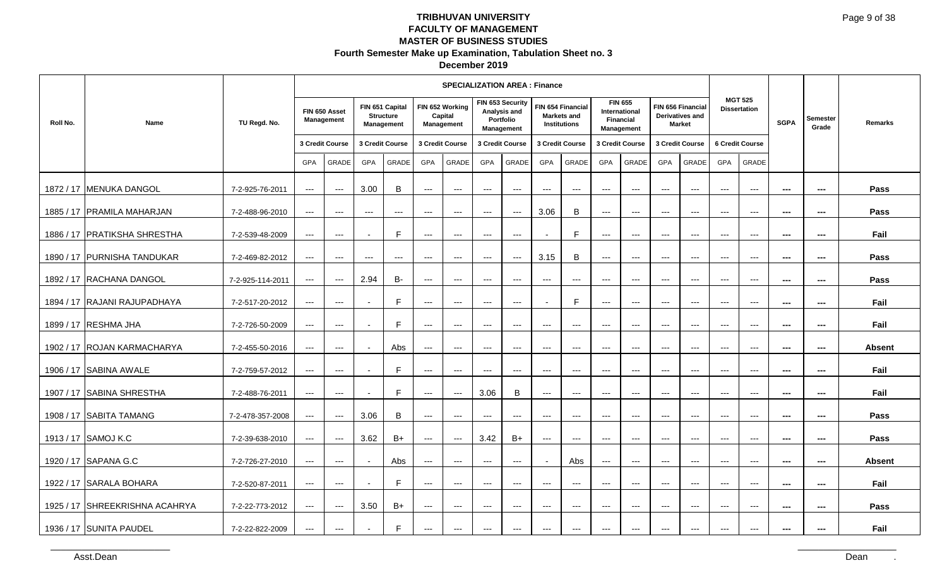| December 2019 |  |
|---------------|--|
|---------------|--|

| Roll No.<br>1872 / 17 MENUKA DANGOL                                                                                                | Name<br>1885 / 17 PRAMILA MAHARJAN<br>1886 / 17 PRATIKSHA SHRESTHA                         | TU Regd. No.<br>7-2-925-76-2011<br>7-2-488-96-2010<br>7-2-539-48-2009                                                                                  | 3 Credit Course<br>GPA<br>$\sim$ $\sim$<br>$\sim$ $\sim$<br>$   \,$                      | FIN 650 Asset<br>Management<br>GRADE<br>$\sim$ $\sim$<br>$\sim$ $\sim$<br>$\sim$                      | GPA<br>3.00<br>$--$<br>$\sim$                                          | FIN 651 Capital<br><b>Structure</b><br>Management<br>3 Credit Course<br>GRADE<br>$\, {\bf B} \,$<br>$\sim$<br>$\mathsf F$ | GPA<br>$\sim$<br>$\scriptstyle\cdots$<br>$\scriptstyle \cdots$                                                       | <b>SPECIALIZATION AREA : Finance</b><br>FIN 652 Working<br>Capital<br>Management<br>3 Credit Course<br>GRADE<br>$\sim$<br>$\scriptstyle\cdots$<br>$\scriptstyle\cdots$ | GPA<br>$\scriptstyle\cdots$<br>$\scriptstyle\cdots$<br>$\scriptstyle\cdots$                                                                                    | FIN 653 Security<br>Analysis and<br>Portfolio<br>Management<br>3 Credit Course<br>GRADE<br>$\scriptstyle\cdots$<br>$\sim$<br>$\sim$ | FIN 654 Financial<br><b>Markets and</b><br>3 Credit Course<br>GPA<br>$\hspace{0.05cm} \ldots$<br>3.06<br>$\sim$                                    | <b>Institutions</b><br>GRADE<br>$\hspace{0.05cm} \cdots$<br>$\, {\bf B}$<br>$\mathsf F$                                                                                     | International<br>Financial<br>3 Credit Course<br>GPA<br>$\hspace{0.05cm} \ldots$<br>$\sim$<br>$\scriptstyle\cdots$                                       | <b>FIN 655</b><br>Management<br>GRADE<br>$\hspace{0.05cm} \ldots$<br>$\hspace{0.05cm} \ldots$<br>$\scriptstyle\cdots$                               | FIN 656 Financial<br>3 Credit Course<br>GPA<br>$\sim$ $\sim$ $\sim$<br>$--$<br>$\scriptstyle\cdots$                                  | <b>Derivatives and</b><br><b>Market</b><br>GRADE<br>$   \,$<br>$   \,$<br>$\scriptstyle\cdots$    | 6 Credit Course<br>GPA<br>$\sim$ $\sim$<br>$\sim$ $\sim$<br>$\sim$ $\sim$                                                                                     | <b>MGT 525</b><br><b>Dissertation</b><br>GRADE<br>$\sim$<br>$\sim$ $\sim$<br>$\sim$        | <b>SGPA</b><br>$\sim$<br>$\hspace{0.05cm} \cdots$<br>$\sim$                                                     | Semester<br>Grade<br>$\sim$<br>$\overline{\phantom{a}}$<br>$\sim$                                                                         | Remarks<br>Pass<br>Pass<br>Fail                                       |
|------------------------------------------------------------------------------------------------------------------------------------|--------------------------------------------------------------------------------------------|--------------------------------------------------------------------------------------------------------------------------------------------------------|------------------------------------------------------------------------------------------|-------------------------------------------------------------------------------------------------------|------------------------------------------------------------------------|---------------------------------------------------------------------------------------------------------------------------|----------------------------------------------------------------------------------------------------------------------|------------------------------------------------------------------------------------------------------------------------------------------------------------------------|----------------------------------------------------------------------------------------------------------------------------------------------------------------|-------------------------------------------------------------------------------------------------------------------------------------|----------------------------------------------------------------------------------------------------------------------------------------------------|-----------------------------------------------------------------------------------------------------------------------------------------------------------------------------|----------------------------------------------------------------------------------------------------------------------------------------------------------|-----------------------------------------------------------------------------------------------------------------------------------------------------|--------------------------------------------------------------------------------------------------------------------------------------|---------------------------------------------------------------------------------------------------|---------------------------------------------------------------------------------------------------------------------------------------------------------------|--------------------------------------------------------------------------------------------|-----------------------------------------------------------------------------------------------------------------|-------------------------------------------------------------------------------------------------------------------------------------------|-----------------------------------------------------------------------|
| 1892 / 17 RACHANA DANGOL<br>1899 / 17 RESHMA JHA<br>1906 / 17 SABINA AWALE<br>1907 / 17 SABINA SHRESTHA<br>1908 / 17 SABITA TAMANG | 1890 / 17 PURNISHA TANDUKAR<br>1894 / 17 RAJANI RAJUPADHAYA<br>1902 / 17 ROJAN KARMACHARYA | 7-2-469-82-2012<br>7-2-925-114-2011<br>7-2-517-20-2012<br>7-2-726-50-2009<br>7-2-455-50-2016<br>7-2-759-57-2012<br>7-2-488-76-2011<br>7-2-478-357-2008 | $\sim$ $\sim$<br>$\sim$<br>$\sim$<br>$\sim$<br>$\sim$<br>$\sim$<br>$\sim$<br>$\sim$      | $\sim$ $\sim$<br>$\sim$<br>$\overline{\phantom{a}}$<br>$\sim$<br>$\sim$<br>$\sim$<br>$\sim$<br>$\sim$ | $--$<br>2.94<br>$\sim$<br>$\sim$<br>$\sim$<br>$\sim$<br>$\sim$<br>3.06 | $--$<br>$B-$<br>$\mathsf F$<br>$\mathsf F$<br>Abs<br>$\mathsf F$<br>$\mathsf F$<br>$\, {\bf B} \,$                        | $\hspace{0.05cm} \ldots$<br>$\sim$<br>$\sim$ $\sim$<br>$\scriptstyle \cdots$<br>$\sim$<br>$\sim$<br>$\sim$<br>$\sim$ | $\sim$<br>$\sim$<br>$\sim$ $\sim$<br>$\sim$<br>$\sim$<br>$\sim$<br>$\sim$<br>$\sim$                                                                                    | $\scriptstyle\cdots$<br>$\scriptstyle\cdots$<br>$   \,$<br>$   \,$<br>$\hspace{0.05cm} \ldots$<br>$\hspace{0.05cm} \ldots$<br>3.06<br>$\hspace{0.05cm} \ldots$ | $\sim$<br>$\sim$<br>$\sim$<br>$\scriptstyle\cdots$<br>$\sim$<br>$\sim$<br>$\, {\bf B} \,$<br>$\sim$                                 | 3.15<br>$\hspace{0.05cm} \ldots$<br>$\sim$<br>$--$<br>$\scriptstyle\cdots$<br>$\scriptstyle\cdots$<br>$\scriptstyle\cdots$<br>$\scriptstyle\cdots$ | $\, {\bf B} \,$<br>$\hspace{0.05cm} \cdots$<br>$\mathsf F$<br>$\hspace{0.05cm} \ldots$<br>$\hspace{0.05cm} \cdots$<br>$\sim$<br>$\sim$<br>$\hspace{0.05cm} \dashrightarrow$ | $\sim$<br>$\hspace{0.05cm} \ldots$<br>$\sim$<br>$--$<br>$\scriptstyle\cdots$<br>$\hspace{0.05cm} \ldots$<br>$\scriptstyle\cdots$<br>$\scriptstyle\cdots$ | $\sim$<br>$\hspace{0.05cm} \ldots$<br>$\sim$<br>$\hspace{0.05cm} \ldots$<br>$\scriptstyle\cdots$<br>$\scriptstyle\cdots$<br>$\sim$ $\sim$<br>$\sim$ | $\scriptstyle\cdots$<br>$\hspace{0.1em} \ldots \hspace{0.1em}$<br>$--$<br>$--$<br>$\sim$<br>$\scriptstyle\cdots$<br>$\sim$<br>$\sim$ | $   \,$<br>$\scriptstyle\cdots$<br>$\sim$<br>$--$<br>$   \,$<br>$\sim$ $\sim$<br>$\sim$<br>$\sim$ | $\sim$ $\sim$<br>$\rightarrow$ $\rightarrow$<br>$\hspace{0.05cm} \ldots$<br>$\hspace{0.05cm}\ldots$<br>$\sim$<br>$\hspace{0.05cm} \cdots$<br>$\sim$<br>$\sim$ | $\sim$<br>$\sim$<br>$\scriptstyle\cdots$<br>$\sim$<br>$\sim$<br>$\sim$<br>$\sim$<br>$\sim$ | $\sim$<br>$\sim$<br>$\hspace{0.05cm}\ldots$<br>$\sim$<br>$\sim$<br>$\sim$<br>$\sim$<br>$\hspace{0.05cm} \cdots$ | $\sim$<br>$\hspace{0.05cm} \cdots$<br>$\sim$<br>$\sim$<br>$\hspace{0.05cm} \cdots$<br>$\frac{1}{2}$<br>$\sim$<br>$\hspace{0.05cm} \cdots$ | Pass<br>Pass<br>Fail<br>Fail<br><b>Absent</b><br>Fail<br>Fail<br>Pass |
| 1913 / 17 SAMOJ K.C<br>1920 / 17 SAPANA G.C<br>1922 / 17 SARALA BOHARA<br>1936 / 17 SUNITA PAUDEL<br>Asst.Dean                     | 1925 / 17 SHREEKRISHNA ACAHRYA                                                             | 7-2-39-638-2010<br>7-2-726-27-2010<br>7-2-520-87-2011<br>7-2-22-773-2012<br>7-2-22-822-2009                                                            | $\sim$<br>$\sim$ $\sim$ $\sim$<br>$\sim$ $\sim$ $\sim$<br>$\sim$ $\sim$<br>$\sim$ $\sim$ | $\overline{\phantom{a}}$<br>$\sim$<br>$\sim$<br>$\sim$ $\sim$<br>$\sim$                               | 3.62<br>$\sim$<br>$\sim$<br>3.50<br>$\overline{\phantom{a}}$           | $B+$<br>Abs<br>$\mathsf F$<br>$B+$<br>$\mathsf F$                                                                         | $\sim$<br>$\sim$<br>$\sim$ $\sim$<br>$\hspace{0.1em} \ldots \hspace{0.1em}$<br>$\scriptstyle\cdots$                  | $\sim$<br>$\sim$<br>$\sim$ $\sim$<br>$\sim$<br>$\sim$                                                                                                                  | 3.42<br>$\hspace{0.05cm} \ldots$<br>$\sim$ $\sim$<br>$   \,$<br>$\rightarrow$ $\rightarrow$ $\rightarrow$                                                      | $B+$<br>$\sim$<br>$\sim$ $\sim$<br>$\sim$ $\sim$<br>$\hspace{0.1em} \ldots \hspace{0.1em}$                                          | $\sim$<br>$\sim$<br>$\sim$ $\sim$<br>$\hspace{0.1em} \ldots \hspace{0.1em}$<br>$\hspace{0.05cm} \ldots \hspace{0.05cm}$                            | $\sim$<br>Abs<br>$\sim$ $\sim$<br>$\hspace{0.05cm} \cdots$<br>$\hspace{0.05cm} \cdots$                                                                                      | $\scriptstyle\cdots$<br>$\sim$<br>$\sim$ $\sim$<br>$--$<br>$--$                                                                                          | $\sim$<br>$\sim$<br>$\sim$ $\sim$<br>$\hspace{0.05cm} \ldots$<br>$\hspace{0.05cm} \ldots$                                                           | $\sim$<br>$\sim$ $\sim$<br>$\sim$ $\sim$<br>$\hspace{0.1em} \ldots \hspace{0.1em}$<br>$--$                                           | $\sim$<br>$\sim$ $\sim$<br>$\rightarrow$ $\rightarrow$<br>$\rightarrow$ $\rightarrow$<br>$   \,$  | $\sim$ $\sim$<br>$\sim$ $\sim$<br>$\sim$ $\sim$<br>$\sim$ $\sim$<br>$  -$                                                                                     | $\sim$<br>$\sim$<br>$\sim$ $\sim$<br>$\sim$ $\sim$<br>$\sim$ $\sim$                        | $\sim$<br>$\sim$<br>$\sim$<br>$\sim$<br>$\hspace{0.05cm} \ldots$                                                | $\sim$<br>$\sim$<br>$\sim$<br>$\sim$<br>$\sim$                                                                                            | <b>Pass</b><br><b>Absent</b><br>Fail<br>Pass<br>Fail<br>Dean          |
|                                                                                                                                    |                                                                                            |                                                                                                                                                        |                                                                                          |                                                                                                       |                                                                        |                                                                                                                           |                                                                                                                      |                                                                                                                                                                        |                                                                                                                                                                |                                                                                                                                     |                                                                                                                                                    |                                                                                                                                                                             |                                                                                                                                                          |                                                                                                                                                     |                                                                                                                                      |                                                                                                   |                                                                                                                                                               |                                                                                            |                                                                                                                 |                                                                                                                                           |                                                                       |
|                                                                                                                                    |                                                                                            |                                                                                                                                                        |                                                                                          |                                                                                                       |                                                                        |                                                                                                                           |                                                                                                                      |                                                                                                                                                                        |                                                                                                                                                                |                                                                                                                                     |                                                                                                                                                    |                                                                                                                                                                             |                                                                                                                                                          |                                                                                                                                                     |                                                                                                                                      |                                                                                                   |                                                                                                                                                               |                                                                                            |                                                                                                                 |                                                                                                                                           |                                                                       |
|                                                                                                                                    |                                                                                            |                                                                                                                                                        |                                                                                          |                                                                                                       |                                                                        |                                                                                                                           |                                                                                                                      |                                                                                                                                                                        |                                                                                                                                                                |                                                                                                                                     |                                                                                                                                                    |                                                                                                                                                                             |                                                                                                                                                          |                                                                                                                                                     |                                                                                                                                      |                                                                                                   |                                                                                                                                                               |                                                                                            |                                                                                                                 |                                                                                                                                           |                                                                       |
|                                                                                                                                    |                                                                                            |                                                                                                                                                        |                                                                                          |                                                                                                       |                                                                        |                                                                                                                           |                                                                                                                      |                                                                                                                                                                        |                                                                                                                                                                |                                                                                                                                     |                                                                                                                                                    |                                                                                                                                                                             |                                                                                                                                                          |                                                                                                                                                     |                                                                                                                                      |                                                                                                   |                                                                                                                                                               |                                                                                            |                                                                                                                 |                                                                                                                                           |                                                                       |
|                                                                                                                                    |                                                                                            |                                                                                                                                                        |                                                                                          |                                                                                                       |                                                                        |                                                                                                                           |                                                                                                                      |                                                                                                                                                                        |                                                                                                                                                                |                                                                                                                                     |                                                                                                                                                    |                                                                                                                                                                             |                                                                                                                                                          |                                                                                                                                                     |                                                                                                                                      |                                                                                                   |                                                                                                                                                               |                                                                                            |                                                                                                                 |                                                                                                                                           |                                                                       |
|                                                                                                                                    |                                                                                            |                                                                                                                                                        |                                                                                          |                                                                                                       |                                                                        |                                                                                                                           |                                                                                                                      |                                                                                                                                                                        |                                                                                                                                                                |                                                                                                                                     |                                                                                                                                                    |                                                                                                                                                                             |                                                                                                                                                          |                                                                                                                                                     |                                                                                                                                      |                                                                                                   |                                                                                                                                                               |                                                                                            |                                                                                                                 |                                                                                                                                           |                                                                       |
|                                                                                                                                    |                                                                                            |                                                                                                                                                        |                                                                                          |                                                                                                       |                                                                        |                                                                                                                           |                                                                                                                      |                                                                                                                                                                        |                                                                                                                                                                |                                                                                                                                     |                                                                                                                                                    |                                                                                                                                                                             |                                                                                                                                                          |                                                                                                                                                     |                                                                                                                                      |                                                                                                   |                                                                                                                                                               |                                                                                            |                                                                                                                 |                                                                                                                                           |                                                                       |
|                                                                                                                                    |                                                                                            |                                                                                                                                                        |                                                                                          |                                                                                                       |                                                                        |                                                                                                                           |                                                                                                                      |                                                                                                                                                                        |                                                                                                                                                                |                                                                                                                                     |                                                                                                                                                    |                                                                                                                                                                             |                                                                                                                                                          |                                                                                                                                                     |                                                                                                                                      |                                                                                                   |                                                                                                                                                               |                                                                                            |                                                                                                                 |                                                                                                                                           |                                                                       |
|                                                                                                                                    |                                                                                            |                                                                                                                                                        |                                                                                          |                                                                                                       |                                                                        |                                                                                                                           |                                                                                                                      |                                                                                                                                                                        |                                                                                                                                                                |                                                                                                                                     |                                                                                                                                                    |                                                                                                                                                                             |                                                                                                                                                          |                                                                                                                                                     |                                                                                                                                      |                                                                                                   |                                                                                                                                                               |                                                                                            |                                                                                                                 |                                                                                                                                           |                                                                       |
|                                                                                                                                    |                                                                                            |                                                                                                                                                        |                                                                                          |                                                                                                       |                                                                        |                                                                                                                           |                                                                                                                      |                                                                                                                                                                        |                                                                                                                                                                |                                                                                                                                     |                                                                                                                                                    |                                                                                                                                                                             |                                                                                                                                                          |                                                                                                                                                     |                                                                                                                                      |                                                                                                   |                                                                                                                                                               |                                                                                            |                                                                                                                 |                                                                                                                                           |                                                                       |
|                                                                                                                                    |                                                                                            |                                                                                                                                                        |                                                                                          |                                                                                                       |                                                                        |                                                                                                                           |                                                                                                                      |                                                                                                                                                                        |                                                                                                                                                                |                                                                                                                                     |                                                                                                                                                    |                                                                                                                                                                             |                                                                                                                                                          |                                                                                                                                                     |                                                                                                                                      |                                                                                                   |                                                                                                                                                               |                                                                                            |                                                                                                                 |                                                                                                                                           |                                                                       |
|                                                                                                                                    |                                                                                            |                                                                                                                                                        |                                                                                          |                                                                                                       |                                                                        |                                                                                                                           |                                                                                                                      |                                                                                                                                                                        |                                                                                                                                                                |                                                                                                                                     |                                                                                                                                                    |                                                                                                                                                                             |                                                                                                                                                          |                                                                                                                                                     |                                                                                                                                      |                                                                                                   |                                                                                                                                                               |                                                                                            |                                                                                                                 |                                                                                                                                           |                                                                       |
|                                                                                                                                    |                                                                                            |                                                                                                                                                        |                                                                                          |                                                                                                       |                                                                        |                                                                                                                           |                                                                                                                      |                                                                                                                                                                        |                                                                                                                                                                |                                                                                                                                     |                                                                                                                                                    |                                                                                                                                                                             |                                                                                                                                                          |                                                                                                                                                     |                                                                                                                                      |                                                                                                   |                                                                                                                                                               |                                                                                            |                                                                                                                 |                                                                                                                                           |                                                                       |
|                                                                                                                                    |                                                                                            |                                                                                                                                                        |                                                                                          |                                                                                                       |                                                                        |                                                                                                                           |                                                                                                                      |                                                                                                                                                                        |                                                                                                                                                                |                                                                                                                                     |                                                                                                                                                    |                                                                                                                                                                             |                                                                                                                                                          |                                                                                                                                                     |                                                                                                                                      |                                                                                                   |                                                                                                                                                               |                                                                                            |                                                                                                                 |                                                                                                                                           |                                                                       |
|                                                                                                                                    |                                                                                            |                                                                                                                                                        |                                                                                          |                                                                                                       |                                                                        |                                                                                                                           |                                                                                                                      |                                                                                                                                                                        |                                                                                                                                                                |                                                                                                                                     |                                                                                                                                                    |                                                                                                                                                                             |                                                                                                                                                          |                                                                                                                                                     |                                                                                                                                      |                                                                                                   |                                                                                                                                                               |                                                                                            |                                                                                                                 |                                                                                                                                           |                                                                       |
|                                                                                                                                    |                                                                                            |                                                                                                                                                        |                                                                                          |                                                                                                       |                                                                        |                                                                                                                           |                                                                                                                      |                                                                                                                                                                        |                                                                                                                                                                |                                                                                                                                     |                                                                                                                                                    |                                                                                                                                                                             |                                                                                                                                                          |                                                                                                                                                     |                                                                                                                                      |                                                                                                   |                                                                                                                                                               |                                                                                            |                                                                                                                 |                                                                                                                                           |                                                                       |
|                                                                                                                                    |                                                                                            |                                                                                                                                                        |                                                                                          |                                                                                                       |                                                                        |                                                                                                                           |                                                                                                                      |                                                                                                                                                                        |                                                                                                                                                                |                                                                                                                                     |                                                                                                                                                    |                                                                                                                                                                             |                                                                                                                                                          |                                                                                                                                                     |                                                                                                                                      |                                                                                                   |                                                                                                                                                               |                                                                                            |                                                                                                                 |                                                                                                                                           |                                                                       |
|                                                                                                                                    |                                                                                            |                                                                                                                                                        |                                                                                          |                                                                                                       |                                                                        |                                                                                                                           |                                                                                                                      |                                                                                                                                                                        |                                                                                                                                                                |                                                                                                                                     |                                                                                                                                                    |                                                                                                                                                                             |                                                                                                                                                          |                                                                                                                                                     |                                                                                                                                      |                                                                                                   |                                                                                                                                                               |                                                                                            |                                                                                                                 |                                                                                                                                           |                                                                       |
|                                                                                                                                    |                                                                                            |                                                                                                                                                        |                                                                                          |                                                                                                       |                                                                        |                                                                                                                           |                                                                                                                      |                                                                                                                                                                        |                                                                                                                                                                |                                                                                                                                     |                                                                                                                                                    |                                                                                                                                                                             |                                                                                                                                                          |                                                                                                                                                     |                                                                                                                                      |                                                                                                   |                                                                                                                                                               |                                                                                            |                                                                                                                 |                                                                                                                                           |                                                                       |
|                                                                                                                                    |                                                                                            |                                                                                                                                                        |                                                                                          |                                                                                                       |                                                                        |                                                                                                                           |                                                                                                                      |                                                                                                                                                                        |                                                                                                                                                                |                                                                                                                                     |                                                                                                                                                    |                                                                                                                                                                             |                                                                                                                                                          |                                                                                                                                                     |                                                                                                                                      |                                                                                                   |                                                                                                                                                               |                                                                                            |                                                                                                                 |                                                                                                                                           |                                                                       |
|                                                                                                                                    |                                                                                            |                                                                                                                                                        |                                                                                          |                                                                                                       |                                                                        |                                                                                                                           |                                                                                                                      |                                                                                                                                                                        |                                                                                                                                                                |                                                                                                                                     |                                                                                                                                                    |                                                                                                                                                                             |                                                                                                                                                          |                                                                                                                                                     |                                                                                                                                      |                                                                                                   |                                                                                                                                                               |                                                                                            |                                                                                                                 |                                                                                                                                           |                                                                       |
|                                                                                                                                    |                                                                                            |                                                                                                                                                        |                                                                                          |                                                                                                       |                                                                        |                                                                                                                           |                                                                                                                      |                                                                                                                                                                        |                                                                                                                                                                |                                                                                                                                     |                                                                                                                                                    |                                                                                                                                                                             |                                                                                                                                                          |                                                                                                                                                     |                                                                                                                                      |                                                                                                   |                                                                                                                                                               |                                                                                            |                                                                                                                 |                                                                                                                                           |                                                                       |
|                                                                                                                                    |                                                                                            |                                                                                                                                                        |                                                                                          |                                                                                                       |                                                                        |                                                                                                                           |                                                                                                                      |                                                                                                                                                                        |                                                                                                                                                                |                                                                                                                                     |                                                                                                                                                    |                                                                                                                                                                             |                                                                                                                                                          |                                                                                                                                                     |                                                                                                                                      |                                                                                                   |                                                                                                                                                               |                                                                                            |                                                                                                                 |                                                                                                                                           |                                                                       |
|                                                                                                                                    |                                                                                            |                                                                                                                                                        |                                                                                          |                                                                                                       |                                                                        |                                                                                                                           |                                                                                                                      |                                                                                                                                                                        |                                                                                                                                                                |                                                                                                                                     |                                                                                                                                                    |                                                                                                                                                                             |                                                                                                                                                          |                                                                                                                                                     |                                                                                                                                      |                                                                                                   |                                                                                                                                                               |                                                                                            |                                                                                                                 |                                                                                                                                           |                                                                       |
|                                                                                                                                    |                                                                                            |                                                                                                                                                        |                                                                                          |                                                                                                       |                                                                        |                                                                                                                           |                                                                                                                      |                                                                                                                                                                        |                                                                                                                                                                |                                                                                                                                     |                                                                                                                                                    |                                                                                                                                                                             |                                                                                                                                                          |                                                                                                                                                     |                                                                                                                                      |                                                                                                   |                                                                                                                                                               |                                                                                            |                                                                                                                 |                                                                                                                                           |                                                                       |
|                                                                                                                                    |                                                                                            |                                                                                                                                                        |                                                                                          |                                                                                                       |                                                                        |                                                                                                                           |                                                                                                                      |                                                                                                                                                                        |                                                                                                                                                                |                                                                                                                                     |                                                                                                                                                    |                                                                                                                                                                             |                                                                                                                                                          |                                                                                                                                                     |                                                                                                                                      |                                                                                                   |                                                                                                                                                               |                                                                                            |                                                                                                                 |                                                                                                                                           |                                                                       |
|                                                                                                                                    |                                                                                            |                                                                                                                                                        |                                                                                          |                                                                                                       |                                                                        |                                                                                                                           |                                                                                                                      |                                                                                                                                                                        |                                                                                                                                                                |                                                                                                                                     |                                                                                                                                                    |                                                                                                                                                                             |                                                                                                                                                          |                                                                                                                                                     |                                                                                                                                      |                                                                                                   |                                                                                                                                                               |                                                                                            |                                                                                                                 |                                                                                                                                           |                                                                       |
|                                                                                                                                    |                                                                                            |                                                                                                                                                        |                                                                                          |                                                                                                       |                                                                        |                                                                                                                           |                                                                                                                      |                                                                                                                                                                        |                                                                                                                                                                |                                                                                                                                     |                                                                                                                                                    |                                                                                                                                                                             |                                                                                                                                                          |                                                                                                                                                     |                                                                                                                                      |                                                                                                   |                                                                                                                                                               |                                                                                            |                                                                                                                 |                                                                                                                                           |                                                                       |
|                                                                                                                                    |                                                                                            |                                                                                                                                                        |                                                                                          |                                                                                                       |                                                                        |                                                                                                                           |                                                                                                                      |                                                                                                                                                                        |                                                                                                                                                                |                                                                                                                                     |                                                                                                                                                    |                                                                                                                                                                             |                                                                                                                                                          |                                                                                                                                                     |                                                                                                                                      |                                                                                                   |                                                                                                                                                               |                                                                                            |                                                                                                                 |                                                                                                                                           |                                                                       |
|                                                                                                                                    |                                                                                            |                                                                                                                                                        |                                                                                          |                                                                                                       |                                                                        |                                                                                                                           |                                                                                                                      |                                                                                                                                                                        |                                                                                                                                                                |                                                                                                                                     |                                                                                                                                                    |                                                                                                                                                                             |                                                                                                                                                          |                                                                                                                                                     |                                                                                                                                      |                                                                                                   |                                                                                                                                                               |                                                                                            |                                                                                                                 |                                                                                                                                           |                                                                       |
|                                                                                                                                    |                                                                                            |                                                                                                                                                        |                                                                                          |                                                                                                       |                                                                        |                                                                                                                           |                                                                                                                      |                                                                                                                                                                        |                                                                                                                                                                |                                                                                                                                     |                                                                                                                                                    |                                                                                                                                                                             |                                                                                                                                                          |                                                                                                                                                     |                                                                                                                                      |                                                                                                   |                                                                                                                                                               |                                                                                            |                                                                                                                 |                                                                                                                                           |                                                                       |
|                                                                                                                                    |                                                                                            |                                                                                                                                                        |                                                                                          |                                                                                                       |                                                                        |                                                                                                                           |                                                                                                                      |                                                                                                                                                                        |                                                                                                                                                                |                                                                                                                                     |                                                                                                                                                    |                                                                                                                                                                             |                                                                                                                                                          |                                                                                                                                                     |                                                                                                                                      |                                                                                                   |                                                                                                                                                               |                                                                                            |                                                                                                                 |                                                                                                                                           |                                                                       |
|                                                                                                                                    |                                                                                            |                                                                                                                                                        |                                                                                          |                                                                                                       |                                                                        |                                                                                                                           |                                                                                                                      |                                                                                                                                                                        |                                                                                                                                                                |                                                                                                                                     |                                                                                                                                                    |                                                                                                                                                                             |                                                                                                                                                          |                                                                                                                                                     |                                                                                                                                      |                                                                                                   |                                                                                                                                                               |                                                                                            |                                                                                                                 |                                                                                                                                           |                                                                       |
|                                                                                                                                    |                                                                                            |                                                                                                                                                        |                                                                                          |                                                                                                       |                                                                        |                                                                                                                           |                                                                                                                      |                                                                                                                                                                        |                                                                                                                                                                |                                                                                                                                     |                                                                                                                                                    |                                                                                                                                                                             |                                                                                                                                                          |                                                                                                                                                     |                                                                                                                                      |                                                                                                   |                                                                                                                                                               |                                                                                            |                                                                                                                 |                                                                                                                                           |                                                                       |
|                                                                                                                                    |                                                                                            |                                                                                                                                                        |                                                                                          |                                                                                                       |                                                                        |                                                                                                                           |                                                                                                                      |                                                                                                                                                                        |                                                                                                                                                                |                                                                                                                                     |                                                                                                                                                    |                                                                                                                                                                             |                                                                                                                                                          |                                                                                                                                                     |                                                                                                                                      |                                                                                                   |                                                                                                                                                               |                                                                                            |                                                                                                                 |                                                                                                                                           |                                                                       |
|                                                                                                                                    |                                                                                            |                                                                                                                                                        |                                                                                          |                                                                                                       |                                                                        |                                                                                                                           |                                                                                                                      |                                                                                                                                                                        |                                                                                                                                                                |                                                                                                                                     |                                                                                                                                                    |                                                                                                                                                                             |                                                                                                                                                          |                                                                                                                                                     |                                                                                                                                      |                                                                                                   |                                                                                                                                                               |                                                                                            |                                                                                                                 |                                                                                                                                           |                                                                       |
|                                                                                                                                    |                                                                                            |                                                                                                                                                        |                                                                                          |                                                                                                       |                                                                        |                                                                                                                           |                                                                                                                      |                                                                                                                                                                        |                                                                                                                                                                |                                                                                                                                     |                                                                                                                                                    |                                                                                                                                                                             |                                                                                                                                                          |                                                                                                                                                     |                                                                                                                                      |                                                                                                   |                                                                                                                                                               |                                                                                            |                                                                                                                 |                                                                                                                                           |                                                                       |
|                                                                                                                                    |                                                                                            |                                                                                                                                                        |                                                                                          |                                                                                                       |                                                                        |                                                                                                                           |                                                                                                                      |                                                                                                                                                                        |                                                                                                                                                                |                                                                                                                                     |                                                                                                                                                    |                                                                                                                                                                             |                                                                                                                                                          |                                                                                                                                                     |                                                                                                                                      |                                                                                                   |                                                                                                                                                               |                                                                                            |                                                                                                                 |                                                                                                                                           |                                                                       |
|                                                                                                                                    |                                                                                            |                                                                                                                                                        |                                                                                          |                                                                                                       |                                                                        |                                                                                                                           |                                                                                                                      |                                                                                                                                                                        |                                                                                                                                                                |                                                                                                                                     |                                                                                                                                                    |                                                                                                                                                                             |                                                                                                                                                          |                                                                                                                                                     |                                                                                                                                      |                                                                                                   |                                                                                                                                                               |                                                                                            |                                                                                                                 |                                                                                                                                           |                                                                       |
|                                                                                                                                    |                                                                                            |                                                                                                                                                        |                                                                                          |                                                                                                       |                                                                        |                                                                                                                           |                                                                                                                      |                                                                                                                                                                        |                                                                                                                                                                |                                                                                                                                     |                                                                                                                                                    |                                                                                                                                                                             |                                                                                                                                                          |                                                                                                                                                     |                                                                                                                                      |                                                                                                   |                                                                                                                                                               |                                                                                            |                                                                                                                 |                                                                                                                                           |                                                                       |
|                                                                                                                                    |                                                                                            |                                                                                                                                                        |                                                                                          |                                                                                                       |                                                                        |                                                                                                                           |                                                                                                                      |                                                                                                                                                                        |                                                                                                                                                                |                                                                                                                                     |                                                                                                                                                    |                                                                                                                                                                             |                                                                                                                                                          |                                                                                                                                                     |                                                                                                                                      |                                                                                                   |                                                                                                                                                               |                                                                                            |                                                                                                                 |                                                                                                                                           |                                                                       |
|                                                                                                                                    |                                                                                            |                                                                                                                                                        |                                                                                          |                                                                                                       |                                                                        |                                                                                                                           |                                                                                                                      |                                                                                                                                                                        |                                                                                                                                                                |                                                                                                                                     |                                                                                                                                                    |                                                                                                                                                                             |                                                                                                                                                          |                                                                                                                                                     |                                                                                                                                      |                                                                                                   |                                                                                                                                                               |                                                                                            |                                                                                                                 |                                                                                                                                           |                                                                       |
|                                                                                                                                    |                                                                                            |                                                                                                                                                        |                                                                                          |                                                                                                       |                                                                        |                                                                                                                           |                                                                                                                      |                                                                                                                                                                        |                                                                                                                                                                |                                                                                                                                     |                                                                                                                                                    |                                                                                                                                                                             |                                                                                                                                                          |                                                                                                                                                     |                                                                                                                                      |                                                                                                   |                                                                                                                                                               |                                                                                            |                                                                                                                 |                                                                                                                                           |                                                                       |
|                                                                                                                                    |                                                                                            |                                                                                                                                                        |                                                                                          |                                                                                                       |                                                                        |                                                                                                                           |                                                                                                                      |                                                                                                                                                                        |                                                                                                                                                                |                                                                                                                                     |                                                                                                                                                    |                                                                                                                                                                             |                                                                                                                                                          |                                                                                                                                                     |                                                                                                                                      |                                                                                                   |                                                                                                                                                               |                                                                                            |                                                                                                                 |                                                                                                                                           |                                                                       |
|                                                                                                                                    |                                                                                            |                                                                                                                                                        |                                                                                          |                                                                                                       |                                                                        |                                                                                                                           |                                                                                                                      |                                                                                                                                                                        |                                                                                                                                                                |                                                                                                                                     |                                                                                                                                                    |                                                                                                                                                                             |                                                                                                                                                          |                                                                                                                                                     |                                                                                                                                      |                                                                                                   |                                                                                                                                                               |                                                                                            |                                                                                                                 |                                                                                                                                           |                                                                       |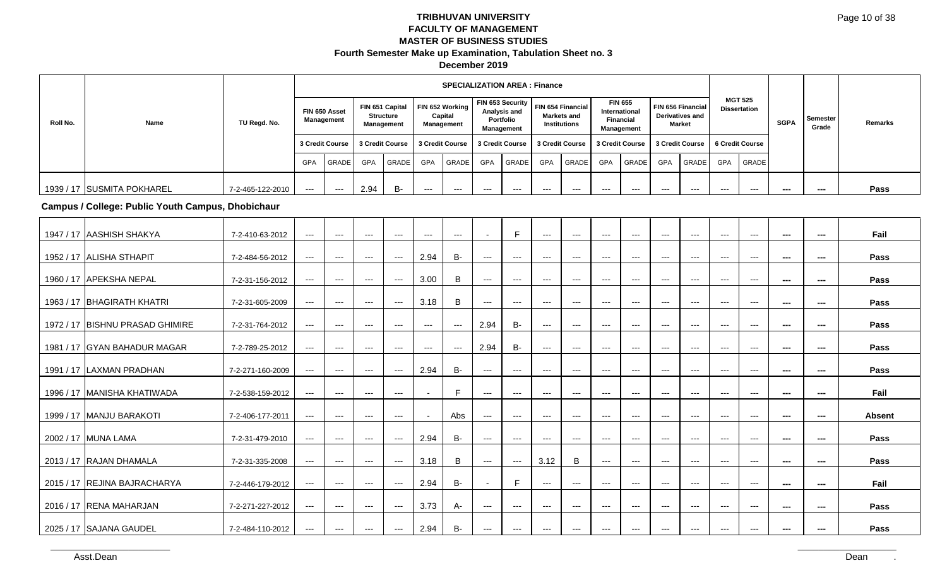|          |                            |                  |       |                                   |            |                              |                 | <b>SPECIALIZATION AREA: Finance</b>      |                 |                                                             |                     |                                   |                            |                                     |                                         |                   |                 |                                       |             |                          |         |
|----------|----------------------------|------------------|-------|-----------------------------------|------------|------------------------------|-----------------|------------------------------------------|-----------------|-------------------------------------------------------------|---------------------|-----------------------------------|----------------------------|-------------------------------------|-----------------------------------------|-------------------|-----------------|---------------------------------------|-------------|--------------------------|---------|
| Roll No. | Name                       | TU Regd. No.     |       | FIN 650 Asset<br>Management       | Management | FIN 651 Capital<br>Structure |                 | FIN 652 Working<br>Capital<br>Management |                 | FIN 653 Security<br>Analysis and<br>Portfolio<br>Management | <b>Institutions</b> | FIN 654 Financial<br>Markets and  | International<br>Financial | <b>FIN 655</b><br><b>Management</b> | <b>Derivatives and</b><br><b>Market</b> | FIN 656 Financial |                 | <b>MGT 525</b><br><b>Dissertation</b> | <b>SGPA</b> | <b>Semester</b><br>Grade | Remarks |
|          |                            |                  |       | 3 Credit Course   3 Credit Course |            |                              | 3 Credit Course |                                          | 3 Credit Course |                                                             |                     | 3 Credit Course   3 Credit Course |                            |                                     | 3 Credit Course                         |                   | 6 Credit Course |                                       |             |                          |         |
|          |                            |                  | GPA   | <b>GRADE</b>                      | GPA        | <b>GRADE</b>                 | GPA             | <b>GRADE</b>                             | GPA             | <b>GRADE</b>                                                | GPA                 | <b>GRADE</b>                      | <b>GPA</b>                 | GRADE                               | <b>GPA</b>                              | GRADE             | <b>GPA</b>      | GRADE                                 |             |                          |         |
|          | 1939 / 17 SUSMITA POKHAREL | 7-2-465-122-2010 | $---$ | ---                               | 2.94       | <b>B-</b>                    | $---$           | $---$                                    | $- - -$         | $--$                                                        | $--$                | ---                               | ---                        | $---$                               | $- - -$                                 | $- - -$           | $- - -$         | ---                                   | ---         | ---                      | Pass    |

**Campus / College: Public Youth Campus, Dhobichaur**

| 1947 / 17 JAASHISH SHAKYA       | 7-2-410-63-2012  | $---$               | $---$               | $--$                   | $\qquad \qquad -$                        | $\qquad \qquad -$        | $\qquad \qquad -$ |                   | E                                        | $\cdots$                                 | $\hspace{0.05cm} \ldots \hspace{0.05cm}$ | $\qquad \qquad - -$ | $\scriptstyle\cdots$   | $\qquad \qquad -\qquad -$ | $\qquad \qquad -\qquad -$ | $---$               | $\cdots$      | $\sim$   | $\sim$  | Fail          |
|---------------------------------|------------------|---------------------|---------------------|------------------------|------------------------------------------|--------------------------|-------------------|-------------------|------------------------------------------|------------------------------------------|------------------------------------------|---------------------|------------------------|---------------------------|---------------------------|---------------------|---------------|----------|---------|---------------|
| 1952 / 17 ALISHA STHAPIT        | 7-2-484-56-2012  | ---                 | $--$                | ---                    | $\qquad \qquad - -$                      | 2.94                     | <b>B-</b>         | ---               | $---$                                    | ---                                      | ---                                      | ---                 | $\qquad \qquad \cdots$ | $--$                      | $\qquad \qquad \cdots$    | $\qquad \qquad - -$ | $--$          | $\sim$   | $\sim$  | Pass          |
| 1960 / 17 APEKSHA NEPAL         | 7-2-31-156-2012  | $---$               | $--$                | $--$                   | $\hspace{0.05cm} \ldots$                 | 3.00                     | B                 | $--$              | $\hspace{0.05cm} \ldots \hspace{0.05cm}$ | $--$                                     | $---$                                    | $---$               | $---$                  | $\qquad \qquad -\qquad -$ | $\qquad \qquad -\qquad -$ | $---$               | $---$         | $\sim$   | $\sim$  | Pass          |
| 1963 / 17   BHAGIRATH KHATRI    | 7-2-31-605-2009  | $---$               | $---$               | $--$                   | $\cdots$                                 | 3.18                     | B                 | $\qquad \qquad -$ | $\cdots$                                 | $---$                                    | $\hspace{0.05cm} \ldots \hspace{0.05cm}$ | $\qquad \qquad - -$ | $\scriptstyle\cdots$   | $\qquad \qquad -\qquad -$ | $\qquad \qquad -$         | $---$               | $\cdots$      | $\sim$   | ---     | Pass          |
|                                 |                  |                     |                     |                        |                                          |                          |                   |                   |                                          |                                          |                                          |                     |                        |                           |                           |                     |               |          |         |               |
| 1972 / 17 BISHNU PRASAD GHIMIRE | 7-2-31-764-2012  | $---$               | $---$               | $--$                   | $\qquad \qquad -$                        | $\qquad \qquad -$        | $\cdots$          | 2.94              | <b>B-</b>                                | $\cdots$                                 | $\hspace{0.05cm} \ldots \hspace{0.05cm}$ | $\qquad \qquad - -$ | $\scriptstyle\cdots$   | $\qquad \qquad -\qquad -$ | $---$                     | $---$               | $\cdots$      | $- - -$  | $- - -$ | Pass          |
| 1981 / 17 GYAN BAHADUR MAGAR    | 7-2-789-25-2012  | $\qquad \qquad - -$ | $---$               | $--$                   | $\qquad \qquad -$                        | $\qquad \qquad -$        | $\qquad \qquad -$ | 2.94              | $B-$                                     | $\hspace{0.05cm} \ldots \hspace{0.05cm}$ | $\hspace{0.05cm} \ldots \hspace{0.05cm}$ | $\qquad \qquad - -$ | $\scriptstyle\cdots$   | $---$                     | $---$                     | $\cdots$            | $\cdots$      | $\sim$   | $\sim$  | Pass          |
| 1991 / 17 LAXMAN PRADHAN        | 7-2-271-160-2009 | $---$               | $--$                | $--$                   | $\hspace{0.05cm} \ldots \hspace{0.05cm}$ | 2.94                     | B-                | $--$              | $\hspace{0.05cm} \ldots \hspace{0.05cm}$ | $--$                                     | $\hspace{0.05cm} \ldots$                 | $---$               | $---$                  | $---$                     | $---$                     | $---$               | $---$         | $\sim$   | $\sim$  | Pass          |
| 1996 / 17 MANISHA KHATIWADA     | 7-2-538-159-2012 | $---$               | $\cdots$            | $--$                   | $\cdots$                                 | $\overline{\phantom{a}}$ | F                 | $\qquad \qquad -$ | $\cdots$                                 | $\qquad \qquad \cdots$                   | $\hspace{0.05cm} \ldots \hspace{0.05cm}$ | $\qquad \qquad - -$ | $\scriptstyle\cdots$   | $---$                     | $\cdots$                  | $---$               | $\sim$ $\sim$ | $\cdots$ | $\sim$  | Fail          |
| 1999 / 17 MANJU BARAKOTI        | 7-2-406-177-2011 | $---$               | $---$               | $--$                   | $---$                                    |                          | Abs               | $\qquad \qquad -$ | $\cdots$                                 | $---$                                    | $---$                                    | $---$               | $---$                  | $---$                     | $---$                     | $---$               | $---$         | $- - -$  | $- - -$ | <b>Absent</b> |
|                                 |                  |                     |                     |                        |                                          |                          |                   |                   |                                          |                                          |                                          |                     |                        |                           |                           |                     |               |          |         |               |
| 2002 / 17 MUNA LAMA             | 7-2-31-479-2010  | $\qquad \qquad - -$ | $\qquad \qquad - -$ | $--$                   | $\qquad \qquad - -$                      | 2.94                     | <b>B-</b>         | $---$             | $\qquad \qquad - -$                      | $---$                                    | $\hspace{0.05cm} \ldots$                 | $\qquad \qquad - -$ | $--$                   | $\cdots$                  | $\cdots$                  | $---$               | $\cdots$      | $\sim$   | $\sim$  | Pass          |
| 2013 / 17 RAJAN DHAMALA         | 7-2-31-335-2008  | $---$               | $---$               | $--$                   | $\hspace{0.05cm} \ldots$                 | 3.18                     | B                 | $---$             | $\cdots$                                 | 3.12                                     | B                                        | $---$               | $\scriptstyle\cdots$   | $\cdots$                  | $---$                     | $---$               | $\sim$ $\sim$ | $\sim$   | $\sim$  | Pass          |
| 2015 / 17 REJINA BAJRACHARYA    | 7-2-446-179-2012 | $\qquad \qquad - -$ | $\qquad \qquad - -$ | $\qquad \qquad \cdots$ | $\cdots$                                 | 2.94                     | <b>B-</b>         |                   | E                                        | $\cdots$                                 | $\hspace{0.05cm} \ldots \hspace{0.05cm}$ | $---$               | $\scriptstyle\cdots$   | $\cdots$                  | $\cdots$                  | $\cdots$            | $\cdots$      | $\sim$   | $\sim$  | Fail          |
|                                 |                  |                     |                     |                        |                                          |                          |                   |                   |                                          |                                          |                                          |                     |                        |                           |                           |                     |               |          |         |               |
| 2016 / 17 RENA MAHARJAN         | 7-2-271-227-2012 | $---$               | $---$               | $--$                   | $\hspace{0.05cm} \ldots$                 | 3.73                     | А-                | $\qquad \qquad -$ | $\hspace{0.05cm} \ldots \hspace{0.05cm}$ | $--$                                     | $\hspace{0.05cm} \ldots \hspace{0.05cm}$ | $---$               | $--$                   | $\cdots$                  | $\cdots$                  | $---$               | $\cdots$      | $\sim$   | $\sim$  | Pass          |
| 2025 / 17 SAJANA GAUDEL         | 7-2-484-110-2012 | $---$               | $---$               | $---$                  | $\qquad \qquad -$                        | 2.94                     | <b>B-</b>         | $\cdots$          | $\hspace{0.05cm} \ldots \hspace{0.05cm}$ | $---$                                    | $\cdots$                                 | $\qquad \qquad - -$ | $\cdots$               | $\qquad \qquad -$         | $\qquad \qquad -$         | $\cdots$            | $\cdots$      | $\cdots$ | $\sim$  | Pass          |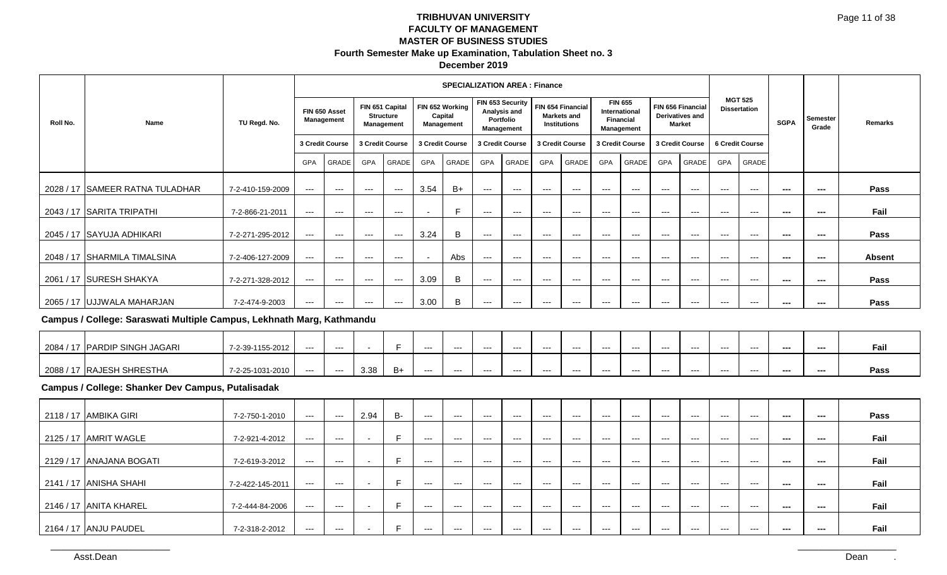| December 2019 |  |
|---------------|--|
|---------------|--|

|          |                                                                       |                  |       |                             |       |                                                          |                 | <b>SPECIALIZATION AREA: Finance</b>      |            |                                                                    |                 |                                                                |                            |                                                                   |                      |                                                              |            |                                       |             |                   |               |
|----------|-----------------------------------------------------------------------|------------------|-------|-----------------------------|-------|----------------------------------------------------------|-----------------|------------------------------------------|------------|--------------------------------------------------------------------|-----------------|----------------------------------------------------------------|----------------------------|-------------------------------------------------------------------|----------------------|--------------------------------------------------------------|------------|---------------------------------------|-------------|-------------------|---------------|
| Roll No. | Name                                                                  | TU Regd. No.     |       | FIN 650 Asset<br>Management |       | FIN 651 Capital<br><b>Structure</b><br><b>Management</b> |                 | FIN 652 Working<br>Capital<br>Management |            | FIN 653 Security<br>Analysis and<br>Portfolio<br><b>Management</b> |                 | FIN 654 Financial<br><b>Markets and</b><br><b>Institutions</b> |                            | <b>FIN 655</b><br>International<br><b>Financial</b><br>Management |                      | FIN 656 Financial<br><b>Derivatives and</b><br><b>Market</b> |            | <b>MGT 525</b><br><b>Dissertation</b> | <b>SGPA</b> | Semester<br>Grade | Remarks       |
|          |                                                                       |                  |       | 3 Credit Course             |       | 3 Credit Course                                          | 3 Credit Course |                                          |            | 3 Credit Course                                                    | 3 Credit Course |                                                                |                            | 3 Credit Course                                                   | 3 Credit Course      |                                                              |            | 6 Credit Course                       |             |                   |               |
|          |                                                                       |                  | GPA   | GRADE                       | GPA   | <b>GRADE</b>                                             | GPA             | <b>GRADE</b>                             | <b>GPA</b> | GRADE                                                              | <b>GPA</b>      | GRADE                                                          | <b>GPA</b>                 | GRADE                                                             | <b>GPA</b>           | GRADE                                                        | <b>GPA</b> | GRADE                                 |             |                   |               |
|          | 2028 / 17 SAMEER RATNA TULADHAR                                       | 7-2-410-159-2009 | $---$ | $---$                       | ---   | $---$                                                    | 3.54            | $B+$                                     | ---        | $--$                                                               | $--$            | $--$                                                           | ---                        | $---$                                                             | $---$                | $---$                                                        | $--$       | $--$                                  | ---         | ---               | Pass          |
|          | 2043 / 17 SARITA TRIPATHI                                             | 7-2-866-21-2011  | $---$ | $--$                        | $--$  | $---$                                                    |                 |                                          | $---$      | $--$                                                               | $--$            | $--$                                                           | $--$                       | $---$                                                             | $---$                | $--$                                                         | $--$       | $---$                                 | ---         | ---               | Fail          |
|          | 2045 / 17 SAYUJA ADHIKARI                                             | 7-2-271-295-2012 | $---$ | $---$                       | $---$ | $---$                                                    | 3.24            | B                                        | $---$      | $---$                                                              | $--$            | $--$                                                           | $\qquad \qquad - \qquad -$ | $---$                                                             | $\scriptstyle\cdots$ | $---$                                                        | $--$       | $\hspace{0.05cm} \ldots$              | $\sim$      | ---               | Pass          |
|          | 2048 / 17 SHARMILA TIMALSINA                                          | 7-2-406-127-2009 | $---$ | $--$                        | ---   | $--$                                                     |                 | Abs                                      | $---$      | $---$                                                              | $--$            | $--$                                                           | $--$                       | $--$                                                              | $---$                | $--$                                                         | $--$       | $--$                                  | $\sim$      | ---               | <b>Absent</b> |
|          | 2061 / 17 SURESH SHAKYA                                               | 7-2-271-328-2012 | $---$ | $---$                       | ---   | $\qquad \qquad - \qquad -$                               | 3.09            | B                                        | $---$      | $---$                                                              | $--$            | $---$                                                          | ---                        | $---$                                                             | $---$                | $---$                                                        | $--$       | $---$                                 | $\sim$      | ---               | Pass          |
|          | 2065 / 17 UJJWALA MAHARJAN                                            | 7-2-474-9-2003   | $---$ | $---$                       | $---$ | $---$                                                    | 3.00            | B                                        | ---        | $--$                                                               | $--$            | $--$                                                           | $---$                      | $---$                                                             | $---$                | $---$                                                        | $--$       | $--$                                  | ---         | ---               | Pass          |
|          | Campus / College: Saraswati Multiple Campus, Lekhnath Marg, Kathmandu |                  |       |                             |       |                                                          |                 |                                          |            |                                                                    |                 |                                                                |                            |                                                                   |                      |                                                              |            |                                       |             |                   |               |

| 2084/ | 7  PARDIP SINGH JAGARI    | 7-2-39-1155-2012 | --- | $---$ |      |    | --- | $--$ | --- | --- | --- | $-- -$  | $--$ | $--$    | $---$ | $---$   | $- - -$ | $- - -$ | --- | --- | <b>F-1</b><br>Fall |
|-------|---------------------------|------------------|-----|-------|------|----|-----|------|-----|-----|-----|---------|------|---------|-------|---------|---------|---------|-----|-----|--------------------|
|       | 2088 / 17 RAJESH SHRESTHA | 7-2-25-1031-2010 | --- | $---$ | 3.38 | B+ | --- | $--$ | --- | --- | --- | $- - -$ | ---  | $- - -$ | ---   | $- - -$ | ---     | ---     | --- | --- | Pass               |

### **Campus / College: Shanker Dev Campus, Putalisadak**

| 2118 / 17 AMBIKA GIRI    | 7-2-750-1-2010   | ---   | $--$    | 2.94 | B- | $--$ | ---   | ---   | ---   | ---   | ---   | ---   | ---   | ---   | ---   | $---$ | ---   | $- - -$ | --- | Pass |
|--------------------------|------------------|-------|---------|------|----|------|-------|-------|-------|-------|-------|-------|-------|-------|-------|-------|-------|---------|-----|------|
| 2125 / 17 AMRIT WAGLE    | 7-2-921-4-2012   | $---$ | $---$   |      |    | $--$ | $---$ | $--$  | $---$ | $---$ | $---$ | $---$ | $--$  | $--$  | $---$ | $---$ | $---$ | ---     | --- | Fail |
| 2129 / 17 ANAJANA BOGATI | 7-2-619-3-2012   | $---$ | $--$    |      | -  | ---  | $--$  | $--$  | $--$  | $--$  | $--$  | $--$  | $--$  | $--$  | $--$  | $--$  | ---   | ---     | --- | Fail |
| 2141 / 17 ANISHA SHAHI   | 7-2-422-145-2011 | ---   | $- - -$ |      |    | ---  | ---   | $--$  | $--$  | $--$  | $--$  | $--$  | $--$  | $--$  | $--$  | $--$  | $--$  | ---     | --- | Fail |
| 2146 / 17 ANITA KHAREL   | 7-2-444-84-2006  | ---   | ---     |      |    | $--$ | ---   | $---$ | $---$ | $---$ | $---$ | $---$ | ---   | $---$ | $---$ | $---$ | ---   | ---     | --- | Fail |
| 2164 / 17 ANJU PAUDEL    | 7-2-318-2-2012   | $---$ | $---$   |      |    | $--$ | $---$ | $---$ | $---$ | $---$ | $---$ | $---$ | $---$ | $--$  | $---$ | $---$ | ---   | ---     | --- | Fail |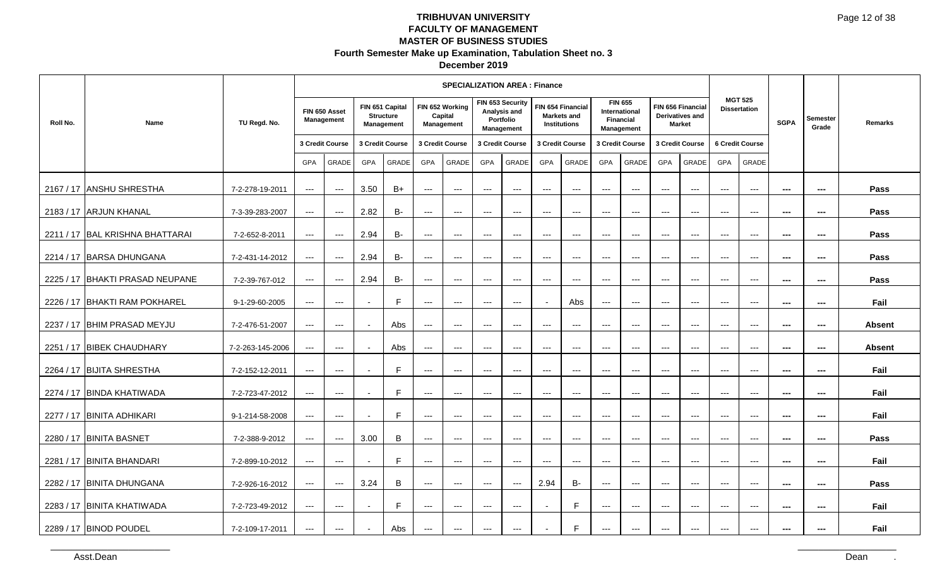|           |                                 |                  |                          |                                          |                 |                                                   |                     | <b>SPECIALIZATION AREA: Finance</b>             |               |                                                             |            |                                                                |                     |                                                            |                     |                                                       |                     |                                       |                          |                          |               |
|-----------|---------------------------------|------------------|--------------------------|------------------------------------------|-----------------|---------------------------------------------------|---------------------|-------------------------------------------------|---------------|-------------------------------------------------------------|------------|----------------------------------------------------------------|---------------------|------------------------------------------------------------|---------------------|-------------------------------------------------------|---------------------|---------------------------------------|--------------------------|--------------------------|---------------|
| Roll No.  | Name                            | TU Regd. No.     |                          | FIN 650 Asset<br>Management              |                 | FIN 651 Capital<br><b>Structure</b><br>Management |                     | FIN 652 Working<br>Capital<br><b>Management</b> |               | FIN 653 Security<br>Analysis and<br>Portfolio<br>Management |            | FIN 654 Financial<br><b>Markets and</b><br><b>Institutions</b> |                     | <b>FIN 655</b><br>International<br>Financial<br>Management |                     | FIN 656 Financial<br>Derivatives and<br><b>Market</b> |                     | <b>MGT 525</b><br><b>Dissertation</b> | <b>SGPA</b>              | <b>Semester</b><br>Grade | Remarks       |
|           |                                 |                  |                          | 3 Credit Course                          | 3 Credit Course |                                                   |                     | 3 Credit Course                                 |               | 3 Credit Course                                             |            | 3 Credit Course                                                |                     | 3 Credit Course                                            |                     | 3 Credit Course                                       |                     | 6 Credit Course                       |                          |                          |               |
|           |                                 |                  | GPA                      | GRADE                                    | <b>GPA</b>      | GRADE                                             | GPA                 | GRADE                                           | GPA           | GRADE                                                       | <b>GPA</b> | GRADE                                                          | <b>GPA</b>          | GRADE                                                      | <b>GPA</b>          | GRADE                                                 | <b>GPA</b>          | GRADE                                 |                          |                          |               |
|           | 2167 / 17 ANSHU SHRESTHA        | 7-2-278-19-2011  | $\qquad \qquad - -$      | $\hspace{0.05cm} \ldots \hspace{0.05cm}$ | 3.50            | $B+$                                              | $\qquad \qquad - -$ | $\hspace{0.05cm} \ldots$                        | $---$         | $\hspace{0.05cm} \ldots$                                    | $---$      | $\hspace{0.05cm} \ldots$                                       | $---$               | $\qquad \qquad - -$                                        | $\cdots$            | $\qquad \qquad - -$                                   | $---$               | $\hspace{0.05cm} \ldots$              | $- - -$                  | ---                      | Pass          |
|           | 2183 / 17 ARJUN KHANAL          | 7-3-39-283-2007  | $\qquad \qquad - -$      | $\hspace{0.05cm} \ldots$                 | 2.82            | <b>B-</b>                                         | $---$               | $\scriptstyle\cdots\scriptstyle\cdots$          | $- - -$       | $\hspace{0.05cm} \ldots$                                    | $---$      | $---$                                                          | $---$               | $---$                                                      | $---$               | $\qquad \qquad - -$                                   | $---$               | $\hspace{0.05cm} \ldots$              | $\hspace{0.05cm} \cdots$ | $\hspace{0.05cm} \ldots$ | Pass          |
| 2211/17   | <b>BAL KRISHNA BHATTARAI</b>    | 7-2-652-8-2011   | $\qquad \qquad - -$      | $\hspace{0.05cm} \ldots$                 | 2.94            | <b>B-</b>                                         | $---$               | $\hspace{0.05cm} \ldots$                        | $---$         | $---$                                                       | $---$      | $\qquad \qquad - -$                                            | $---$               | $\qquad \qquad - -$                                        | $---$               | $\qquad \qquad - -$                                   | $---$               | $\hspace{0.05cm} \ldots$              | $\sim$                   | ---                      | Pass          |
|           | 2214 / 17 BARSA DHUNGANA        | 7-2-431-14-2012  | $\qquad \qquad - -$      | $\hspace{0.05cm} \ldots$                 | 2.94            | <b>B-</b>                                         | $---$               | $\qquad \qquad -1$                              | $---$         | $\hspace{0.05cm} \ldots$                                    | $---$      | $-$ – $-$                                                      | $---$               | $---$                                                      | $---$               | $---$                                                 | $---$               | $\hspace{0.05cm} \ldots$              | $\overline{\phantom{a}}$ | ---                      | Pass          |
|           | 2225 / 17 BHAKTI PRASAD NEUPANE | 7-2-39-767-012   | $\qquad \qquad - -$      | $\hspace{0.05cm} \ldots$                 | 2.94            | <b>B-</b>                                         | $\cdots$            | $  -$                                           | $\frac{1}{2}$ | $\cdots$                                                    | $\cdots$   | $---$                                                          | $---$               | $\cdots$                                                   | $\qquad \qquad - -$ | $  -$                                                 | $\cdots$            | $\qquad \qquad -\qquad$               | $\overline{\phantom{a}}$ | $\hspace{0.05cm} \ldots$ | Pass          |
| 2226 / 17 | <b>IBHAKTI RAM POKHAREL</b>     | 9-1-29-60-2005   | $--$                     | $\qquad \qquad - -$                      |                 | $\mathsf{F}$                                      | $\qquad \qquad - -$ | $\hspace{0.05cm} \ldots$                        | $---$         | $\hspace{0.05cm} \ldots$                                    |            | Abs                                                            | $\qquad \qquad - -$ | $\qquad \qquad - -$                                        | $\qquad \qquad - -$ | $\qquad \qquad - -$                                   | $\qquad \qquad - -$ | $\hspace{0.05cm} \ldots$              | $\scriptstyle\cdots$     | ---                      | Fail          |
| 2237 / 17 | <b>BHIM PRASAD MEYJU</b>        | 7-2-476-51-2007  | $\hspace{0.05cm} \ldots$ | $\qquad \qquad - -$                      |                 | Abs                                               | $---$               | $---$                                           | $---$         | $\hspace{0.05cm} \ldots$                                    | $---$      | $---$                                                          | $---$               | $---$                                                      | $---$               | $---$                                                 | $---$               | $---$                                 | $\hspace{0.05cm} \ldots$ | ---                      | <b>Absent</b> |
|           | 2251 / 17 BIBEK CHAUDHARY       | 7-2-263-145-2006 | $\qquad \qquad - -$      | $\qquad \qquad - -$                      |                 | Abs                                               | $\qquad \qquad -$   | $  -$                                           | $\frac{1}{2}$ | $\cdots$                                                    | $---$      | $-$ – $-$                                                      | $---$               | $---$                                                      | $---$               | $\cdots$                                              | $---$               | $\qquad \qquad -\qquad$               | $\overline{\phantom{a}}$ | $\hspace{0.05cm} \ldots$ | <b>Absent</b> |
| 2264 / 17 | <b>BIJITA SHRESTHA</b>          | 7-2-152-12-2011  | $\qquad \qquad - -$      | $\qquad \qquad - -$                      |                 | E                                                 | $\qquad \qquad - -$ | $\hspace{0.05cm} \ldots$                        | $---$         | $---$                                                       | $---$      | $\hspace{0.05cm} \ldots \hspace{0.05cm}$                       | $---$               | $---$                                                      | $\cdots$            | $\overline{\phantom{a}}$                              | $---$               | $\overline{\phantom{a}}$              | $\overline{\phantom{a}}$ | ---                      | Fail          |
| 2274 / 17 | <b>BINDA KHATIWADA</b>          | 7-2-723-47-2012  | $---$                    | $\hspace{0.05cm} \ldots$                 |                 | $\mathsf{F}$                                      | $---$               | $-$                                             | $-$           | $\hspace{0.05cm} \ldots$                                    | $- - -$    | $---$                                                          | $---$               | $---$                                                      | $-$                 | $-$                                                   | $-$                 | $---$                                 | $\hspace{0.05cm} \ldots$ | ---                      | Fail          |
|           | 2277 / 17 BINITA ADHIKARI       | 9-1-214-58-2008  | $  -$                    | $\cdots$                                 |                 | E                                                 | $\cdots$            | $  -$                                           | $  -$         | $\cdots$                                                    | $\cdots$   | $---$                                                          | $\cdots$            | $\cdots$                                                   | $\qquad \qquad - -$ | $\qquad \qquad - -$                                   | $\cdots$            | $\qquad \qquad -\qquad$               | $\overline{\phantom{a}}$ | $\hspace{0.05cm} \ldots$ | Fail          |
| 2280 / 17 | <b>BINITA BASNET</b>            | 7-2-388-9-2012   | $\hspace{0.05cm} \ldots$ | $\hspace{0.05cm} \ldots$                 | 3.00            | B                                                 | $\qquad \qquad - -$ | $--$                                            | $---$         | $\hspace{0.05cm} \ldots$                                    | $---$      | $\hspace{0.05cm} \ldots$                                       | $\cdots$            | $---$                                                      | $\cdots$            | $\qquad \qquad - -$                                   | $---$               | $\hspace{0.05cm} \ldots$              | $\overline{\phantom{a}}$ | ---                      | Pass          |
| 2281 / 17 | <b>BINITA BHANDARI</b>          | 7-2-899-10-2012  | $---$                    | $\cdots$                                 |                 | E                                                 | $\qquad \qquad - -$ | $\qquad \qquad -1$                              | $---$         | $\hspace{0.05cm} \ldots$                                    | $---$      | $\hspace{0.05cm} \ldots$                                       | $---$               | $\hspace{0.05cm} \ldots$                                   | $---$               | $  \sim$                                              | $-$                 | $\hspace{0.05cm} \ldots$              | $\hspace{0.05cm} \ldots$ | ---                      | Fail          |
|           | 2282 / 17 BINITA DHUNGANA       | 7-2-926-16-2012  | $\qquad \qquad - -$      | $\hspace{0.05cm} \ldots$                 | 3.24            | B                                                 | $\qquad \qquad - -$ | $  -$                                           | $  -$         | $\cdots$                                                    | 2.94       | <b>B-</b>                                                      | $\qquad \qquad - -$ | $\cdots$                                                   | $\qquad \qquad - -$ | $\qquad \qquad - -$                                   | $\cdots$            | $\qquad \qquad -\qquad$               | $\sim$                   | $\hspace{0.05cm} \ldots$ | Pass          |
| 2283 / 17 | <b>BINITA KHATIWADA</b>         | 7-2-723-49-2012  | $\qquad \qquad - -$      | $\hspace{0.05cm} \ldots$                 |                 | E                                                 | $\qquad \qquad - -$ | $---$                                           | $\cdots$      | $---$                                                       |            | E                                                              | $---$               | $---$                                                      | $---$               | $---$                                                 | $---$               | $---$                                 | $\overline{\phantom{a}}$ | ---                      | Fail          |
|           | 2289 / 17 BINOD POUDEL          | 7-2-109-17-2011  | $\qquad \qquad - -$      | $\qquad \qquad - -$                      |                 | Abs                                               | $---$               | $\qquad \qquad -1$                              | $---$         | $\hspace{0.05cm} \ldots$                                    |            | F                                                              | $\qquad \qquad - -$ | $\hspace{0.05cm} \ldots$                                   | $---$               | $\cdots$                                              | $---$               | $\qquad \qquad -\qquad$               | ---                      | ---                      | Fail          |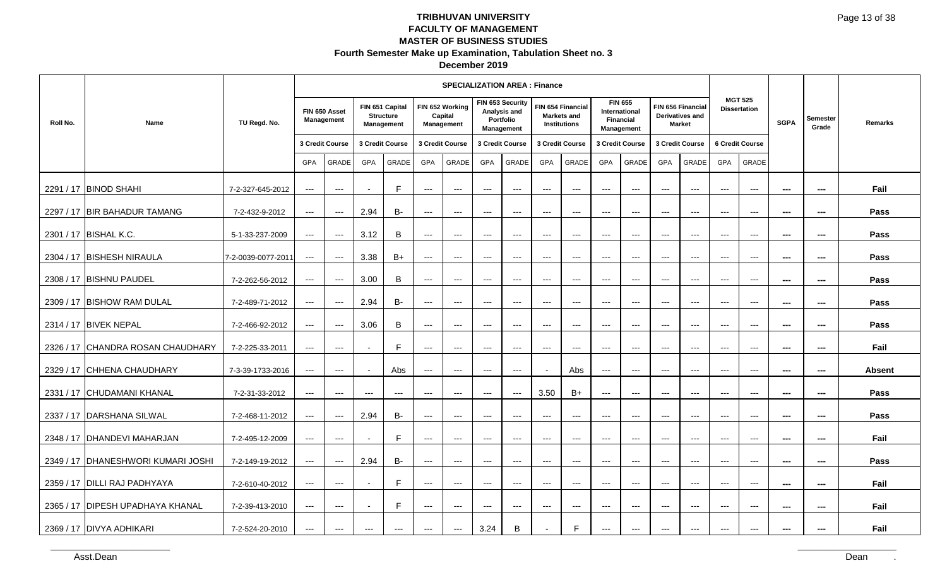| December 2019 |
|---------------|
|---------------|

|          |                                      |                    |                        |                             |                          |                                                   |                        | <b>SPECIALIZATION AREA: Finance</b>      |                     |                                                             |                                          |                                                  |                                        |                                                      |                          |                                                       |                      |                                       |                          |                          |               |
|----------|--------------------------------------|--------------------|------------------------|-----------------------------|--------------------------|---------------------------------------------------|------------------------|------------------------------------------|---------------------|-------------------------------------------------------------|------------------------------------------|--------------------------------------------------|----------------------------------------|------------------------------------------------------|--------------------------|-------------------------------------------------------|----------------------|---------------------------------------|--------------------------|--------------------------|---------------|
| Roll No. | Name                                 | TU Regd. No.       |                        | FIN 650 Asset<br>Management |                          | FIN 651 Capital<br><b>Structure</b><br>Management |                        | FIN 652 Working<br>Capital<br>Management |                     | FIN 653 Security<br>Analysis and<br>Portfolio<br>Management |                                          | FIN 654 Financial<br>Markets and<br>Institutions | <b>Financial</b>                       | <b>FIN 655</b><br><b>International</b><br>Management |                          | FIN 656 Financial<br>Derivatives and<br><b>Market</b> |                      | <b>MGT 525</b><br><b>Dissertation</b> | <b>SGPA</b>              | <b>Semester</b><br>Grade | Remarks       |
|          |                                      |                    |                        | 3 Credit Course             |                          | 3 Credit Course                                   |                        | 3 Credit Course                          |                     | 3 Credit Course                                             |                                          | 3 Credit Course                                  |                                        | 3 Credit Course                                      |                          | 3 Credit Course                                       |                      | 6 Credit Course                       |                          |                          |               |
|          |                                      |                    | <b>GPA</b>             | GRADE                       | GPA                      | GRADE                                             | GPA                    | GRADE                                    | <b>GPA</b>          | GRADE                                                       | <b>GPA</b>                               | GRADE                                            | GPA                                    | GRADE                                                | GPA                      | <b>GRADE</b>                                          | GPA                  | GRADE                                 |                          |                          |               |
|          | 2291 / 17 BINOD SHAHI                | 7-2-327-645-2012   | $\qquad \qquad - -$    | $\qquad \qquad - -$         |                          | F                                                 | $\qquad \qquad - -$    | $\cdots$                                 | $---$               | $---$                                                       | $---$                                    | $---$                                            | $---$                                  | $\cdots$                                             | $---$                    | $  -$                                                 | $---$                | $\qquad \qquad - -$                   | $\sim$                   | $\sim$                   | Fail          |
|          | 2297 / 17 BIR BAHADUR TAMANG         | 7-2-432-9-2012     | $---$                  | $\qquad \qquad - -$         | 2.94                     | B-                                                | $---$                  | $\qquad \qquad - -$                      | $\qquad \qquad - -$ | $\qquad \qquad - -$                                         | $\hspace{0.05cm} \ldots \hspace{0.05cm}$ | $\hspace{0.05cm} \ldots \hspace{0.05cm}$         | $\cdots$                               | $\scriptstyle\cdots\scriptstyle\cdots$               | $\qquad \qquad - -$      | $\hspace{0.05cm} \ldots$                              | $\qquad \qquad - -$  | $\qquad \qquad - -$                   | $\hspace{0.05cm} \ldots$ | $\hspace{0.05cm} \ldots$ | Pass          |
|          | 2301 / 17 BISHAL K.C.                | 5-1-33-237-2009    | $\qquad \qquad - -$    | $\hspace{0.05cm} \ldots$    | 3.12                     | B                                                 | $\qquad \qquad - -$    | $\qquad \qquad - -$                      | $\qquad \qquad - -$ | $\qquad \qquad - -$                                         | ---                                      | $\hspace{0.05cm} \ldots$                         | $---$                                  | $\scriptstyle\cdots\scriptstyle\cdots$               | $---$                    | $\qquad \qquad - -$                                   | $---$                | $\qquad \qquad - -$                   | ---                      | $\sim$                   | Pass          |
|          | 2304 / 17 BISHESH NIRAULA            | 7-2-0039-0077-2011 | $\scriptstyle\cdots$   | $\hspace{0.05cm} \ldots$    | 3.38                     | $B+$                                              | $---$                  | $\qquad \qquad - -$                      | $---$               | $\hspace{0.05cm} \ldots$                                    | $---$                                    | $\hspace{0.05cm} \ldots$                         | $---$                                  | $\hspace{0.05cm} \ldots$                             | $\overline{\phantom{a}}$ | $--$                                                  | $---$                | $\hspace{0.05cm} \ldots$              | ---                      | $\hspace{0.05cm} \ldots$ | Pass          |
|          | 2308 / 17   BISHNU PAUDEL            | 7-2-262-56-2012    | $\scriptstyle\cdots$   | $\hspace{0.05cm} \ldots$    | 3.00                     | B                                                 | $\qquad \qquad \cdots$ | $--$                                     | $\qquad \qquad - -$ | $\qquad \qquad - -$                                         | $\qquad \qquad - -$                      | $\hspace{0.05cm} \ldots \hspace{0.05cm}$         | $\scriptstyle\cdots\scriptstyle\cdots$ | $\scriptstyle\cdots\scriptstyle\cdots$               | $\hspace{0.05cm} \ldots$ | $--$                                                  | $\qquad \qquad - -$  | $--$                                  | $\sim$                   | $\sim$                   | Pass          |
|          | 2309 / 17 BISHOW RAM DULAL           | 7-2-489-71-2012    | $--$                   | $\qquad \qquad - -$         | 2.94                     | <b>B-</b>                                         | $\qquad \qquad - -$    | $\qquad \qquad - -$                      | $\qquad \qquad - -$ | $\hspace{0.05cm} \ldots \hspace{0.05cm}$                    | $\hspace{0.05cm} \ldots$                 | $\hspace{0.05cm} \ldots$                         | ---                                    | ---                                                  | $\overline{\phantom{a}}$ | $\overline{\phantom{a}}$                              | $\qquad \qquad - -$  | $\qquad \qquad - -$                   | ---                      | ---                      | Pass          |
|          | 2314 / 17 BIVEK NEPAL                | 7-2-466-92-2012    | $--$                   | $\qquad \qquad - -$         | 3.06                     | B                                                 | $---$                  | $\qquad \qquad - -$                      | $\qquad \qquad - -$ | $\hspace{0.05cm} \ldots$                                    | $\hspace{0.05cm} \ldots \hspace{0.05cm}$ | $\hspace{0.05cm} \ldots$                         | $---$                                  | $\scriptstyle\cdots$                                 | $---$                    | $\overline{\phantom{a}}$                              | $\cdots$             | $\hspace{0.05cm} \ldots$              | ---                      | $\sim$                   | Pass          |
|          | 2326 / 17 CHANDRA ROSAN CHAUDHARY    | 7-2-225-33-2011    | $\scriptstyle\cdots$   | $\hspace{0.05cm} \ldots$    | $\overline{\phantom{0}}$ | F                                                 | $\qquad \qquad - -$    | $\scriptstyle\cdots$                     | $\qquad \qquad - -$ | $\qquad \qquad - -$                                         | $\hspace{0.05cm} \ldots \hspace{0.05cm}$ | $\hspace{0.05cm} \ldots \hspace{0.05cm}$         | $\hspace{0.05cm} \ldots$               | $\hspace{0.05cm} \ldots$                             | $\cdots$                 | $\hspace{0.05cm} \ldots$                              | $\cdots$             | $\qquad \qquad - -$                   | $\hspace{0.05cm} \ldots$ | $\qquad \qquad \cdots$   | Fail          |
|          | 2329 / 17 CHHENA CHAUDHARY           | 7-3-39-1733-2016   | $\qquad \qquad - -$    | ---                         |                          | Abs                                               | $---$                  | $---$                                    | $---$               | $\hspace{0.05cm}---$                                        |                                          | Abs                                              | $---$                                  | $---$                                                | $---$                    | $---$                                                 | $---$                | $---$                                 | $- - -$                  | ---                      | <b>Absent</b> |
|          | 2331 / 17 CHUDAMANI KHANAL           | 7-2-31-33-2012     | $\scriptstyle{\cdots}$ | $\qquad \qquad \cdots$      | ---                      | $\scriptstyle\cdots$                              | $\qquad \qquad - -$    | $\qquad \qquad - -$                      | $\qquad \qquad - -$ | $\hspace{0.05cm} \ldots$                                    | 3.50                                     | $B+$                                             | ---                                    | $\hspace{0.05cm} \ldots$                             | $\qquad \qquad - -$      | $\qquad \qquad - -$                                   | $\scriptstyle\cdots$ | $\hspace{0.05cm} \ldots$              | ---                      | ---                      | Pass          |
|          | 2337 / 17 DARSHANA SILWAL            | 7-2-468-11-2012    | $--$                   | $\hspace{0.05cm} \ldots$    | 2.94                     | <b>B-</b>                                         | $\qquad \qquad \cdots$ | $--$                                     | $\cdots$            | $\qquad \qquad - -$                                         | $\qquad \qquad - -$                      | $\hspace{0.05cm} \ldots \hspace{0.05cm}$         | $\scriptstyle\cdots\scriptstyle\cdots$ | $\scriptstyle\cdots\scriptstyle\cdots$               | $\qquad \qquad - -$      | $\hspace{0.05cm} \ldots$                              | $\qquad \qquad - -$  | $\qquad \qquad - -$                   | ---                      | $\qquad \qquad \cdots$   | Pass          |
|          | 2348 / 17   DHANDEVI MAHARJAN        | 7-2-495-12-2009    | $--$                   | $\qquad \qquad \cdots$      |                          | F                                                 | $\qquad \qquad - -$    | $\qquad \qquad - -$                      | $---$               | $\hspace{0.05cm} \ldots \hspace{0.05cm}$                    | $---$                                    | $\hspace{0.05cm} \ldots$                         | $---$                                  | $\hspace{0.05cm} \ldots$                             | $---$                    | $\hspace{0.05cm} \ldots$                              | $---$                | $\qquad \qquad - -$                   | $\overline{a}$           | $\sim$                   | Fail          |
|          | 2349 / 17   DHANESHWORI KUMARI JOSHI | 7-2-149-19-2012    | $---$                  | $\qquad \qquad - -$         | 2.94                     | <b>B-</b>                                         | $---$                  | $\qquad \qquad - -$                      | $\qquad \qquad - -$ | $\hspace{0.05cm} \ldots$                                    | $\scriptstyle\cdots$                     | $\scriptstyle\cdots$                             | ---                                    | $\hspace{0.05cm} \ldots$                             | $\scriptstyle\cdots$     | $\qquad \qquad \cdots$                                | $\qquad \qquad - -$  | $\hspace{0.05cm} \ldots$              | ---                      | $\sim$                   | Pass          |
|          | 2359 / 17 DILLI RAJ PADHYAYA         | 7-2-610-40-2012    | $--$                   | $\qquad \qquad - -$         | $\overline{\phantom{a}}$ | F                                                 | $\qquad \qquad - -$    | $\qquad \qquad - -$                      | $\qquad \qquad - -$ | $\qquad \qquad - -$                                         | $\qquad \qquad - -$                      | $\scriptstyle\cdots\scriptstyle\cdots$           | $\scriptstyle\cdots$                   | $\hspace{0.05cm} \ldots$                             | $---$                    | $\qquad \qquad - -$                                   | $---$                | $\qquad \qquad - -$                   | $\sim$                   | $\qquad \qquad \cdots$   | Fail          |
|          | 2365 / 17 DIPESH UPADHAYA KHANAL     | 7-2-39-413-2010    | $---$                  | $\qquad \qquad \cdots$      |                          | E                                                 | $---$                  | $---$                                    | $---$               | $---$                                                       | $---$                                    | $---$                                            | $---$                                  | $---$                                                | $---$                    | $---$                                                 | $---$                | $---$                                 | $\overline{a}$           | $\sim$                   | Fail          |
|          | 2369 / 17 DIVYA ADHIKARI             | 7-2-524-20-2010    | $---$                  | ---                         | ---                      | $\scriptstyle\cdots$                              | $\qquad \qquad - -$    | $\qquad \qquad - -$                      | 3.24                | B                                                           |                                          | E                                                | ---                                    | ---                                                  | $\qquad \qquad - -$      | $\qquad \qquad - -$                                   | $\qquad \qquad - -$  | $\hspace{0.05cm} \ldots$              | $- - -$                  | $\sim$ $\sim$            | Fail          |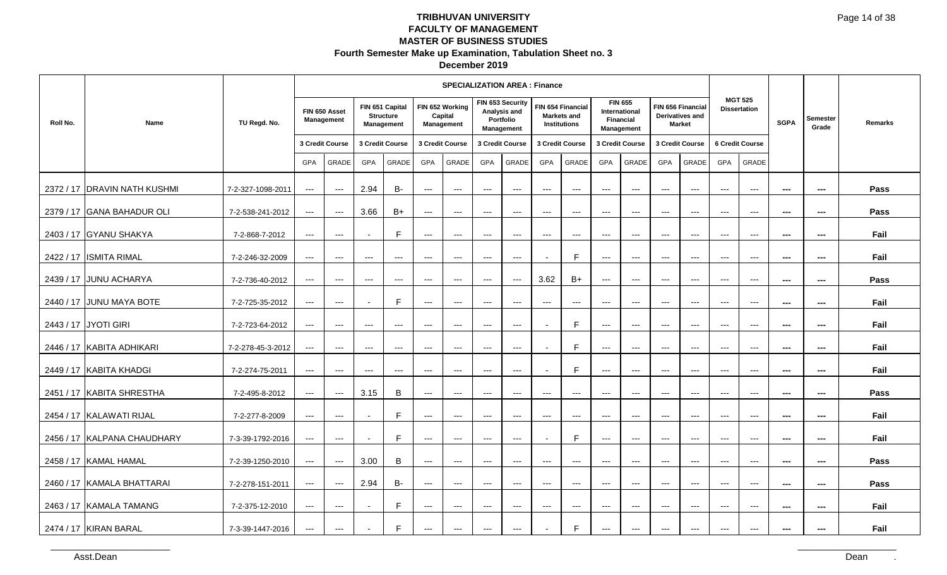| December 2019 |
|---------------|
|---------------|

|           |                              |                   |                          |                                          |                     |                                                   |                        | <b>SPECIALIZATION AREA: Finance</b>             |                                        |                                                             |                          |                                                         |                          |                                                                   |                     |                                                              |                          |                                       |                          |                          |         |
|-----------|------------------------------|-------------------|--------------------------|------------------------------------------|---------------------|---------------------------------------------------|------------------------|-------------------------------------------------|----------------------------------------|-------------------------------------------------------------|--------------------------|---------------------------------------------------------|--------------------------|-------------------------------------------------------------------|---------------------|--------------------------------------------------------------|--------------------------|---------------------------------------|--------------------------|--------------------------|---------|
| Roll No.  | <b>Name</b>                  | TU Regd. No.      |                          | FIN 650 Asset<br>Management              |                     | FIN 651 Capital<br><b>Structure</b><br>Management |                        | FIN 652 Working<br>Capital<br><b>Management</b> |                                        | FIN 653 Security<br>Analysis and<br>Portfolio<br>Management |                          | FIN 654 Financial<br><b>Markets and</b><br>Institutions |                          | <b>FIN 655</b><br><b>International</b><br>Financial<br>Management |                     | FIN 656 Financial<br><b>Derivatives and</b><br><b>Market</b> |                          | <b>MGT 525</b><br><b>Dissertation</b> | <b>SGPA</b>              | <b>Semester</b><br>Grade | Remarks |
|           |                              |                   |                          | 3 Credit Course                          | 3 Credit Course     |                                                   |                        | 3 Credit Course                                 |                                        | 3 Credit Course                                             |                          | 3 Credit Course                                         |                          | 3 Credit Course                                                   |                     | 3 Credit Course                                              |                          | 6 Credit Course                       |                          |                          |         |
|           |                              |                   | <b>GPA</b>               | GRADE                                    | <b>GPA</b>          | GRADE                                             | GPA                    | GRADE                                           | GPA                                    | <b>GRADE</b>                                                | GPA                      | GRADE                                                   | GPA                      | GRADE                                                             | <b>GPA</b>          | GRADE                                                        | <b>GPA</b>               | GRADE                                 |                          |                          |         |
|           | 2372 / 17 DRAVIN NATH KUSHMI | 7-2-327-1098-2011 | $---$                    | $\qquad \qquad - -$                      | 2.94                | <b>B-</b>                                         | $\qquad \qquad - -$    | $\qquad \qquad -1$                              | $---$                                  | $\hspace{0.05cm} \ldots$                                    | $---$                    | $\hspace{0.05cm} \ldots$                                | $---$                    | $\hspace{0.05cm} \ldots$                                          | $---$               | $\cdots$                                                     | $---$                    | $\overline{a}$                        | $\overline{\phantom{a}}$ | $\overline{\phantom{a}}$ | Pass    |
|           | 2379 / 17 GANA BAHADUR OLI   | 7-2-538-241-2012  | $\qquad \qquad - -$      | $\hspace{0.05cm} \ldots \hspace{0.05cm}$ | 3.66                | $B+$                                              | $\qquad \qquad \cdots$ | $\scriptstyle\cdots\scriptstyle\cdots$          | $\scriptstyle\cdots\scriptstyle\cdots$ | $\hspace{0.05cm} \ldots$                                    | $\qquad \qquad - -$      | $\hspace{0.05cm} \ldots$                                | $\qquad \qquad - -$      | $\qquad \qquad - -$                                               | $\qquad \qquad - -$ | $\qquad \qquad - -$                                          | $\qquad \qquad - -$      | $\hspace{0.05cm} \ldots$              | $\sim$                   | $\sim$                   | Pass    |
| 2403 / 17 | <b>IGYANU SHAKYA</b>         | 7-2-868-7-2012    | $\qquad \qquad - -$      | $\qquad \qquad - -$                      |                     | E                                                 | $\qquad \qquad - -$    | $\hspace{0.05cm} \ldots$                        | $---$                                  | $---$                                                       | $\qquad \qquad - -$      | $\qquad \qquad - -$                                     | $\qquad \qquad - -$      | $\qquad \qquad - -$                                               | $\qquad \qquad - -$ | $\qquad \qquad - -$                                          | $\qquad \qquad - -$      | $\hspace{0.05cm} \ldots$              | $\overline{\phantom{a}}$ | ---                      | Fail    |
|           | 2422 / 17 ISMITA RIMAL       | 7-2-246-32-2009   | $\qquad \qquad - -$      | $---$                                    | $---$               | $---$                                             | $---$                  | $---$                                           | $---$                                  | $\hspace{0.05cm}$ - $\hspace{0.05cm}$ - $\hspace{0.05cm}$   | $\overline{\phantom{a}}$ | F                                                       | $---$                    | $---$                                                             | $---$               | $---$                                                        | $---$                    | $---$                                 | $\hspace{0.05cm} \ldots$ | ---                      | Fail    |
|           | 2439 / 17 JUNU ACHARYA       | 7-2-736-40-2012   | $  -$                    | $\hspace{0.05cm} \ldots$                 | $\cdots$            | $\cdots$                                          | $\cdots$               | $  -$                                           | $  -$                                  | $\cdots$                                                    | 3.62                     | $B+$                                                    | $\qquad \qquad - -$      | $\cdots$                                                          | $\qquad \qquad - -$ | $  -$                                                        | $\cdots$                 | $\qquad \qquad -\qquad$               | $\hspace{0.05cm} \ldots$ | $\hspace{0.05cm} \ldots$ | Pass    |
| 2440 / 17 | <b>JUNU MAYA BOTE</b>        | 7-2-725-35-2012   | $\qquad \qquad - -$      | $\hspace{0.05cm} \ldots$                 |                     | E                                                 | $\cdots$               | $--$                                            | $---$                                  | $\hspace{0.05cm} \ldots$                                    | $\scriptstyle{\cdots}$ . | $\hspace{0.05cm} \ldots$                                | $\qquad \qquad - -$      | $\scriptstyle\cdots$                                              | $\qquad \qquad - -$ | $\qquad \qquad - -$                                          | $---$                    | $\hspace{0.05cm} \ldots$              | $\hspace{0.05cm} \ldots$ | ---                      | Fail    |
|           | 2443 / 17 JYOTI GIRI         | 7-2-723-64-2012   | $\hspace{0.05cm} \ldots$ | $\qquad \qquad - -$                      | $---$               | $\qquad \qquad - -$                               | $---$                  | $---$                                           | $---$                                  | $\hspace{0.05cm} \ldots$                                    |                          | E                                                       | $---$                    | $\hspace{0.05cm} \ldots$                                          | $---$               | $---$                                                        | $---$                    | $\qquad \qquad -\qquad$               | $\scriptstyle\cdots$     | ---                      | Fail    |
|           | 2446 / 17 KABITA ADHIKARI    | 7-2-278-45-3-2012 | $--$                     | $\hspace{0.05cm} \ldots$                 | $---$               | $---$                                             | $---$                  | $- - -$                                         | $- - -$                                | $-$                                                         | $\overline{\phantom{a}}$ | $\mathsf{F}$                                            | $\qquad \qquad - -$      | $\hspace{0.05cm} \ldots$                                          | $---$               | $-$                                                          | $---$                    | $\overline{a}$                        | $\sim$                   | $\sim$                   | Fail    |
| 2449 / 17 | <b>KABITA KHADGI</b>         | 7-2-274-75-2011   | $\qquad \qquad - -$      | $\qquad \qquad - -$                      | $\qquad \qquad - -$ | $\qquad \qquad - -$                               | $\qquad \qquad - -$    | $\hspace{0.05cm} \ldots$                        | $---$                                  | $---$                                                       |                          | E                                                       | $\hspace{0.05cm} \ldots$ | $\hspace{0.05cm} \ldots$                                          | $\qquad \qquad - -$ | $\qquad \qquad - -$                                          | $\overline{\phantom{a}}$ | $\overline{\phantom{a}}$              | $\overline{\phantom{a}}$ | ---                      | Fail    |
|           | 2451 / 17 KABITA SHRESTHA    | 7-2-495-8-2012    | $\qquad \qquad - -$      | $\hspace{0.05cm} \ldots$                 | 3.15                | B                                                 | $\qquad \qquad \cdots$ | $--$                                            | $---$                                  | $\qquad \qquad - -$                                         | $\qquad \qquad - -$      | $---$                                                   | $\qquad \qquad - -$      | $\hspace{0.05cm} \ldots$                                          | $\qquad \qquad - -$ | $\qquad \qquad - -$                                          | $\scriptstyle\cdots$     | $\hspace{0.05cm} \ldots$              | $\qquad \qquad \cdots$   | ---                      | Pass    |
|           | 2454 / 17 KALAWATI RIJAL     | 7-2-277-8-2009    | $--$                     | $\cdots$                                 | $\blacksquare$      | E                                                 | $\qquad \qquad - -$    | $  -$                                           | $\frac{1}{2}$                          | $--$                                                        | $---$                    | $\hspace{0.05cm} \ldots$                                | $---$                    | $\cdots$                                                          | $---$               | $\qquad \qquad - -$                                          | $---$                    | $\qquad \qquad -\qquad$               | $\sim$                   | $\sim$                   | Fail    |
|           | 2456 / 17 KALPANA CHAUDHARY  | 7-3-39-1792-2016  | $\hspace{0.05cm} \ldots$ | $\qquad \qquad - -$                      |                     | E                                                 | $---$                  | $\hspace{0.05cm} \ldots$                        | $---$                                  | $\hspace{0.05cm} \ldots$                                    | $\overline{\phantom{a}}$ | E                                                       | $---$                    | $\hspace{0.05cm} \ldots$                                          | $---$               | $\qquad \qquad - -$                                          | $---$                    | $\hspace{0.05cm} \ldots$              | $- - -$                  | $- - -$                  | Fail    |
|           | 2458 / 17 KAMAL HAMAL        | 7-2-39-1250-2010  | $\hspace{0.05cm} \ldots$ | $\hspace{0.05cm} \ldots$                 | 3.00                | B                                                 | $\qquad \qquad - -$    | $\hspace{0.05cm} \ldots$                        | $---$                                  | $\hspace{0.05cm} \ldots \hspace{0.05cm}$                    | $\qquad \qquad - -$      | $\hspace{0.05cm} \ldots$                                | $\qquad \qquad - -$      | $\hspace{0.05cm} \ldots$                                          | $\qquad \qquad - -$ | $\qquad \qquad - -$                                          | $\qquad \qquad - -$      | $\hspace{0.05cm} \ldots$              | $\sim$                   | $\sim$                   | Pass    |
|           | 2460 / 17 KAMALA BHATTARAI   | 7-2-278-151-2011  | $\qquad \qquad - -$      | $\hspace{0.05cm} \ldots$                 | 2.94                | <b>B-</b>                                         | $\qquad \qquad \cdots$ | $\scriptstyle\cdots\scriptstyle\cdots$          | $---$                                  | $\hspace{0.05cm} \ldots \hspace{0.05cm}$                    | $---$                    | $\qquad \qquad \cdots$                                  | $---$                    | $\qquad \qquad - -$                                               | $---$               | $\qquad \qquad - -$                                          | $---$                    | $\hspace{0.05cm} \ldots$              | $\qquad \qquad \cdots$   | $\qquad \qquad \cdots$   | Pass    |
|           | 2463 / 17 KAMALA TAMANG      | 7-2-375-12-2010   | $\qquad \qquad - -$      | $---$                                    |                     | $\mathsf{F}$                                      | $---$                  | $---$                                           | $---$                                  | $---$                                                       | $---$                    | $-$ – $-$                                               | $---$                    | $---$                                                             | $---$               | $---$                                                        | $---$                    | $---$                                 | $- - -$                  | $- - -$                  | Fail    |
|           | 2474 / 17 KIRAN BARAL        | 7-3-39-1447-2016  | $\qquad \qquad - -$      | $\hspace{0.05cm} \ldots$                 |                     | $\mathsf{F}$                                      | $---$                  | $--$                                            | $---$                                  | ---                                                         |                          | E                                                       | $\qquad \qquad - -$      | $\scriptstyle\cdots$                                              | $\qquad \qquad - -$ | $\qquad \qquad - -$                                          | $---$                    | $\hspace{0.05cm} \ldots$              | $- - -$                  | $- - -$                  | Fail    |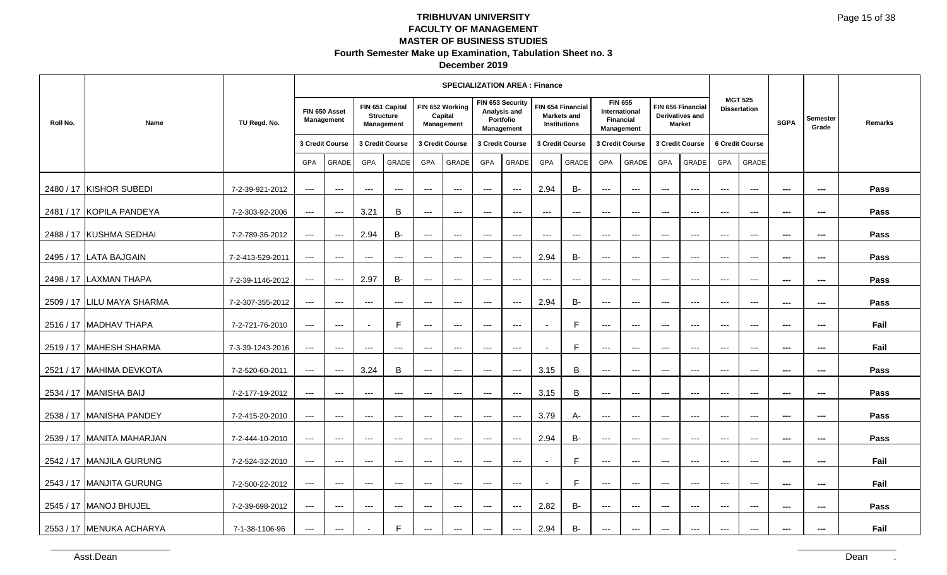| December 2019 |
|---------------|
|---------------|

|           |                             |                  |                                        |                                          |                          |                                                          |                     | <b>SPECIALIZATION AREA: Finance</b>      |                     |                                                             |                          |                                                         |                          |                                                            |                     |                                                              |                        |                                          |                |                          |         |
|-----------|-----------------------------|------------------|----------------------------------------|------------------------------------------|--------------------------|----------------------------------------------------------|---------------------|------------------------------------------|---------------------|-------------------------------------------------------------|--------------------------|---------------------------------------------------------|--------------------------|------------------------------------------------------------|---------------------|--------------------------------------------------------------|------------------------|------------------------------------------|----------------|--------------------------|---------|
| Roll No.  | Name                        | TU Regd. No.     |                                        | FIN 650 Asset<br><b>Management</b>       |                          | FIN 651 Capital<br><b>Structure</b><br><b>Management</b> |                     | FIN 652 Working<br>Capital<br>Management |                     | FIN 653 Security<br>Analysis and<br>Portfolio<br>Management |                          | FIN 654 Financial<br>Markets and<br><b>Institutions</b> |                          | <b>FIN 655</b><br>International<br>Financial<br>Management |                     | FIN 656 Financial<br><b>Derivatives and</b><br><b>Market</b> |                        | <b>MGT 525</b><br><b>Dissertation</b>    | <b>SGPA</b>    | <b>Semester</b><br>Grade | Remarks |
|           |                             |                  |                                        | 3 Credit Course                          |                          | 3 Credit Course                                          |                     | 3 Credit Course                          |                     | 3 Credit Course                                             |                          | 3 Credit Course                                         |                          | 3 Credit Course                                            |                     | 3 Credit Course                                              |                        | 6 Credit Course                          |                |                          |         |
|           |                             |                  | <b>GPA</b>                             | GRADE                                    | <b>GPA</b>               | <b>GRADE</b>                                             | <b>GPA</b>          | <b>GRADE</b>                             | <b>GPA</b>          | <b>GRADE</b>                                                | <b>GPA</b>               | <b>GRADE</b>                                            | <b>GPA</b>               | <b>GRADE</b>                                               | <b>GPA</b>          | <b>GRADE</b>                                                 | <b>GPA</b>             | <b>GRADE</b>                             |                |                          |         |
|           | 2480 / 17 KISHOR SUBEDI     | 7-2-39-921-2012  | $---$                                  | $\qquad \qquad - -$                      | $\qquad \qquad - -$      | $---$                                                    | $---$               | $---$                                    | $---$               | $\hspace{0.05cm} \ldots$                                    | 2.94                     | <b>B-</b>                                               | ---                      | $\hspace{0.05cm} \ldots$                                   | $\qquad \qquad - -$ | $\hspace{0.05cm} \ldots$                                     | $\qquad \qquad - -$    | $\qquad \qquad - -$                      | $- - -$        | $- - -$                  | Pass    |
|           | 2481 / 17 KOPILA PANDEYA    | 7-2-303-92-2006  | $\scriptstyle\cdots\scriptstyle\cdots$ | $\hspace{0.05cm} \ldots \hspace{0.05cm}$ | 3.21                     | B                                                        | $---$               | $\qquad \qquad - -$                      | $---$               | $\qquad \qquad \cdots$                                      | $\qquad \qquad \cdots$   | $\hspace{0.05cm} \ldots$                                | $\qquad \qquad - -$      | $\qquad \qquad - -$                                        | $\qquad \qquad - -$ | $\qquad \qquad - -$                                          | $\qquad \qquad - -$    | $\qquad \qquad - -$                      | $\sim$         | $\sim$                   | Pass    |
|           | 2488 / 17 KUSHMA SEDHAI     | 7-2-789-36-2012  | $\scriptstyle\cdots\scriptstyle\cdots$ | $\scriptstyle \cdots$                    | 2.94                     | B-                                                       | $---$               | $---$                                    | ---                 | $\qquad \qquad \cdots$                                      | $---$                    | $\hspace{0.05cm} \ldots$                                | $---$                    | $\qquad \qquad - -$                                        | $---$               | $---$                                                        | $---$                  | $---$                                    | $\sim$         | $\sim$                   | Pass    |
|           | 2495 / 17 LATA BAJGAIN      | 7-2-413-529-2011 | $\scriptstyle\cdots\scriptstyle\cdots$ | $\qquad \qquad - -$                      | $\qquad \qquad - -$      | $---$                                                    | $---$               | $---$                                    | $---$               | $\scriptstyle\cdots$                                        | 2.94                     | <b>B-</b>                                               | ---                      | $\hspace{0.05cm} \ldots$                                   | $\qquad \qquad - -$ | $---$                                                        | $\qquad \qquad - -$    | $\hspace{0.05cm} \ldots \hspace{0.05cm}$ | $\sim$         | ---                      | Pass    |
|           | 2498 / 17 LAXMAN THAPA      | 7-2-39-1146-2012 | $\qquad \qquad - -$                    | $\qquad \qquad - -$                      | 2.97                     | <b>B-</b>                                                | $\qquad \qquad - -$ | $\qquad \qquad - -$                      | $\qquad \qquad - -$ | $---$                                                       | $\cdots$                 | $\hspace{0.05cm} \ldots$                                | $\hspace{0.05cm} \ldots$ | $\hspace{0.05cm} \ldots$                                   | $--$                | $--$                                                         | $\qquad \qquad \cdots$ | $\qquad \qquad - -$                      | $\sim$         | $\sim$                   | Pass    |
|           | 2509 / 17 ILILU MAYA SHARMA | 7-2-307-355-2012 | $\scriptstyle\cdots\scriptstyle\cdots$ | $\qquad \qquad - -$                      | $\qquad \qquad - -$      | $\hspace{0.05cm} \ldots$                                 | $---$               | $---$                                    | ---                 | $\scriptstyle\cdots$                                        | 2.94                     | <b>B-</b>                                               | ---                      | $---$                                                      | $\qquad \qquad - -$ | $---$                                                        | $\qquad \qquad - -$    | $\qquad \qquad - -$                      | ---            | ---                      | Pass    |
|           | 2516 / 17 MADHAV THAPA      | 7-2-721-76-2010  | $--$                                   | $---$                                    |                          | F                                                        | ---                 | $\scriptstyle\cdots$                     | ---                 | $\scriptstyle\cdots$                                        |                          | F                                                       | $---$                    | $\scriptstyle\cdots$                                       | $---$               | $\qquad \qquad - -$                                          | $---$                  | $\hspace{0.05cm} \ldots$                 | ---            | $\sim$                   | Fail    |
|           | 2519 / 17 MAHESH SHARMA     | 7-3-39-1243-2016 | $---$                                  | $\cdots$                                 | $\hspace{0.05cm} \ldots$ | $\cdots$                                                 | $\qquad \qquad - -$ | $\qquad \qquad - -$                      | $\qquad \qquad - -$ | $\qquad \qquad - -$                                         | $\overline{\phantom{a}}$ | F                                                       | $\qquad \qquad - -$      | $\hspace{0.05cm} \ldots$                                   | $\qquad \qquad - -$ | $\hspace{0.05cm} \ldots$                                     | $\qquad \qquad - -$    | $\qquad \qquad - -$                      | $\sim$         | $\sim$                   | Fail    |
| 2521 / 17 | <b>MAHIMA DEVKOTA</b>       | 7-2-520-60-2011  | $\qquad \qquad - -$                    | $\qquad \qquad - -$                      | 3.24                     | B                                                        | $---$               | $---$                                    | $---$               | $\scriptstyle\cdots$                                        | 3.15                     | B                                                       | ---                      | $---$                                                      | $---$               | $\qquad \qquad - -$                                          | $\qquad \qquad - -$    | $\qquad \qquad - -$                      | ---            | $\sim$                   | Pass    |
|           | 2534 / 17 MANISHA BAIJ      | 7-2-177-19-2012  | $\qquad \qquad - -$                    | $---$                                    | $---$                    | $\hspace{0.05cm} \ldots$                                 | ---                 | $\scriptstyle\cdots$                     | ---                 | $\qquad \qquad - -$                                         | 3.15                     | B                                                       | ---                      | $\qquad \qquad \cdots$                                     | $\qquad \qquad - -$ | $\qquad \qquad - -$                                          | $\qquad \qquad - -$    | $\qquad \qquad - -$                      | $\sim$         | ---                      | Pass    |
|           | 2538 / 17 MANISHA PANDEY    | 7-2-415-20-2010  | $\scriptstyle\cdots$                   | $---$                                    | $\qquad \qquad - -$      | $---$                                                    | $\qquad \qquad - -$ | $\qquad \qquad - -$                      | $\qquad \qquad - -$ | $\qquad \qquad - -$                                         | 3.79                     | A-                                                      | ---                      | $\hspace{0.05cm} \ldots$                                   | $\cdots$            | $\hspace{0.05cm} \ldots \hspace{0.05cm}$                     | $\cdots$               | $\qquad \qquad - -$                      | ---            | $\hspace{0.05cm} \cdots$ | Pass    |
|           | 2539 / 17 MANITA MAHARJAN   | 7-2-444-10-2010  | $---$                                  | $\cdots$                                 | $---$                    | $  -$                                                    | $---$               | $  -$                                    | $\qquad \qquad -$   | $--$                                                        | 2.94                     | <b>B-</b>                                               | $\hspace{0.05cm} \ldots$ | $---$                                                      | $---$               | $---$                                                        | $---$                  | $---$                                    | $\overline{a}$ | $\sim$                   | Pass    |
|           | 2542 / 17 MANJILA GURUNG    | 7-2-524-32-2010  | $\scriptstyle\cdots\scriptstyle\cdots$ | $\scriptstyle \cdots$                    | $\qquad \qquad - -$      | $---$                                                    | $---$               | $\scriptstyle\cdots$                     | $---$               | $---$                                                       |                          | F                                                       | $\qquad \qquad - -$      | $\qquad \qquad - -$                                        | $\qquad \qquad - -$ | $---$                                                        | $\qquad \qquad - -$    | $\hspace{0.05cm} \ldots \hspace{0.05cm}$ | $---$          | $\hspace{0.05cm} \ldots$ | Fail    |
|           | 2543 / 17 MANJITA GURUNG    | 7-2-500-22-2012  | $\cdots$                               | $\qquad \qquad - -$                      | $\qquad \qquad - -$      | $---$                                                    | $---$               | $---$                                    | $---$               | $\qquad \qquad - -$                                         | $\blacksquare$           | E                                                       | $\qquad \qquad - -$      | $\qquad \qquad - -$                                        | $\qquad \qquad - -$ | $\qquad \qquad - -$                                          | $\qquad \qquad - -$    | $\qquad \qquad - -$                      | ---            | ---                      | Fail    |
|           | 2545 / 17 MANOJ BHUJEL      | 7-2-39-698-2012  | $\qquad \qquad - -$                    | $\qquad \qquad - -$                      | $---$                    | $\qquad \qquad - -$                                      | $---$               | $\qquad \qquad - -$                      | $\qquad \qquad -$   | $\scriptstyle\cdots$                                        | 2.82                     | <b>B-</b>                                               | $---$                    | $---$                                                      | $---$               | $---$                                                        | $---$                  | $---$                                    | $\overline{a}$ | $\sim$                   | Pass    |
|           | 2553 / 17 MENUKA ACHARYA    | 7-1-38-1106-96   | $---$                                  | $\qquad \qquad - -$                      | $\overline{\phantom{a}}$ | F                                                        | $---$               | $\qquad \qquad - -$                      | $---$               | $\qquad \qquad - -$                                         | 2.94                     | <b>B-</b>                                               | $---$                    | $\qquad \qquad \cdots$                                     | $---$               | $\qquad \qquad - -$                                          | $---$                  | $\qquad \qquad \cdots$                   | ---            | $\sim$                   | Fail    |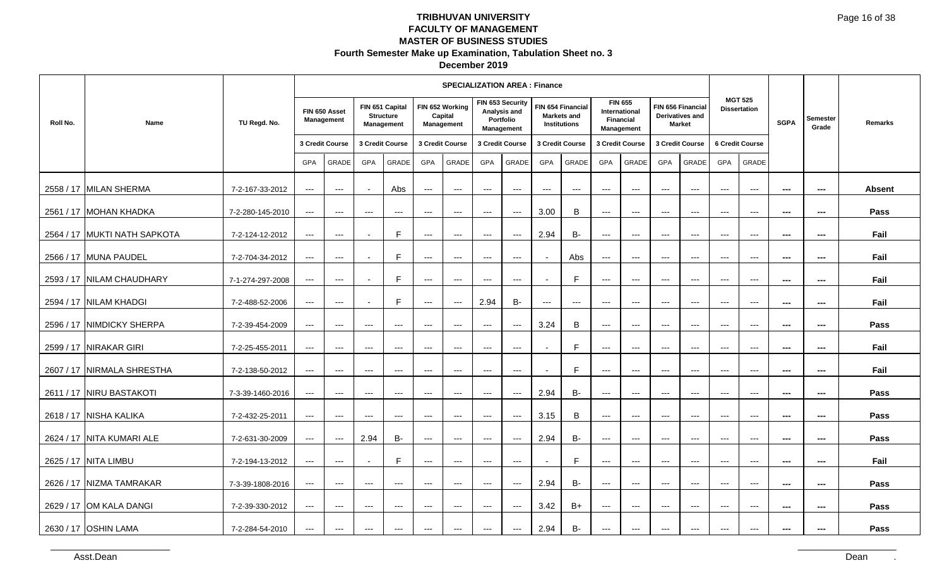| December 2019 |  |
|---------------|--|
|---------------|--|

|          |                              |                  |                                          |                                          |                          |                                                   |                      | <b>SPECIALIZATION AREA: Finance</b>      |                      |                                                             |                          |                                                                |                          |                                                                   |                      |                                                              |                          |                                          |                          |                          |               |
|----------|------------------------------|------------------|------------------------------------------|------------------------------------------|--------------------------|---------------------------------------------------|----------------------|------------------------------------------|----------------------|-------------------------------------------------------------|--------------------------|----------------------------------------------------------------|--------------------------|-------------------------------------------------------------------|----------------------|--------------------------------------------------------------|--------------------------|------------------------------------------|--------------------------|--------------------------|---------------|
| Roll No. | Name                         | TU Regd. No.     |                                          | FIN 650 Asset<br>Management              |                          | FIN 651 Capital<br><b>Structure</b><br>Management |                      | FIN 652 Working<br>Capital<br>Management |                      | FIN 653 Security<br>Analysis and<br>Portfolio<br>Management |                          | FIN 654 Financial<br><b>Markets and</b><br><b>Institutions</b> |                          | <b>FIN 655</b><br>International<br><b>Financial</b><br>Management |                      | FIN 656 Financial<br><b>Derivatives and</b><br><b>Market</b> |                          | <b>MGT 525</b><br><b>Dissertation</b>    | <b>SGPA</b>              | Semester<br>Grade        | Remarks       |
|          |                              |                  |                                          | 3 Credit Course                          |                          | 3 Credit Course                                   |                      | 3 Credit Course                          |                      | 3 Credit Course                                             |                          | 3 Credit Course                                                |                          | 3 Credit Course                                                   |                      | 3 Credit Course                                              |                          | <b>6 Credit Course</b>                   |                          |                          |               |
|          |                              |                  | <b>GPA</b>                               | GRADE                                    | <b>GPA</b>               | GRADE                                             | <b>GPA</b>           | GRADE                                    | <b>GPA</b>           | GRADE                                                       | GPA                      | <b>GRADE</b>                                                   | GPA                      | <b>GRADE</b>                                                      | GPA                  | GRADE                                                        | GPA                      | <b>GRADE</b>                             |                          |                          |               |
|          | 2558 / 17 MILAN SHERMA       | 7-2-167-33-2012  | $\scriptstyle\cdots\scriptstyle\cdots$   | $\qquad \qquad - -$                      |                          | Abs                                               | $---$                | $\scriptstyle\cdots$                     | $---$                | $\hspace{0.05cm} \ldots$                                    | $---$                    | $---$                                                          | $---$                    | $\hspace{0.05cm} \ldots$                                          | $---$                | $  \sim$                                                     | $---$                    | $\qquad \qquad - -$                      | $\overline{a}$           | $\sim$                   | <b>Absent</b> |
|          | 2561 / 17 MOHAN KHADKA       | 7-2-280-145-2010 | $\scriptstyle\cdots$                     | $\hspace{0.05cm} \ldots \hspace{0.05cm}$ | $\qquad \qquad - -$      | $\qquad \qquad - -$                               | $---$                | $\scriptstyle\cdots$                     | $---$                | $\hspace{0.05cm} \ldots$                                    | 3.00                     | B                                                              | ---                      | $\hspace{0.05cm} \ldots$                                          | $---$                | $\cdots$                                                     | $---$                    | $\qquad \qquad - -$                      | $\hspace{0.05cm} \cdots$ | $\qquad \qquad \cdots$   | Pass          |
|          | 2564 / 17 MUKTI NATH SAPKOTA | 7-2-124-12-2012  | $\qquad \qquad - -$                      | $\qquad \qquad - -$                      |                          | F                                                 | ---                  | $---$                                    | ---                  | $\hspace{0.05cm} \ldots$                                    | 2.94                     | $B -$                                                          | ---                      | $\hspace{0.05cm} \ldots$                                          | $\qquad \qquad - -$  | $---$                                                        | $\qquad \qquad - -$      | $\qquad \qquad - -$                      | ---                      | ---                      | Fail          |
|          | 2566 / 17 MUNA PAUDEL        | 7-2-704-34-2012  | $---$                                    | $---$                                    |                          | F                                                 | ---                  | $\scriptstyle\cdots$                     | $\cdots$             | $\scriptstyle\cdots$                                        |                          | Abs                                                            | ---                      | $\hspace{0.05cm} \ldots$                                          | $\qquad \qquad - -$  | $\qquad \qquad - -$                                          | $\qquad \qquad - -$      | $\hspace{0.05cm} \ldots \hspace{0.05cm}$ | ---                      | $\sim$                   | Fail          |
|          | 2593 / 17 NILAM CHAUDHARY    | 7-1-274-297-2008 | $---$                                    | $\qquad \qquad - -$                      | $\overline{\phantom{a}}$ | E                                                 | $\qquad \qquad - -$  | $\qquad \qquad - -$                      | $\qquad \qquad - -$  | $---$                                                       | $\overline{\phantom{a}}$ | F                                                              | $\hspace{0.05cm} \ldots$ | $\cdots$                                                          | $--$                 | $--$                                                         | $\qquad \qquad \cdots$   | $\qquad \qquad - -$                      | $\sim$                   | $\sim$                   | Fail          |
|          | 2594 / 17 NILAM KHADGI       | 7-2-488-52-2006  | $\scriptstyle\cdots\scriptstyle\cdots$   | $\qquad \qquad - -$                      | $\overline{\phantom{a}}$ | F                                                 | $---$                | $--$                                     | 2.94                 | <b>B-</b>                                                   | $\hspace{0.05cm} \ldots$ | $\hspace{0.05cm} \ldots$                                       | ---                      | $\hspace{0.05cm} \ldots$                                          | $\qquad \qquad - -$  | $\hspace{0.05cm} \ldots$                                     | $\qquad \qquad - -$      | $\qquad \qquad - -$                      | ---                      | $\sim$                   | Fail          |
|          | 2596 / 17 NIMDICKY SHERPA    | 7-2-39-454-2009  | $\hspace{0.05cm} \ldots \hspace{0.05cm}$ | $\hspace{0.05cm} \ldots$                 | $\qquad \qquad - -$      | $\hspace{0.05cm} \ldots$                          | $---$                | $\scriptstyle\cdots$                     | $\scriptstyle\cdots$ | $\scriptstyle\cdots$                                        | 3.24                     | B                                                              | $\qquad \qquad \cdots$   | $---$                                                             | $\qquad \qquad - -$  | $\qquad \qquad - -$                                          | $\scriptstyle\cdots$     | $\hspace{0.05cm} \ldots$                 | ---                      | $\sim$                   | Pass          |
|          | 2599 / 17 NIRAKAR GIRI       | 7-2-25-455-2011  | $\cdots$                                 | $\qquad \qquad - -$                      | $\qquad \qquad - -$      | $---$                                             | $---$                | $---$                                    | $---$                | $\qquad \qquad - -$                                         | $\overline{\phantom{a}}$ | F                                                              | $\qquad \qquad - -$      | $\hspace{0.05cm} \ldots$                                          | $\qquad \qquad - -$  | $\qquad \qquad - -$                                          | $\qquad \qquad - -$      | $\qquad \qquad - -$                      | ---                      | $\sim$                   | Fail          |
|          | 2607 / 17 NIRMALA SHRESTHA   | 7-2-138-50-2012  | $\qquad \qquad - -$                      | $\qquad \qquad - -$                      | $---$                    | $\cdots$                                          | $---$                | $\cdots$                                 | $---$                | $\qquad \qquad - -$                                         |                          | F                                                              | $---$                    | $---$                                                             | $- - -$              | $---$                                                        | $---$                    | $---$                                    | $- - -$                  | $\sim$                   | Fail          |
|          | 2611 / 17 NIRU BASTAKOTI     | 7-3-39-1460-2016 | $\qquad \qquad - -$                      | $\qquad \qquad - -$                      | $\cdots$                 | $---$                                             | $---$                | $---$                                    | $\cdots$             | $\qquad \qquad - -$                                         | 2.94                     | $B -$                                                          | ---                      | $\qquad \qquad - -$                                               | $\qquad \qquad - -$  | $\qquad \qquad - -$                                          | $\qquad \qquad - -$      | $\hspace{0.05cm} \ldots \hspace{0.05cm}$ | $- - -$                  | $\sim$                   | Pass          |
|          | 2618 / 17 NISHA KALIKA       | 7-2-432-25-2011  | $\qquad \qquad - -$                      | $\qquad \qquad - -$                      | $\cdots$                 | $\scriptstyle\cdots$                              | $\qquad \qquad - -$  | $\scriptstyle\cdots$                     | $\scriptstyle\cdots$ | $\scriptstyle\cdots$                                        | 3.15                     | B                                                              | $\overline{a}$           | $\qquad \qquad - -$                                               | $\cdots$             | $\cdots$                                                     | $\qquad \qquad - -$      | $\qquad \qquad - -$                      | ---                      | ---                      | Pass          |
|          | 2624 / 17 NITA KUMARI ALE    | 7-2-631-30-2009  | $\hspace{0.05cm} \ldots \hspace{0.05cm}$ | $\hspace{0.05cm} \ldots$                 | 2.94                     | <b>B-</b>                                         | $\qquad \qquad - -$  | $---$                                    | $\qquad \qquad - -$  | $\scriptstyle\cdots$                                        | 2.94                     | <b>B-</b>                                                      | ---                      | $\hspace{0.05cm} \ldots$                                          | $\qquad \qquad - -$  | $\qquad \qquad - -$                                          | $---$                    | $\hspace{0.05cm} \ldots$                 | $\overline{a}$           | $\hspace{0.05cm} \cdots$ | Pass          |
|          | 2625 / 17 NITA LIMBU         | 7-2-194-13-2012  | $\cdots$                                 | $\qquad \qquad - -$                      | $\overline{\phantom{a}}$ | F                                                 | $---$                | $\qquad \qquad - -$                      | $---$                | $---$                                                       | $\overline{\phantom{a}}$ | F.                                                             | $---$                    | $\hspace{0.05cm} \ldots$                                          | $---$                | $\hspace{0.05cm} \ldots$                                     | $---$                    | $\qquad \qquad - -$                      | ---                      | $\sim$                   | Fail          |
|          | 2626 / 17 NIZMA TAMRAKAR     | 7-3-39-1808-2016 | $--$                                     | $\cdots$                                 | $\cdots$                 | $\qquad \qquad - -$                               | $---$                | $\qquad \qquad - -$                      | $---$                | $---$                                                       | 2.94                     | <b>B-</b>                                                      | $\overline{a}$           | $\hspace{0.05cm} \ldots$                                          | $---$                | $\cdots$                                                     | $---$                    | $\qquad \qquad - -$                      | $\sim$                   | $\sim$                   | Pass          |
|          | 2629 / 17 OM KALA DANGI      | 7-2-39-330-2012  | $--$                                     | $\hspace{0.05cm} \ldots \hspace{0.05cm}$ | $\cdots$                 | $\scriptstyle\cdots$                              | $\scriptstyle\cdots$ | $\scriptstyle\cdots$                     | $\scriptstyle\cdots$ | $\hspace{0.05cm} \ldots$                                    | 3.42                     | $B+$                                                           | ---                      | $\scriptstyle\cdots$                                              | $\scriptstyle\cdots$ | $\scriptstyle\cdots$                                         | $\hspace{0.05cm} \ldots$ | $\hspace{0.05cm} \ldots$                 | ---                      | $\sim$                   | Pass          |
|          | 2630 / 17 OSHIN LAMA         | 7-2-284-54-2010  | $\cdots$                                 | $\qquad \qquad - -$                      | $\cdots$                 | $\qquad \qquad - -$                               | $\cdots$             | $\qquad \qquad - -$                      | $---$                | $\qquad \qquad - -$                                         | 2.94                     | <b>B-</b>                                                      | $\cdots$                 | $\scriptstyle\cdots$                                              | $\cdots$             | $\cdots$                                                     | $\cdots$                 | $\cdots$                                 | ---                      | $\scriptstyle\cdots$     | Pass          |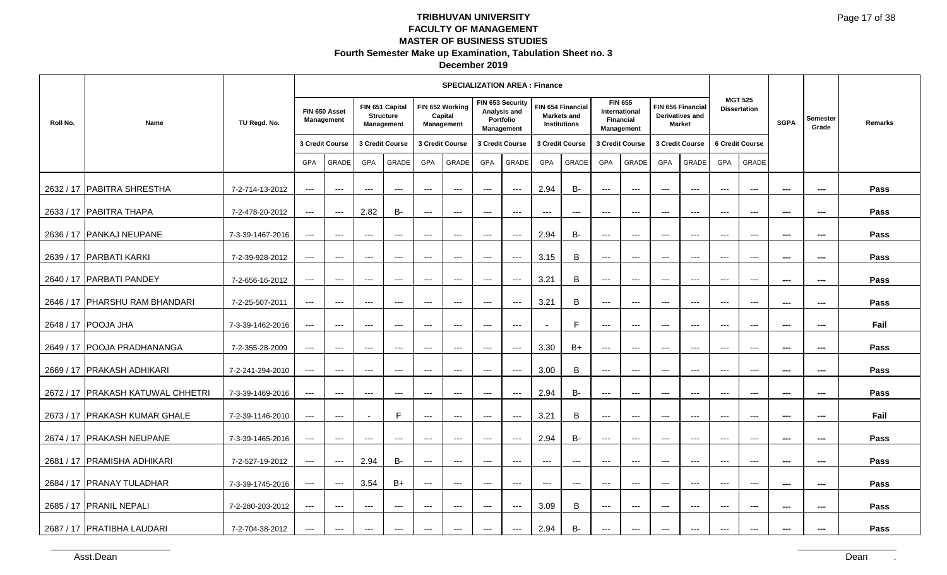| December 2019 |  |
|---------------|--|
|---------------|--|

|          |                                     |                  |                                   |                             |                                          |                                                   |                          | <b>SPECIALIZATION AREA: Finance</b>      |                     |                                                             |                          |                                                         |                                        |                                                      |                          |                                                       |                     |                                          |                |                          |         |
|----------|-------------------------------------|------------------|-----------------------------------|-----------------------------|------------------------------------------|---------------------------------------------------|--------------------------|------------------------------------------|---------------------|-------------------------------------------------------------|--------------------------|---------------------------------------------------------|----------------------------------------|------------------------------------------------------|--------------------------|-------------------------------------------------------|---------------------|------------------------------------------|----------------|--------------------------|---------|
| Roll No. | Name                                | TU Regd. No.     |                                   | FIN 650 Asset<br>Management |                                          | FIN 651 Capital<br><b>Structure</b><br>Management |                          | FIN 652 Working<br>Capital<br>Management |                     | FIN 653 Security<br>Analysis and<br>Portfolio<br>Management |                          | FIN 654 Financial<br><b>Markets and</b><br>Institutions | Financial                              | <b>FIN 655</b><br><b>International</b><br>Management |                          | FIN 656 Financial<br>Derivatives and<br><b>Market</b> |                     | <b>MGT 525</b><br><b>Dissertation</b>    | <b>SGPA</b>    | <b>Semester</b><br>Grade | Remarks |
|          |                                     |                  |                                   | 3 Credit Course             |                                          | 3 Credit Course                                   |                          | 3 Credit Course                          |                     | 3 Credit Course                                             |                          | 3 Credit Course                                         |                                        | 3 Credit Course                                      |                          | 3 Credit Course                                       |                     | 6 Credit Course                          |                |                          |         |
|          |                                     |                  | GPA                               | GRADE                       | GPA                                      | GRADE                                             | GPA                      | GRADE                                    | <b>GPA</b>          | GRADE                                                       | <b>GPA</b>               | GRADE                                                   | GPA                                    | GRADE                                                | GPA                      | <b>GRADE</b>                                          | GPA                 | GRADE                                    |                |                          |         |
|          | 2632 / 17 PABITRA SHRESTHA          | 7-2-714-13-2012  | $--$                              | $\qquad \qquad -$           | $---$                                    | $---$                                             | $---$                    | $---$                                    | $---$               | $\qquad \qquad - -$                                         | 2.94                     | <b>B-</b>                                               | $---$                                  | $\cdots$                                             | $---$                    | $\overline{a}$                                        | $---$               | $\qquad \qquad -$                        | ---            | $\qquad \qquad \cdots$   | Pass    |
|          | 2633 / 17 PABITRA THAPA             | 7-2-478-20-2012  | $\qquad \qquad - -$               | $\qquad \qquad - -$         | 2.82                                     | B-                                                | $---$                    | $\qquad \qquad - -$                      | $---$               | $\qquad \qquad - -$                                         | $\qquad \qquad -$        | $---$                                                   | $---$                                  | $\cdots$                                             | $---$                    | $\qquad \qquad - -$                                   | $---$               | $\qquad \qquad - -$                      | $\sim$         | $\hspace{0.05cm} \ldots$ | Pass    |
|          | 2636 / 17 PANKAJ NEUPANE            | 7-3-39-1467-2016 | $---$                             | $\cdots$                    | ---                                      | $\qquad \qquad - -$                               | $\qquad \qquad - -$      | $\qquad \qquad - -$                      | $\qquad \qquad - -$ | $\hspace{0.05cm} \ldots \hspace{0.05cm}$                    | 2.94                     | <b>B-</b>                                               | ---                                    | ---                                                  | $---$                    | $\overline{\phantom{a}}$                              | $\cdots$            | $\qquad \qquad - -$                      | ---            | ---                      | Pass    |
|          | 2639 / 17   PARBATI KARKI           | 7-2-39-928-2012  | $--$                              | $\qquad \qquad -$           | $---$                                    | $--$                                              | $\qquad \qquad - -$      | $---$                                    | $---$               | $\qquad \qquad - -$                                         | 3.15                     | B                                                       | $---$                                  | $\cdots$                                             | $---$                    | $---$                                                 | $---$               | $\hspace{0.05cm} \ldots$                 | ---            | ---                      | Pass    |
|          | 2640 / 17 PARBATI PANDEY            | 7-2-656-16-2012  | $--$                              | $\hspace{0.05cm} \ldots$    | $---$                                    | $\hspace{0.05cm} \ldots$                          | $\cdots$                 | $--$                                     | $\sim$ $\sim$       | $--$                                                        | 3.21                     | $\mathsf B$                                             | $\scriptstyle\cdots\scriptstyle\cdots$ | $\scriptstyle\cdots\scriptstyle\cdots$               | $---$                    | $---$                                                 | $---$               | $\hspace{0.05cm} \ldots$                 | $\sim$         | $\sim$                   | Pass    |
|          | 2646 / 17   PHARSHU RAM BHANDARI    | 7-2-25-507-2011  | $\qquad \qquad - -$               | $\cdots$                    | ---                                      | $\hspace{0.05cm} \ldots$                          | $\qquad \qquad - -$      | $\qquad \qquad - -$                      | $\qquad \qquad - -$ | $\hspace{0.05cm}---$                                        | 3.21                     | B                                                       | ---                                    | $\hspace{0.05cm} \ldots$                             | $\overline{\phantom{a}}$ | $\hspace{0.05cm} \ldots$                              | $\qquad \qquad - -$ | $\qquad \qquad - -$                      | ---            | $\sim$                   | Pass    |
|          | 2648 / 17 POOJA JHA                 | 7-3-39-1462-2016 | $\hspace{0.05cm} \dashrightarrow$ | $\qquad \qquad \cdots$      | ---                                      | $\qquad \qquad - -$                               | $\qquad \qquad - -$      | $\qquad \qquad - -$                      | ---                 | $\scriptstyle\cdots$                                        |                          | $\mathsf{F}$                                            | $\scriptstyle\cdots$                   | $\scriptstyle\cdots$                                 | $\scriptstyle\cdots$     | $\scriptstyle\cdots$                                  | $---$               | $\scriptstyle\cdots$                     | ---            | ---                      | Fail    |
|          | 2649 / 17 POOJA PRADHANANGA         | 7-2-355-28-2009  | $--$                              | $\cdots$                    | $  -$                                    | $\hspace{0.05cm} \ldots$                          | $\hspace{0.05cm} \ldots$ | $---$                                    | $---$               | $\hspace{0.05cm}---$                                        | 3.30                     | $B+$                                                    | $\scriptstyle\cdots\scriptstyle\cdots$ | $\qquad \qquad -$                                    | $---$                    | $---$                                                 | $---$               | $---$                                    | ---            | $\sim$                   | Pass    |
|          | 2669 / 17 PRAKASH ADHIKARI          | 7-2-241-294-2010 | $\qquad \qquad - -$               | $\cdots$                    | $---$                                    | $\qquad \qquad - -$                               | $---$                    | $\qquad \qquad - -$                      | $---$               | $\qquad \qquad - -$                                         | 3.00                     | B                                                       | $\overline{a}$                         | $\cdots$                                             | $---$                    | $\qquad \qquad - -$                                   | $---$               | $\qquad \qquad - -$                      | $\overline{a}$ | $\sim$ $\sim$            | Pass    |
|          | 2672 / 17   PRAKASH KATUWAL CHHETRI | 7-3-39-1469-2016 | $\scriptstyle\cdots$              | $\qquad \qquad - -$         | $---$                                    | $---$                                             | $---$                    | $\qquad \qquad - -$                      | $\qquad \qquad -$   | $\hspace{0.05cm} \ldots$                                    | 2.94                     | <b>B-</b>                                               | ---                                    | ---                                                  | $\overline{\phantom{a}}$ | $\qquad \qquad - -$                                   | $\qquad \qquad - -$ | $\hspace{0.05cm} \ldots$                 | ---            | $\sim$                   | Pass    |
|          | 2673 / 17   PRAKASH KUMAR GHALE     | 7-2-39-1146-2010 | $--$                              | $\cdots$                    |                                          | F                                                 | $\qquad \qquad \cdots$   | $\qquad \qquad - -$                      | $\qquad \qquad - -$ | $\hspace{0.05cm}---$                                        | 3.21                     | B                                                       | $\qquad \qquad - -$                    | $\scriptstyle \cdots$ .                              | $---$                    | $---$                                                 | $---$               | $\qquad \qquad - -$                      | ---            | $\sim$                   | Fail    |
|          | 2674 / 17 PRAKASH NEUPANE           | 7-3-39-1465-2016 | $--$                              | $\hspace{0.05cm} \ldots$    | $  -$                                    | $\hspace{0.05cm} \ldots$                          | $---$                    | $---$                                    | $\cdots$            | $\hspace{0.05cm} \ldots$                                    | 2.94                     | <b>B-</b>                                               | $\qquad \qquad -$                      | $\qquad \qquad -$                                    | $---$                    | $---$                                                 | $---$               | $---$                                    | $\sim$         | $\sim$                   | Pass    |
|          | 2681 / 17 PRAMISHA ADHIKARI         | 7-2-527-19-2012  | $--$                              | $\qquad \qquad - -$         | 2.94                                     | <b>B-</b>                                         | $\qquad \qquad - -$      | $---$                                    | $\qquad \qquad - -$ | $\hspace{0.05cm}---$                                        | $\hspace{0.05cm} \ldots$ | $\scriptstyle\cdots$                                    | ---                                    | $\cdots$                                             | $\qquad \qquad - -$      | $\scriptstyle\cdots$                                  | $\qquad \qquad - -$ | $\hspace{0.05cm} \ldots \hspace{0.05cm}$ | $\sim$         | $\sim$                   | Pass    |
|          | 2684 / 17 PRANAY TULADHAR           | 7-3-39-1745-2016 | $--$                              | $\cdots$                    | 3.54                                     | $B+$                                              | $\qquad \qquad - -$      | $\qquad \qquad - -$                      | $\qquad \qquad - -$ | $\qquad \qquad - -$                                         | $\hspace{0.05cm} \ldots$ | $\hspace{0.05cm} \ldots$                                | $\qquad \qquad - -$                    | $\scriptstyle\cdots\scriptstyle\cdots$               | $\qquad \qquad - -$      | $\qquad \qquad - -$                                   | $\qquad \qquad - -$ | $\qquad \qquad - -$                      | ---            | ---                      | Pass    |
|          | 2685 / 17 PRANIL NEPALI             | 7-2-280-203-2012 | $---$                             | $\cdots$                    | $\hspace{0.05cm} \ldots \hspace{0.05cm}$ | $\hspace{0.05cm} \ldots$                          | $\cdots$                 | $\qquad \qquad - -$                      | $\cdots$            | $\hspace{0.05cm}---$                                        | 3.09                     | B                                                       | $\qquad \qquad - -$                    | $\scriptstyle\cdots\scriptstyle\cdots$               | $---$                    | $---$                                                 | $---$               | $---$                                    | $\overline{a}$ | $\sim$                   | Pass    |
|          | 2687 / 17 PRATIBHA LAUDARI          | 7-2-704-38-2012  | $---$                             | $---$                       | $---$                                    | $\scriptstyle\cdots$                              | $---$                    | $---$                                    | $---$               | $\qquad \qquad - -$                                         | 2.94                     | <b>B-</b>                                               | $---$                                  | $---$                                                | $---$                    | $---$                                                 | $---$               | $\qquad \qquad \cdots$                   | $- - -$        | $\cdots$                 | Pass    |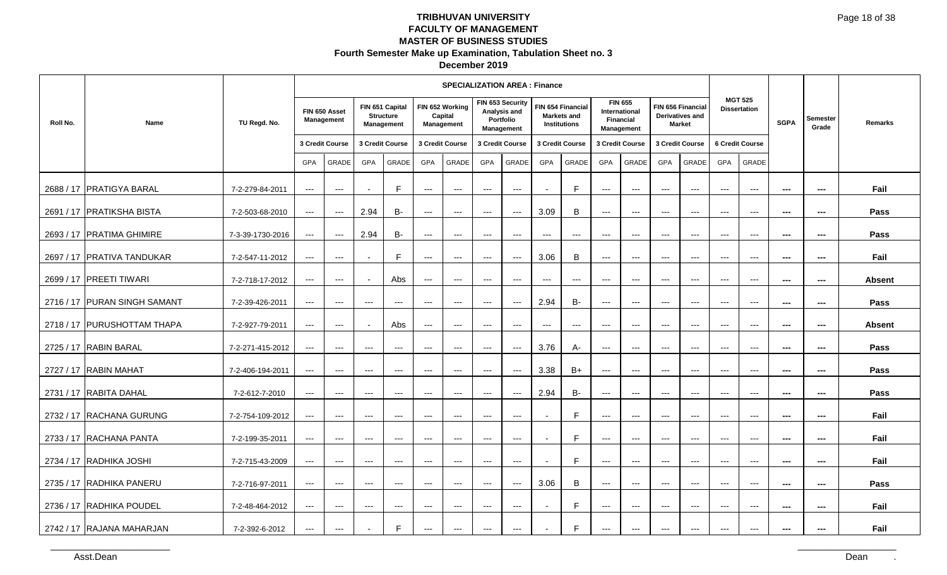| December 2019 |  |
|---------------|--|
|---------------|--|

|          |                              |                  |                                        |                                    |                          |                                                          |                            | <b>SPECIALIZATION AREA: Finance</b>      |                     |                                                             |                          |                                                         |                             |                             |                     |                                                              |                        |                                          |                |                          |               |
|----------|------------------------------|------------------|----------------------------------------|------------------------------------|--------------------------|----------------------------------------------------------|----------------------------|------------------------------------------|---------------------|-------------------------------------------------------------|--------------------------|---------------------------------------------------------|-----------------------------|-----------------------------|---------------------|--------------------------------------------------------------|------------------------|------------------------------------------|----------------|--------------------------|---------------|
| Roll No. | Name                         | TU Regd. No.     |                                        | FIN 650 Asset<br><b>Management</b> |                          | FIN 651 Capital<br><b>Structure</b><br><b>Management</b> |                            | FIN 652 Working<br>Capital<br>Management |                     | FIN 653 Security<br>Analysis and<br>Portfolio<br>Management |                          | FIN 654 Financial<br>Markets and<br><b>Institutions</b> | <b>FIN 655</b><br>Financial | International<br>Management |                     | FIN 656 Financial<br><b>Derivatives and</b><br><b>Market</b> |                        | <b>MGT 525</b><br><b>Dissertation</b>    | <b>SGPA</b>    | <b>Semester</b><br>Grade | Remarks       |
|          |                              |                  |                                        | 3 Credit Course                    |                          | 3 Credit Course                                          |                            | 3 Credit Course                          |                     | 3 Credit Course                                             |                          | 3 Credit Course                                         |                             | 3 Credit Course             |                     | 3 Credit Course                                              |                        | 6 Credit Course                          |                |                          |               |
|          |                              |                  | <b>GPA</b>                             | <b>GRADE</b>                       | <b>GPA</b>               | <b>GRADE</b>                                             | <b>GPA</b>                 | <b>GRADE</b>                             | <b>GPA</b>          | <b>GRADE</b>                                                | <b>GPA</b>               | <b>GRADE</b>                                            | <b>GPA</b>                  | <b>GRADE</b>                | <b>GPA</b>          | <b>GRADE</b>                                                 | <b>GPA</b>             | <b>GRADE</b>                             |                |                          |               |
|          | 2688 / 17 PRATIGYA BARAL     | 7-2-279-84-2011  | $--$                                   | $\cdots$                           |                          | F                                                        | $---$                      | $---$                                    | $---$               | $\qquad \qquad - -$                                         |                          | F                                                       | ---                         | $\hspace{0.05cm} \ldots$    | $\qquad \qquad - -$ | $\qquad \qquad - -$                                          | $\qquad \qquad - -$    | $\qquad \qquad - -$                      | $- - -$        | $- - -$                  | Fail          |
|          | 2691 / 17 PRATIKSHA BISTA    | 7-2-503-68-2010  | $\scriptstyle\cdots\scriptstyle\cdots$ | $--$                               | 2.94                     | <b>B-</b>                                                | $---$                      | $\qquad \qquad - -$                      | $\qquad \qquad - -$ | $\scriptstyle\cdots$                                        | 3.09                     | B                                                       | $\qquad \qquad - -$         | $\qquad \qquad - -$         | $\qquad \qquad - -$ | $\qquad \qquad - -$                                          | $\qquad \qquad - -$    | $\qquad \qquad - -$                      | $\sim$         | $\sim$                   | Pass          |
|          | 2693 / 17 PRATIMA GHIMIRE    | 7-3-39-1730-2016 | $\qquad \qquad - -$                    | $--$                               | 2.94                     | B-                                                       | ---                        | $---$                                    | ---                 | $---$                                                       | $---$                    | $\hspace{0.05cm} \ldots$                                | $---$                       | $\qquad \qquad - -$         | $---$               | $---$                                                        | $---$                  | $---$                                    | $\sim$         | $\sim$                   | Pass          |
|          | 2697 / 17 PRATIVA TANDUKAR   | 7-2-547-11-2012  | $---$                                  | $\qquad \qquad - -$                |                          | F                                                        | $---$                      | $---$                                    | $---$               | $\scriptstyle\cdots$                                        | 3.06                     | B                                                       | ---                         | $\hspace{0.05cm} \ldots$    | $\qquad \qquad - -$ | $---$                                                        | $\qquad \qquad - -$    | $\hspace{0.05cm} \ldots \hspace{0.05cm}$ | $\sim$         | ---                      | Fail          |
|          | 2699 / 17   PREETI TIWARI    | 7-2-718-17-2012  | $\qquad \qquad - -$                    | $\qquad \qquad - -$                | $\overline{\phantom{a}}$ | Abs                                                      | $\qquad \qquad - -$        | $\qquad \qquad - -$                      | $\qquad \qquad - -$ | $--$                                                        | $\cdots$                 | $\hspace{0.05cm} \ldots$                                | $\hspace{0.05cm} \ldots$    | $\hspace{0.05cm} \ldots$    | $--$                | $--$                                                         | $\qquad \qquad \cdots$ | $\qquad \qquad - -$                      | $\sim$         | $\sim$                   | <b>Absent</b> |
|          | 2716 / 17 PURAN SINGH SAMANT | 7-2-39-426-2011  | $\scriptstyle\cdots\scriptstyle\cdots$ | $---$                              | $\qquad \qquad - -$      | $\hspace{0.05cm} \ldots$                                 | $---$                      | $---$                                    | ---                 | $\scriptstyle\cdots$                                        | 2.94                     | <b>B-</b>                                               | ---                         | $---$                       | $\qquad \qquad - -$ | $---$                                                        | $\qquad \qquad - -$    | $\qquad \qquad - -$                      | ---            | ---                      | Pass          |
|          | 2718 / 17 PURUSHOTTAM THAPA  | 7-2-927-79-2011  | $--$                                   | $---$                              |                          | Abs                                                      | $---$                      | $\scriptstyle\cdots$                     | ---                 | $\scriptstyle\cdots$                                        | ---                      | $\hspace{0.05cm} \ldots$                                | $\scriptstyle\cdots$        | $\scriptstyle\cdots$        | $---$               | $\qquad \qquad - -$                                          | $---$                  | $\hspace{0.05cm} \ldots$                 | ---            | $\sim$                   | <b>Absent</b> |
|          | 2725 / 17 RABIN BARAL        | 7-2-271-415-2012 | $---$                                  | $\cdots$                           | $\hspace{0.05cm} \ldots$ | $\hspace{0.05cm} \ldots$                                 | $\qquad \qquad - \qquad -$ | $\qquad \qquad - -$                      | $\qquad \qquad - -$ | $--$                                                        | 3.76                     | A-                                                      | $\hspace{0.05cm} \ldots$    | $\hspace{0.05cm} \ldots$    | $\qquad \qquad -$   | $\hspace{0.05cm} \ldots$                                     | $\qquad \qquad - -$    | $\qquad \qquad - -$                      | $\sim$         | $\sim$                   | Pass          |
|          | 2727 / 17 RABIN MAHAT        | 7-2-406-194-2011 | $\qquad \qquad - -$                    | $\qquad \qquad - -$                | $\qquad \qquad - -$      | $---$                                                    | $---$                      | $---$                                    | ---                 | $\scriptstyle\cdots$                                        | 3.38                     | $B+$                                                    | ---                         | $---$                       | $---$               | $\qquad \qquad - -$                                          | $\qquad \qquad - -$    | $\qquad \qquad - -$                      | ---            | $\sim$                   | Pass          |
|          | 2731 / 17 RABITA DAHAL       | 7-2-612-7-2010   | $---$                                  | $---$                              | $\cdots$                 | $\hspace{0.05cm} \ldots$                                 | ---                        | $\scriptstyle\cdots$                     | ---                 | $\qquad \qquad - -$                                         | 2.94                     | $B -$                                                   | ---                         | $\qquad \qquad - -$         | $\qquad \qquad - -$ | $\qquad \qquad - -$                                          | $\qquad \qquad - -$    | $\qquad \qquad - -$                      | $\sim$         | ---                      | Pass          |
|          | 2732 / 17 RACHANA GURUNG     | 7-2-754-109-2012 | $\scriptstyle\cdots$                   | $---$                              | $\qquad \qquad - -$      | $---$                                                    | $\qquad \qquad - -$        | $\qquad \qquad - -$                      | $\qquad \qquad - -$ | $\qquad \qquad - -$                                         | $\blacksquare$           | F                                                       | ---                         | $\hspace{0.05cm} \ldots$    | $\cdots$            | $\cdots$                                                     | $\cdots$               | $\qquad \qquad - -$                      | $\sim$         | $\qquad \qquad \cdots$   | Fail          |
|          | 2733 / 17 RACHANA PANTA      | 7-2-199-35-2011  | $---$                                  | $---$                              | $---$                    | $  -$                                                    | $---$                      | $  -$                                    | $\qquad \qquad -$   | $\qquad \qquad -$                                           | $\blacksquare$           | F                                                       | $---$                       | $---$                       | $---$               | $---$                                                        | $---$                  | $\qquad \qquad - -$                      | $\overline{a}$ | $\sim$                   | Fail          |
|          | 2734 / 17 RADHIKA JOSHI      | 7-2-715-43-2009  | $--$                                   | $--$                               | $\qquad \qquad - -$      | $---$                                                    | $---$                      | $\scriptstyle\cdots$                     | $---$               | $---$                                                       |                          | E                                                       | $\qquad \qquad - -$         | $\qquad \qquad - -$         | $\qquad \qquad - -$ | $---$                                                        | $\qquad \qquad - -$    | $\hspace{0.05cm} \ldots \hspace{0.05cm}$ | $---$          | $\hspace{0.05cm} \ldots$ | Fail          |
|          | 2735 / 17 RADHIKA PANERU     | 7-2-716-97-2011  | $\cdots$                               | $\qquad \qquad - -$                | $\qquad \qquad - -$      | $---$                                                    | $---$                      | $---$                                    | $\qquad \qquad - -$ | $\hspace{0.05cm} \ldots$                                    | 3.06                     | B                                                       | $\qquad \qquad - -$         | $\hspace{0.05cm} \ldots$    | $\qquad \qquad - -$ | $\qquad \qquad - -$                                          | $\qquad \qquad - -$    | $\qquad \qquad - -$                      | ---            | ---                      | Pass          |
|          | 2736 / 17 RADHIKA POUDEL     | 7-2-48-464-2012  | $\qquad \qquad - -$                    | $\qquad \qquad - -$                | $---$                    | $\qquad \qquad - -$                                      | $---$                      | $\qquad \qquad - -$                      | $\qquad \qquad -$   | $\qquad \qquad - -$                                         | $\overline{\phantom{a}}$ | F                                                       | $---$                       | $---$                       | $---$               | $---$                                                        | $---$                  | $---$                                    | $\overline{a}$ | $\sim$                   | Fail          |
|          | 2742 / 17 RAJANA MAHARJAN    | 7-2-392-6-2012   | $---$                                  | $\qquad \qquad - -$                | $\overline{\phantom{0}}$ | F                                                        | $---$                      | $\qquad \qquad - -$                      | $---$               | $\qquad \qquad - -$                                         |                          | F                                                       | $---$                       | $\qquad \qquad \cdots$      | $---$               | $\qquad \qquad - -$                                          | $---$                  | $\qquad \qquad \cdots$                   | ---            | $\cdots$                 | Fail          |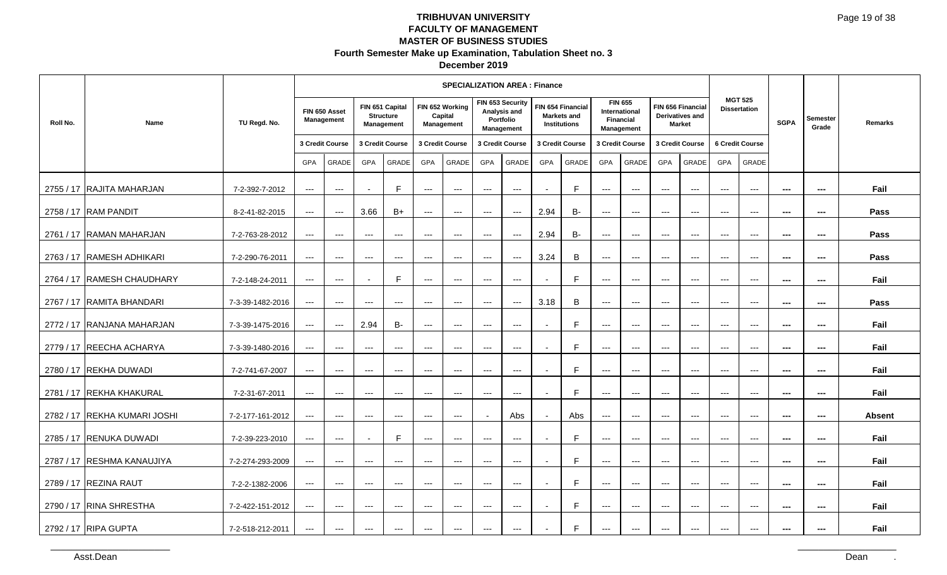| December 2019 |  |
|---------------|--|
|---------------|--|

|          |                              |                  |                                          |                                          |                          |                                                   |                            | <b>SPECIALIZATION AREA: Finance</b>      |                      |                                                             |                          |                                                  |                      |                                                                          |                     |                                                       |                     |                                          |                          |                          |               |
|----------|------------------------------|------------------|------------------------------------------|------------------------------------------|--------------------------|---------------------------------------------------|----------------------------|------------------------------------------|----------------------|-------------------------------------------------------------|--------------------------|--------------------------------------------------|----------------------|--------------------------------------------------------------------------|---------------------|-------------------------------------------------------|---------------------|------------------------------------------|--------------------------|--------------------------|---------------|
| Roll No. | Name                         | TU Regd. No.     |                                          | FIN 650 Asset<br>Management              |                          | FIN 651 Capital<br><b>Structure</b><br>Management |                            | FIN 652 Working<br>Capital<br>Management |                      | FIN 653 Security<br>Analysis and<br>Portfolio<br>Management |                          | FIN 654 Financial<br>Markets and<br>Institutions |                      | <b>FIN 655</b><br><b>International</b><br><b>Financial</b><br>Management |                     | FIN 656 Financial<br>Derivatives and<br><b>Market</b> |                     | <b>MGT 525</b><br><b>Dissertation</b>    | <b>SGPA</b>              | Semester<br>Grade        | Remarks       |
|          |                              |                  |                                          | 3 Credit Course                          |                          | 3 Credit Course                                   |                            | 3 Credit Course                          |                      | 3 Credit Course                                             |                          | 3 Credit Course                                  |                      | 3 Credit Course                                                          |                     | 3 Credit Course                                       |                     | 6 Credit Course                          |                          |                          |               |
|          |                              |                  | <b>GPA</b>                               | GRADE                                    | GPA                      | GRADE                                             | <b>GPA</b>                 | GRADE                                    | GPA                  | GRADE                                                       | GPA                      | GRADE                                            | GPA                  | GRADE                                                                    | GPA                 | GRADE                                                 | GPA                 | GRADE                                    |                          |                          |               |
|          | 2755 / 17 RAJITA MAHARJAN    | 7-2-392-7-2012   | $\scriptstyle\cdots\scriptstyle\cdots$   | $\qquad \qquad - -$                      |                          | F.                                                | $---$                      | $---$                                    | $---$                | $\scriptstyle\cdots$                                        |                          | F                                                | $---$                | $\hspace{0.05cm} \ldots$                                                 | $---$               | $  \sim$                                              | $---$               | $\hspace{0.05cm} \ldots$                 | $\sim$                   | $\qquad \qquad \cdots$   | Fail          |
|          | 2758 / 17 RAM PANDIT         | 8-2-41-82-2015   | $   \,$                                  | $---$                                    | 3.66                     | $B+$                                              | $\qquad \qquad - -$        | $\qquad \qquad - -$                      | $\qquad \qquad - -$  | $\cdots$                                                    | 2.94                     | <b>B-</b>                                        | $\qquad \qquad - -$  | $\hspace{0.05cm} \ldots$                                                 | $\cdots$            | $  \sim$                                              | $\qquad \qquad - -$ | $\qquad \qquad - -$                      | $\overline{\phantom{a}}$ | $\hspace{0.05cm} \ldots$ | Pass          |
|          | 2761 / 17 RAMAN MAHARJAN     | 7-2-763-28-2012  | $\qquad \qquad - -$                      | $\cdots$                                 | $\qquad \qquad - -$      | $\qquad \qquad - -$                               | $\qquad \qquad - -$        | $\scriptstyle\cdots$                     | $\scriptstyle\cdots$ | $\hspace{0.05cm} \ldots$                                    | 2.94                     | <b>B-</b>                                        | $\scriptstyle\cdots$ | $\scriptstyle{\cdots}$                                                   | $---$               | $\qquad \qquad - -$                                   | $---$               | $\scriptstyle{\cdots}$                   | $\overline{a}$           | $\qquad \qquad \cdots$   | Pass          |
|          | 2763 / 17 RAMESH ADHIKARI    | 7-2-290-76-2011  | $---$                                    | $---$                                    | $\qquad \qquad - -$      | $\hspace{0.05cm} \ldots$                          | $---$                      | $---$                                    | $---$                | $\scriptstyle\cdots$                                        | 3.24                     | B                                                | ---                  | $\hspace{0.05cm} \ldots$                                                 | $\qquad \qquad - -$ | $\qquad \qquad - -$                                   | $\qquad \qquad - -$ | $\hspace{0.05cm} \ldots$                 | ---                      | ---                      | Pass          |
|          | 2764 / 17 RAMESH CHAUDHARY   | 7-2-148-24-2011  | $   \,$                                  | $\cdots$                                 | $\overline{a}$           | E                                                 | $\qquad \qquad - -$        | $\qquad \qquad - -$                      | $\qquad \qquad - -$  | $\cdots$                                                    | $\overline{a}$           | F                                                | $\qquad \qquad - -$  | $\hspace{0.05cm} \ldots$                                                 | $  -$               | $  -$                                                 | $\cdots$            | $\sim$ $\sim$ $\sim$                     | $\sim$                   | $\sim$                   | Fail          |
|          | 2767 / 17 RAMITA BHANDARI    | 7-3-39-1482-2016 | $\hspace{0.05cm} \ldots \hspace{0.05cm}$ | $---$                                    | $\cdots$                 | $\hspace{0.05cm} \ldots$                          | $\cdots$                   | $---$                                    | $\cdots$             | $\hspace{0.05cm} \ldots$                                    | 3.18                     | $\sf B$                                          | ---                  | $\hspace{0.05cm} \ldots$                                                 | $\cdots$            | $\hspace{0.05cm} \ldots$                              | $\cdots$            | $\qquad \qquad - -$                      | ---                      | $\cdots$                 | Pass          |
|          | 2772 / 17 RANJANA MAHARJAN   | 7-3-39-1475-2016 | $\hspace{0.05cm} \ldots \hspace{0.05cm}$ | $\hspace{0.05cm} \ldots \hspace{0.05cm}$ | 2.94                     | <b>B-</b>                                         | $---$                      | $---$                                    | $---$                | $---$                                                       |                          | E                                                | $\qquad \qquad - -$  | $--$                                                                     | $\qquad \qquad - -$ | $\hspace{0.05cm} \ldots$                              | $\qquad \qquad - -$ | $\hspace{0.05cm} \ldots$                 | ---                      | $\sim$                   | Fail          |
|          | 2779 / 17 REECHA ACHARYA     | 7-3-39-1480-2016 | $\qquad \qquad - -$                      | $\cdots$                                 | $\cdots$                 | $\hspace{0.05cm} \ldots$                          | $\qquad \qquad - -$        | $\scriptstyle\cdots$                     | $---$                | $\scriptstyle\cdots$                                        | $\blacksquare$           | F                                                | $\qquad \qquad - -$  | $\hspace{0.05cm} \ldots$                                                 | $---$               | $\cdots$                                              | $---$               | $\qquad \qquad - -$                      | ---                      | $\sim$                   | Fail          |
|          | 2780 / 17 REKHA DUWADI       | 7-2-741-67-2007  | $\qquad \qquad - -$                      | $\qquad \qquad - -$                      | $\cdots$                 | $\cdots$                                          | $\cdots$                   | $---$                                    | $---$                | $\cdots$                                                    |                          | F.                                               | $---$                | $---$                                                                    | $---$               | $---$                                                 | $---$               | $---$                                    | ---                      | $\cdots$                 | Fail          |
|          | 2781 / 17 REKHA KHAKURAL     | 7-2-31-67-2011   | $\qquad \qquad - -$                      | $\qquad \qquad - -$                      | $\qquad \qquad - -$      | $\scriptstyle\cdots$                              | $---$                      | $\scriptstyle\cdots$                     | ---                  | $\scriptstyle\cdots$                                        |                          | E                                                | $\cdots$             | $\qquad \qquad - -$                                                      | $---$               | $---$                                                 | $\qquad \qquad - -$ | $\hspace{0.05cm} \ldots \hspace{0.05cm}$ | $- - -$                  | $\sim$                   | Fail          |
|          | 2782 / 17 REKHA KUMARI JOSHI | 7-2-177-161-2012 | $\scriptstyle\cdots\scriptstyle\cdots$   | $\qquad \qquad - -$                      | $\qquad \qquad - -$      | $\qquad \qquad - -$                               | $\qquad \qquad - -$        | $\qquad \qquad - -$                      |                      | Abs                                                         |                          | Abs                                              | $\qquad \qquad - -$  | $\hspace{0.05cm} \ldots$                                                 | $\qquad \qquad - -$ | $\qquad \qquad - -$                                   | $\qquad \qquad - -$ | $\qquad \qquad - -$                      | ---                      | ---                      | <b>Absent</b> |
|          | 2785 / 17 RENUKA DUWADI      | 7-2-39-223-2010  | $--$                                     | $\qquad \qquad - -$                      | $\overline{\phantom{a}}$ | F                                                 | $\cdots$                   | $---$                                    | $\cdots$             | $\qquad \qquad - -$                                         | $\overline{\phantom{a}}$ | F                                                | $\qquad \qquad - -$  | $\hspace{0.05cm} \ldots$                                                 | $---$               | $---$                                                 | $---$               | $---$                                    | ---                      | $\cdots$                 | Fail          |
|          | 2787 / 17 RESHMA KANAUJIYA   | 7-2-274-293-2009 | $\qquad \qquad - -$                      | $\qquad \qquad - -$                      | $\cdots$                 | $\qquad \qquad - -$                               | $\qquad \qquad - -$        | $\qquad \qquad - -$                      | $---$                | $\cdots$                                                    | $\overline{\phantom{a}}$ | E                                                | $\qquad \qquad - -$  | $\hspace{0.05cm} \ldots$                                                 | $\qquad \qquad - -$ | $  -$                                                 | $\cdots$            | $\cdots$                                 | $\sim$                   | $\sim$ $\sim$            | Fail          |
|          | 2789 / 17 REZINA RAUT        | 7-2-2-1382-2006  | $--$                                     | $\qquad \qquad - -$                      | $\scriptstyle\cdots$     | $\scriptstyle\cdots$                              | $---$                      | $\scriptstyle\cdots$                     | $---$                | $\scriptstyle\cdots$                                        | $\blacksquare$           | F                                                | $\cdots$             | $--$                                                                     | $\qquad \qquad - -$ | $---$                                                 | $\qquad \qquad - -$ | $\hspace{0.05cm} \ldots \hspace{0.05cm}$ | ---                      | $\sim$                   | Fail          |
|          | 2790 / 17 RINA SHRESTHA      | 7-2-422-151-2012 | $---$                                    | $---$                                    | $\qquad \qquad - -$      | $\hspace{0.05cm} \ldots$                          | ---                        | $\scriptstyle\cdots$                     | ---                  | $\qquad \qquad - -$                                         | $\blacksquare$           | E                                                | $\qquad \qquad - -$  | $\qquad \qquad - -$                                                      | $\qquad \qquad - -$ | $\qquad \qquad - -$                                   | $\qquad \qquad - -$ | $\qquad \qquad - -$                      | ---                      | $\sim$                   | Fail          |
|          | 2792 / 17 RIPA GUPTA         | 7-2-518-212-2011 | $---$                                    | $\sim$ $\sim$                            | $---$                    | $\qquad \qquad -$                                 | $\qquad \qquad - \qquad -$ | $\qquad \qquad -$                        | $\qquad \qquad -$    | $\qquad \qquad - -$                                         | $\overline{\phantom{a}}$ | F                                                | $\cdots$             | $\hspace{0.05cm} \ldots \hspace{0.05cm}$                                 | $\cdots$            | $\sim$ $\sim$                                         | $\cdots$            | $\qquad \qquad - -$                      | ---                      | $\cdots$                 | Fail          |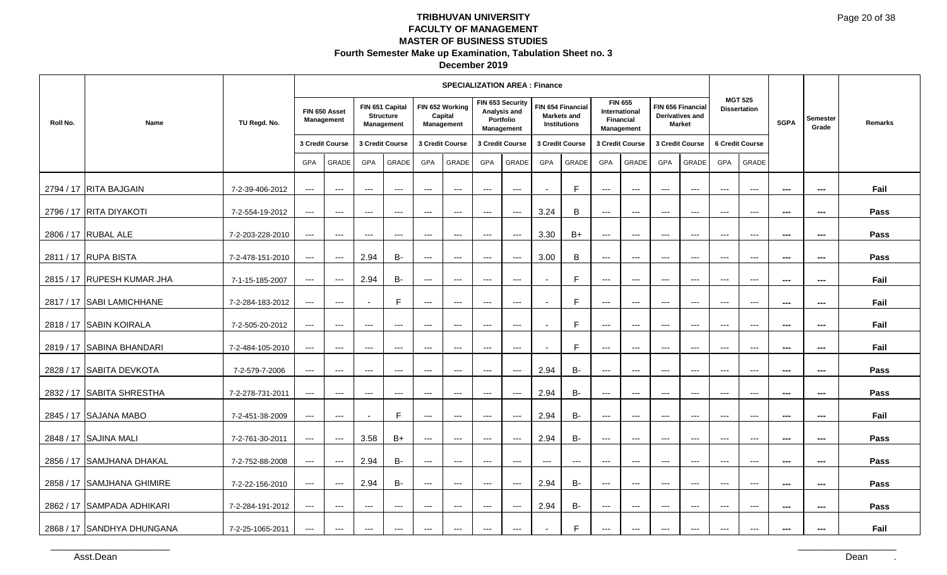| December 2019 |  |
|---------------|--|
|---------------|--|

|           |                            |                  |                                        |                             |                          |                                                          |                     | <b>SPECIALIZATION AREA: Finance</b>      |                     |                                                             |                          |                                                  |                     |                                                                          |                                          |                                                              |                        |                                          |                          |                          |         |
|-----------|----------------------------|------------------|----------------------------------------|-----------------------------|--------------------------|----------------------------------------------------------|---------------------|------------------------------------------|---------------------|-------------------------------------------------------------|--------------------------|--------------------------------------------------|---------------------|--------------------------------------------------------------------------|------------------------------------------|--------------------------------------------------------------|------------------------|------------------------------------------|--------------------------|--------------------------|---------|
| Roll No.  | Name                       | TU Regd. No.     |                                        | FIN 650 Asset<br>Management |                          | FIN 651 Capital<br><b>Structure</b><br><b>Management</b> |                     | FIN 652 Working<br>Capital<br>Management |                     | FIN 653 Security<br>Analysis and<br>Portfolio<br>Management |                          | FIN 654 Financial<br>Markets and<br>Institutions |                     | <b>FIN 655</b><br><b>International</b><br><b>Financial</b><br>Management |                                          | FIN 656 Financial<br><b>Derivatives and</b><br><b>Market</b> |                        | <b>MGT 525</b><br><b>Dissertation</b>    | <b>SGPA</b>              | <b>Semester</b><br>Grade | Remarks |
|           |                            |                  |                                        | 3 Credit Course             |                          | 3 Credit Course                                          |                     | 3 Credit Course                          |                     | 3 Credit Course                                             |                          | 3 Credit Course                                  |                     | 3 Credit Course                                                          |                                          | 3 Credit Course                                              |                        | 6 Credit Course                          |                          |                          |         |
|           |                            |                  | <b>GPA</b>                             | GRADE                       | GPA                      | GRADE                                                    | <b>GPA</b>          | GRADE                                    | <b>GPA</b>          | GRADE                                                       | GPA                      | GRADE                                            | GPA                 | GRADE                                                                    | GPA                                      | <b>GRADE</b>                                                 | GPA                    | GRADE                                    |                          |                          |         |
|           | 2794 / 17 RITA BAJGAIN     | 7-2-39-406-2012  | $\qquad \qquad - -$                    | $\qquad \qquad - -$         | $---$                    | $---$                                                    | $---$               | $---$                                    | $---$               | $---$                                                       |                          | F.                                               | $---$               | $\hspace{0.05cm} \ldots$                                                 | $---$                                    | $---$                                                        | $---$                  | $\qquad \qquad - -$                      | ---                      | $\qquad \qquad \cdots$   | Fail    |
|           | 2796 / 17 RITA DIYAKOTI    | 7-2-554-19-2012  | $  -$                                  | $\qquad \qquad - -$         | $---$                    | $\qquad \qquad - -$                                      | $---$               | $\qquad \qquad - -$                      | $---$               | $\cdots$                                                    | 3.24                     | B                                                | $\qquad \qquad - -$ | $\hspace{0.05cm} \ldots$                                                 | $---$                                    | $\qquad \qquad - -$                                          | $\qquad \qquad - -$    | $\qquad \qquad - -$                      | $\hspace{0.05cm} \ldots$ | $\sim$                   | Pass    |
|           | 2806 / 17 RUBAL ALE        | 7-2-203-228-2010 | $\qquad \qquad - -$                    | $\qquad \qquad - -$         | $\cdots$                 | $\hspace{0.05cm} \ldots$                                 | $---$               | $\scriptstyle\cdots$                     | ---                 | $\scriptstyle\cdots$                                        | 3.30                     | $B+$                                             | ---                 | $---$                                                                    | $\cdots$                                 | $---$                                                        | $\cdots$               | $\qquad \qquad - -$                      | ---                      | ---                      | Pass    |
|           | 2811 / 17 RUPA BISTA       | 7-2-478-151-2010 | $\qquad \qquad - -$                    | $\qquad \qquad - -$         | 2.94                     | B-                                                       | $---$               | $---$                                    | $---$               | $\overline{a}$                                              | 3.00                     | B                                                | $---$               | $\hspace{0.05cm} \ldots$                                                 | $---$                                    | $  -$                                                        | $---$                  | $\hspace{0.05cm} \ldots$                 | ---                      | ---                      | Pass    |
|           | 2815 / 17 RUPESH KUMAR JHA | 7-1-15-185-2007  | $---$                                  | $\qquad \qquad - -$         | 2.94                     | B-                                                       | $\qquad \qquad - -$ | $--$                                     | $\qquad \qquad -$   | $--$                                                        | $\overline{\phantom{a}}$ | F                                                | $---$               | $\hspace{0.05cm} \ldots$                                                 | $\hspace{0.05cm} \ldots$                 | $---$                                                        | $---$                  | $\hspace{0.05cm} \ldots$                 | $\sim$                   | $\sim$                   | Fail    |
|           | 2817 / 17 ISABI LAMICHHANE | 7-2-284-183-2012 | $\scriptstyle\cdots\scriptstyle\cdots$ | $\qquad \qquad - -$         |                          | F                                                        | $---$               | $---$                                    | $---$               | $\qquad \qquad - -$                                         | $\blacksquare$           | E                                                | ---                 | $\hspace{0.05cm} \ldots$                                                 | $\qquad \qquad - -$                      | $\hspace{0.05cm} \ldots$                                     | $\qquad \qquad - -$    | $\qquad \qquad - -$                      | ---                      | $\sim$                   | Fail    |
|           | 2818 / 17 SABIN KOIRALA    | 7-2-505-20-2012  | $\scriptstyle{\cdots}$                 | ---                         | $\cdots$                 | $---$                                                    | ---                 | $\scriptstyle{\cdots}$                   | ---                 | $\hspace{0.05cm} \ldots$                                    |                          | F.                                               | ---                 | $\qquad \qquad - -$                                                      | $\hspace{0.05cm} \ldots \hspace{0.05cm}$ | $\qquad \qquad - -$                                          | $\scriptstyle{\cdots}$ | $\scriptstyle{\cdots}$                   | $\sim$                   | ---                      | Fail    |
|           | 2819 / 17 SABINA BHANDARI  | 7-2-484-105-2010 | $\cdots$                               | $\qquad \qquad - -$         | $\qquad \qquad - -$      | $\qquad \qquad - -$                                      | $---$               | $\qquad \qquad -$                        | $\qquad \qquad -$   | $\qquad \qquad - -$                                         | $\overline{\phantom{a}}$ | F                                                | $---$               | $---$                                                                    | $---$                                    | $---$                                                        | $---$                  | $---$                                    | ---                      | $\sim$                   | Fail    |
| 2828 / 17 | <b>SABITA DEVKOTA</b>      | 7-2-579-7-2006   | $  -$                                  | $\cdots$                    | $---$                    | $\qquad \qquad - -$                                      | $---$               | $\qquad \qquad - -$                      | $---$               | $---$                                                       | 2.94                     | <b>B-</b>                                        | $\overline{a}$      | $\hspace{0.05cm} \ldots$                                                 | $---$                                    | $\qquad \qquad - -$                                          | $---$                  | $\qquad \qquad - -$                      | $\overline{a}$           | $\sim$ $\sim$            | Pass    |
|           | 2832 / 17 SABITA SHRESTHA  | 7-2-278-731-2011 | $---$                                  | $---$                       | $\cdots$                 | $\hspace{0.05cm} \ldots$                                 | $---$               | $\scriptstyle\cdots$                     | ---                 | $\scriptstyle\cdots$                                        | 2.94                     | $B -$                                            | ---                 | $\qquad \qquad - -$                                                      | $\qquad \qquad - -$                      | $\qquad \qquad - -$                                          | $\qquad \qquad - -$    | $\hspace{0.05cm} \ldots$                 | ---                      | $\sim$                   | Pass    |
|           | 2845 / 17 SAJANA MABO      | 7-2-451-38-2009  | $\cdots$                               | $\qquad \qquad - -$         | $\overline{\phantom{a}}$ | E                                                        | $---$               | $\qquad \qquad - -$                      | $\qquad \qquad - -$ | $---$                                                       | 2.94                     | <b>B-</b>                                        | $\qquad \qquad - -$ | $\hspace{0.05cm} \ldots$                                                 | $---$                                    | $---$                                                        | $---$                  | $\qquad \qquad - -$                      | ---                      | $\sim$                   | Fail    |
|           | 2848 / 17 SAJINA MALI      | 7-2-761-30-2011  | $\hspace{0.05cm} \ldots$               | $\scriptstyle \cdots$       | 3.58                     | $B+$                                                     | $---$               | $--$                                     | $\qquad \qquad -$   | $--$                                                        | 2.94                     | <b>B-</b>                                        | $---$               | $\hspace{0.05cm} \ldots$                                                 | $---$                                    | $---$                                                        | $---$                  | $---$                                    | $\overline{a}$           | $\cdots$                 | Pass    |
|           | 2856 / 17 SAMJHANA DHAKAL  | 7-2-752-88-2008  | $--$                                   | $\scriptstyle \cdots$       | 2.94                     | B-                                                       | $---$               | $\scriptstyle\cdots$                     | $---$               | $\scriptstyle\cdots$                                        | ---                      | ---                                              | $\qquad \qquad - -$ | $\qquad \qquad - -$                                                      | $\qquad \qquad - -$                      | $---$                                                        | $\qquad \qquad - -$    | $\hspace{0.05cm} \ldots \hspace{0.05cm}$ | $- - -$                  | $\sim$                   | Pass    |
|           | 2858 / 17 SAMJHANA GHIMIRE | 7-2-22-156-2010  | $\cdots$                               | $\scriptstyle \cdots$       | 2.94                     | <b>B-</b>                                                | $\qquad \qquad - -$ | $---$                                    | $\qquad \qquad - -$ | $\qquad \qquad - -$                                         | 2.94                     | <b>B-</b>                                        | $\qquad \qquad - -$ | $\hspace{0.05cm} \ldots$                                                 | $\qquad \qquad - -$                      | $\qquad \qquad - -$                                          | $\qquad \qquad - -$    | $\qquad \qquad - -$                      | ---                      | ---                      | Pass    |
|           | 2862 / 17 SAMPADA ADHIKARI | 7-2-284-191-2012 | $\qquad \qquad - -$                    | $\qquad \qquad - -$         | $\cdots$                 | $\qquad \qquad - -$                                      | $\qquad \qquad -$   | $\qquad \qquad - -$                      | $\qquad \qquad -$   | $\scriptstyle\cdots$                                        | 2.94                     | <b>B-</b>                                        | $\qquad \qquad - -$ | $\qquad \qquad - -$                                                      | $---$                                    | $\qquad \qquad - -$                                          | $---$                  | $---$                                    | $\overline{a}$           | $\sim$                   | Pass    |
|           | 2868 / 17 SANDHYA DHUNGANA | 7-2-25-1065-2011 | $\qquad \qquad - -$                    | $\qquad \qquad - -$         | $---$                    | $\qquad \qquad - -$                                      | $---$               | $---$                                    | $---$               | $\qquad \qquad \cdots$                                      | $\overline{\phantom{a}}$ | F                                                | $---$               | $\scriptstyle\cdots$                                                     | $---$                                    | $\qquad \qquad - -$                                          | $---$                  | $\qquad \qquad \cdots$                   | ---                      | $\cdots$                 | Fail    |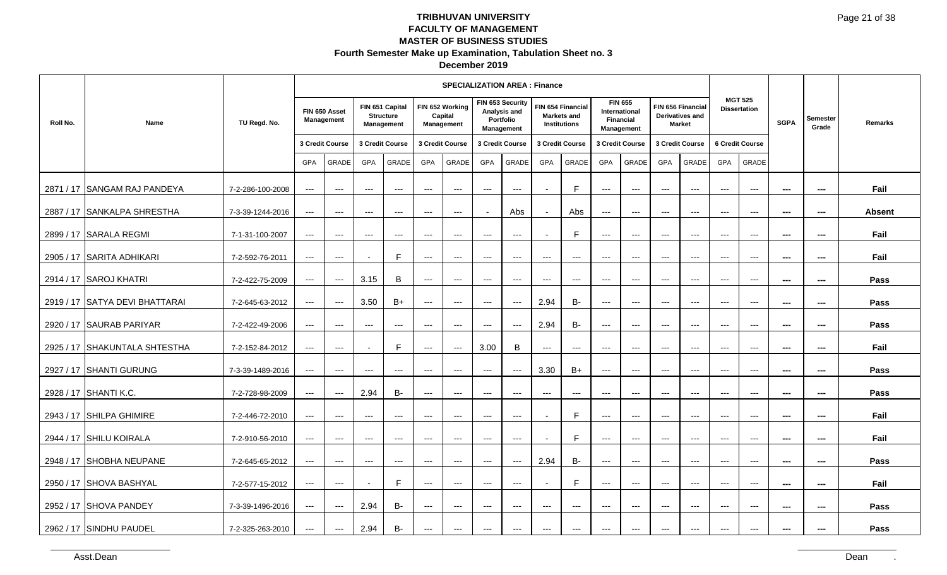| December 2019 |  |
|---------------|--|
|---------------|--|

| Roll No. | Name                                                                                                              | TU Regd. No.                                                              |                                                                                | FIN 650 Asset<br>Management<br>3 Credit Course                                     |                                                                   | FIN 651 Capital<br><b>Structure</b><br>Management<br>3 Credit Course                                    |                                                                                                                 | <b>SPECIALIZATION AREA : Finance</b><br>FIN 652 Working<br>Capital<br>Management<br>3 Credit Course | FIN 653 Security<br>Analysis and<br>Management                                                              | Portfolio<br>3 Credit Course                                                           |                                                                      | FIN 654 Financial<br><b>Markets and</b><br><b>Institutions</b><br>3 Credit Course |                                                                                                          | <b>FIN 655</b><br>International<br><b>Financial</b><br>Management<br>3 Credit Course       |                                                                                                  | FIN 656 Financial<br><b>Derivatives and</b><br><b>Market</b><br>3 Credit Course       |                                                                                                                              | <b>MGT 525</b><br><b>Dissertation</b><br>6 Credit Course             | <b>SGPA</b>                                                                                                  | Semester<br>Grade                                                                                            | Remarks                             |
|----------|-------------------------------------------------------------------------------------------------------------------|---------------------------------------------------------------------------|--------------------------------------------------------------------------------|------------------------------------------------------------------------------------|-------------------------------------------------------------------|---------------------------------------------------------------------------------------------------------|-----------------------------------------------------------------------------------------------------------------|-----------------------------------------------------------------------------------------------------|-------------------------------------------------------------------------------------------------------------|----------------------------------------------------------------------------------------|----------------------------------------------------------------------|-----------------------------------------------------------------------------------|----------------------------------------------------------------------------------------------------------|--------------------------------------------------------------------------------------------|--------------------------------------------------------------------------------------------------|---------------------------------------------------------------------------------------|------------------------------------------------------------------------------------------------------------------------------|----------------------------------------------------------------------|--------------------------------------------------------------------------------------------------------------|--------------------------------------------------------------------------------------------------------------|-------------------------------------|
|          | 2871 / 17 SANGAM RAJ PANDEYA<br>2887 / 17 SANKALPA SHRESTHA<br>2899 / 17 SARALA REGMI                             | 7-2-286-100-2008<br>7-3-39-1244-2016<br>7-1-31-100-2007                   | GPA<br>$\sim$ $\sim$<br>$\sim$ $\sim$<br>$\sim$ $\sim$                         | GRADE<br>$\sim$ $\sim$<br>$\sim$ $\sim$<br>$\sim$ $\sim$                           | GPA<br>$\sim$ $\sim$<br>$--$<br>$--$                              | GRADE<br>$\hspace{0.1em} \ldots \hspace{0.1em}$<br>$\hspace{0.05cm} \ldots$<br>$\hspace{0.05cm} \ldots$ | GPA<br>$\hspace{0.05cm} \ldots \hspace{0.05cm}$<br>$\hspace{0.05cm} \ldots$<br>$\scriptstyle\cdots$             | GRADE<br>$\sim$ $\sim$ $\sim$<br>$\sim$<br>$\scriptstyle\cdots$                                     | GPA<br>$\scriptstyle\cdots$<br>$\sim$<br>$\scriptstyle\cdots$                                               | GRADE<br>$\hspace{0.1em} \ldots \hspace{0.1em}$<br>Abs<br>$\scriptstyle\cdots$         | GPA<br>$\sim$<br>$\sim$<br>$\blacksquare$                            | GRADE<br>$\mathsf F$<br>Abs<br>F                                                  | GPA<br>$\hspace{0.05cm} \ldots$<br>$\hspace{0.05cm} \ldots \hspace{0.05cm}$<br>$\scriptstyle\cdots$      | GRADE<br>$\hspace{0.05cm} \ldots$<br>$\hspace{0.05cm} \ldots$<br>$\hspace{0.05cm} \ldots$  | GPA<br>$   \,$<br>$   \,$<br>$\scriptstyle\cdots$                                                | GRADE<br>$\rightarrow$ $\rightarrow$<br>$   \,$<br>$\scriptstyle\cdots$               | GPA<br>$\frac{1}{2}$<br>$\sim$ $\sim$<br>$\sim$ $\sim$                                                                       | GRADE<br>$\sim$ $\sim$ $\sim$<br>$\sim$<br>$\scriptstyle\cdots$      | $\hspace{0.05cm} \cdots$<br>$\overline{\phantom{a}}$<br>$\overline{\phantom{a}}$                             | $\overline{\phantom{a}}$<br>$\sim$<br>$\overline{\phantom{a}}$                                               | Fail<br><b>Absent</b><br>Fail       |
|          | 2905 / 17 SARITA ADHIKARI<br>2914 / 17 SAROJ KHATRI<br>2919 / 17 SATYA DEVI BHATTARAI<br>2920 / 17 SAURAB PARIYAR | 7-2-592-76-2011<br>7-2-422-75-2009<br>7-2-645-63-2012<br>7-2-422-49-2006  | $\sim$ $\sim$<br>$   \,$<br>$\sim$ $\sim$<br>$\sim$ $\sim$                     | $\scriptstyle\cdots$<br>$\sim$<br>$\sim$<br>$\sim$ $\sim$                          | $\sim$<br>3.15<br>3.50<br>$--$                                    | $\mathsf F$<br>$\, {\bf B} \,$<br>$B+$<br>$\sim$                                                        | $\scriptstyle\cdots$<br>$\qquad \qquad - -$<br>$\scriptstyle\cdots$<br>$\hspace{0.05cm} \ldots \hspace{0.05cm}$ | $\scriptstyle\cdots$<br>$   \,$<br>$\scriptstyle\cdots$<br>$\scriptstyle\cdots$                     | $\scriptstyle\cdots$<br>$   \,$<br>$\scriptstyle\cdots$<br>$\scriptstyle\cdots$                             | $\hspace{0.05cm} \ldots$<br>$\sim$<br>$\hspace{0.1em} \ldots \hspace{0.1em}$<br>$\sim$ | $\hspace{0.05cm} \ldots$<br>$--$<br>2.94<br>2.94                     | $\hspace{0.05cm} \cdots$<br>$--$<br>$\mathsf B\text{-}$<br>$\mathsf B\text{-}$    | $\scriptstyle\cdots$<br>$\hspace{0.05cm} \ldots$<br>$\hspace{0.05cm} \ldots$<br>$\hspace{0.05cm} \ldots$ | $\hspace{0.05cm} \ldots$<br>$--$<br>$\hspace{0.05cm} \ldots$<br>$\scriptstyle\cdots$       | $\scriptstyle\cdots$<br>$\qquad \qquad - -$<br>$--$<br>$\qquad \qquad - -$                       | $   \,$<br>$\hspace{0.05cm} \ldots$<br>$\hspace{0.1em} \ldots \hspace{0.1em}$<br>$--$ | $\sim$ $\sim$<br>$\frac{1}{2}$<br>$\cdots$<br>$\cdots$                                                                       | $\sim$<br>$\sim$ $\sim$<br>$\sim$ $\sim$<br>$\sim$ $\sim$            | $\hspace{0.05cm} \cdots$<br>$\hspace{0.05cm} \ldots$<br>$\hspace{0.05cm} \cdots$<br>$\hspace{0.05cm} \cdots$ | $\hspace{0.05cm} \cdots$<br>$\overline{\phantom{a}}$<br>$\hspace{0.05cm} \cdots$<br>$\hspace{0.05cm} \cdots$ | Fail<br>Pass<br>Pass<br>Pass        |
|          | 2925 / 17 SHAKUNTALA SHTESTHA<br>2927 / 17 SHANTI GURUNG<br>2928 / 17 SHANTI K.C.<br>2943 / 17 SHILPA GHIMIRE     | 7-2-152-84-2012<br>7-3-39-1489-2016<br>7-2-728-98-2009<br>7-2-446-72-2010 | $\sim$ $\sim$<br>$\sim$ $\sim$<br>$\sim$ $\sim$<br>$\sim$ $\sim$               | $\sim$<br>$\scriptstyle\cdots$<br>$\sim$<br>$\hspace{0.1em} \ldots \hspace{0.1em}$ | $\sim$<br>$\qquad \qquad - -$<br>2.94<br>$\hspace{0.05cm} \ldots$ | $\mathsf F$<br>$\hspace{0.05cm} \ldots \hspace{0.05cm}$<br>$B-$<br>$\hspace{0.05cm} \ldots$             | $\sim$ $\sim$<br>$\cdots$<br>$\sim$<br>$\hspace{0.05cm} \ldots$                                                 | $\sim$<br>$\sim$ $\sim$<br>$\sim$ $\sim$<br>$\hspace{0.05cm} \ldots$                                | 3.00<br>$   \,$<br>$\sim$<br>$   \,$                                                                        | $\, {\bf B} \,$<br>$\sim$<br>$\sim$<br>$\sim$                                          | $--$<br>3.30<br>$\hspace{0.05cm} \ldots$<br>$\overline{\phantom{a}}$ | $\sim$<br>$B+$<br>$\hspace{0.05cm} \ldots$<br>$\mathsf F$                         | $--$<br>$\hspace{0.05cm} \ldots$<br>$\qquad \qquad - -$<br>$--$                                          | $--$<br>$--$<br>$--$<br>$--$                                                               | $--$<br>$--$<br>$--$<br>$--$                                                                     | $--$<br>$--$<br>$--$<br>$--$                                                          | $\hspace{0.05cm} \ldots$<br>$\hspace{0.05cm} \ldots \hspace{0.05cm}$<br>$\hspace{0.05cm} \ldots$<br>$\hspace{0.05cm} \ldots$ | $\sim$<br>$\hspace{0.05cm} \ldots$<br>$\sim$<br>$\sim$               | $\hspace{0.05cm} \ldots$<br>$\qquad \qquad \cdots$<br>$\overline{\phantom{a}}$<br>$\hspace{0.05cm} \ldots$   | $\overline{\phantom{a}}$<br>$\hspace{0.05cm} \cdots$<br>$\overline{\phantom{a}}$<br>$\overline{\phantom{a}}$ | Fail<br>Pass<br>Pass<br>Fail        |
|          | 2944 / 17 SHILU KOIRALA<br>2948 / 17 SHOBHA NEUPANE<br>2950 / 17 SHOVA BASHYAL<br>2952 / 17 SHOVA PANDEY          | 7-2-910-56-2010<br>7-2-645-65-2012<br>7-2-577-15-2012<br>7-3-39-1496-2016 | $\sim$ $\sim$<br>$\sim$ $\sim$<br>$\sim$ $\sim$ $\sim$<br>$\sim$ $\sim$ $\sim$ | $\sim$ $\sim$<br>$\sim$ $\sim$<br>$\sim$<br>$\sim$ $\sim$                          | $--$<br>$\sim$ $\sim$<br>$\sim$<br>2.94                           | $\hspace{0.1em} \ldots \hspace{0.1em}$<br>$\sim$ $\sim$<br>$\mathsf F$<br>$B-$                          | $\hspace{0.05cm} \ldots$<br>$\hspace{0.1em} \ldots \hspace{0.1em}$<br>$\sim$<br>$\hspace{0.05cm} \ldots$        | $\sim$ $\sim$ $\sim$<br>$\sim$<br>$\rightarrow$ $\rightarrow$ $\rightarrow$<br>$\sim$ $\sim$ $\sim$ | $\hspace{0.05cm} \ldots$<br>$\hspace{0.05cm} \ldots$<br>$\sim$<br>$\rightarrow$ $\rightarrow$ $\rightarrow$ | $\sim$<br>$\sim$<br>$\sim$<br>$\sim$                                                   | $\sim$<br>2.94<br>$\sim$<br>$\hspace{0.05cm} \ldots \hspace{0.05cm}$ | $\mathsf F$<br>$B-$<br>$\mathsf F$<br>$\hspace{0.05cm} \ldots$                    | $\hspace{0.05cm} \ldots$<br>$\hspace{0.05cm} \ldots$<br>$\scriptstyle\cdots$<br>$--$                     | $\hspace{0.05cm} \ldots$<br>$\hspace{0.05cm} \ldots$<br>$\sim$<br>$\hspace{0.05cm} \ldots$ | $\scriptstyle\cdots$<br>$\scriptstyle\cdots$<br>$\sim$<br>$\hspace{0.1em} \ldots \hspace{0.1em}$ | $   \,$<br>$\scriptstyle\cdots$<br>$\sim$<br>$   \,$                                  | $\hspace{0.05cm}\ldots$<br>$\sim$ $\sim$<br>$\hspace{0.05cm} \ldots \hspace{0.05cm}$<br>$\rightarrow$ $\rightarrow$          | $\sim$ $\sim$<br>$\hspace{0.05cm} \ldots$<br>$\sim$<br>$\sim$ $\sim$ | $\sim$<br>$\hspace{0.05cm} \cdots$<br>$\overline{\phantom{a}}$<br>$\sim$                                     | $\overline{\phantom{a}}$<br>$\overline{\phantom{a}}$<br>$\sim$<br>$\overline{\phantom{a}}$                   | Fail<br>Pass<br>Fail<br><b>Pass</b> |
|          | 2962 / 17 SINDHU PAUDEL<br>Asst.Dean                                                                              | 7-2-325-263-2010                                                          | $--$                                                                           | $\sim$                                                                             | 2.94                                                              | $\mathsf B\text{-}$                                                                                     | $\hspace{0.05cm} \ldots$                                                                                        | $\rightarrow$ $\rightarrow$                                                                         | $\hspace{0.05cm} \ldots$                                                                                    | $\hspace{0.05cm} \cdots$                                                               | $\hspace{0.05cm} \ldots$                                             | $\hspace{0.05cm} \ldots$                                                          | $\hspace{0.05cm} \ldots$                                                                                 | $\scriptstyle\cdots$                                                                       | $\rightarrow$ $\rightarrow$                                                                      | $\sim$                                                                                | $\hspace{0.05cm} \dashrightarrow$                                                                                            | $\scriptstyle\cdots$                                                 | $\hspace{0.05cm} \ldots$                                                                                     | $\overline{\phantom{a}}$                                                                                     | Pass<br>Dean                        |
|          |                                                                                                                   |                                                                           |                                                                                |                                                                                    |                                                                   |                                                                                                         |                                                                                                                 |                                                                                                     |                                                                                                             |                                                                                        |                                                                      |                                                                                   |                                                                                                          |                                                                                            |                                                                                                  |                                                                                       |                                                                                                                              |                                                                      |                                                                                                              |                                                                                                              |                                     |
|          |                                                                                                                   |                                                                           |                                                                                |                                                                                    |                                                                   |                                                                                                         |                                                                                                                 |                                                                                                     |                                                                                                             |                                                                                        |                                                                      |                                                                                   |                                                                                                          |                                                                                            |                                                                                                  |                                                                                       |                                                                                                                              |                                                                      |                                                                                                              |                                                                                                              |                                     |
|          |                                                                                                                   |                                                                           |                                                                                |                                                                                    |                                                                   |                                                                                                         |                                                                                                                 |                                                                                                     |                                                                                                             |                                                                                        |                                                                      |                                                                                   |                                                                                                          |                                                                                            |                                                                                                  |                                                                                       |                                                                                                                              |                                                                      |                                                                                                              |                                                                                                              |                                     |
|          |                                                                                                                   |                                                                           |                                                                                |                                                                                    |                                                                   |                                                                                                         |                                                                                                                 |                                                                                                     |                                                                                                             |                                                                                        |                                                                      |                                                                                   |                                                                                                          |                                                                                            |                                                                                                  |                                                                                       |                                                                                                                              |                                                                      |                                                                                                              |                                                                                                              |                                     |
|          |                                                                                                                   |                                                                           |                                                                                |                                                                                    |                                                                   |                                                                                                         |                                                                                                                 |                                                                                                     |                                                                                                             |                                                                                        |                                                                      |                                                                                   |                                                                                                          |                                                                                            |                                                                                                  |                                                                                       |                                                                                                                              |                                                                      |                                                                                                              |                                                                                                              |                                     |
|          |                                                                                                                   |                                                                           |                                                                                |                                                                                    |                                                                   |                                                                                                         |                                                                                                                 |                                                                                                     |                                                                                                             |                                                                                        |                                                                      |                                                                                   |                                                                                                          |                                                                                            |                                                                                                  |                                                                                       |                                                                                                                              |                                                                      |                                                                                                              |                                                                                                              |                                     |
|          |                                                                                                                   |                                                                           |                                                                                |                                                                                    |                                                                   |                                                                                                         |                                                                                                                 |                                                                                                     |                                                                                                             |                                                                                        |                                                                      |                                                                                   |                                                                                                          |                                                                                            |                                                                                                  |                                                                                       |                                                                                                                              |                                                                      |                                                                                                              |                                                                                                              |                                     |
|          |                                                                                                                   |                                                                           |                                                                                |                                                                                    |                                                                   |                                                                                                         |                                                                                                                 |                                                                                                     |                                                                                                             |                                                                                        |                                                                      |                                                                                   |                                                                                                          |                                                                                            |                                                                                                  |                                                                                       |                                                                                                                              |                                                                      |                                                                                                              |                                                                                                              |                                     |
|          |                                                                                                                   |                                                                           |                                                                                |                                                                                    |                                                                   |                                                                                                         |                                                                                                                 |                                                                                                     |                                                                                                             |                                                                                        |                                                                      |                                                                                   |                                                                                                          |                                                                                            |                                                                                                  |                                                                                       |                                                                                                                              |                                                                      |                                                                                                              |                                                                                                              |                                     |
|          |                                                                                                                   |                                                                           |                                                                                |                                                                                    |                                                                   |                                                                                                         |                                                                                                                 |                                                                                                     |                                                                                                             |                                                                                        |                                                                      |                                                                                   |                                                                                                          |                                                                                            |                                                                                                  |                                                                                       |                                                                                                                              |                                                                      |                                                                                                              |                                                                                                              |                                     |
|          |                                                                                                                   |                                                                           |                                                                                |                                                                                    |                                                                   |                                                                                                         |                                                                                                                 |                                                                                                     |                                                                                                             |                                                                                        |                                                                      |                                                                                   |                                                                                                          |                                                                                            |                                                                                                  |                                                                                       |                                                                                                                              |                                                                      |                                                                                                              |                                                                                                              |                                     |
|          |                                                                                                                   |                                                                           |                                                                                |                                                                                    |                                                                   |                                                                                                         |                                                                                                                 |                                                                                                     |                                                                                                             |                                                                                        |                                                                      |                                                                                   |                                                                                                          |                                                                                            |                                                                                                  |                                                                                       |                                                                                                                              |                                                                      |                                                                                                              |                                                                                                              |                                     |
|          |                                                                                                                   |                                                                           |                                                                                |                                                                                    |                                                                   |                                                                                                         |                                                                                                                 |                                                                                                     |                                                                                                             |                                                                                        |                                                                      |                                                                                   |                                                                                                          |                                                                                            |                                                                                                  |                                                                                       |                                                                                                                              |                                                                      |                                                                                                              |                                                                                                              |                                     |
|          |                                                                                                                   |                                                                           |                                                                                |                                                                                    |                                                                   |                                                                                                         |                                                                                                                 |                                                                                                     |                                                                                                             |                                                                                        |                                                                      |                                                                                   |                                                                                                          |                                                                                            |                                                                                                  |                                                                                       |                                                                                                                              |                                                                      |                                                                                                              |                                                                                                              |                                     |
|          |                                                                                                                   |                                                                           |                                                                                |                                                                                    |                                                                   |                                                                                                         |                                                                                                                 |                                                                                                     |                                                                                                             |                                                                                        |                                                                      |                                                                                   |                                                                                                          |                                                                                            |                                                                                                  |                                                                                       |                                                                                                                              |                                                                      |                                                                                                              |                                                                                                              |                                     |
|          |                                                                                                                   |                                                                           |                                                                                |                                                                                    |                                                                   |                                                                                                         |                                                                                                                 |                                                                                                     |                                                                                                             |                                                                                        |                                                                      |                                                                                   |                                                                                                          |                                                                                            |                                                                                                  |                                                                                       |                                                                                                                              |                                                                      |                                                                                                              |                                                                                                              |                                     |
|          |                                                                                                                   |                                                                           |                                                                                |                                                                                    |                                                                   |                                                                                                         |                                                                                                                 |                                                                                                     |                                                                                                             |                                                                                        |                                                                      |                                                                                   |                                                                                                          |                                                                                            |                                                                                                  |                                                                                       |                                                                                                                              |                                                                      |                                                                                                              |                                                                                                              |                                     |
|          |                                                                                                                   |                                                                           |                                                                                |                                                                                    |                                                                   |                                                                                                         |                                                                                                                 |                                                                                                     |                                                                                                             |                                                                                        |                                                                      |                                                                                   |                                                                                                          |                                                                                            |                                                                                                  |                                                                                       |                                                                                                                              |                                                                      |                                                                                                              |                                                                                                              |                                     |
|          |                                                                                                                   |                                                                           |                                                                                |                                                                                    |                                                                   |                                                                                                         |                                                                                                                 |                                                                                                     |                                                                                                             |                                                                                        |                                                                      |                                                                                   |                                                                                                          |                                                                                            |                                                                                                  |                                                                                       |                                                                                                                              |                                                                      |                                                                                                              |                                                                                                              |                                     |
|          |                                                                                                                   |                                                                           |                                                                                |                                                                                    |                                                                   |                                                                                                         |                                                                                                                 |                                                                                                     |                                                                                                             |                                                                                        |                                                                      |                                                                                   |                                                                                                          |                                                                                            |                                                                                                  |                                                                                       |                                                                                                                              |                                                                      |                                                                                                              |                                                                                                              |                                     |
|          |                                                                                                                   |                                                                           |                                                                                |                                                                                    |                                                                   |                                                                                                         |                                                                                                                 |                                                                                                     |                                                                                                             |                                                                                        |                                                                      |                                                                                   |                                                                                                          |                                                                                            |                                                                                                  |                                                                                       |                                                                                                                              |                                                                      |                                                                                                              |                                                                                                              |                                     |
|          |                                                                                                                   |                                                                           |                                                                                |                                                                                    |                                                                   |                                                                                                         |                                                                                                                 |                                                                                                     |                                                                                                             |                                                                                        |                                                                      |                                                                                   |                                                                                                          |                                                                                            |                                                                                                  |                                                                                       |                                                                                                                              |                                                                      |                                                                                                              |                                                                                                              |                                     |
|          |                                                                                                                   |                                                                           |                                                                                |                                                                                    |                                                                   |                                                                                                         |                                                                                                                 |                                                                                                     |                                                                                                             |                                                                                        |                                                                      |                                                                                   |                                                                                                          |                                                                                            |                                                                                                  |                                                                                       |                                                                                                                              |                                                                      |                                                                                                              |                                                                                                              |                                     |
|          |                                                                                                                   |                                                                           |                                                                                |                                                                                    |                                                                   |                                                                                                         |                                                                                                                 |                                                                                                     |                                                                                                             |                                                                                        |                                                                      |                                                                                   |                                                                                                          |                                                                                            |                                                                                                  |                                                                                       |                                                                                                                              |                                                                      |                                                                                                              |                                                                                                              |                                     |
|          |                                                                                                                   |                                                                           |                                                                                |                                                                                    |                                                                   |                                                                                                         |                                                                                                                 |                                                                                                     |                                                                                                             |                                                                                        |                                                                      |                                                                                   |                                                                                                          |                                                                                            |                                                                                                  |                                                                                       |                                                                                                                              |                                                                      |                                                                                                              |                                                                                                              |                                     |
|          |                                                                                                                   |                                                                           |                                                                                |                                                                                    |                                                                   |                                                                                                         |                                                                                                                 |                                                                                                     |                                                                                                             |                                                                                        |                                                                      |                                                                                   |                                                                                                          |                                                                                            |                                                                                                  |                                                                                       |                                                                                                                              |                                                                      |                                                                                                              |                                                                                                              |                                     |
|          |                                                                                                                   |                                                                           |                                                                                |                                                                                    |                                                                   |                                                                                                         |                                                                                                                 |                                                                                                     |                                                                                                             |                                                                                        |                                                                      |                                                                                   |                                                                                                          |                                                                                            |                                                                                                  |                                                                                       |                                                                                                                              |                                                                      |                                                                                                              |                                                                                                              |                                     |
|          |                                                                                                                   |                                                                           |                                                                                |                                                                                    |                                                                   |                                                                                                         |                                                                                                                 |                                                                                                     |                                                                                                             |                                                                                        |                                                                      |                                                                                   |                                                                                                          |                                                                                            |                                                                                                  |                                                                                       |                                                                                                                              |                                                                      |                                                                                                              |                                                                                                              |                                     |
|          |                                                                                                                   |                                                                           |                                                                                |                                                                                    |                                                                   |                                                                                                         |                                                                                                                 |                                                                                                     |                                                                                                             |                                                                                        |                                                                      |                                                                                   |                                                                                                          |                                                                                            |                                                                                                  |                                                                                       |                                                                                                                              |                                                                      |                                                                                                              |                                                                                                              |                                     |
|          |                                                                                                                   |                                                                           |                                                                                |                                                                                    |                                                                   |                                                                                                         |                                                                                                                 |                                                                                                     |                                                                                                             |                                                                                        |                                                                      |                                                                                   |                                                                                                          |                                                                                            |                                                                                                  |                                                                                       |                                                                                                                              |                                                                      |                                                                                                              |                                                                                                              |                                     |
|          |                                                                                                                   |                                                                           |                                                                                |                                                                                    |                                                                   |                                                                                                         |                                                                                                                 |                                                                                                     |                                                                                                             |                                                                                        |                                                                      |                                                                                   |                                                                                                          |                                                                                            |                                                                                                  |                                                                                       |                                                                                                                              |                                                                      |                                                                                                              |                                                                                                              |                                     |
|          |                                                                                                                   |                                                                           |                                                                                |                                                                                    |                                                                   |                                                                                                         |                                                                                                                 |                                                                                                     |                                                                                                             |                                                                                        |                                                                      |                                                                                   |                                                                                                          |                                                                                            |                                                                                                  |                                                                                       |                                                                                                                              |                                                                      |                                                                                                              |                                                                                                              |                                     |
|          |                                                                                                                   |                                                                           |                                                                                |                                                                                    |                                                                   |                                                                                                         |                                                                                                                 |                                                                                                     |                                                                                                             |                                                                                        |                                                                      |                                                                                   |                                                                                                          |                                                                                            |                                                                                                  |                                                                                       |                                                                                                                              |                                                                      |                                                                                                              |                                                                                                              |                                     |
|          |                                                                                                                   |                                                                           |                                                                                |                                                                                    |                                                                   |                                                                                                         |                                                                                                                 |                                                                                                     |                                                                                                             |                                                                                        |                                                                      |                                                                                   |                                                                                                          |                                                                                            |                                                                                                  |                                                                                       |                                                                                                                              |                                                                      |                                                                                                              |                                                                                                              |                                     |
|          |                                                                                                                   |                                                                           |                                                                                |                                                                                    |                                                                   |                                                                                                         |                                                                                                                 |                                                                                                     |                                                                                                             |                                                                                        |                                                                      |                                                                                   |                                                                                                          |                                                                                            |                                                                                                  |                                                                                       |                                                                                                                              |                                                                      |                                                                                                              |                                                                                                              |                                     |
|          |                                                                                                                   |                                                                           |                                                                                |                                                                                    |                                                                   |                                                                                                         |                                                                                                                 |                                                                                                     |                                                                                                             |                                                                                        |                                                                      |                                                                                   |                                                                                                          |                                                                                            |                                                                                                  |                                                                                       |                                                                                                                              |                                                                      |                                                                                                              |                                                                                                              |                                     |
|          |                                                                                                                   |                                                                           |                                                                                |                                                                                    |                                                                   |                                                                                                         |                                                                                                                 |                                                                                                     |                                                                                                             |                                                                                        |                                                                      |                                                                                   |                                                                                                          |                                                                                            |                                                                                                  |                                                                                       |                                                                                                                              |                                                                      |                                                                                                              |                                                                                                              |                                     |
|          |                                                                                                                   |                                                                           |                                                                                |                                                                                    |                                                                   |                                                                                                         |                                                                                                                 |                                                                                                     |                                                                                                             |                                                                                        |                                                                      |                                                                                   |                                                                                                          |                                                                                            |                                                                                                  |                                                                                       |                                                                                                                              |                                                                      |                                                                                                              |                                                                                                              |                                     |
|          |                                                                                                                   |                                                                           |                                                                                |                                                                                    |                                                                   |                                                                                                         |                                                                                                                 |                                                                                                     |                                                                                                             |                                                                                        |                                                                      |                                                                                   |                                                                                                          |                                                                                            |                                                                                                  |                                                                                       |                                                                                                                              |                                                                      |                                                                                                              |                                                                                                              |                                     |
|          |                                                                                                                   |                                                                           |                                                                                |                                                                                    |                                                                   |                                                                                                         |                                                                                                                 |                                                                                                     |                                                                                                             |                                                                                        |                                                                      |                                                                                   |                                                                                                          |                                                                                            |                                                                                                  |                                                                                       |                                                                                                                              |                                                                      |                                                                                                              |                                                                                                              |                                     |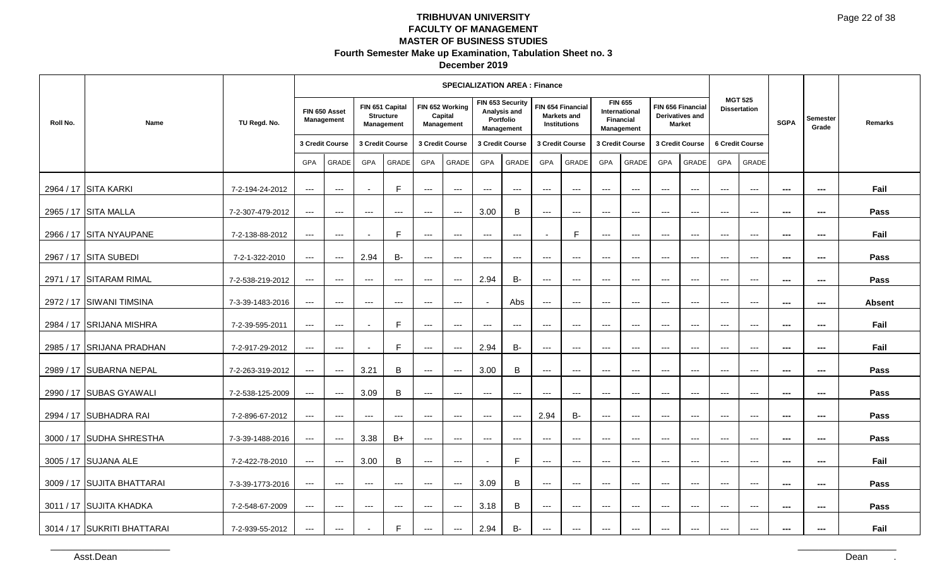|          |                             |                  |                      |                                          |                          |                                                   |                          | <b>SPECIALIZATION AREA: Finance</b>      |                     |                                                             |                          |                                                                |                        |                                                            |                                        |                                                       |                                          |                                          |                          |                          |                |
|----------|-----------------------------|------------------|----------------------|------------------------------------------|--------------------------|---------------------------------------------------|--------------------------|------------------------------------------|---------------------|-------------------------------------------------------------|--------------------------|----------------------------------------------------------------|------------------------|------------------------------------------------------------|----------------------------------------|-------------------------------------------------------|------------------------------------------|------------------------------------------|--------------------------|--------------------------|----------------|
| Roll No. | Name                        | TU Regd. No.     |                      | FIN 650 Asset<br>Management              |                          | FIN 651 Capital<br><b>Structure</b><br>Management |                          | FIN 652 Working<br>Capital<br>Management |                     | FIN 653 Security<br>Analysis and<br>Portfolio<br>Management |                          | FIN 654 Financial<br><b>Markets and</b><br><b>Institutions</b> |                        | <b>FIN 655</b><br>International<br>Financial<br>Management |                                        | FIN 656 Financial<br>Derivatives and<br><b>Market</b> |                                          | <b>MGT 525</b><br><b>Dissertation</b>    | <b>SGPA</b>              | Semester<br>Grade        | <b>Remarks</b> |
|          |                             |                  |                      | 3 Credit Course                          |                          | 3 Credit Course                                   |                          | 3 Credit Course                          |                     | 3 Credit Course                                             |                          | 3 Credit Course                                                |                        | 3 Credit Course                                            |                                        | 3 Credit Course                                       |                                          | 6 Credit Course                          |                          |                          |                |
|          |                             |                  | GPA                  | GRADE                                    | GPA                      | GRADE                                             | GPA                      | <b>GRADE</b>                             | GPA                 | <b>GRADE</b>                                                | <b>GPA</b>               | <b>GRADE</b>                                                   | GPA                    | <b>GRADE</b>                                               | GPA                                    | GRADE                                                 | <b>GPA</b>                               | GRADE                                    |                          |                          |                |
|          | 2964 / 17 SITA KARKI        | 7-2-194-24-2012  | $---$                | $\hspace{0.05cm} \ldots \hspace{0.05cm}$ |                          | F.                                                | $\scriptstyle\cdots$     | $\scriptstyle\cdots$                     | $---$               | $\scriptstyle\cdots$                                        | $\hspace{0.05cm} \ldots$ | $\hspace{0.05cm} \ldots \hspace{0.05cm}$                       | $\qquad \qquad - -$    | $--$                                                       | $\hspace{0.05cm} \ldots$               | $--$                                                  | $\hspace{0.05cm} \ldots$                 | $\hspace{0.05cm} \ldots \hspace{0.05cm}$ | ---                      | ---                      | Fail           |
|          | 2965 / 17 SITA MALLA        | 7-2-307-479-2012 | $\qquad \qquad - -$  | $\hspace{0.05cm} \ldots \hspace{0.05cm}$ | $---$                    | $---$                                             | $---$                    | $\scriptstyle\cdots$                     | 3.00                | B                                                           | $\qquad \qquad -\qquad$  | $\hspace{0.05cm} \ldots \hspace{0.05cm}$                       | $\cdots$               | $\cdots$                                                   | $\frac{1}{2}$                          | $  -$                                                 | $---$                                    | $---$                                    | $\hspace{0.05cm} \ldots$ | $\hspace{0.05cm} \ldots$ | Pass           |
|          | 2966 / 17 SITA NYAUPANE     | 7-2-138-88-2012  | $---$                | $\qquad \qquad -$                        |                          | F.                                                | $\overline{a}$           | $\overline{a}$                           | $---$               | $---$                                                       |                          | F.                                                             | $---$                  | $---$                                                      | $---$                                  | $---$                                                 | $---$                                    | $---$                                    | $\sim$                   | ---                      | Fail           |
|          | 2967 / 17 SITA SUBEDI       | 7-2-1-322-2010   | $\qquad \qquad - -$  | $\hspace{0.05cm} \ldots$                 | 2.94                     | <b>B-</b>                                         | $---$                    | $---$                                    | $\cdots$            | $\scriptstyle\cdots$                                        | $\hspace{0.05cm} \ldots$ | $\qquad \qquad - -$                                            | $\qquad \qquad - -$    | $\hspace{0.05cm} \ldots$                                   | $\hspace{0.05cm} \ldots$               | $--$                                                  | $---$                                    | $\hspace{0.05cm} \ldots$                 | ---                      | ---                      | Pass           |
|          | 2971 / 17 SITARAM RIMAL     | 7-2-538-219-2012 | $\qquad \qquad - -$  | $\hspace{0.05cm} \ldots$                 | $\qquad \qquad - -$      | $\scriptstyle \cdots$                             | $\qquad \qquad - -$      | $--$                                     | 2.94                | <b>B-</b>                                                   | $\qquad \qquad - -$      | $\qquad \qquad - -$                                            | $\qquad \qquad \cdots$ | $\qquad \qquad - -$                                        | $\cdots$                               | $\scriptstyle\cdots\scriptstyle\cdots$                | $\hspace{0.05cm} \ldots \hspace{0.05cm}$ | $\hspace{0.05cm} \ldots$                 | $\sim$                   | $\hspace{0.05cm} \ldots$ | Pass           |
|          | 2972 / 17 SIWANI TIMSINA    | 7-3-39-1483-2016 | $\qquad \qquad - -$  | $\qquad \qquad - -$                      | $\qquad \qquad - -$      | $---$                                             | $---$                    | $---$                                    |                     | Abs                                                         | $\hspace{0.05cm} \ldots$ | $\overline{\phantom{a}}$                                       | $\qquad \qquad - -$    | $\qquad \qquad - -$                                        | $\hspace{0.05cm} \ldots$               | $\hspace{0.05cm} \ldots$                              | $\hspace{0.05cm} \ldots$                 | $---$                                    | ---                      | ---                      | <b>Absent</b>  |
|          | 2984 / 17 SRIJANA MISHRA    | 7-2-39-595-2011  | $\scriptstyle\cdots$ | $\hspace{0.05cm} \ldots$                 |                          | F                                                 | $\hspace{0.05cm} \ldots$ | $\scriptstyle\cdots$                     | $---$               | $\hspace{0.05cm} \ldots$                                    | $\scriptstyle\cdots$     | $\overline{\phantom{a}}$                                       | $---$                  | $\hspace{0.05cm} \ldots$                                   | $---$                                  | $\scriptstyle\cdots$                                  | $---$                                    | $\hspace{0.05cm} \ldots$                 | ---                      | ---                      | Fail           |
|          | 2985 / 17 SRIJANA PRADHAN   | 7-2-917-29-2012  | $\qquad \qquad - -$  | $\qquad \qquad - -$                      | $\overline{\phantom{a}}$ | E                                                 | $\qquad \qquad - -$      | $\qquad \qquad - -$                      | 2.94                | <b>B-</b>                                                   | $\qquad \qquad -\qquad$  | $\qquad \qquad - -$                                            | $\cdots$               | $\qquad \qquad - -$                                        | $\frac{1}{2}$                          | $\qquad \qquad -1$                                    | $  -$                                    | $---$                                    | $\sim$                   | $\overline{\phantom{a}}$ | Fail           |
|          | 2989 / 17 SUBARNA NEPAL     | 7-2-263-319-2012 | $\qquad \qquad - -$  | $\hspace{0.05cm} \ldots \hspace{0.05cm}$ | 3.21                     | B                                                 | $\scriptstyle\cdots$     | $\scriptstyle\cdots$                     | 3.00                | B                                                           | $---$                    | $\hspace{0.05cm} \ldots$                                       | $---$                  | $\qquad \qquad - -$                                        | $\hspace{0.05cm} \ldots$               | $\hspace{0.05cm} \ldots$                              | $\hspace{0.05cm} \ldots$                 | $\hspace{0.05cm} \ldots$                 | ---                      | ---                      | Pass           |
|          | 2990 / 17 SUBAS GYAWALI     | 7-2-538-125-2009 | $---$                | $---$                                    | 3.09                     | B                                                 | $\qquad \qquad - -$      | $\overline{a}$                           | $---$               | $---$                                                       | $\qquad \qquad -\qquad$  | $\qquad \qquad - -$                                            | $\qquad \qquad - -$    | $\qquad \qquad - -$                                        | $\qquad \qquad -1$                     | $\qquad \qquad -1$                                    | $---$                                    | $\sim$ $\sim$                            | $\sim$                   | ---                      | Pass           |
|          | 2994 / 17 SUBHADRA RAI      | 7-2-896-67-2012  | $\qquad \qquad - -$  | $\hspace{0.05cm} \ldots \hspace{0.05cm}$ | $\scriptstyle\cdots$     | $---$                                             | $---$                    | $\qquad \qquad - -$                      | $\qquad \qquad - -$ | $---$                                                       | 2.94                     | <b>B-</b>                                                      | $---$                  | $---$                                                      | $\scriptstyle\cdots\scriptstyle\cdots$ | $--$                                                  | $\hspace{0.05cm} \ldots$                 | $\hspace{0.05cm} \ldots$                 | $\hspace{0.05cm} \ldots$ | $\hspace{0.05cm} \ldots$ | Pass           |
|          | 3000 / 17 SUDHA SHRESTHA    | 7-3-39-1488-2016 | $\qquad \qquad - -$  | $\hspace{0.05cm} \ldots$                 | 3.38                     | B+                                                | $---$                    | $\scriptstyle{\cdots}$                   | $\cdots$            | $\qquad \qquad - -$                                         | $---$                    | $\hspace{0.05cm} \ldots$                                       | $\cdots$               | $\scriptstyle\cdots$                                       | $\scriptstyle\cdots$                   | $\scriptstyle\cdots$                                  | $\scriptstyle\cdots$                     | $\hspace{0.05cm} \ldots$                 | $\overline{\phantom{a}}$ | ---                      | Pass           |
|          | 3005 / 17 SUJANA ALE        | 7-2-422-78-2010  | $---$                | $\overline{a}$                           | 3.00                     | B                                                 | $\scriptstyle\cdots$     | $\scriptstyle \cdots$                    |                     | E                                                           | $\scriptstyle\cdots$     | $\overline{a}$                                                 | $--$                   | $--$                                                       | $--$                                   | $--$                                                  | $\hspace{0.05cm} \ldots \hspace{0.05cm}$ | $\hspace{0.05cm} \ldots \hspace{0.05cm}$ | ---                      | ---                      | Fail           |
|          | 3009 / 17 SUJITA BHATTARAI  | 7-3-39-1773-2016 | $\scriptstyle\cdots$ | $\hspace{0.05cm} \ldots$                 | $\cdots$                 | $\scriptstyle\cdots$                              | $\qquad \qquad - -$      | $\scriptstyle\cdots$                     | 3.09                | B                                                           | $\qquad \qquad -\qquad$  | $\hspace{0.05cm} \ldots$                                       | $\qquad \qquad - -$    | $\hspace{0.05cm} \ldots$                                   | $\qquad \qquad -1$                     | $\scriptstyle\cdots$                                  | $\hspace{0.05cm} \ldots$                 | $\scriptstyle\cdots$                     | ---                      | ---                      | Pass           |
|          | 3011 / 17 SUJITA KHADKA     | 7-2-548-67-2009  | $\qquad \qquad - -$  | $\qquad \qquad - -$                      | $\cdots$                 | $---$                                             | $\qquad \qquad -$        | $--$                                     | 3.18                | B                                                           | $\scriptstyle\cdots$     | $\hspace{0.05cm} \ldots$                                       | $\qquad \qquad - -$    | $\qquad \qquad - -$                                        | $\scriptstyle\cdots\scriptstyle\cdots$ | $\scriptstyle\cdots\scriptstyle\cdots$                | $\hspace{0.05cm} \ldots \hspace{0.05cm}$ | $\hspace{0.05cm} \ldots$                 | $\overline{\phantom{a}}$ | $\overline{\phantom{a}}$ | Pass           |
|          | 3014 / 17 SUKRITI BHATTARAI | 7-2-939-55-2012  | $---$                | $\qquad \qquad -$                        |                          | E                                                 | $\qquad \qquad - -$      | $\overline{a}$                           | 2.94                | <b>B-</b>                                                   | $\qquad \qquad -\qquad$  | $\overline{a}$                                                 | $---$                  | $---$                                                      | $---$                                  | $---$                                                 | $---$                                    | $\overline{\phantom{a}}$                 | $\sim$                   | ---                      | Fail           |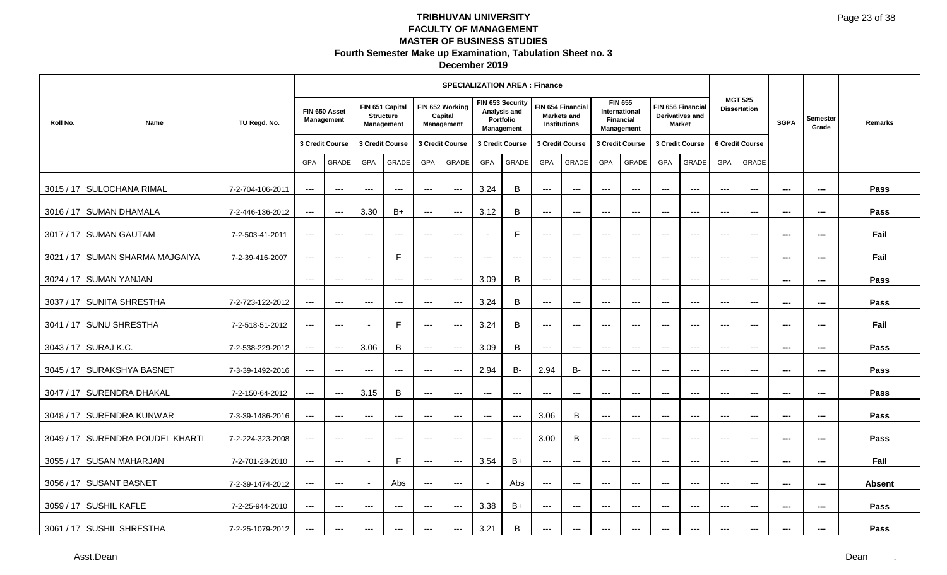|           |                                  |                  |                          |                                          |                        |                                                          |                        | <b>SPECIALIZATION AREA : Finance</b>            |                      |                                                             |                                          |                                                                |                     |                                                                   |                     |                                                       |                     |                                       |                      |                          |               |
|-----------|----------------------------------|------------------|--------------------------|------------------------------------------|------------------------|----------------------------------------------------------|------------------------|-------------------------------------------------|----------------------|-------------------------------------------------------------|------------------------------------------|----------------------------------------------------------------|---------------------|-------------------------------------------------------------------|---------------------|-------------------------------------------------------|---------------------|---------------------------------------|----------------------|--------------------------|---------------|
| Roll No.  | Name                             | TU Regd. No.     |                          | FIN 650 Asset<br>Management              |                        | FIN 651 Capital<br><b>Structure</b><br><b>Management</b> |                        | FIN 652 Working<br>Capital<br><b>Management</b> |                      | FIN 653 Security<br>Analysis and<br>Portfolio<br>Management |                                          | FIN 654 Financial<br><b>Markets and</b><br><b>Institutions</b> |                     | <b>FIN 655</b><br>International<br><b>Financial</b><br>Management |                     | FIN 656 Financial<br>Derivatives and<br><b>Market</b> |                     | <b>MGT 525</b><br><b>Dissertation</b> | <b>SGPA</b>          | <b>Semester</b><br>Grade | Remarks       |
|           |                                  |                  |                          | 3 Credit Course                          | 3 Credit Course        |                                                          |                        | 3 Credit Course                                 |                      | 3 Credit Course                                             |                                          | 3 Credit Course                                                |                     | 3 Credit Course                                                   |                     | 3 Credit Course                                       |                     | 6 Credit Course                       |                      |                          |               |
|           |                                  |                  | GPA                      | GRADE                                    | <b>GPA</b>             | GRADE                                                    | GPA                    | GRADE                                           | GPA                  | GRADE                                                       | <b>GPA</b>                               | <b>GRADE</b>                                                   | GPA                 | <b>GRADE</b>                                                      | GPA                 | <b>GRADE</b>                                          | GPA                 | GRADE                                 |                      |                          |               |
| 3015/17   | <b>SULOCHANA RIMAL</b>           | 7-2-704-106-2011 | $\qquad \qquad - -$      | $\hspace{0.05cm} \ldots \hspace{0.05cm}$ | $---$                  | $--$                                                     | $\qquad \qquad - -$    | $--$                                            | 3.24                 | B                                                           | $\hspace{0.05cm} \ldots \hspace{0.05cm}$ | $\hspace{0.05cm} \ldots$                                       | $---$               | $---$                                                             | $---$               | $\overline{a}$                                        | $---$               | $\overline{a}$                        | $- - -$              | $\overline{\phantom{a}}$ | Pass          |
|           | 3016 / 17 SUMAN DHAMALA          | 7-2-446-136-2012 | $\qquad \qquad - -$      | $\qquad \qquad - -$                      | 3.30                   | $B+$                                                     | $---$                  | $--$                                            | 3.12                 | B                                                           | $\qquad \qquad - -$                      | $\qquad \qquad \cdots$                                         | $\qquad \qquad - -$ | $\qquad \qquad - -$                                               | $\qquad \qquad - -$ | $\qquad \qquad - -$                                   | $\qquad \qquad - -$ | $\hspace{0.05cm} \ldots$              | $\scriptstyle\cdots$ | ---                      | Pass          |
|           | 3017 / 17 SUMAN GAUTAM           | 7-2-503-41-2011  | $\qquad \qquad - -$      | $\hspace{0.05cm} \ldots$                 | $---$                  | $\qquad \qquad \cdots$                                   | $---$                  | $\scriptstyle\cdots\scriptstyle\cdots$          |                      | $\mathsf{F}$                                                | $---$                                    | $---$                                                          | $---$               | $---$                                                             | $---$               | $---$                                                 | $---$               | $---$                                 | $- - -$              | $\sim$                   | Fail          |
| 3021 / 17 | <b>SUMAN SHARMA MAJGAIYA</b>     | 7-2-39-416-2007  | $---$                    | $\hspace{0.05cm} \ldots \hspace{0.05cm}$ |                        | F.                                                       | $\qquad \qquad - -$    | $--$                                            | $---$                | $\qquad \qquad - -$                                         | $\qquad \qquad - -$                      | $\hspace{0.05cm} \ldots$                                       | $---$               | $\scriptstyle\cdots$                                              | $---$               | $\overline{a}$                                        | $---$               | $\overline{a}$                        | $- - -$              | $- - -$                  | Fail          |
|           | 3024 / 17 SUMAN YANJAN           |                  | $\qquad \qquad - -$      | $\qquad \qquad - -$                      | $\qquad \qquad \cdots$ | $\qquad \qquad \cdots$                                   | $\qquad \qquad \cdots$ | $\hspace{0.05cm} \ldots$                        | 3.09                 | B                                                           | $\qquad \qquad - -$                      | $\qquad \qquad \cdots$                                         | $\qquad \qquad - -$ | $\qquad \qquad - -$                                               | $\qquad \qquad - -$ | $\qquad \qquad - -$                                   | $\qquad \qquad - -$ | $\hspace{0.05cm} \ldots$              | $\scriptstyle\cdots$ | ---                      | Pass          |
|           | 3037 / 17 SUNITA SHRESTHA        | 7-2-723-122-2012 | $\hspace{0.05cm} \ldots$ | $\hspace{0.05cm} \ldots$                 | $---$                  | $\qquad \qquad - -$                                      | $---$                  | $--$                                            | 3.24                 | $\, {\bf B}$                                                | $---$                                    | $\hspace{0.05cm} \ldots$                                       | $---$               | $\hspace{0.05cm} \ldots$                                          | $---$               | $---$                                                 | $---$               | $\scriptstyle\cdots$                  | $\sim$               | $\hspace{0.05cm} \ldots$ | Pass          |
| 3041 / 17 | <b>SUNU SHRESTHA</b>             | 7-2-518-51-2012  | $---$                    | $\hspace{0.05cm} \ldots \hspace{0.05cm}$ |                        | E                                                        | $\qquad \qquad - -$    | $--$                                            | 3.24                 | B                                                           | $\hspace{0.05cm} \ldots$                 | $\hspace{0.05cm} \ldots$                                       | $---$               | $\scriptstyle\cdots$                                              | $---$               | $\overline{a}$                                        | $---$               | $\overline{a}$                        | $- - -$              | $\overline{\phantom{a}}$ | Fail          |
|           | 3043 / 17 SURAJ K.C.             | 7-2-538-229-2012 | $\qquad \qquad - -$      | $\qquad \qquad - -$                      | 3.06                   | B                                                        | $---$                  | $--$                                            | 3.09                 | B                                                           | $\qquad \qquad - -$                      | $\qquad \qquad \cdots$                                         | $\qquad \qquad - -$ | $\qquad \qquad - -$                                               | $\qquad \qquad - -$ | $\qquad \qquad - -$                                   | $\qquad \qquad - -$ | $\hspace{0.05cm} \ldots$              | $\scriptstyle\cdots$ | ---                      | Pass          |
|           | 3045 / 17 SURAKSHYA BASNET       | 7-3-39-1492-2016 | $\qquad \qquad - -$      | $\qquad \qquad - -$                      | $---$                  | $\qquad \qquad - -$                                      | $---$                  | $\hspace{0.05cm} \ldots \hspace{0.05cm}$        | 2.94                 | <b>B-</b>                                                   | 2.94                                     | <b>B-</b>                                                      | $---$               | $\qquad \qquad -$                                                 | $---$               | $---$                                                 | $---$               | $---$                                 | $- - -$              | $\sim$                   | Pass          |
| 3047 / 17 | <b>SURENDRA DHAKAL</b>           | 7-2-150-64-2012  | $---$                    | $\qquad \qquad - -$                      | 3.15                   | B                                                        | $\qquad \qquad - -$    | $\qquad \qquad -1$                              | $\qquad \qquad - -$  | $\qquad \qquad - -$                                         | $\qquad \qquad - -$                      | $\qquad \qquad - -$                                            | $---$               | $---$                                                             | $---$               | $\overline{a}$                                        | $\overline{a}$      | $\overline{a}$                        | $- - -$              | ---                      | Pass          |
|           | 3048 / 17 SURENDRA KUNWAR        | 7-3-39-1486-2016 | $\hspace{0.05cm} \ldots$ | $\qquad \qquad - -$                      | $\qquad \qquad \cdots$ | $\qquad \qquad \cdots$                                   | $\qquad \qquad \cdots$ | $\scriptstyle\cdots\scriptstyle\cdots$          | $\qquad \qquad - -$  | $\hspace{0.05cm} \ldots \hspace{0.05cm}$                    | 3.06                                     | B                                                              | $\qquad \qquad - -$ | $\qquad \qquad - -$                                               | $\qquad \qquad - -$ | $\qquad \qquad - -$                                   | $\qquad \qquad - -$ | $\hspace{0.05cm} \ldots$              | $\scriptstyle\cdots$ | ---                      | Pass          |
|           | 3049 / 17 SURENDRA POUDEL KHARTI | 7-2-224-323-2008 | $--$                     | $\hspace{0.05cm} \ldots$                 | $---$                  | $\qquad \qquad - -$                                      | $\qquad \qquad -$      | $\hspace{0.05cm} \ldots \hspace{0.05cm}$        | $\scriptstyle\cdots$ | $---$                                                       | 3.00                                     | B                                                              | $---$               | $\hspace{0.05cm} \ldots$                                          | $---$               | $\hspace{0.05cm} \ldots$                              | $---$               | $\scriptstyle\cdots$                  | $\sim$               | $\hspace{0.05cm} \ldots$ | Pass          |
| 3055 / 17 | <b>SUSAN MAHARJAN</b>            | 7-2-701-28-2010  | $---$                    | $\hspace{0.05cm} \ldots \hspace{0.05cm}$ |                        | E                                                        | $\qquad \qquad - -$    | $--$                                            | 3.54                 | $B+$                                                        | $\hspace{0.05cm} \ldots$                 | $\hspace{0.05cm} \ldots$                                       | $---$               | $\scriptstyle\cdots$                                              | $---$               | $\overline{a}$                                        | $---$               | $\overline{a}$                        | $- - -$              | $- - -$                  | Fail          |
|           | 3056 / 17 SUSANT BASNET          | 7-2-39-1474-2012 | $\qquad \qquad - -$      | $\qquad \qquad - -$                      |                        | Abs                                                      | $---$                  | $\scriptstyle\cdots\scriptstyle\cdots$          |                      | Abs                                                         | $\qquad \qquad - -$                      | $\qquad \qquad - -$                                            | $\qquad \qquad - -$ | $\qquad \qquad - -$                                               | $\qquad \qquad - -$ | $\qquad \qquad - -$                                   | $\qquad \qquad - -$ | $\hspace{0.05cm} \ldots$              | $\scriptstyle\cdots$ | ---                      | <b>Absent</b> |
|           | 3059 / 17 SUSHIL KAFLE           | 7-2-25-944-2010  | $\qquad \qquad - -$      | $\hspace{0.05cm} \ldots$                 | $---$                  | $\qquad \qquad - -$                                      | $---$                  | $--$                                            | 3.38                 | $B+$                                                        | $---$                                    | $\hspace{0.05cm} \ldots$                                       | $---$               | $\qquad \qquad -$                                                 | $---$               | $\qquad \qquad - -$                                   | $---$               | $\scriptstyle\cdots$                  | $- - -$              | $\hspace{0.05cm} \ldots$ | Pass          |
|           | 3061 / 17 SUSHIL SHRESTHA        | 7-2-25-1079-2012 | $\qquad \qquad - -$      | $\qquad \qquad - -$                      | $---$                  | $--$                                                     | $---$                  | $--$                                            | 3.21                 | B                                                           | $\hspace{0.05cm} \ldots \hspace{0.05cm}$ | $\hspace{0.05cm} \ldots \hspace{0.05cm}$                       | $---$               | $---$                                                             | $---$               | $---$                                                 | $---$               | $\overline{a}$                        | $- - -$              | $\overline{\phantom{a}}$ | Pass          |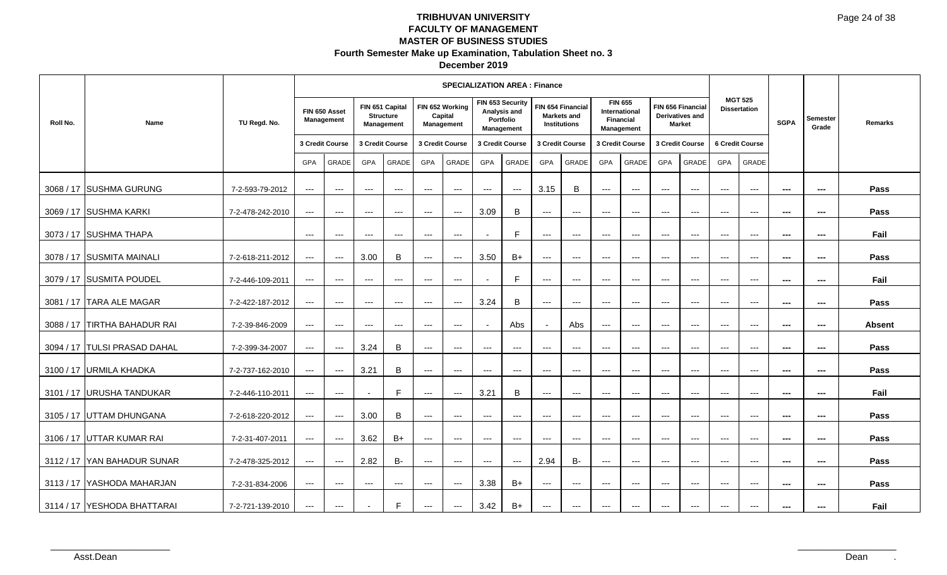|           |                              |                  |                          |                                          |                          |                                                          |                        | <b>SPECIALIZATION AREA: Finance</b>      |                      |                                         |                                          |                                          |                        |                                                                   |                          |                                                              |                          |                                          |                          |                          |         |
|-----------|------------------------------|------------------|--------------------------|------------------------------------------|--------------------------|----------------------------------------------------------|------------------------|------------------------------------------|----------------------|-----------------------------------------|------------------------------------------|------------------------------------------|------------------------|-------------------------------------------------------------------|--------------------------|--------------------------------------------------------------|--------------------------|------------------------------------------|--------------------------|--------------------------|---------|
| Roll No.  | Name                         | TU Regd. No.     |                          | FIN 650 Asset<br>Management              |                          | FIN 651 Capital<br><b>Structure</b><br><b>Management</b> |                        | FIN 652 Working<br>Capital<br>Management | FIN 653 Security     | Analysis and<br>Portfolio<br>Management | <b>Institutions</b>                      | FIN 654 Financial<br><b>Markets and</b>  |                        | <b>FIN 655</b><br>International<br><b>Financial</b><br>Management |                          | FIN 656 Financial<br><b>Derivatives and</b><br><b>Market</b> |                          | <b>MGT 525</b><br><b>Dissertation</b>    | <b>SGPA</b>              | Semester<br>Grade        | Remarks |
|           |                              |                  |                          | 3 Credit Course                          |                          | 3 Credit Course                                          |                        | 3 Credit Course                          | 3 Credit Course      |                                         | 3 Credit Course                          |                                          |                        | 3 Credit Course                                                   |                          | 3 Credit Course                                              |                          | 6 Credit Course                          |                          |                          |         |
|           |                              |                  | <b>GPA</b>               | GRADE                                    | <b>GPA</b>               | GRADE                                                    | <b>GPA</b>             | GRADE                                    | <b>GPA</b>           | GRADE                                   | <b>GPA</b>                               | <b>GRADE</b>                             | <b>GPA</b>             | <b>GRADE</b>                                                      | <b>GPA</b>               | <b>GRADE</b>                                                 | <b>GPA</b>               | <b>GRADE</b>                             |                          |                          |         |
|           | 3068 / 17 SUSHMA GURUNG      | 7-2-593-79-2012  | $\qquad \qquad - -$      | $\qquad \qquad - -$                      | $\qquad \qquad \cdots$   | $\qquad \qquad \cdots$                                   | $\qquad \qquad - -$    | $\scriptstyle\cdots\scriptstyle\cdots$   | $\qquad \qquad - -$  | $--$                                    | 3.15                                     | B                                        | $\qquad \qquad - -$    | $\qquad \qquad - -$                                               | $\qquad \qquad - -$      | $\qquad \qquad - -$                                          | $\qquad \qquad - -$      | $\hspace{0.05cm} \ldots$                 | $\sim$                   | $\sim$                   | Pass    |
|           | 3069 / 17 SUSHMA KARKI       | 7-2-478-242-2010 | $---$                    | $\qquad \qquad - -$                      | $\qquad \qquad - -$      | $\cdots$                                                 | $\qquad \qquad - -$    | $\qquad \qquad -1$                       | 3.09                 | B                                       | $\cdots$                                 | $\qquad \qquad - -$                      | $---$                  | $\hspace{0.05cm} \ldots$                                          | $\cdots$                 | $\cdots$                                                     | $\qquad \qquad - -$      | $\qquad \qquad -\qquad$                  | $\sim$                   | $\sim$                   | Pass    |
|           | 3073 / 17 SUSHMA THAPA       |                  | $--$                     | $\qquad \qquad - -$                      | $\qquad \qquad \cdots$   | $\qquad \qquad \cdots$                                   | $\qquad \qquad \cdots$ | $--$                                     | $\blacksquare$       | F                                       | $\qquad \qquad - -$                      | $\hspace{0.05cm} \ldots$                 | $\cdots$               | $\hspace{0.05cm} \ldots$                                          | $\qquad \qquad - -$      | $\qquad \qquad - -$                                          | $\qquad \qquad - -$      | $\hspace{0.05cm} \ldots$                 | $\overline{\phantom{a}}$ | $\qquad \qquad \cdots$   | Fail    |
|           | 3078 / 17 SUSMITA MAINALI    | 7-2-618-211-2012 | $\hspace{0.05cm} \ldots$ | $\qquad \qquad - -$                      | 3.00                     | B                                                        | $\qquad \qquad \cdots$ | $\hspace{0.05cm} \ldots$                 | 3.50                 | $B+$                                    | $\qquad \qquad - -$                      | $\qquad \qquad - -$                      | $\qquad \qquad - -$    | $\qquad \qquad - -$                                               | $\qquad \qquad - -$      | $\qquad \qquad - -$                                          | $\qquad \qquad - -$      | $\hspace{0.05cm} \ldots$                 | $\sim$                   | $\hspace{0.05cm} \ldots$ | Pass    |
|           | 3079 / 17 SUSMITA POUDEL     | 7-2-446-109-2011 | $\qquad \qquad - -$      | $---$                                    | $---$                    | $\qquad \qquad \cdots$                                   | $---$                  | $\qquad \qquad - -$                      |                      | F.                                      | $---$                                    | $---$                                    | $---$                  | $---$                                                             | $---$                    | $---$                                                        | $---$                    | $\cdots$                                 | $- - -$                  | $- - -$                  | Fail    |
|           | 3081 / 17   TARA ALE MAGAR   | 7-2-422-187-2012 | $\qquad \qquad - -$      | $\qquad \qquad - -$                      | $\qquad \qquad - -$      | $\hspace{0.05cm} \ldots$                                 | $---$                  | $\hspace{0.05cm} \ldots$                 | 3.24                 | $\mathsf B$                             | $\qquad \qquad - -$                      | $\hspace{0.05cm} \ldots \hspace{0.05cm}$ | $\qquad \qquad - -$    | $\qquad \qquad - -$                                               | $\qquad \qquad - -$      | $\qquad \qquad - -$                                          | $\qquad \qquad - -$      | $\hspace{0.05cm} \ldots$                 | $\scriptstyle\cdots$     | ---                      | Pass    |
| 3088 / 17 | <b>TIRTHA BAHADUR RAI</b>    | 7-2-39-846-2009  | $--$                     | $\qquad \qquad - -$                      | $\qquad \qquad - -$      | $\qquad \qquad \cdots$                                   | $\qquad \qquad \cdots$ | $\scriptstyle\cdots\scriptstyle\cdots$   |                      | Abs                                     |                                          | Abs                                      | $\qquad \qquad - -$    | $\qquad \qquad - -$                                               | $\qquad \qquad - -$      | $\qquad \qquad - -$                                          | $\qquad \qquad \cdots$   | $\hspace{0.05cm} \ldots$                 | $\sim$                   | $\hspace{0.05cm} \ldots$ | Absent  |
|           | 3094 / 17 TULSI PRASAD DAHAL | 7-2-399-34-2007  | $\qquad \qquad - -$      | $\hspace{0.05cm} \ldots$                 | 3.24                     | B                                                        | $\qquad \qquad - -$    | $\scriptstyle\cdots$                     | $---$                | $---$                                   | $---$                                    | $\hspace{0.05cm} \ldots$                 | $\scriptstyle{\cdots}$ | $\qquad \qquad - -$                                               | $\qquad \qquad - -$      | $\qquad \qquad - -$                                          | $\scriptstyle\cdots$     | $\hspace{0.05cm} \ldots \hspace{0.05cm}$ | $\hspace{0.05cm} \ldots$ | ---                      | Pass    |
| 3100/17   | <b>URMILA KHADKA</b>         | 7-2-737-162-2010 | $\qquad \qquad - -$      | $\cdots$                                 | 3.21                     | B                                                        | $\cdots$               | $\cdots$                                 | $\cdots$             | $\cdots$                                | $\cdots$                                 | $\qquad \qquad -\qquad -$                | $\cdots$               | $\cdots$                                                          | $---$                    | $\cdots$                                                     | $\cdots$                 | $---$                                    | $\hspace{0.05cm} \ldots$ | ---                      | Pass    |
|           | 3101 / 17 URUSHA TANDUKAR    | 7-2-446-110-2011 | $\qquad \qquad - -$      | $\qquad \qquad - -$                      | $\overline{\phantom{a}}$ | E                                                        | $---$                  | $\scriptstyle\cdots\scriptstyle\cdots$   | 3.21                 | B                                       | $\qquad \qquad - -$                      | $---$                                    | $\qquad \qquad -$      | $---$                                                             | $\qquad \qquad - -$      | $\qquad \qquad - -$                                          | $---$                    | $\cdots$                                 | $\sim$ $\sim$            | $\hspace{0.05cm} \ldots$ | Fail    |
|           | 3105 / 17 UTTAM DHUNGANA     | 7-2-618-220-2012 | $\qquad \qquad - -$      | $\hspace{0.05cm} \ldots$                 | 3.00                     | B                                                        | $\qquad \qquad \cdots$ | $--$                                     | $\scriptstyle\cdots$ | $\scriptstyle\cdots$                    | $---$                                    | $\hspace{0.05cm} \ldots$                 | $---$                  | $---$                                                             | $\qquad \qquad - -$      | $\qquad \qquad - -$                                          | $\scriptstyle{\cdots}$   | $\scriptstyle\cdots$                     | $\qquad \qquad \cdots$   | ---                      | Pass    |
|           | 3106 / 17 UTTAR KUMAR RAI    | 7-2-31-407-2011  | $\qquad \qquad - -$      | $\hspace{0.05cm} \ldots \hspace{0.05cm}$ | 3.62                     | $B+$                                                     | $---$                  | $\hspace{0.05cm} \ldots$                 | $---$                | $---$                                   | $\hspace{0.05cm} \ldots \hspace{0.05cm}$ | $\hspace{0.05cm} \ldots \hspace{0.05cm}$ | $---$                  | $\qquad \qquad - -$                                               | $\overline{\phantom{a}}$ | $\overline{\phantom{a}}$                                     | $\overline{\phantom{a}}$ | $\overline{\phantom{a}}$                 | $- - -$                  | ---                      | Pass    |
| 3112/17   | <b>YAN BAHADUR SUNAR</b>     | 7-2-478-325-2012 | $\qquad \qquad - -$      | $\hspace{0.05cm} \ldots$                 | 2.82                     | <b>B-</b>                                                | $---$                  | $---$                                    | $---$                | $\hspace{0.05cm} \ldots$                | 2.94                                     | <b>B-</b>                                | $---$                  | $---$                                                             | $---$                    | $---$                                                        | $---$                    | $---$                                    | $- - -$                  | $- - -$                  | Pass    |
|           | 3113 / 17 YASHODA MAHARJAN   | 7-2-31-834-2006  | $\qquad \qquad - -$      | $\qquad \qquad - -$                      | ---                      | $\hspace{0.05cm} \ldots$                                 | $\qquad \qquad - -$    | $\hspace{0.05cm} \ldots$                 | 3.38                 | $B+$                                    | $\qquad \qquad - -$                      | $\qquad \qquad - -$                      | $\qquad \qquad \cdots$ | $\qquad \qquad \cdots$                                            | $\qquad \qquad - -$      | $\qquad \qquad - -$                                          | $\qquad \qquad \cdots$   | $\hspace{0.05cm} \ldots$                 | $\hspace{0.05cm} \ldots$ | $\sim$                   | Pass    |
|           | 3114 / 17 YESHODA BHATTARAI  | 7-2-721-139-2010 | $---$                    | $\qquad \qquad - -$                      |                          | F                                                        | $---$                  | $\qquad \qquad -1$                       | 3.42                 | $B+$                                    | $---$                                    | $---$                                    | $---$                  | $---$                                                             | $---$                    | $---$                                                        | $---$                    | $\qquad \qquad -\qquad$                  | $\sim$                   | $\sim$                   | Fail    |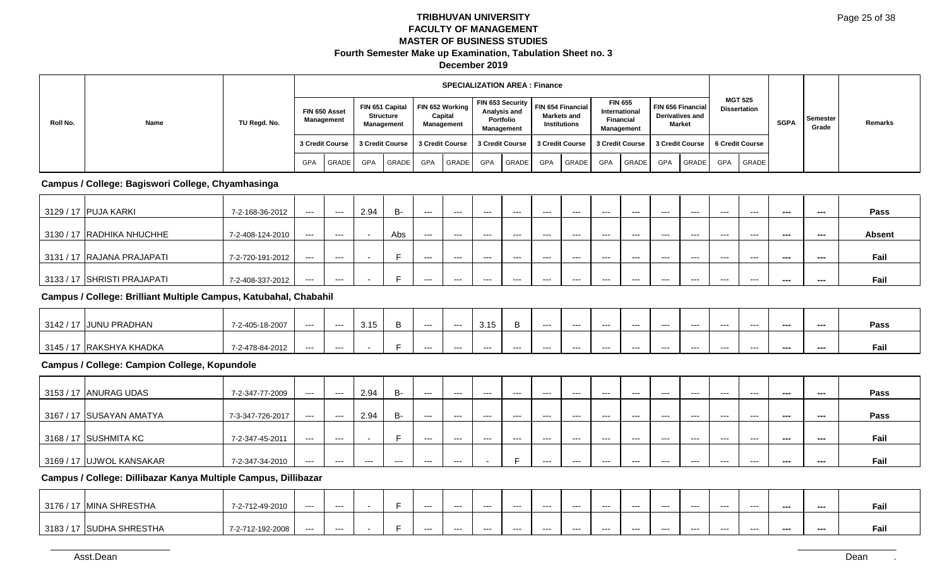| Roll No. |      |              |                             |                 |            |                                            |                 | <b>SPECIALIZATION AREA: Finance</b>      |            |                                         |     |                                                                            |     |                                                                   |            |                                                       |            |                                       |             |                   |         |
|----------|------|--------------|-----------------------------|-----------------|------------|--------------------------------------------|-----------------|------------------------------------------|------------|-----------------------------------------|-----|----------------------------------------------------------------------------|-----|-------------------------------------------------------------------|------------|-------------------------------------------------------|------------|---------------------------------------|-------------|-------------------|---------|
|          | Name | TU Regd. No. | FIN 650 Asset<br>Management |                 |            | FIN 651 Capital<br>Structure<br>Management |                 | FIN 652 Working<br>Capital<br>Management |            | Analysis and<br>Portfolio<br>Management |     | FIN 653 Security   FIN 654 Financial<br>Markets and<br><b>Institutions</b> |     | <b>FIN 655</b><br>International<br><b>Financial</b><br>Management |            | FIN 656 Financial<br><b>Derivatives and</b><br>Market |            | <b>MGT 525</b><br><b>Dissertation</b> | <b>SGPA</b> | Semester<br>Grade | Remarks |
|          |      |              |                             | 3 Credit Course |            | 3 Credit Course                            | 3 Credit Course |                                          |            | 3 Credit Course   3 Credit Course       |     |                                                                            |     |                                                                   |            | 3 Credit Course   3 Credit Course   6 Credit Course   |            |                                       |             |                   |         |
|          |      |              | <b>GPA</b>                  | GRADE           | <b>GPA</b> | <b>GRADE</b>                               | <b>GPA</b>      | <b>GRADE</b>                             | <b>GPA</b> | <b>GRADE</b>                            | GPA | GRADE                                                                      | GPA | <b>GRADE</b>                                                      | <b>GPA</b> | <b>GRADE</b>                                          | <b>GPA</b> | <b>GRADE</b>                          |             |                   |         |

### **Campus / College: Bagiswori College, Chyamhasinga**

| 3129 / 17   PUJA KARKI      | 7-2-168-36-2012  | $---$ | $---$ | 2.94 | B-  | ---   | $---$ | $---$ | $---$ | $---$ | $---$ | $--$ | $--$  | $--$  | $---$ | $- - -$ | $- - -$ | --- | ---     | Pass          |
|-----------------------------|------------------|-------|-------|------|-----|-------|-------|-------|-------|-------|-------|------|-------|-------|-------|---------|---------|-----|---------|---------------|
|                             |                  |       |       |      |     |       |       |       |       |       |       |      |       |       |       |         |         |     |         |               |
| 3130 / 17 RADHIKA NHUCHHE   | 7-2-408-124-2010 | ---   | $--$  |      | Abs | $---$ | ---   | ---   | ---   | $---$ | $---$ | $--$ | $---$ | $--$  | $--$  | $---$   | $---$   | --- | ---     | <b>Absent</b> |
|                             |                  |       |       |      |     |       |       |       |       |       |       |      |       |       |       |         |         |     |         |               |
| 3131 / 17 RAJANA PRAJAPATI  | 7-2-720-191-2012 | $---$ | $---$ |      |     | $---$ | $---$ | $---$ | $---$ | ---   | $---$ | $--$ | $---$ | $---$ | $---$ | $- - -$ | $- - -$ | --- | $- - -$ | Fail          |
|                             |                  |       |       |      |     |       |       |       |       |       |       |      |       |       |       |         |         |     |         |               |
| 3133 / 17 SHRISTI PRAJAPATI | 7-2-408-337-2012 | $---$ | $---$ |      |     | $---$ | $---$ | $---$ | $---$ | ---   | $---$ | $--$ | ---   | $---$ | $---$ | $- - -$ | $- - -$ | --- | ---     | Fail          |

### **Campus / College: Brilliant Multiple Campus, Katubahal, Chabahil**

| 3142/17   | JUNU PRADHAN      | 7-2-405-18-2007 | --- | ---   | 3.15 | --- | ---   | 3.15 |       | ----  | $-- -$ | ---  | $- - -$ | ---   | ---   | ---  | $- - -$ | ---     | --- | Pass |
|-----------|-------------------|-----------------|-----|-------|------|-----|-------|------|-------|-------|--------|------|---------|-------|-------|------|---------|---------|-----|------|
|           |                   |                 |     |       |      |     |       |      |       |       |        |      |         |       |       |      |         |         |     |      |
| 3145 / 17 | ' IRAKSHYA KHADKA | 7-2-478-84-2012 | --- | $---$ |      | --- | $---$ | ---  | $---$ | $---$ | $---$  | $--$ | $--$    | $---$ | $---$ | $--$ | $--$    | $- - -$ | --- | Fail |

# **Campus / College: Campion College, Kopundole**

| 3153 / 17 ANURAG UDAS        | 7-2-347-77-2009  | $---$ | $--$  | 2.94  | B-   | $--$    | $--$ | $--$ | $---$ | $---$ | $---$   | $--$    | $--$  | $- - -$ | $--$    | $--$    | $--$    | --- | --- | Pass |
|------------------------------|------------------|-------|-------|-------|------|---------|------|------|-------|-------|---------|---------|-------|---------|---------|---------|---------|-----|-----|------|
|                              |                  |       |       |       |      |         |      |      |       |       |         |         |       |         |         |         |         |     |     |      |
| 3167 / 17 SUSAYAN AMATYA     | 7-3-347-726-2017 | $---$ | $--$  | 2.94  | B-   | $- - -$ | ---  | ---  | $--$  | $---$ | $- - -$ | ---     | ---   | $- - -$ | $- - -$ | ---     | $--$    | --- | --- | Pass |
|                              |                  |       |       |       |      |         |      |      |       |       |         |         |       |         |         |         |         |     |     |      |
| $\mid$ 3168 / 17 SUSHMITA KC | 7-2-347-45-2011  | $---$ | $---$ |       |      | $--$    | $--$ | ---  | $--$  | $---$ | $---$   | $--$    | ---   | $--$    | $---$   | ---     | $- - -$ | --- | --- | Fail |
|                              |                  |       |       |       |      |         |      |      |       |       |         |         |       |         |         |         |         |     |     |      |
| 3169 / 17 UJWOL KANSAKAR     | 7-2-347-34-2010  | $---$ | $---$ | $---$ | $--$ | $--$    | ---  |      | -     | ---   | $---$   | $- - -$ | $---$ | $- - -$ | $---$   | $- - -$ | $---$   | --- | --- | Fail |

### **Campus / College: Dillibazar Kanya Multiple Campus, Dillibazar**

| 3176 / 17 MINA SHRESTHA  | 7-2-712-49-2010  | --- | --- |  | --- | --- | ---- | --- | --- | $--$ | ---     | $--$  | $--$ | $--$ | $--$ | $--$  | --- | ---- | ган  |
|--------------------------|------------------|-----|-----|--|-----|-----|------|-----|-----|------|---------|-------|------|------|------|-------|-----|------|------|
| 3183 / 17 SUDHA SHRESTHA | 7-2-712-192-2008 | --- | --- |  | --- | --- | ---  | --- | --- | ---  | $- - -$ | $---$ | ---  | ---  | ---  | $---$ | --- | ---  | гaн. |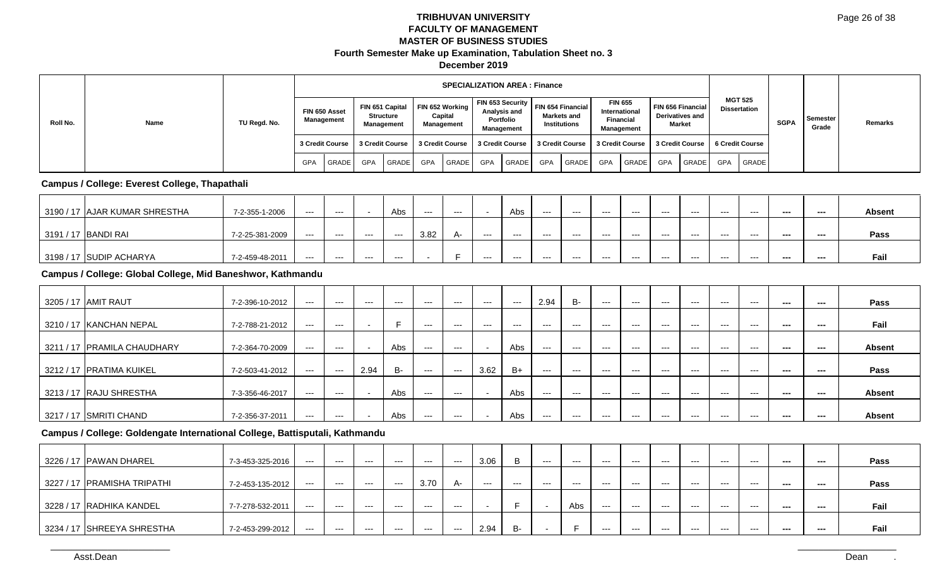|          |      |              |                 |            |                 |                                                   |            | <b>SPECIALIZATION AREA: Finance</b>      |            |                                                |            |                                                                              |     |                                                                   |     |                                                       |            |                                       |             |                   |         |
|----------|------|--------------|-----------------|------------|-----------------|---------------------------------------------------|------------|------------------------------------------|------------|------------------------------------------------|------------|------------------------------------------------------------------------------|-----|-------------------------------------------------------------------|-----|-------------------------------------------------------|------------|---------------------------------------|-------------|-------------------|---------|
| Roll No. | Name | TU Regd. No. | FIN 650 Asset   | Management |                 | FIN 651 Capital<br>Structure<br><b>Management</b> |            | FIN 652 Working<br>Capital<br>Management |            | Analysis and<br>Portfolio<br><b>Management</b> |            | FIN 653 Security   FIN 654 Financial I<br>Markets and<br><b>Institutions</b> |     | <b>FIN 655</b><br>International<br><b>Financial</b><br>Management |     | FIN 656 Financial<br><b>Derivatives and</b><br>Market |            | <b>MGT 525</b><br><b>Dissertation</b> | <b>SGPA</b> | Semester<br>Grade | Remarks |
|          |      |              | 3 Credit Course |            | 3 Credit Course |                                                   |            | 3 Credit Course                          |            | 3 Credit Course                                |            | 3 Credit Course                                                              |     |                                                                   |     | 3 Credit Course   3 Credit Course                     |            | 6 Credit Course                       |             |                   |         |
|          |      |              | GPA             | GRADE      | <b>GPA</b>      | GRADE                                             | <b>GPA</b> | GRADE                                    | <b>GPA</b> | <b>GRADE</b>                                   | <b>GPA</b> | GRADE                                                                        | GPA | GRADE                                                             | GPA | <b>GRADE</b>                                          | <b>GPA</b> | <b>GRADE</b>                          |             |                   |         |

### **Campus / College: Everest College, Thapathali**

| 3190 / 17 AJAR KUMAR SHRESTHA | 7-2-355-1-2006  | ---   | $--$    |       | Abs   | $--$ | ---  |       | Abs   | $---$ | $---$ | $--$  | $--$  | $--$  | ---     | $---$   | $--$  | $- - -$ | --- | <b>Absent</b> |
|-------------------------------|-----------------|-------|---------|-------|-------|------|------|-------|-------|-------|-------|-------|-------|-------|---------|---------|-------|---------|-----|---------------|
| 3191 / 17 BANDI RAI           | 7-2-25-381-2009 | $---$ | $---$   | ---   | $---$ | 3.82 | $A-$ | $---$ | ---   | $---$ | ---   | $---$ | $---$ | $---$ | $---$   | $- - -$ | $---$ | ---     | --- | Pass          |
| 3198 / 17 SUDIP ACHARYA       | 7-2-459-48-2011 | ---   | $- - -$ | $---$ | $--$  |      |      | ---   | $---$ | ---   | $---$ | $---$ | $---$ | $--$  | $- - -$ | ---     | ---   | ---     | --- | Fail          |

# **Campus / College: Global College, Mid Baneshwor, Kathmandu**

| 3205 / 17 AMIT RAUT         | 7-2-396-10-2012 | $---$   | $---$   | $--$ | $--$ | $---$ | $--$  | $--$  | $---$ | 2.94  | <b>B-</b> | $--$    | $---$ | $---$   | $---$   | $---$   | $---$   | --- | --- | Pass          |
|-----------------------------|-----------------|---------|---------|------|------|-------|-------|-------|-------|-------|-----------|---------|-------|---------|---------|---------|---------|-----|-----|---------------|
| 3210 / 17 KANCHAN NEPAL     | 7-2-788-21-2012 | $---$   | $- - -$ |      | -    | $--$  | ---   | $---$ | $---$ | $---$ | $--$      | $---$   | $---$ | $--$    | $--$    | $--$    | $--$    | --- | --- | Fail          |
| 3211 / 17 PRAMILA CHAUDHARY | 7-2-364-70-2009 | $---$   | $- - -$ |      | Abs  | $--$  | ---   |       | Abs   | $--$  | $--$      | $---$   | $---$ | $--$    | $--$    | $--$    | $--$    | --- | --- | <b>Absent</b> |
| 3212 / 17   PRATIMA KUIKEL  | 7-2-503-41-2012 | $---$   | $---$   | 2.94 | B-   | $---$ | $---$ | 3.62  | $B+$  | $---$ | $---$     | $---$   | $---$ | $---$   | $---$   | $---$   | $---$   | --- | --- | Pass          |
| 3213 / 17 RAJU SHRESTHA     | 7-3-356-46-2017 | $- - -$ | $- - -$ |      | Abs  | $--$  | ---   |       | Abs   | $--$  | $--$      | $- - -$ | $---$ | $- - -$ | $--$    | $--$    | $--$    | --- | --- | <b>Absent</b> |
| 3217 / 17 SMRITI CHAND      | 7-2-356-37-2011 | $---$   | $--$    |      | Abs  | $--$  | ---   |       | Abs   | $---$ | ---       | $--$    | $--$  | $- - -$ | $- - -$ | $- - -$ | $- - -$ | --- | --- | <b>Absent</b> |

### **Campus / College: Goldengate International College, Battisputali, Kathmandu**

| 3226 / 17   PAWAN DHAREL    | 7-3-453-325-2016 | ---   | $---$ | $---$ | $---$ | $---$ | $---$ | 3.06  | В     | $---$ | $--$ | $--$    | $--$  | $---$   | $---$ | $---$   | $---$   | --- | --- | Pass |
|-----------------------------|------------------|-------|-------|-------|-------|-------|-------|-------|-------|-------|------|---------|-------|---------|-------|---------|---------|-----|-----|------|
|                             |                  |       |       |       |       |       |       |       |       |       |      |         |       |         |       |         |         |     |     |      |
| 3227 / 17 PRAMISHA TRIPATHI | 7-2-453-135-2012 | ---   | $---$ | $---$ | $---$ | 3.70  | $A-$  | $---$ | $---$ | $---$ | $--$ | $--$    | $--$  | $---$   | $---$ | $---$   | $---$   | --- | --- | Pass |
|                             |                  |       |       |       |       |       |       |       |       |       |      |         |       |         |       |         |         |     |     |      |
| 3228 / 17 RADHIKA KANDEL    | 7-7-278-532-2011 | ---   | $---$ | $---$ | $---$ | $---$ | $---$ |       |       |       | Abs  | $--$    | $---$ | $---$   | $---$ | $---$   | $---$   | --- | --- | Fail |
|                             |                  |       |       |       |       |       |       |       |       |       |      |         |       |         |       |         |         |     |     |      |
| 3234 / 17 SHREEYA SHRESTHA  | 7-2-453-299-2012 | $---$ | $---$ | ---   | $--$  | $--$  | $--$  | 2.94  | B-    |       |      | $- - -$ | $--$  | $- - -$ | $--$  | $- - -$ | $- - -$ | --- | --- | Fail |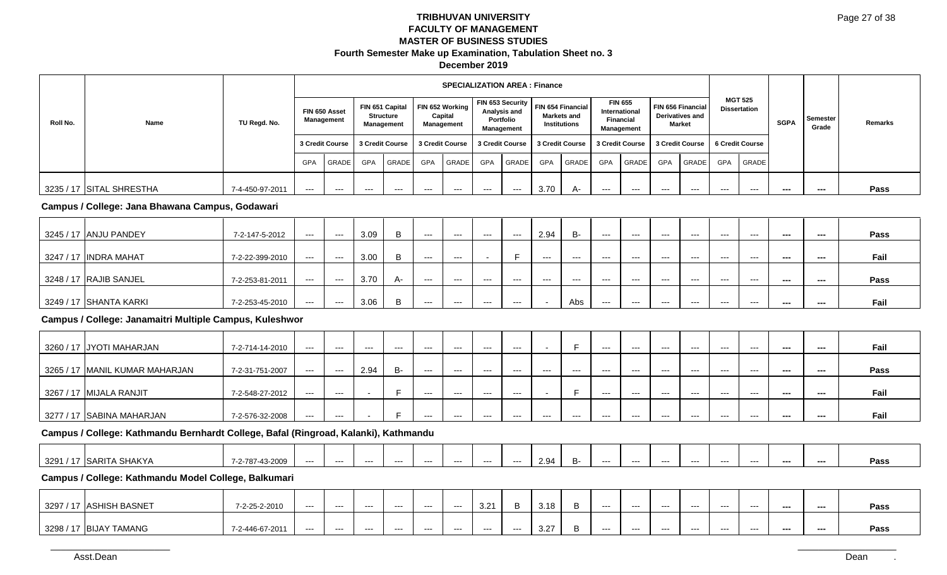|          |                          |                 |     |                                   |     |                                            |                 | <b>SPECIALIZATION AREA: Finance</b>      |     |                                                             |      |                                                  |                                   |                                     |                                                       |         |                 |                                       |             |                          |         |
|----------|--------------------------|-----------------|-----|-----------------------------------|-----|--------------------------------------------|-----------------|------------------------------------------|-----|-------------------------------------------------------------|------|--------------------------------------------------|-----------------------------------|-------------------------------------|-------------------------------------------------------|---------|-----------------|---------------------------------------|-------------|--------------------------|---------|
| Roll No. | Name                     | TU Regd. No.    |     | FIN 650 Asset<br>Management       |     | FIN 651 Capital<br>Structure<br>Management |                 | FIN 652 Working<br>Capital<br>Management |     | FIN 653 Security<br>Analysis and<br>Portfolio<br>Management |      | FIN 654 Financial<br>Markets and<br>Institutions | International<br><b>Financial</b> | <b>FIN 655</b><br><b>Management</b> | FIN 656 Financial<br><b>Derivatives and</b><br>Market |         |                 | <b>MGT 525</b><br><b>Dissertation</b> | <b>SGPA</b> | <b>Semester</b><br>Grade | Remarks |
|          |                          |                 |     | 3 Credit Course   3 Credit Course |     |                                            | 3 Credit Course |                                          |     | 3 Credit Course                                             |      | 3 Credit Course                                  | 3 Credit Course                   |                                     | 3 Credit Course                                       |         | 6 Credit Course |                                       |             |                          |         |
|          |                          |                 | GPA | <b>GRADE</b>                      | GPA | <b>GRADE</b>                               | GPA             | <b>GRADE</b>                             | GPA | <b>GRADE</b>                                                | GPA  | GRADE                                            | <b>GPA</b>                        | <b>GRADE</b>                        | <b>GPA</b>                                            | GRADE   | <b>GPA</b>      | GRADE                                 |             |                          |         |
|          | 3235 / 17 SITAL SHRESTHA | 7-4-450-97-2011 | --- | ---                               | --- | ---                                        | ---             | ---                                      | --- | $---$                                                       | 3.70 | A-                                               | $---$                             | ---                                 | $- - -$                                               | $- - -$ | $- - -$         | $- - -$                               | ---         | ---                      | Pass    |

### **Campus / College: Jana Bhawana Campus, Godawari**

| 3245 / 17 ANJU PANDEY  | 7-2-147-5-2012  | $---$ | $---$ | 3.09 | $--$ | $---$ | ---   | $---$ | 2.94  | B-   | $- - -$ | $- - -$ | $---$ | $---$ | $---$ | $---$ | $- - -$ | --- | Pass |
|------------------------|-----------------|-------|-------|------|------|-------|-------|-------|-------|------|---------|---------|-------|-------|-------|-------|---------|-----|------|
| 3247 / 17 INDRA MAHAT  | 7-2-22-399-2010 | $---$ | $---$ | 3.00 | $--$ | $---$ |       |       | $---$ | $--$ | $- - -$ | $--$    | $---$ | ---   | $---$ | $---$ | ---     | --- | Fail |
| 3248 / 17 RAJIB SANJEL | 7-2-253-81-2011 | $---$ | $---$ | 3.70 | $--$ | $--$  | ---   | ---   | ---   | $--$ | $--$    | $--$    | $--$  | ---   | $---$ | $---$ | ---     | --- | Pass |
| 3249 / 17 SHANTA KARKI | 7-2-253-45-2010 | $---$ | $---$ | 3.06 | ---  | $---$ | $---$ | ---   |       | Abs  | $--$    | $---$   | $---$ | $---$ | $---$ | $---$ | ---     | --- | Fail |

### **Campus / College: Janamaitri Multiple Campus, Kuleshwor**

| 3260 / 17 JYOTI MAHARJAN       | 7-2-714-14-2010 | $---$ | $---$ | $---$ | $--$ | $--$  | $--$  | $--$  | $--$  |       |      | $--$ | $--$  | $--$  | $--$  | $--$  | $--$ | --- | --- | Fail |
|--------------------------------|-----------------|-------|-------|-------|------|-------|-------|-------|-------|-------|------|------|-------|-------|-------|-------|------|-----|-----|------|
| 3265 / 17 MANIL KUMAR MAHARJAN | 7-2-31-751-2007 | ---   | $---$ | 2.94  | B-   | $---$ | $---$ | $---$ | $---$ | $---$ | $--$ | $--$ | $--$  | $---$ | $---$ | ---   | $--$ | --- | --- | Pass |
| 3267 / 17 MIJALA RANJIT        | 7-2-548-27-2012 | $---$ | $---$ |       |      | $--$  | $---$ | $--$  | $--$  |       |      | $--$ | $---$ | $--$  | $---$ | $--$  | $--$ | --- | --- | Fail |
| 3277 / 17 SABINA MAHARJAN      | 7-2-576-32-2008 | ---   | $---$ |       |      | $---$ | $---$ | $---$ | $---$ | $---$ | $--$ | $--$ | $--$  | $---$ | $---$ | $---$ | ---  | --- | --- | Fail |

### **Campus / College: Kathmandu Bernhardt College, Bafal (Ringroad, Kalanki), Kathmandu**

| 3291/17<br>81/V/<br>SARIL,<br>. v 1<br>HAN | 87-43-2009<br>$\sim$ $\sim$ $\sim$ $\sim$ | --- | --- | --- | ---- | $- - -$ | --- | ---- | --- | 2 Q4 | .<br>n- | ---- | --- | --- | --- | --- | --- | --- | --- | Pass |
|--------------------------------------------|-------------------------------------------|-----|-----|-----|------|---------|-----|------|-----|------|---------|------|-----|-----|-----|-----|-----|-----|-----|------|
|--------------------------------------------|-------------------------------------------|-----|-----|-----|------|---------|-----|------|-----|------|---------|------|-----|-----|-----|-----|-----|-----|-----|------|

### **Campus / College: Kathmandu Model College, Balkumari**

| 3297 / 17 ASHISH BASNET | 7-2-25-2-2010   | ---- | ---   | --- | --- | ---- | --- | 3.21 |     | 3.18        | ---  | $--$ | --- | ---   | ---  | $- - -$ | $- - -$ | --- | Pass |
|-------------------------|-----------------|------|-------|-----|-----|------|-----|------|-----|-------------|------|------|-----|-------|------|---------|---------|-----|------|
| 3298 / 17 BIJAY TAMANG  | 7-2-446-67-2011 | ---  | $---$ | --- | --- | ---  | --- | ---  | --- | 3.27<br>ے.ت | $--$ | $--$ | --- | $---$ | $--$ | $--$    | $\sim$  | --- | Pass |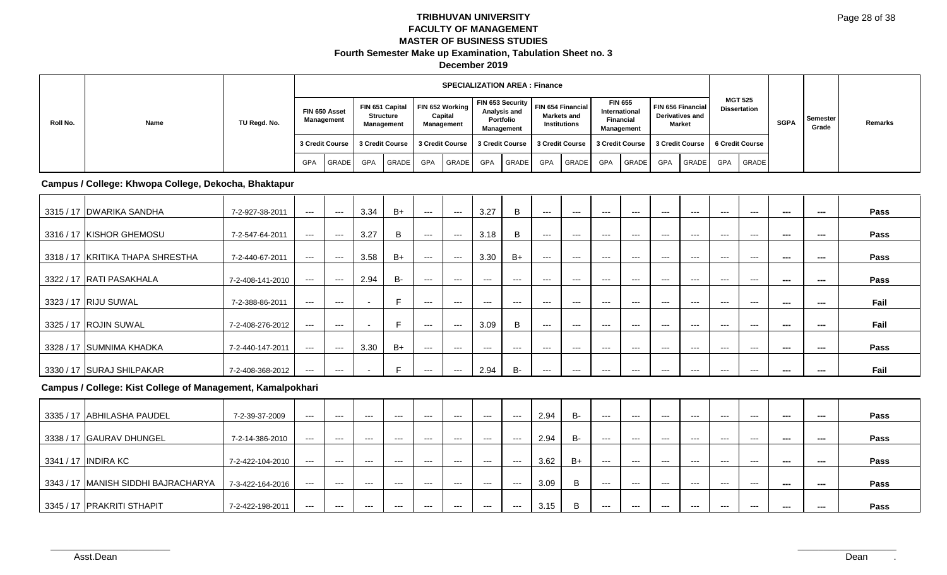|          |      |              |                 |            |            |                                                   |            | <b>SPECIALIZATION AREA: Finance</b>      |            |                                         |            |                                                                              |                  |                                               |     |                                                       |            |                                       |             |                   |         |
|----------|------|--------------|-----------------|------------|------------|---------------------------------------------------|------------|------------------------------------------|------------|-----------------------------------------|------------|------------------------------------------------------------------------------|------------------|-----------------------------------------------|-----|-------------------------------------------------------|------------|---------------------------------------|-------------|-------------------|---------|
| Roll No. | Name | TU Regd. No. | FIN 650 Asset   | Management |            | FIN 651 Capital<br>Structure<br><b>Management</b> |            | FIN 652 Working<br>Capital<br>Management |            | Analysis and<br>Portfolio<br>Management |            | FIN 653 Security   FIN 654 Financial I<br>Markets and<br><b>Institutions</b> | <b>Financial</b> | <b>FIN 655</b><br>International<br>Management |     | FIN 656 Financial<br><b>Derivatives and</b><br>Market |            | <b>MGT 525</b><br><b>Dissertation</b> | <b>SGPA</b> | Semester<br>Grade | Remarks |
|          |      |              | 3 Credit Course |            |            | 3 Credit Course                                   |            | 3 Credit Course   3 Credit Course        |            |                                         |            | 3 Credit Course   3 Credit Course   3 Credit Course   6 Credit Course        |                  |                                               |     |                                                       |            |                                       |             |                   |         |
|          |      |              | <b>GPA</b>      | GRADE      | <b>GPA</b> | <b>GRADE</b>                                      | <b>GPA</b> | GRADE                                    | <b>GPA</b> | <b>GRADE</b>                            | <b>GPA</b> | <b>GRADE</b>                                                                 | GPA              | <b>GRADE</b>                                  | GPA | <b>GRADE</b>                                          | <b>GPA</b> | GRADE                                 |             |                   |         |

#### **Campus / College: Khwopa College, Dekocha, Bhaktapur**

| 3315 / 17 DWARIKA SANDHA         | 7-2-927-38-2011  | $---$ | $---$ | 3.34                     | B+        | $--$  | $---$ | 3.27  | B     | $---$ | $--$  | $---$ | $---$ | $--$  | $--$  | $---$ | $---$ | --- | ---    | Pass        |
|----------------------------------|------------------|-------|-------|--------------------------|-----------|-------|-------|-------|-------|-------|-------|-------|-------|-------|-------|-------|-------|-----|--------|-------------|
| 3316 / 17 KISHOR GHEMOSU         | 7-2-547-64-2011  | ---   | $--$  | 3.27                     | B         | $---$ | $---$ | 3.18  | B     | $---$ | $--$  | $---$ | $---$ | $--$  | $---$ | $---$ | $---$ | --- | ---    | Pass        |
| 3318 / 17 KRITIKA THAPA SHRESTHA | 7-2-440-67-2011  | $--$  | ---   | 3.58                     | $B+$      | $---$ | $---$ | 3.30  | $B+$  | $---$ | $--$  | ---   | $---$ | $---$ | $---$ | $---$ | $---$ | --- | ---    | Pass        |
| 3322 / 17 RATI PASAKHALA         | 7-2-408-141-2010 | $--$  | $---$ | 2.94                     | <b>B-</b> | $---$ | $--$  | $--$  | $---$ | $---$ | $--$  | $---$ | $--$  | $---$ | $---$ | $---$ | $---$ | --- | ---    | Pass        |
| 3323 / 17 RIJU SUWAL             | 7-2-388-86-2011  | $--$  | $--$  |                          | Е         | $---$ | $---$ | $---$ | $--$  | $---$ | $--$  | $---$ | $---$ | $---$ | $---$ | $---$ | $---$ | --- | $\sim$ | Fail        |
| 3325 / 17 ROJIN SUWAL            | 7-2-408-276-2012 | ---   | ---   |                          | Е         | $---$ | $---$ | 3.09  | B     | $---$ | $---$ | $---$ | $---$ | $---$ | $---$ | $---$ | $---$ | --- | $\sim$ | Fail        |
| 3328 / 17 SUMNIMA KHADKA         | 7-2-440-147-2011 | ---   | $---$ | 3.30                     | $B+$      | $---$ | $---$ | $---$ | $---$ | $---$ | $--$  | $---$ | $---$ | $---$ | $---$ | $---$ | $---$ | --- | $\sim$ | <b>Pass</b> |
| 3330 / 17 SURAJ SHILPAKAR        | 7-2-408-368-2012 | ---   | $--$  | $\overline{\phantom{a}}$ | F         | $---$ | $---$ | 2.94  | B-    | $---$ | $---$ | $---$ | $---$ | $---$ | ---   | $---$ | $---$ | --- | ---    | Fail        |

# **Campus / College: Kist College of Management, Kamalpokhari**

| 3335 / 17 ABHILASHA PAUDEL          | 7-2-39-37-2009   | ---   | $---$   | $---$ | $--$  | $--$  | $--$  | $--$  | $--$  | 2.94 | <b>B-</b> | $--$ | $--$ | $--$  | $--$  | $--$  | $--$  | ---     | --- | Pass |
|-------------------------------------|------------------|-------|---------|-------|-------|-------|-------|-------|-------|------|-----------|------|------|-------|-------|-------|-------|---------|-----|------|
| 3338 / 17 GAURAV DHUNGEL            | 7-2-14-386-2010  | $---$ | $---$   | $---$ | $---$ | $---$ | $---$ | $---$ | $---$ | 2.94 | B-        | $--$ | $--$ | $---$ | $---$ | $---$ | $--$  | $- - -$ | --- | Pass |
| 3341 / 17 INDIRA KC                 | 7-2-422-104-2010 | $---$ | $---$   | $---$ | $--$  | $--$  | $--$  | $--$  | $--$  | 3.62 | $B+$      | $--$ | $--$ | $--$  | $--$  | $--$  | $--$  | $- - -$ | --- | Pass |
| 3343 / 17 MANISH SIDDHI BAJRACHARYA | 7-3-422-164-2016 | $---$ | $- - -$ | $---$ | $---$ | $---$ | $---$ | $--$  | $---$ | 3.09 | B         | $--$ | $--$ | $---$ | $---$ | $---$ | ---   | ---     | --- | Pass |
| 3345 / 17 PRAKRITI STHAPIT          | 7-2-422-198-2011 | ---   | $---$   | $---$ | $---$ | $---$ | $---$ | $---$ | ---   | 3.15 | B         | $--$ | $--$ | $---$ | $---$ | $---$ | $---$ | $- - -$ | --- | Pass |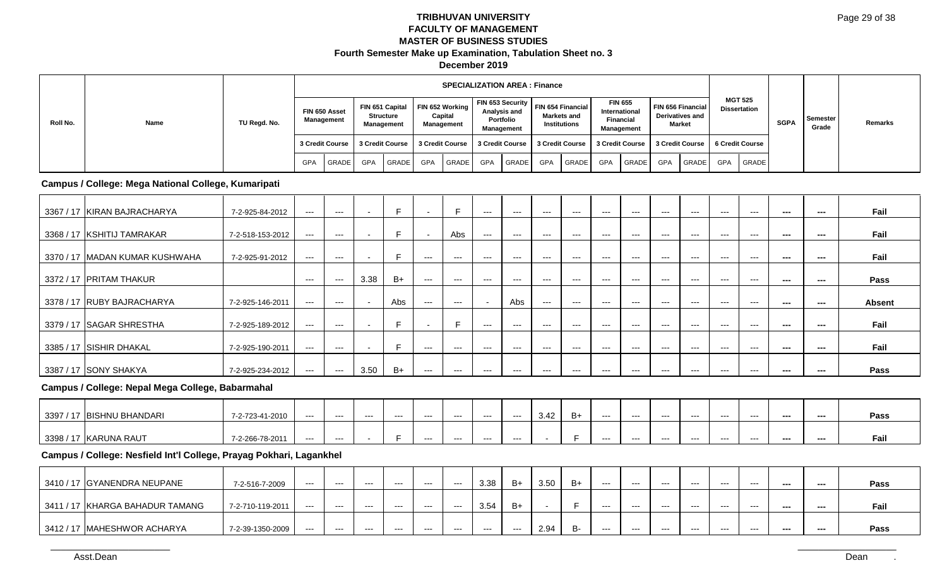|          |      |              |                 |            |                 |                                            |            | <b>SPECIALIZATION AREA: Finance</b>      |            |                                         |                 |                                                                                     |                  |                                               |     |                                                       |            |                                       |             |                   |         |
|----------|------|--------------|-----------------|------------|-----------------|--------------------------------------------|------------|------------------------------------------|------------|-----------------------------------------|-----------------|-------------------------------------------------------------------------------------|------------------|-----------------------------------------------|-----|-------------------------------------------------------|------------|---------------------------------------|-------------|-------------------|---------|
| Roll No. | Name | TU Regd. No. | FIN 650 Asset   | Management |                 | FIN 651 Capital<br>Structure<br>Management |            | FIN 652 Working<br>Capital<br>Management |            | Analysis and<br>Portfolio<br>Management |                 | FIN 653 Security   FIN 654 Financial I<br><b>Markets and</b><br><b>Institutions</b> | <b>Financial</b> | <b>FIN 655</b><br>International<br>Management |     | FIN 656 Financial<br><b>Derivatives and</b><br>Market |            | <b>MGT 525</b><br><b>Dissertation</b> | <b>SGPA</b> | Semester<br>Grade | Remarks |
|          |      |              | 3 Credit Course |            | 3 Credit Course |                                            |            | 3 Credit Course                          |            | 3 Credit Course                         | 3 Credit Course |                                                                                     |                  |                                               |     | 3 Credit Course   3 Credit Course                     |            | 6 Credit Course                       |             |                   |         |
|          |      |              | GPA             | GRADE      | <b>GPA</b>      | <b>GRADE</b>                               | <b>GPA</b> | GRADE                                    | <b>GPA</b> | <b>GRADE</b>                            | <b>GPA</b>      | <b>GRADE</b>                                                                        | GPA              | <b>GRADE</b>                                  | GPA | <b>GRADE</b>                                          | <b>GPA</b> | <b>GRADE</b>                          |             |                   |         |

#### **Campus / College: Mega National College, Kumaripati**

| 3367 / 17 KIRAN BAJRACHARYA    | 7-2-925-84-2012  | $---$ | $---$ |      |      |       |       | $---$ | $---$ | $---$ | $---$ | $---$ | $--$  | $---$ | $---$ | $---$ | $--$  | ---    | --- | Fail          |
|--------------------------------|------------------|-------|-------|------|------|-------|-------|-------|-------|-------|-------|-------|-------|-------|-------|-------|-------|--------|-----|---------------|
| 3368 / 17 KSHITIJ TAMRAKAR     | 7-2-518-153-2012 | $---$ | $--$  |      |      |       | Abs   | $---$ | ---   | $---$ | $---$ | $---$ | $---$ | $---$ | $---$ | $--$  | $---$ | ---    | --- | Fail          |
| 3370 / 17 MADAN KUMAR KUSHWAHA | 7-2-925-91-2012  | $---$ | $---$ |      |      | $---$ | $---$ | ---   | $---$ | $---$ | $--$  | $---$ | $---$ | ---   | $---$ | $---$ | $---$ | ---    | --- | Fail          |
| 3372 / 17 PRITAM THAKUR        |                  | ----  | $--$  | 3.38 | $B+$ | $---$ | $---$ | ---   | $---$ | $--$  | $--$  | $---$ | $---$ | $---$ | $---$ | $---$ | $---$ | ---    | --- | <b>Pass</b>   |
| 3378 / 17 RUBY BAJRACHARYA     | 7-2-925-146-2011 | $---$ | $--$  |      | Abs  | $---$ | $---$ |       | Abs   | $---$ | $--$  | $---$ | $---$ | $---$ | $---$ | $--$  | $---$ | ---    | --- | <b>Absent</b> |
| 3379 / 17 SAGAR SHRESTHA       | 7-2-925-189-2012 | $---$ | $---$ |      |      |       |       | $---$ | $---$ | $---$ | $---$ | $---$ | $--$  | $---$ | $---$ | $---$ | $---$ | ---    | --- | Fail          |
| 3385 / 17 SISHIR DHAKAL        | 7-2-925-190-2011 | $---$ | $---$ |      |      | $---$ | $---$ | $---$ | $---$ | $--$  | $--$  | $---$ | $---$ | $---$ | $---$ | $--$  | $--$  | $\sim$ | --- | Fail          |
| 3387 / 17 SONY SHAKYA          | 7-2-925-234-2012 | $---$ | $---$ | 3.50 | $B+$ | $---$ | $---$ | ---   | ---   | $--$  | $---$ | $---$ | $---$ | $---$ | $---$ | $--$  | $---$ | ---    | --- | Pass          |

#### **Campus / College: Nepal Mega College, Babarmahal**

|           | 3397 / 17 BISHNU BHANDARI | 7-2-723-41-2010 | --- | $- - -$ | --- | --- | --- | ---   | --- | ---   | 3.42 | - B+ | $--$ | $--$ | $---$ | --- | --- | ---   | --- | --- | Pass |
|-----------|---------------------------|-----------------|-----|---------|-----|-----|-----|-------|-----|-------|------|------|------|------|-------|-----|-----|-------|-----|-----|------|
|           |                           |                 |     |         |     |     |     |       |     |       |      |      |      |      |       |     |     |       |     |     |      |
|           |                           |                 |     |         |     |     |     |       |     |       |      |      |      |      |       |     |     |       |     |     |      |
| 3398 / 17 | ∕  KARUNA RAUT            | 7-2-266-78-2011 | --- | $---$   |     |     | --- | $---$ | --- | $---$ |      |      | $--$ | $--$ | $---$ | --- | --- | $---$ | --- | --- | Fail |

### **Campus / College: Nesfield Int'l College, Prayag Pokhari, Lagankhel**

| 3410 / 17 GYANENDRA NEUPANE     | 7-2-516-7-2009   | $---$ | ---   | ---   | $--$    | ---   | $--$  | 3.38 | B+    | 3.5C | B+  | $- - -$ | $--$ | $- - -$ | $--$  | $- - -$ | $- - -$ | $- - -$ | --- | Pass |
|---------------------------------|------------------|-------|-------|-------|---------|-------|-------|------|-------|------|-----|---------|------|---------|-------|---------|---------|---------|-----|------|
| 3411 / 17 KHARGA BAHADUR TAMANG | 7-2-710-119-2011 | $---$ | $---$ | $---$ | $---$   | $---$ | $---$ | 3.54 | B+    |      |     | $--$    | $--$ | $---$   | $---$ | $--$    | $--$    | ---     | --- | Fail |
| 3412 / 17 MAHESHWOR ACHARYA     | 7-2-39-1350-2009 | $---$ | ---   | ---   | $- - -$ | ---   | $--$  | ---  | $---$ | 2.94 | - B | $--$    | $--$ | $--$    | $--$  | $--$    | $--$    | ---     | --- | Pass |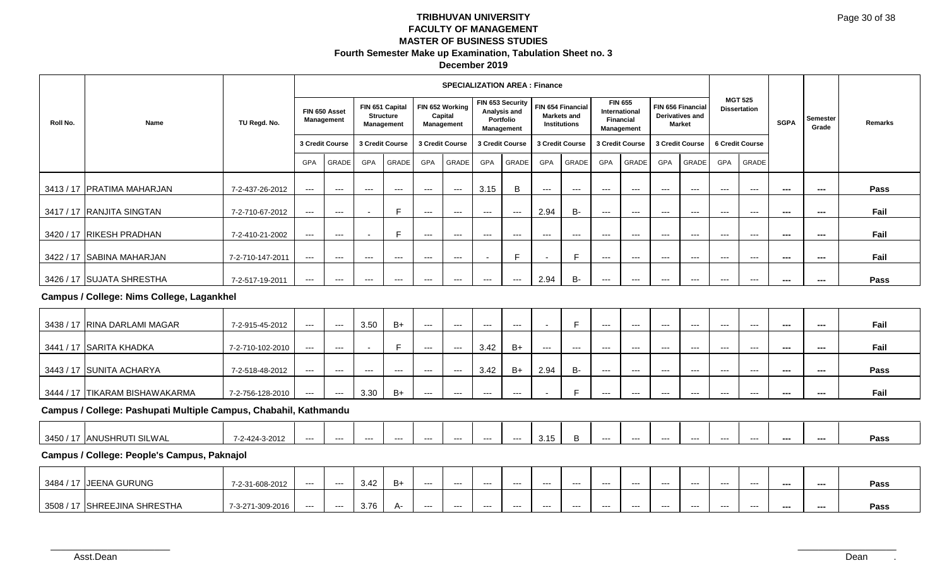|          |                                                                  |                  |                          |                             |                          |                                        |                          | <b>SPECIALIZATION AREA: Finance</b>      |                     |                                                             |                                          |                        |                                                     |                          |                     |                                                              |                                          |                                          |                          |                          |         |
|----------|------------------------------------------------------------------|------------------|--------------------------|-----------------------------|--------------------------|----------------------------------------|--------------------------|------------------------------------------|---------------------|-------------------------------------------------------------|------------------------------------------|------------------------|-----------------------------------------------------|--------------------------|---------------------|--------------------------------------------------------------|------------------------------------------|------------------------------------------|--------------------------|--------------------------|---------|
| Roll No. | Name                                                             | TU Regd. No.     |                          | FIN 650 Asset<br>Management | FIN 651 Capital          | <b>Structure</b><br><b>Management</b>  |                          | FIN 652 Working<br>Capital<br>Management |                     | FIN 653 Security<br>Analysis and<br>Portfolio<br>Management | FIN 654 Financial<br><b>Institutions</b> | Markets and            | <b>FIN 655</b><br>International<br><b>Financial</b> | Management               |                     | <b>FIN 656 Financial</b><br>Derivatives and<br><b>Market</b> |                                          | <b>MGT 525</b><br><b>Dissertation</b>    | <b>SGPA</b>              | <b>Semester</b><br>Grade | Remarks |
|          |                                                                  |                  |                          | 3 Credit Course             | 3 Credit Course          |                                        | 3 Credit Course          |                                          | 3 Credit Course     |                                                             | 3 Credit Course                          |                        | 3 Credit Course                                     |                          | 3 Credit Course     |                                                              |                                          | <b>6 Credit Course</b>                   |                          |                          |         |
|          |                                                                  |                  | GPA                      | GRADE                       | GPA                      | GRADE                                  | GPA                      | GRADE                                    | GPA                 | GRADE                                                       | GPA                                      | GRADE                  | <b>GPA</b>                                          | GRADE                    | <b>GPA</b>          | GRADE                                                        | <b>GPA</b>                               | <b>GRADE</b>                             |                          |                          |         |
|          | 3413 / 17 PRATIMA MAHARJAN                                       | 7-2-437-26-2012  | $\overline{\phantom{a}}$ | $\overline{\phantom{a}}$    | $---$                    | $\hspace{0.05cm} \ldots$               | $\hspace{0.05cm} \ldots$ | $---$                                    | 3.15                | B                                                           | ---                                      | $\qquad \qquad - -$    | $\qquad \qquad \cdots$                              | $---$                    | ---                 | $---$                                                        | $\hspace{0.05cm} \ldots \hspace{0.05cm}$ | $\hspace{0.05cm} \ldots \hspace{0.05cm}$ | $- - -$                  | ---                      | Pass    |
|          | 3417 / 17 RANJITA SINGTAN                                        | 7-2-710-67-2012  | $\scriptstyle\cdots$     | $- - -$                     |                          | E                                      | $---$                    | $  -$                                    | $---$               | $\hspace{0.05cm} \ldots$                                    | 2.94                                     | <b>B-</b>              | $---$                                               | $\hspace{0.05cm} \ldots$ | $---$               | $\scriptstyle{\cdots}$                                       | $---$                                    | $\qquad \qquad - -$                      | $\overline{\phantom{a}}$ | $\overline{\phantom{a}}$ | Fail    |
|          | 3420 / 17 RIKESH PRADHAN                                         | 7-2-410-21-2002  | $--$                     | $\hspace{0.05cm} \ldots$    |                          | E                                      | $\hspace{0.05cm} \ldots$ | $\qquad \qquad - -$                      | $\qquad \qquad - -$ | $\qquad \qquad \cdots$                                      | $\qquad \qquad - -$                      | $\qquad \qquad - -$    | $\qquad \qquad \cdots$                              | $---$                    | $---$               | $---$                                                        | $\qquad \qquad - -$                      | $\qquad \qquad - -$                      | $\sim$                   | ---                      | Fail    |
|          | 3422 / 17 SABINA MAHARJAN                                        | 7-2-710-147-2011 | $--$                     | $---$                       | $---$                    | $\scriptstyle\cdots\scriptstyle\cdots$ | $---$                    | $\cdots$                                 |                     | E                                                           |                                          | E                      | ---                                                 | $---$                    | $\qquad \qquad - -$ | $\cdots$                                                     | $---$                                    | $\cdots$                                 | $\overline{\phantom{a}}$ | $\overline{\phantom{a}}$ | Fail    |
|          | 3426 / 17 SUJATA SHRESTHA                                        | 7-2-517-19-2011  | $--$                     | $\hspace{0.05cm} \ldots$    | $\hspace{0.05cm} \ldots$ | $\scriptstyle \cdots$ .                | $\qquad \qquad - -$      | $--$                                     | $\qquad \qquad - -$ | $\hspace{0.05cm} \ldots \hspace{0.05cm}$                    | 2.94                                     | <b>B-</b>              | $\qquad \qquad - -$                                 | $\scriptstyle\cdots$     | ---                 | $\scriptstyle\cdots$                                         | $\qquad \qquad - -$                      | $\qquad \qquad - -$                      | $\sim$                   | ---                      | Pass    |
|          | Campus / College: Nims College, Lagankhel                        |                  |                          |                             |                          |                                        |                          |                                          |                     |                                                             |                                          |                        |                                                     |                          |                     |                                                              |                                          |                                          |                          |                          |         |
|          | 3438 / 17 RINA DARLAMI MAGAR                                     | 7-2-915-45-2012  | $--$                     | $---$                       | 3.50                     | $B+$                                   | $\hspace{0.05cm} \ldots$ | $\qquad \qquad - -$                      | $---$               | $\hspace{0.05cm} \ldots$                                    |                                          | F                      | $\qquad \qquad \cdots$                              | $\hspace{0.05cm} \ldots$ | $---$               | $---$                                                        | $\hspace{0.05cm} \ldots \hspace{0.05cm}$ | $\hspace{0.05cm} \ldots$                 | $\sim$                   | $\sim$                   | Fail    |
|          | 3441 / 17 SARITA KHADKA                                          | 7-2-710-102-2010 | $--$                     | $---$                       |                          | F.                                     | $\hspace{0.05cm} \ldots$ | $\hspace{0.05cm} \ldots$                 | 3.42                | $B+$                                                        | $\qquad \qquad - -$                      | $\qquad \qquad \cdots$ | $\qquad \qquad - -$                                 | $---$                    | $---$               | $---$                                                        | $\qquad \qquad - -$                      | $\hspace{0.05cm} \ldots$                 | $\sim$                   | ---                      | Fail    |
|          | 3443 / 17 SUNITA ACHARYA                                         | 7-2-518-48-2012  | $\hspace{0.05cm} \ldots$ | $\hspace{0.05cm} \ldots$    | $\hspace{0.05cm} \ldots$ | $---$                                  | $---$                    | $  -$                                    | 3.42                | $B+$                                                        | 2.94                                     | <b>B-</b>              | $\qquad \qquad - -$                                 | $---$                    | $\cdots$            | $\cdots$                                                     | $\cdots$                                 | $- - -$                                  | $\overline{\phantom{a}}$ | $\overline{\phantom{a}}$ | Pass    |
|          | 3444 / 17 TIKARAM BISHAWAKARMA                                   | 7-2-756-128-2010 | $\hspace{0.05cm} \ldots$ | $\overline{a}$              | 3.30                     | $B+$                                   | $---$                    | $\hspace{0.05cm} \ldots$                 | $---$               | $\qquad \qquad - -$                                         |                                          | E                      | ---                                                 | $\scriptstyle\cdots$     | $---$               | $\qquad \qquad - -$                                          | $---$                                    | $\hspace{0.05cm} \ldots$                 | $\overline{\phantom{a}}$ | ---                      | Fail    |
|          | Campus / College: Pashupati Multiple Campus, Chabahil, Kathmandu |                  |                          |                             |                          |                                        |                          |                                          |                     |                                                             |                                          |                        |                                                     |                          |                     |                                                              |                                          |                                          |                          |                          |         |
|          | 3450 / 17 ANUSHRUTI SILWAL                                       | 7-2-424-3-2012   | $--$                     | $\hspace{0.05cm} \ldots$    | $\qquad \qquad -\qquad$  | $\cdots$                               | $\hspace{0.05cm} \ldots$ | $\qquad \qquad - -$                      | $\qquad \qquad - -$ | $\cdots$                                                    | 3.15                                     | B                      | $\qquad \qquad - -$                                 | $\qquad \qquad - -$      | $---$               | $\qquad \qquad - -$                                          | $\qquad \qquad - -$                      | $\cdots$                                 | ---                      | ---                      | Pass    |
|          | Campus / College: People's Campus, Paknajol                      |                  |                          |                             |                          |                                        |                          |                                          |                     |                                                             |                                          |                        |                                                     |                          |                     |                                                              |                                          |                                          |                          |                          |         |
|          | 3484 / 17 JEENA GURUNG                                           | 7-2-31-608-2012  | $\cdots$                 | $---$                       | 3.42                     | $B+$                                   | $\hspace{0.05cm} \ldots$ | $\cdots$                                 | $---$               | $\cdots$                                                    | $---$                                    | $\cdots$               | $\cdots$                                            | $\cdots$                 | $\cdots$            | $\cdots$                                                     | $\cdots$                                 | $\cdots$                                 | ---                      | $\overline{\phantom{a}}$ | Pass    |
|          | 3508 / 17 SHREEJINA SHRESTHA                                     | 7-3-271-309-2016 | $---$                    | $\hspace{0.05cm} \ldots$    | 3.76                     | A-                                     | $---$                    | $   \,$                                  | $---$               | $---$                                                       | $---$                                    | $\qquad \qquad - -$    | $\qquad \qquad -$                                   | $---$                    | $---$               | $\qquad \qquad - -$                                          | $---$                                    | $\qquad \qquad - -$                      | $\sim$                   | $\overline{a}$           | Pass    |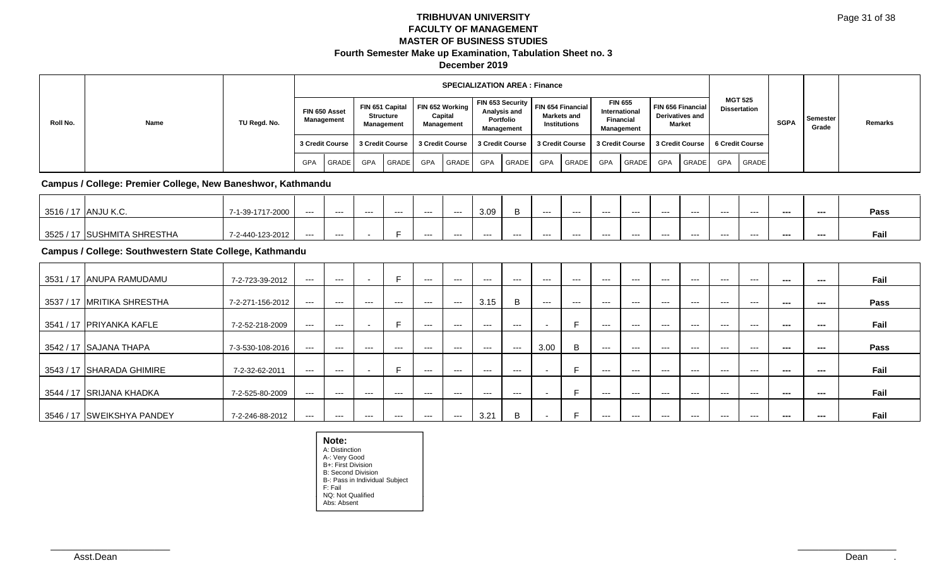|          |                                                             |                  |                     |                                          |                          |                                                          |            | <b>SPECIALIZATION AREA: Finance</b>      |                        |                                                             |                          |                                                                |                            |                                                                   |                   |                                                              |                                          |                                          |                          |                          |         |
|----------|-------------------------------------------------------------|------------------|---------------------|------------------------------------------|--------------------------|----------------------------------------------------------|------------|------------------------------------------|------------------------|-------------------------------------------------------------|--------------------------|----------------------------------------------------------------|----------------------------|-------------------------------------------------------------------|-------------------|--------------------------------------------------------------|------------------------------------------|------------------------------------------|--------------------------|--------------------------|---------|
| Roll No. | Name                                                        | TU Regd. No.     |                     | FIN 650 Asset<br><b>Management</b>       |                          | FIN 651 Capital<br><b>Structure</b><br><b>Management</b> |            | FIN 652 Working<br>Capital<br>Management |                        | FIN 653 Security<br>Analysis and<br>Portfolio<br>Management |                          | FIN 654 Financial<br><b>Markets and</b><br><b>Institutions</b> |                            | <b>FIN 655</b><br>International<br>Financial<br><b>Management</b> |                   | FIN 656 Financial<br><b>Derivatives and</b><br><b>Market</b> |                                          | <b>MGT 525</b><br><b>Dissertation</b>    | <b>SGPA</b>              | Semester<br>Grade        | Remarks |
|          |                                                             |                  |                     | 3 Credit Course                          |                          | 3 Credit Course                                          |            | 3 Credit Course                          |                        | 3 Credit Course                                             | 3 Credit Course          |                                                                |                            | 3 Credit Course                                                   |                   | 3 Credit Course                                              |                                          | 6 Credit Course                          |                          |                          |         |
|          |                                                             |                  | <b>GPA</b>          | GRADE                                    | <b>GPA</b>               | GRADE                                                    | <b>GPA</b> | GRADE                                    | <b>GPA</b>             | GRADE                                                       | <b>GPA</b>               | GRADE                                                          | <b>GPA</b>                 | GRADE                                                             | GPA               | GRADE                                                        | <b>GPA</b>                               | GRADE                                    |                          |                          |         |
|          | Campus / College: Premier College, New Baneshwor, Kathmandu |                  |                     |                                          |                          |                                                          |            |                                          |                        |                                                             |                          |                                                                |                            |                                                                   |                   |                                                              |                                          |                                          |                          |                          |         |
|          | 3516 / 17 ANJU K.C.                                         | 7-1-39-1717-2000 | $\qquad \qquad - -$ | $\cdots$                                 | $\cdots$                 | $\cdots$                                                 | $\cdots$   | $\cdots$                                 | 3.09                   | B                                                           | $\cdots$                 | $\qquad \qquad \cdots$                                         | $\qquad \qquad -$          | $\qquad \qquad -$                                                 | $\qquad \qquad -$ | $\qquad \qquad -$                                            | $\hspace{0.05cm} \ldots \hspace{0.05cm}$ | $\cdots$                                 | $\cdots$                 | $\hspace{0.05cm} \ldots$ | Pass    |
|          | 3525 / 17 SUSHMITA SHRESTHA                                 | 7-2-440-123-2012 | ---                 | $\cdots$                                 |                          | E                                                        | $\cdots$   | $\cdots$                                 | $\qquad \qquad -$      | $---$                                                       | $---$                    | $\qquad \qquad \cdots$                                         | $\qquad \qquad - \qquad -$ | $---$                                                             | $\qquad \qquad -$ | $\qquad \qquad -$                                            | $\qquad \qquad \cdots$                   | $---$                                    | $\overline{\phantom{a}}$ | ---                      | Fail    |
|          | Campus / College: Southwestern State College, Kathmandu     |                  |                     |                                          |                          |                                                          |            |                                          |                        |                                                             |                          |                                                                |                            |                                                                   |                   |                                                              |                                          |                                          |                          |                          |         |
|          | 3531 / 17 ANUPA RAMUDAMU                                    | 7-2-723-39-2012  | $---$               | $\hspace{0.05cm} \ldots \hspace{0.05cm}$ | $\overline{\phantom{a}}$ | E                                                        | $\cdots$   | $\sim$ $\sim$ $\sim$                     | $---$                  | $\cdots$                                                    | $\cdots$                 | $---$                                                          | $\qquad \qquad -$          | $\qquad \qquad -$                                                 | $\qquad \qquad -$ | $\qquad \qquad -$                                            | $\hspace{0.05cm} \ldots \hspace{0.05cm}$ | $\hspace{0.05cm} \ldots \hspace{0.05cm}$ | $\cdots$                 | $\hspace{0.05cm} \ldots$ | Fail    |
|          | 3537 / 17 IMRITIKA SHRESTHA                                 | 7-2-271-156-2012 | $\qquad \qquad - -$ | $\hspace{0.05cm} \ldots \hspace{0.05cm}$ | $---$                    | $\hspace{0.05cm} \ldots \hspace{0.05cm}$                 | $\cdots$   | $--$                                     | 3.15                   | B                                                           | $\qquad \qquad - -$      | $---$                                                          | $\qquad \qquad - \qquad -$ | $\qquad \qquad -$                                                 | $\qquad \qquad -$ | $\qquad \qquad -$                                            | $\qquad \qquad \cdots$                   | $\hspace{0.05cm} \ldots \hspace{0.05cm}$ | $\sim$                   | ---                      | Pass    |
|          | 3541 / 17 PRIYANKA KAFLE                                    | 7-2-52-218-2009  | $---$               | $\qquad \qquad -\qquad$                  |                          | E                                                        | $---$      | $\cdots$                                 | $\qquad \qquad \cdots$ | $\qquad \qquad - -$                                         | $\overline{\phantom{a}}$ | E                                                              | $\qquad \qquad - -$        | $---$                                                             | $---$             | $\qquad \qquad -$                                            | $---$                                    | $---$                                    | $- - -$                  | ---                      | Fail    |
|          | 3542 / 17 SAJANA THAPA                                      | 7-3-530-108-2016 | $---$               | $\cdots$                                 | $\cdots$                 | $\cdots$                                                 | $\cdots$   | $\cdots$                                 | $\cdots$               | $\cdots$                                                    | 3.00                     | B                                                              | $\qquad \qquad -$          | $\qquad \qquad -$                                                 | $\qquad \qquad -$ | $\qquad \qquad -$                                            | $\hspace{0.05cm} \ldots \hspace{0.05cm}$ | $---$                                    | $\sim$                   | ---                      | Pass    |
|          | 3543 / 17 SHARADA GHIMIRE                                   | 7-2-32-62-2011   | $---$               | $\cdots$                                 |                          | E                                                        | $\cdots$   | $\qquad \qquad -$                        | $\qquad \qquad -$      | $\cdots$                                                    |                          | E                                                              | $\qquad \qquad -$          | $\qquad \qquad -$                                                 | $---$             | $---$                                                        | $---$                                    | $---$                                    | ---                      | ---                      | Fail    |
|          | 3544 / 17 SRIJANA KHADKA                                    | 7-2-525-80-2009  | $---$               | $---$                                    | $---$                    | $\cdots$                                                 | $\cdots$   | $---$                                    | $---$                  | $\cdots$                                                    | $\overline{\phantom{a}}$ | E                                                              | $\qquad \qquad -$          | $\qquad \qquad -$                                                 | $\qquad \qquad -$ | $\qquad \qquad -$                                            | $\hspace{0.05cm} \ldots \hspace{0.05cm}$ | $\hspace{0.05cm} \ldots \hspace{0.05cm}$ | $\sim$ $\sim$            | $\sim$                   | Fail    |
|          | 3546 / 17 SWEIKSHYA PANDEY                                  | 7-2-246-88-2012  | $\cdots$            | $\hspace{0.05cm} \ldots \hspace{0.05cm}$ | $\qquad \qquad \cdots$   | $\cdots$                                                 | $\cdots$   | $\sim$ $\sim$ $\sim$                     | 3.21                   | B                                                           | $\overline{\phantom{a}}$ | E                                                              | $\qquad \qquad -$          | $\qquad \qquad -$                                                 | $\qquad \qquad -$ | $\qquad \qquad -$                                            | $\qquad \qquad \cdots$                   | $\hspace{0.05cm} \ldots \hspace{0.05cm}$ | $- - -$                  | ---                      | Fail    |

**Note:** A: Distinction A-: Very Good B+: First Division B: Second Division B-: Pass in Individual Subject F: Fail NQ: Not Qualified Abs: Absent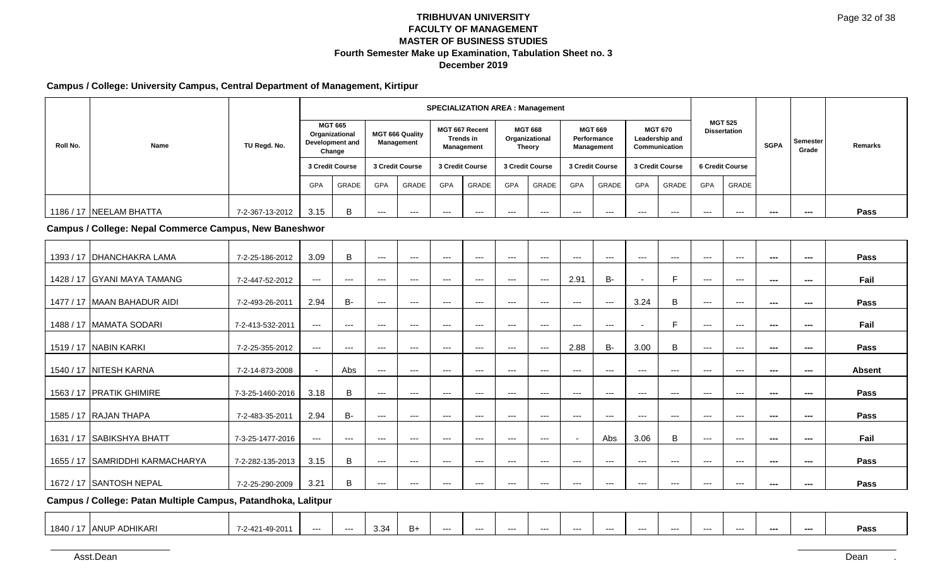### **Campus / College: University Campus, Central Department of Management, Kirtipur**

|           |                                                        |                  |                                        |                                                               |                     |                                      |                          | <b>SPECIALIZATION AREA: Management</b>                  |                          |                                                   |                                             |                          |                 |                                                   |                                          |                                          |             |                   |               |
|-----------|--------------------------------------------------------|------------------|----------------------------------------|---------------------------------------------------------------|---------------------|--------------------------------------|--------------------------|---------------------------------------------------------|--------------------------|---------------------------------------------------|---------------------------------------------|--------------------------|-----------------|---------------------------------------------------|------------------------------------------|------------------------------------------|-------------|-------------------|---------------|
| Roll No.  | Name                                                   | TU Regd. No.     |                                        | <b>MGT 665</b><br>Organizational<br>Development and<br>Change |                     | <b>MGT 666 Quality</b><br>Management |                          | <b>MGT 667 Recent</b><br><b>Trends in</b><br>Management |                          | <b>MGT 668</b><br>Organizational<br><b>Theory</b> | <b>MGT 669</b><br>Performance<br>Management |                          |                 | <b>MGT 670</b><br>Leadership and<br>Communication |                                          | <b>MGT 525</b><br><b>Dissertation</b>    | <b>SGPA</b> | Semester<br>Grade | Remarks       |
|           |                                                        |                  |                                        | 3 Credit Course                                               |                     | 3 Credit Course                      | 3 Credit Course          |                                                         | 3 Credit Course          |                                                   | 3 Credit Course                             |                          | 3 Credit Course |                                                   |                                          | 6 Credit Course                          |             |                   |               |
|           |                                                        |                  | <b>GPA</b>                             | GRADE                                                         | GPA                 | GRADE                                | GPA                      | GRADE                                                   | GPA                      | GRADE                                             | GPA                                         | GRADE                    | <b>GPA</b>      | GRADE                                             | GPA                                      | GRADE                                    |             |                   |               |
|           | 1186 / 17 NEELAM BHATTA                                | 7-2-367-13-2012  | 3.15                                   | B                                                             | $---$               | ---                                  | $---$                    | $  \sim$                                                | $---$                    | $---$                                             | $\overline{a}$                              | $---$                    | $\sim$          | $\qquad \qquad - -$                               | $\qquad \qquad -\qquad$                  | $\overline{a}$                           | $\sim$      | $\overline{a}$    | Pass          |
|           | Campus / College: Nepal Commerce Campus, New Baneshwor |                  |                                        |                                                               |                     |                                      |                          |                                                         |                          |                                                   |                                             |                          |                 |                                                   |                                          |                                          |             |                   |               |
|           | 1393 / 17 DHANCHAKRA LAMA                              | 7-2-25-186-2012  | 3.09                                   | $\sf{B}$                                                      | ---                 | $---$                                | $---$                    | $---$                                                   | $\cdots$                 | $---$                                             | $\cdots$                                    | $---$                    | $---$           | $\cdots$                                          | $---$                                    | $---$                                    | $- - -$     | $---$             | Pass          |
|           | 1428 / 17 GYANI MAYA TAMANG                            | 7-2-447-52-2012  | $\cdots$                               | $\sim$ $\sim$                                                 | $\cdots$            | $\cdots$                             | $\qquad \qquad \cdots$   | $\cdots$                                                | $---$                    | $\cdots$                                          | 2.91                                        | <b>B-</b>                |                 | F                                                 | $\cdots$                                 | $---$                                    | $\sim$      | $---$             | Fail          |
|           | 1477 / 17 MAAN BAHADUR AIDI                            | 7-2-493-26-2011  | 2.94                                   | <b>B-</b>                                                     | $\cdots$            | $---$                                | $\cdots$                 | $\hspace{0.05cm} \ldots \hspace{0.05cm}$                | $\hspace{0.05cm} \ldots$ | $\cdots$                                          | $\cdots$                                    | $\sim$ $\sim$            | 3.24            | B                                                 | $\cdots$                                 | $---$                                    | $\sim$      | $---$             | Pass          |
|           | 1488 / 17 MAMATA SODARI                                | 7-2-413-532-2011 | $\hspace{0.05cm} \ldots$               | $\qquad \qquad - -$                                           | $\qquad \qquad - -$ | $\qquad \qquad - -$                  | $---$                    | $\hspace{0.05cm} \ldots$                                | $\hspace{0.05cm} \ldots$ | $\qquad \qquad - -$                               | $---$                                       | $\hspace{0.05cm} \ldots$ |                 | E                                                 | $\hspace{0.05cm} \ldots$                 | $---$                                    | $\sim$      | $---$             | Fail          |
|           | 1519 / 17 NABIN KARKI                                  | 7-2-25-355-2012  | $\scriptstyle\cdots\scriptstyle\cdots$ | $\sim$ $\sim$                                                 | $---$               | $---$                                | $\cdots$                 | $\hspace{0.05cm} \ldots \hspace{0.05cm}$                | $\cdots$                 | $\scriptstyle\cdots$                              | 2.88                                        | $B -$                    | 3.00            | $\sf B$                                           | $\qquad \qquad -\qquad$                  | $\cdots$                                 | $- - -$     | $---$             | Pass          |
|           | 1540 / 17 NITESH KARNA                                 | 7-2-14-873-2008  | $\overline{\phantom{a}}$               | Abs                                                           | $-$ - $-$           | $---$                                | $---$                    | $\hspace{0.05cm} \ldots \hspace{0.05cm}$                | $\sim$ $\sim$            | $\cdots$                                          | $\cdots$                                    | $- - -$                  | $---$           | $\cdots$                                          | $---$                                    | $\hspace{0.05cm} \ldots \hspace{0.05cm}$ | $- - -$     | $---$             | <b>Absent</b> |
|           | 1563 / 17 PRATIK GHIMIRE                               | 7-3-25-1460-2016 | 3.18                                   | $\mathsf B$                                                   | $\cdots$            | $\cdots$                             | $\hspace{0.05cm} \ldots$ | $\cdots$                                                | $---$                    | $\cdots$                                          | $\cdots$                                    | $\sim$ $\sim$            | $---$           | $\cdots$                                          | $\cdots$                                 | $\hspace{0.05cm} \ldots$                 | $\sim$      | $---$             | Pass          |
|           | 1585 / 17 RAJAN THAPA                                  | 7-2-483-35-2011  | 2.94                                   | <b>B-</b>                                                     | $\qquad \qquad - -$ | $\cdots$                             | $\qquad \qquad -\qquad$  | $\cdots$                                                | $\hspace{0.05cm} \ldots$ | $\cdots$                                          | $\cdots$                                    | $\qquad \qquad -$        | $\overline{a}$  | $\cdots$                                          | $\cdots$                                 | $---$                                    | $- - -$     | $---$             | Pass          |
|           | 1631 / 17 SABIKSHYA BHATT                              | 7-3-25-1477-2016 | $\scriptstyle\cdots\scriptstyle\cdots$ | $\cdots$                                                      | $\cdots$            | $---$                                | $---$                    | $\hspace{0.05cm} \ldots$                                | $\sim$ $\sim$            | $---$                                             | $\blacksquare$                              | Abs                      | 3.06            | B                                                 | $\cdots$                                 | $---$                                    | $---$       | $---$             | Fail          |
| 1655 / 17 | SAMRIDDHI KARMACHARYA                                  | 7-2-282-135-2013 | 3.15                                   | $\, {\bf B}$                                                  | $\cdots$            | ---                                  | $---$                    | $\hspace{0.05cm} \ldots$                                | $\sim$ $\sim$            | $\qquad \qquad - -$                               | $---$                                       | $- - -$                  | $---$           | $\qquad \qquad -$                                 | $---$                                    | $---$                                    | ---         | $- - -$           | Pass          |
|           | 1672 / 17 SANTOSH NEPAL                                | 7-2-25-290-2009  | 3.21                                   | B                                                             | $\cdots$            | $---$                                | $---$                    | $\cdots$                                                | $\hspace{0.05cm} \ldots$ | $\cdots$                                          | $---$                                       | $---$                    | $---$           | $\cdots$                                          | $\hspace{0.05cm} \ldots \hspace{0.05cm}$ | $\cdots$                                 | ---         | $---$             | Pass          |

**Campus / College: Patan Multiple Campus, Patandhoka, Lalitpur**

| <b>DHIKARI</b><br>3.34<br>، 1840<br>10.0011<br>B+<br>ג הו<br>TANU<br>---<br>---<br>---<br>---<br>----<br>---<br>$---$<br>---<br>$--$<br>---<br>----<br>---<br>---<br>---<br>╱∪<br>$-1$ |  |  |  |  |  |  |  |  |  |      |
|----------------------------------------------------------------------------------------------------------------------------------------------------------------------------------------|--|--|--|--|--|--|--|--|--|------|
|                                                                                                                                                                                        |  |  |  |  |  |  |  |  |  | Pass |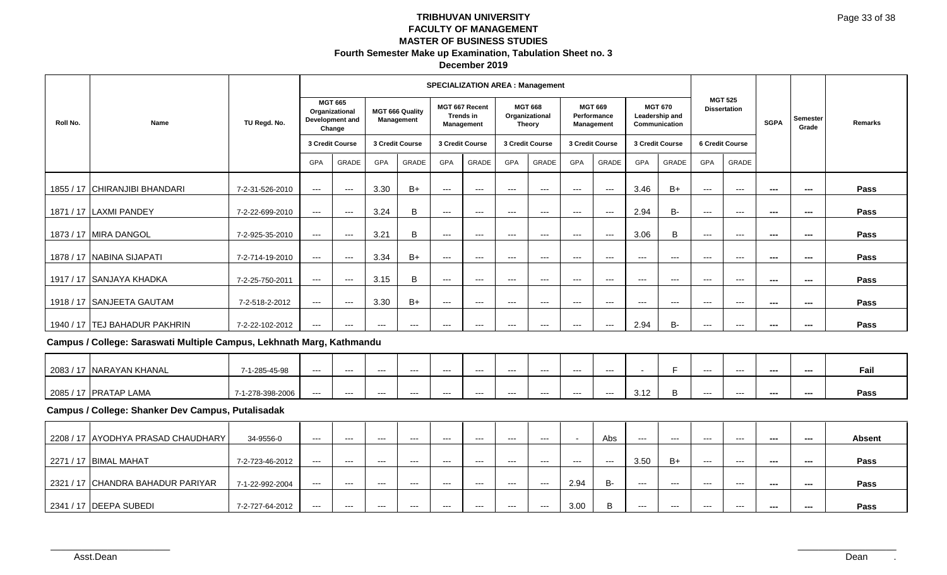|          |                                                                       |                  |                          |                                                               |                     |                                      |                          | <b>SPECIALIZATION AREA: Management</b>           |                        |                                                   |                          |                           |                     |                                                   |                          |                                       |                          |                          |               |
|----------|-----------------------------------------------------------------------|------------------|--------------------------|---------------------------------------------------------------|---------------------|--------------------------------------|--------------------------|--------------------------------------------------|------------------------|---------------------------------------------------|--------------------------|---------------------------|---------------------|---------------------------------------------------|--------------------------|---------------------------------------|--------------------------|--------------------------|---------------|
| Roll No. | Name                                                                  | TU Regd. No.     |                          | <b>MGT 665</b><br>Organizational<br>Development and<br>Change |                     | <b>MGT 666 Quality</b><br>Management |                          | MGT 667 Recent<br><b>Trends in</b><br>Management |                        | <b>MGT 668</b><br>Organizational<br><b>Theory</b> | <b>MGT 669</b>           | Performance<br>Management |                     | <b>MGT 670</b><br>Leadership and<br>Communication |                          | <b>MGT 525</b><br><b>Dissertation</b> | <b>SGPA</b>              | Semester<br>Grade        | Remarks       |
|          |                                                                       |                  |                          | 3 Credit Course                                               | 3 Credit Course     |                                      |                          | 3 Credit Course                                  | 3 Credit Course        |                                                   |                          | 3 Credit Course           |                     | 3 Credit Course                                   |                          | 6 Credit Course                       |                          |                          |               |
|          |                                                                       |                  | GPA                      | GRADE                                                         | GPA                 | GRADE                                | GPA                      | GRADE                                            | GPA                    | GRADE                                             | GPA                      | GRADE                     | GPA                 | GRADE                                             | GPA                      | GRADE                                 |                          |                          |               |
|          | 1855 / 17 CHIRANJIBI BHANDARI                                         | 7-2-31-526-2010  | $\scriptstyle\cdots$     | $  -$                                                         | 3.30                | $B+$                                 | $\hspace{0.05cm} \ldots$ | $---$                                            | $\ldots$               | $--$                                              | $\scriptstyle\cdots$     | $---$                     | 3.46                | $B+$                                              | $\hspace{0.05cm} \ldots$ | $\hspace{0.05cm} \ldots$              | ---                      | ---                      | Pass          |
|          | 1871 / 17 LAXMI PANDEY                                                | 7-2-22-699-2010  | $\scriptstyle\cdots$     | $  -$                                                         | 3.24                | B                                    | $\scriptstyle\cdots$     | $\sim$ $\sim$                                    | $\qquad \qquad - -$    | $\scriptstyle\cdots$                              | $\qquad \qquad - -$      | $--$                      | 2.94                | <b>B-</b>                                         | $\hspace{0.05cm} \ldots$ | $\scriptstyle \cdots$ .               | ---                      | ---                      | Pass          |
|          | 1873 / 17 MIRA DANGOL                                                 | 7-2-925-35-2010  | $\scriptstyle\cdots$     | $  -$                                                         | 3.21                | B                                    | $\qquad \qquad -\qquad$  | $\overline{\phantom{a}}$                         | $\cdots$               | $  \sim$                                          | $\qquad \qquad -\qquad$  | $  -$                     | 3.06                | B                                                 | $\cdots$                 | $\hspace{0.05cm} \ldots$              | $\overline{a}$           | $\sim$                   | Pass          |
|          | 1878 / 17 NABINA SIJAPATI                                             | 7-2-714-19-2010  | $\hspace{0.05cm} \ldots$ | $  -$                                                         | 3.34                | $B+$                                 | $\cdots$                 | $\hspace{0.05cm} \ldots$                         | $\qquad \qquad - -$    | $--$                                              | $\hspace{0.05cm} \ldots$ | $---$                     | $\qquad \qquad - -$ | $--$                                              | $\cdots$                 | $\cdots$                              | $\overline{\phantom{a}}$ | $---$                    | Pass          |
|          | 1917 / 17 SANJAYA KHADKA                                              | 7-2-25-750-2011  | $\scriptstyle \cdots$ .  | $  -$                                                         | 3.15                | B                                    | $---$                    | $  -$                                            | $\cdots$               | $\sim$ $\sim$                                     | $\cdots$                 | $   \,$                   | $---$               | $  -$                                             | $\qquad \qquad - -$      | $---$                                 | $---$                    | $\sim$                   | Pass          |
|          | 1918 / 17 SANJEETA GAUTAM                                             | 7-2-518-2-2012   | $\scriptstyle\cdots$     | $  -$                                                         | 3.30                | $B+$                                 | $\cdots$                 | $\sim$ $\sim$                                    | $\cdots$               | $\cdots$                                          | $\cdots$                 | $---$                     | $\cdots$            | $\sim$ $\sim$                                     | $\cdots$                 | $  -$                                 | $\overline{\phantom{a}}$ | $---$                    | Pass          |
|          | 1940 / 17   TEJ BAHADUR PAKHRIN                                       | 7-2-22-102-2012  | $\scriptstyle\cdots$     | $  -$                                                         | $\cdots$            | $\overline{a}$                       | $---$                    | $\overline{a}$                                   | $\qquad \qquad - -$    | $---$                                             | $\qquad \qquad -\qquad$  | $---$                     | 2.94                | <b>B-</b>                                         | $\qquad \qquad -$        | $\qquad \qquad -\qquad$               | ---                      | ---                      | Pass          |
|          | Campus / College: Saraswati Multiple Campus, Lekhnath Marg, Kathmandu |                  |                          |                                                               |                     |                                      |                          |                                                  |                        |                                                   |                          |                           |                     |                                                   |                          |                                       |                          |                          |               |
|          | 2083 / 17 NARAYAN KHANAL                                              | 7-1-285-45-98    | $\scriptstyle\cdots$     | $   \,$                                                       | ---                 | $\cdots$                             | $\scriptstyle\cdots$     | $--$                                             | $\scriptstyle\cdots$   | $\sim$ $\sim$                                     | $\overline{a}$           | $\hspace{0.05cm} \ldots$  |                     | F                                                 | $\hspace{0.05cm} \ldots$ | $\scriptstyle \cdots$                 | $\overline{a}$           | $\sim$                   | Fail          |
|          | 2085 / 17 PRATAP LAMA                                                 | 7-1-278-398-2006 | $\scriptstyle\cdots$     | $  -$                                                         | $\cdots$            | $\cdots$                             | $---$                    | $\overline{a}$                                   | ---                    | $\overline{\phantom{a}}$                          | $\scriptstyle\cdots$     | $  -$                     | 3.12                | B                                                 | $\hspace{0.05cm} \ldots$ | $\scriptstyle\cdots$                  | ---                      | ---                      | Pass          |
|          | Campus / College: Shanker Dev Campus, Putalisadak                     |                  |                          |                                                               |                     |                                      |                          |                                                  |                        |                                                   |                          |                           |                     |                                                   |                          |                                       |                          |                          |               |
|          | 2208 / 17 AYODHYA PRASAD CHAUDHARY                                    | 34-9556-0        | $\hspace{0.05cm} \ldots$ | $  -$                                                         | $\qquad \qquad - -$ | $\qquad \qquad - -$                  | $---$                    | $\overline{\phantom{a}}$                         | $\qquad \qquad \cdots$ | $--$                                              | $\blacksquare$           | Abs                       | ---                 | $\qquad \qquad - -$                               | $\qquad \qquad - -$      | $\hspace{0.05cm} \ldots$              | ---                      | $\scriptstyle\cdots$     | <b>Absent</b> |
|          | 2271 / 17 BIMAL MAHAT                                                 | 7-2-723-46-2012  | $---$                    | $  -$                                                         | $\cdots$            | $\overline{\phantom{a}}$             | $---$                    | $---$                                            | $---$                  | $\cdots$                                          | $\cdots$                 | $\sim$ $\sim$             | 3.50                | $B+$                                              | $\qquad \qquad -$        | $\cdots$                              | ---                      | ---                      | Pass          |
|          | 2321 / 17 CHANDRA BAHADUR PARIYAR                                     | 7-1-22-992-2004  | $\qquad \qquad -$        | $  -$                                                         | ---                 | $\qquad \qquad -$                    | $---$                    | ----                                             | $\qquad \qquad \cdots$ | $--$                                              | 2.94                     | <b>B-</b>                 | $\qquad \qquad -$   | $\qquad \qquad - -$                               | $\qquad \qquad \cdots$   | $--$                                  | ---                      | $\hspace{0.05cm} \ldots$ | Pass          |
|          | 2341 / 17   DEEPA SUBEDI                                              | 7-2-727-64-2012  | $\hspace{0.05cm} \ldots$ | $\hspace{0.05cm} \ldots$                                      | ---                 | $\overline{\phantom{a}}$             | $---$                    | $\overline{\phantom{a}}$                         | ---                    | $\overline{\phantom{a}}$                          | 3.00                     | B                         | $---$               | $\scriptstyle\cdots$                              | $\qquad \qquad - -$      | $\qquad \qquad \cdots$                | ---                      | ---                      | Pass          |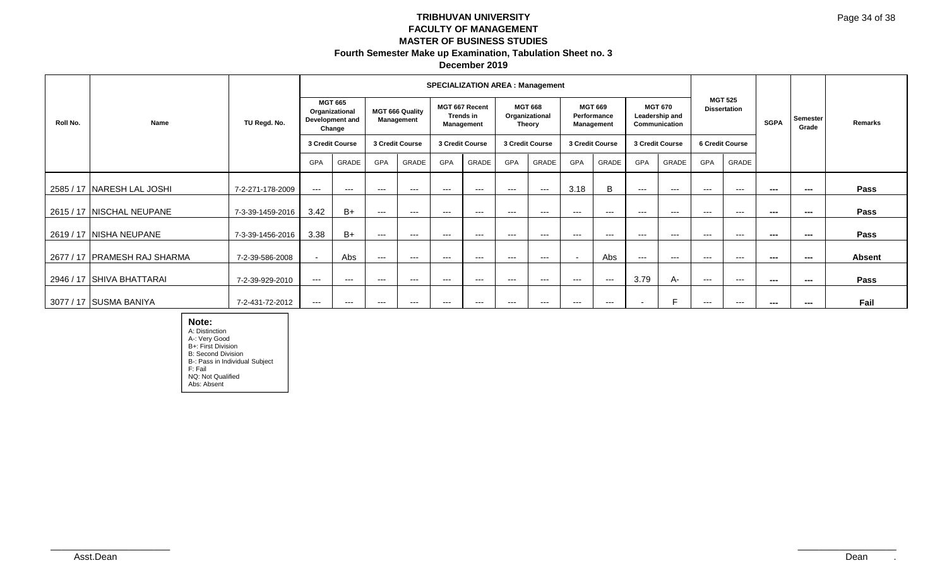|          |                                |                  |                          |                                                               |            |                                      |            | <b>SPECIALIZATION AREA: Management</b>    |                 |                                                   |                          |                                     |                          |                                                   |                          |                                       |             |                   |               |
|----------|--------------------------------|------------------|--------------------------|---------------------------------------------------------------|------------|--------------------------------------|------------|-------------------------------------------|-----------------|---------------------------------------------------|--------------------------|-------------------------------------|--------------------------|---------------------------------------------------|--------------------------|---------------------------------------|-------------|-------------------|---------------|
| Roll No. | <b>Name</b>                    | TU Regd. No.     |                          | <b>MGT 665</b><br>Organizational<br>Development and<br>Change |            | <b>MGT 666 Quality</b><br>Management |            | MGT 667 Recent<br>Trends in<br>Management |                 | <b>MGT 668</b><br>Organizational<br><b>Theory</b> | Performance              | <b>MGT 669</b><br><b>Management</b> |                          | <b>MGT 670</b><br>Leadership and<br>Communication |                          | <b>MGT 525</b><br><b>Dissertation</b> | <b>SGPA</b> | Semester<br>Grade | Remarks       |
|          |                                |                  |                          | 3 Credit Course                                               |            | 3 Credit Course                      |            | 3 Credit Course                           | 3 Credit Course |                                                   |                          | 3 Credit Course                     |                          | 3 Credit Course                                   |                          | 6 Credit Course                       |             |                   |               |
|          |                                |                  | GPA                      | GRADE                                                         | <b>GPA</b> | GRADE                                | <b>GPA</b> | GRADE                                     | <b>GPA</b>      | GRADE                                             | <b>GPA</b>               | GRADE                               | <b>GPA</b>               | GRADE                                             | <b>GPA</b>               | GRADE                                 |             |                   |               |
|          | 2585 / 17 NARESH LAL JOSHI     | 7-2-271-178-2009 | $---$                    | $---$                                                         | $---$      | $---$                                | $--$       | $---$                                     | $---$           | $---$                                             | 3.18                     | B                                   | $---$                    | $---$                                             | $---$                    | $---$                                 | $\sim$      | $\sim$ $\sim$     | Pass          |
|          | 2615 / 17 NISCHAL NEUPANE      | 7-3-39-1459-2016 | 3.42                     | $B+$                                                          | $---$      | $---$                                | $--$       | $--$                                      | $--$            | $---$                                             | $--$                     | $---$                               | $---$                    | $---$                                             | $--$                     | ---                                   | $\sim$      | ---               | <b>Pass</b>   |
|          | 2619 / 17   NISHA NEUPANE      | 7-3-39-1456-2016 | 3.38                     | $B+$                                                          | $---$      | $---$                                | $---$      | $---$                                     | $---$           | $---$                                             | $---$                    | $---$                               | $---$                    | $---$                                             | $---$                    | $---$                                 | $\sim$      | $\sim$            | <b>Pass</b>   |
|          | 2677 / 17   PRAMESH RAJ SHARMA | 7-2-39-586-2008  | $\overline{\phantom{0}}$ | Abs                                                           | $---$      | $---$                                | $---$      | $---$                                     | $---$           | $---$                                             | $\overline{\phantom{a}}$ | Abs                                 | $---$                    | $---$                                             | $---$                    | $---$                                 | $- - -$     | $\sim$            | <b>Absent</b> |
|          | 2946 / 17 SHIVA BHATTARAI      | 7-2-39-929-2010  | $---$                    | $---$                                                         | $--$       | $---$                                | $--$       | $--$                                      | $--$            | $---$                                             | $---$                    | $---$                               | 3.79                     | A-                                                | $---$                    | $---$                                 | $- - -$     | ---               | <b>Pass</b>   |
|          | 3077 / 17 SUSMA BANIYA         | 7-2-431-72-2012  | $---$                    | $---$                                                         | $--$       | $---$                                | $--$       | $---$                                     | $---$           | $---$                                             | $\qquad \qquad \cdots$   | ---                                 | $\overline{\phantom{a}}$ | F.                                                | $\hspace{0.05cm} \ldots$ | ---                                   | $- - -$     | $\sim$            | Fail          |

**Note:** A: Distinction A-: Very Good B+: First Division B: Second Division B-: Pass in Individual Subject F: Fail NQ: Not Qualified Abs: Absent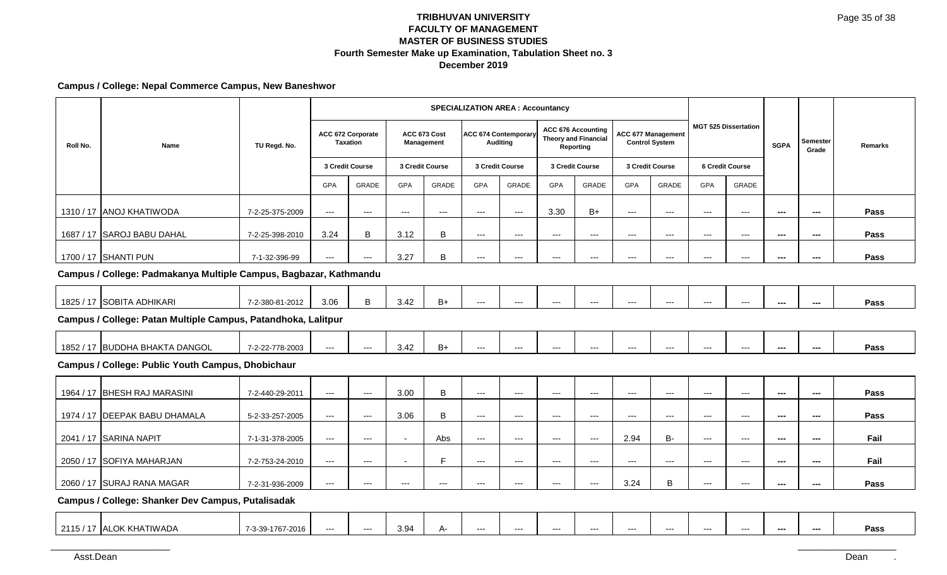### **Campus / College: Nepal Commerce Campus, New Baneshwor**

|          |                                                                   |                 |                        |                                      |                     |                          |                      | <b>SPECIALIZATION AREA : Accountancy</b>       |                          |                                                                       |                                          |                                                    |                          |                             |             |                          |                |
|----------|-------------------------------------------------------------------|-----------------|------------------------|--------------------------------------|---------------------|--------------------------|----------------------|------------------------------------------------|--------------------------|-----------------------------------------------------------------------|------------------------------------------|----------------------------------------------------|--------------------------|-----------------------------|-------------|--------------------------|----------------|
| Roll No. | Name                                                              | TU Regd. No.    |                        | ACC 672 Corporate<br><b>Taxation</b> | ACC 673 Cost        | Management               |                      | <b>ACC 674 Contemporary</b><br><b>Auditing</b> |                          | <b>ACC 676 Accounting</b><br><b>Theory and Financial</b><br>Reporting |                                          | <b>ACC 677 Management</b><br><b>Control System</b> |                          | <b>MGT 525 Dissertation</b> | <b>SGPA</b> | Semester<br>Grade        | <b>Remarks</b> |
|          |                                                                   |                 |                        | 3 Credit Course                      | 3 Credit Course     |                          |                      | 3 Credit Course                                |                          | 3 Credit Course                                                       |                                          | 3 Credit Course                                    |                          | <b>6 Credit Course</b>      |             |                          |                |
|          |                                                                   |                 | GPA                    | <b>GRADE</b>                         | <b>GPA</b>          | GRADE                    | <b>GPA</b>           | GRADE                                          | <b>GPA</b>               | GRADE                                                                 | GPA                                      | GRADE                                              | <b>GPA</b>               | GRADE                       |             |                          |                |
|          | 1310 / 17 ANOJ KHATIWODA                                          | 7-2-25-375-2009 | $---$                  | $\cdots$                             | $\qquad \qquad - -$ | $\hspace{0.05cm} \ldots$ | $\cdots$             | $\scriptstyle\cdots$                           | 3.30                     | $B+$                                                                  | $\qquad \qquad - -$                      | $\cdots$                                           | $\overline{\phantom{a}}$ | $\hspace{0.05cm} \ldots$    | ---         | $\sim$                   | Pass           |
|          | 1687 / 17 SAROJ BABU DAHAL                                        | 7-2-25-398-2010 | 3.24                   | $\sf B$                              | 3.12                | B                        | $\qquad \qquad - -$  | $---$                                          | $\qquad \qquad - -$      | $\qquad \qquad - -$                                                   | $\qquad \qquad - -$                      | $\qquad \qquad \cdots$                             | $---$                    | $---$                       | ---         | $\qquad \qquad \cdots$   | Pass           |
|          | 1700 / 17 SHANTI PUN                                              | 7-1-32-396-99   | $\qquad \qquad \cdots$ | $\scriptstyle\cdots$                 | 3.27                | B                        | $\qquad \qquad - -$  | $---$                                          | $\overline{\phantom{a}}$ | $\overline{\phantom{a}}$                                              | $\hspace{0.05cm} \ldots \hspace{0.05cm}$ | $\cdots$                                           | $---$                    | $\hspace{0.05cm} \ldots$    | ---         | ---                      | Pass           |
|          | Campus / College: Padmakanya Multiple Campus, Bagbazar, Kathmandu |                 |                        |                                      |                     |                          |                      |                                                |                          |                                                                       |                                          |                                                    |                          |                             |             |                          |                |
|          | 1825 / 17 SOBITA ADHIKARI                                         | 7-2-380-81-2012 | 3.06                   | B                                    | 3.42                | $B+$                     | $\qquad \qquad - -$  | $---$                                          | $\overline{\phantom{a}}$ | $\overline{\phantom{a}}$                                              | $---$                                    | $---$                                              | $---$                    | $\hspace{0.05cm} \ldots$    | ---         | $\overline{\phantom{a}}$ | Pass           |
|          | Campus / College: Patan Multiple Campus, Patandhoka, Lalitpur     |                 |                        |                                      |                     |                          |                      |                                                |                          |                                                                       |                                          |                                                    |                          |                             |             |                          |                |
|          | 1852 / 17 BUDDHA BHAKTA DANGOL                                    | 7-2-22-778-2003 | $\qquad \qquad \cdots$ | $\scriptstyle\cdots$                 | 3.42                | $B+$                     | $\qquad \qquad - -$  | $---$                                          | $\overline{\phantom{a}}$ | $\overline{\phantom{a}}$                                              | ---                                      | $---$                                              | ---                      | $---$                       | ---         | $\overline{\phantom{a}}$ | Pass           |
|          | <b>Campus / College: Public Youth Campus, Dhobichaur</b>          |                 |                        |                                      |                     |                          |                      |                                                |                          |                                                                       |                                          |                                                    |                          |                             |             |                          |                |
|          | 1964 / 17 BHESH RAJ MARASINI                                      | 7-2-440-29-2011 | $\qquad \qquad - -$    | $\scriptstyle \cdots$                | 3.00                | $\overline{B}$           | $\scriptstyle\cdots$ | $\scriptstyle\cdots$                           | $\overline{\phantom{a}}$ | $\overline{\phantom{a}}$                                              | $\hspace{0.05cm} \ldots \hspace{0.05cm}$ | $\cdots$                                           | ---                      | $\hspace{0.05cm} \ldots$    | ---         | ---                      | Pass           |
|          | 1974 / 17 DEEPAK BABU DHAMALA                                     | 5-2-33-257-2005 | $\qquad \qquad \cdots$ | $\scriptstyle\cdots$                 | 3.06                | B                        | $\qquad \qquad - -$  | $---$                                          | $---$                    | $\overline{\phantom{a}}$                                              | $\hspace{0.05cm} \ldots \hspace{0.05cm}$ | $\hspace{0.05cm} \ldots$                           | $---$                    | $--$                        | ---         | $\qquad \qquad \cdots$   | Pass           |
|          | 2041 / 17 SARINA NAPIT                                            | 7-1-31-378-2005 | $\qquad \qquad - -$    | $\scriptstyle\cdots$                 | $\sim$              | Abs                      | $\scriptstyle\cdots$ | $---$                                          | $\overline{\phantom{a}}$ | $\overline{\phantom{a}}$                                              | 2.94                                     | B-                                                 | $\overline{a}$           | $\hspace{0.05cm} \ldots$    | ---         | ---                      | Fail           |
|          | 2050 / 17 SOFIYA MAHARJAN                                         | 7-2-753-24-2010 | $\qquad \qquad \cdots$ | $\scriptstyle\cdots$                 |                     | E                        | $\qquad \qquad - -$  | $---$                                          | $\scriptstyle\cdots$     | $\scriptstyle\cdots$                                                  | $---$                                    | $\qquad \qquad -\qquad$                            | $---$                    | $---$                       | ---         | $\qquad \qquad \cdots$   | Fail           |
|          | 2060 / 17 SURAJ RANA MAGAR                                        | 7-2-31-936-2009 | $---$                  | ---                                  | $\qquad \qquad - -$ | $\qquad \qquad - -$      | ---                  | ---                                            | $\cdots$                 | $\overline{\phantom{a}}$                                              | 3.24                                     | B                                                  | $---$                    | $\cdots$                    | ---         | ---                      | Pass           |
|          | Campus / College: Shanker Dev Campus, Putalisadak                 |                 |                        |                                      |                     |                          |                      |                                                |                          |                                                                       |                                          |                                                    |                          |                             |             |                          |                |
|          |                                                                   |                 |                        |                                      |                     |                          |                      |                                                |                          |                                                                       |                                          |                                                    |                          |                             |             |                          |                |

2115 / 17 **ALOK KHATIWADA** | 7-3-39-1767-2016 --- | --- | 3.94 | A- | --- | --- | --- | --- | --- | --- | --- | --- | --- | --- | --- | --- | --- | --- | Pass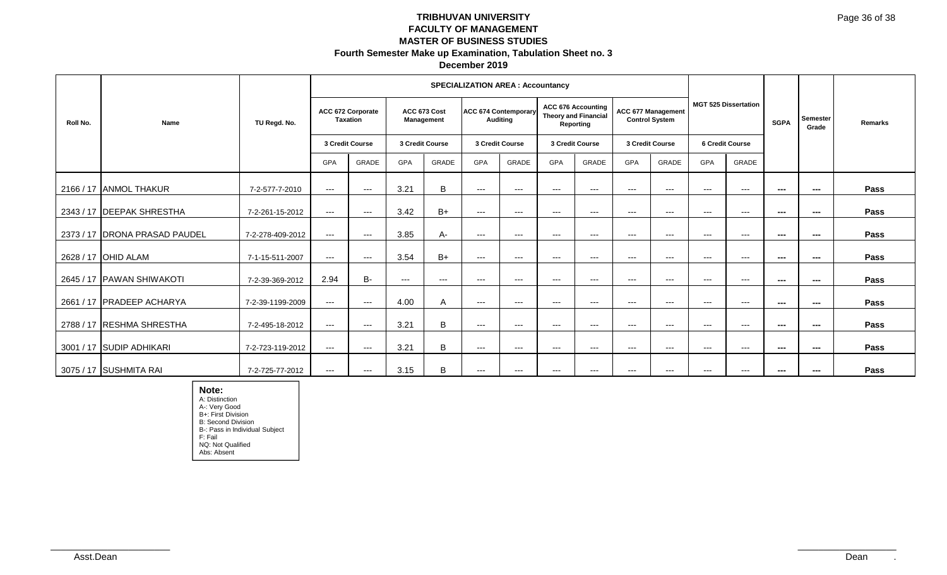|          |                                 | TU Regd. No.     |                                                         |          |                                               |          |                 | <b>SPECIALIZATION AREA: Accountancy</b>        |                                                                       |                   |                                             |                        |                             |               |               |                          |         |
|----------|---------------------------------|------------------|---------------------------------------------------------|----------|-----------------------------------------------|----------|-----------------|------------------------------------------------|-----------------------------------------------------------------------|-------------------|---------------------------------------------|------------------------|-----------------------------|---------------|---------------|--------------------------|---------|
| Roll No. | Name                            |                  | ACC 672 Corporate<br><b>Taxation</b><br>3 Credit Course |          | ACC 673 Cost<br>Management<br>3 Credit Course |          |                 | <b>ACC 674 Contemporary</b><br><b>Auditing</b> | <b>ACC 676 Accounting</b><br><b>Theory and Financial</b><br>Reporting |                   | ACC 677 Management<br><b>Control System</b> |                        | <b>MGT 525 Dissertation</b> |               | <b>SGPA</b>   | Semester<br>Grade        | Remarks |
|          |                                 |                  |                                                         |          |                                               |          | 3 Credit Course |                                                | 3 Credit Course                                                       |                   | 3 Credit Course                             |                        | <b>6 Credit Course</b>      |               |               |                          |         |
|          |                                 |                  | GPA                                                     | GRADE    | GPA                                           | GRADE    | <b>GPA</b>      | <b>GRADE</b>                                   | <b>GPA</b>                                                            | GRADE             | <b>GPA</b>                                  | <b>GRADE</b>           | <b>GPA</b>                  | GRADE         |               |                          |         |
|          | 2166 / 17 ANMOL THAKUR          | 7-2-577-7-2010   | $---$                                                   | $\cdots$ | 3.21                                          | B        | $\cdots$        | $\qquad \qquad -$                              | $---$                                                                 | $---$             | $\qquad \qquad -$                           | $---$                  | $\cdots$                    | $\sim$ $\sim$ | $\sim$        | $---$                    | Pass    |
|          | 2343 / 17 DEEPAK SHRESTHA       | 7-2-261-15-2012  | $--$                                                    | $\cdots$ | 3.42                                          | $B+$     | $---$           | $\qquad \qquad - \qquad -$                     | $---$                                                                 | $---$             | $\cdots$                                    | $---$                  | $\qquad \qquad -$           | $--$          | $\sim$        | $\sim$                   | Pass    |
|          | 2373 / 17   DRONA PRASAD PAUDEL | 7-2-278-409-2012 | $---$                                                   | $\cdots$ | 3.85                                          | А-       | $---$           | $\qquad \qquad -$                              | $---$                                                                 | $\qquad \qquad -$ | $---$                                       | $---$                  | $\cdots$                    | $---$         | $\sim$        | $\sim$                   | Pass    |
|          | 2628 / 17 OHID ALAM             | 7-1-15-511-2007  | $---$                                                   | $---$    | 3.54                                          | $B+$     | $---$           | $---$                                          | $---$                                                                 | $---$             | $---$                                       | $---$                  | $---$                       | $---$         | $\sim$        | $- - -$                  | Pass    |
|          | 2645 / 17 IPAWAN SHIWAKOTI      | 7-2-39-369-2012  | 2.94                                                    | B-       | $\cdots$                                      | $\cdots$ | $---$           | $\qquad \qquad -$                              | $\qquad \qquad -$                                                     | $\qquad \qquad -$ | $\qquad \qquad -$                           | $\qquad \qquad \cdots$ | $\qquad \qquad -$           | $---$         | ---           | $\overline{\phantom{a}}$ | Pass    |
|          | 2661 / 17 PRADEEP ACHARYA       | 7-2-39-1199-2009 | $---$                                                   | $---$    | 4.00                                          | A        | $---$           | $\qquad \qquad -$                              | $\qquad \qquad -$                                                     | $\qquad \qquad -$ | $\qquad \qquad -$                           | $\qquad \qquad \cdots$ | $\cdots$                    | $---$         | $\sim$        | $- - -$                  | Pass    |
|          | 2788 / 17 RESHMA SHRESTHA       | 7-2-495-18-2012  | $---$                                                   | $\cdots$ | 3.21                                          | B        | $---$           | $\qquad \qquad -$                              | $\qquad \qquad -$                                                     | $\qquad \qquad -$ | $\qquad \qquad -$                           | $---$                  | $\cdots$                    | $---$         | $\sim$ $\sim$ | ---                      | Pass    |
|          | 3001 / 17 SUDIP ADHIKARI        | 7-2-723-119-2012 | $---$                                                   | $---$    | 3.21                                          | B        | $---$           | $---$                                          | $---$                                                                 | $---$             | $---$                                       | $---$                  | $---$                       | $---$         | ---           | $\sim$                   | Pass    |
|          | 3075 / 17 SUSHMITA RAI          | 7-2-725-77-2012  | $--$                                                    | $---$    | 3.15                                          | B        | $---$           | $---$                                          | $---$                                                                 | $---$             | $---$                                       | $---$                  | $---$                       | $- - -$       | ---           | $--$                     | Pass    |

**Note:** A: Distinction A-: Very Good B+: First Division B: Second Division B-: Pass in Individual Subject F: Fail NQ: Not Qualified Abs: Absent

Dean . \_\_\_\_\_\_\_\_\_\_\_\_\_\_\_\_\_\_\_\_\_\_\_ Asst.Dean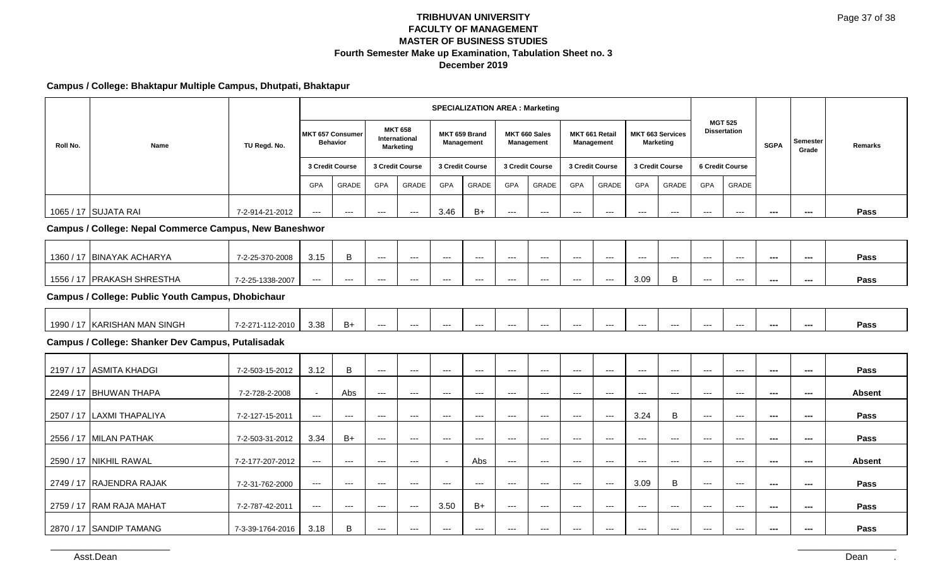### **Campus / College: Bhaktapur Multiple Campus, Dhutpati, Bhaktapur**

|          | <b>Name</b>                                                   | TU Regd. No.     |                                            |                          |                      |                                                     |                          | <b>SPECIALIZATION AREA: Marketing</b> |                                          |                             |                          |                              |                          |                                             |                                       |                                        |                          |                          |               |
|----------|---------------------------------------------------------------|------------------|--------------------------------------------|--------------------------|----------------------|-----------------------------------------------------|--------------------------|---------------------------------------|------------------------------------------|-----------------------------|--------------------------|------------------------------|--------------------------|---------------------------------------------|---------------------------------------|----------------------------------------|--------------------------|--------------------------|---------------|
| Roll No. |                                                               |                  | <b>MKT 657 Consumer</b><br><b>Behavior</b> |                          |                      | <b>MKT 658</b><br>International<br><b>Marketing</b> |                          | MKT 659 Brand<br>Management           |                                          | MKT 660 Sales<br>Management |                          | MKT 661 Retail<br>Management |                          | <b>MKT 663 Services</b><br><b>Marketing</b> | <b>MGT 525</b><br><b>Dissertation</b> |                                        | <b>SGPA</b>              | <b>Semester</b><br>Grade | Remarks       |
|          |                                                               |                  |                                            | 3 Credit Course          |                      | 3 Credit Course                                     |                          | 3 Credit Course                       |                                          | 3 Credit Course             |                          | 3 Credit Course              |                          | 3 Credit Course                             |                                       | <b>6 Credit Course</b>                 |                          |                          |               |
|          |                                                               |                  | <b>GPA</b>                                 | <b>GRADE</b>             | <b>GPA</b>           | GRADE                                               | <b>GPA</b>               | <b>GRADE</b>                          | <b>GPA</b>                               | <b>GRADE</b>                | GPA                      | <b>GRADE</b>                 | <b>GPA</b>               | GRADE                                       | <b>GPA</b>                            | <b>GRADE</b>                           |                          |                          |               |
|          | 1065 / 17 SUJATA RAI                                          | 7-2-914-21-2012  | $\overline{a}$                             | $\qquad \qquad - -$      | $---$                | $\qquad \qquad - -$                                 | 3.46                     | $B+$                                  | $\overline{a}$                           | $---$                       | $\qquad \qquad -\qquad$  | $---$                        | $\overline{a}$           | $\overline{a}$                              | $\qquad \qquad -\qquad$               | $\overline{a}$                         | ---                      | ---                      | Pass          |
|          | <b>Campus / College: Nepal Commerce Campus, New Baneshwor</b> |                  |                                            |                          |                      |                                                     |                          |                                       |                                          |                             |                          |                              |                          |                                             |                                       |                                        |                          |                          |               |
|          | 1360 / 17 BINAYAK ACHARYA                                     | 7-2-25-370-2008  | 3.15                                       | B                        | $\scriptstyle\cdots$ | $\qquad \qquad - -$                                 | $\hspace{0.05cm} \ldots$ | $\overline{\phantom{a}}$              | $\qquad \qquad - -$                      | $---$                       | $\hspace{0.05cm} \ldots$ | $\hspace{0.05cm} \ldots$     | $\overline{\phantom{a}}$ | $\scriptstyle\cdots$                        | $\hspace{0.05cm} \ldots$              | $\hspace{0.05cm} \ldots$               | $\overline{\phantom{a}}$ | $\sim$                   | Pass          |
|          | 1556 / 17 PRAKASH SHRESTHA                                    | 7-2-25-1338-2007 | $---$                                      | $---$                    | $---$                | $---$                                               | $---$                    | $-$                                   | $---$                                    | $---$                       | $\cdots$                 | $-$                          | 3.09                     | $\mathsf B$                                 | $---$                                 | $\cdots$                               | $\sim$                   | $---$                    | Pass          |
|          | <b>Campus / College: Public Youth Campus, Dhobichaur</b>      |                  |                                            |                          |                      |                                                     |                          |                                       |                                          |                             |                          |                              |                          |                                             |                                       |                                        |                          |                          |               |
|          | 1990 / 17 KARISHAN MAN SINGH                                  | 7-2-271-112-2010 | 3.38                                       | $B+$                     | $---$                | ---                                                 | $\overline{a}$           | $\scriptstyle\cdots$                  | $\scriptstyle\cdots$                     | $---$                       | $\scriptstyle\cdots$     | $---$                        | ---                      | $\cdots$                                    | $\scriptstyle\cdots$                  | $\scriptstyle\cdots$                   | $\sim$                   | $\overline{\phantom{a}}$ | Pass          |
|          | Campus / College: Shanker Dev Campus, Putalisadak             |                  |                                            |                          |                      |                                                     |                          |                                       |                                          |                             |                          |                              |                          |                                             |                                       |                                        |                          |                          |               |
|          | 2197 / 17 ASMITA KHADGI                                       | 7-2-503-15-2012  | 3.12                                       | B                        | $---$                | $---$                                               | $\cdots$                 | $\cdots$                              | $\cdots$                                 | $---$                       | $---$                    | $\cdots$                     | $---$                    | $\overline{\phantom{a}}$                    | $\cdots$                              | $---$                                  | $---$                    | $\scriptstyle\cdots$     | Pass          |
|          | 2249 / 17 BHUWAN THAPA                                        | 7-2-728-2-2008   | $\sim$                                     | Abs                      | $\cdots$             | $\qquad \qquad - -$                                 | $---$                    | $  \sim$                              | $\hspace{0.05cm} \ldots$                 | $---$                       | $\cdots$                 | $  \sim$                     | $\qquad \qquad -\qquad$  | $  -$                                       | $\cdots$                              | $\hspace{0.05cm} \ldots$               | $\sim$                   | $\sim$                   | <b>Absent</b> |
|          | 2507 / 17 LAXMI THAPALIYA                                     | 7-2-127-15-2011  | $\scriptstyle\cdots$                       | $\hspace{0.05cm} \ldots$ | ---                  | $---$                                               | $\hspace{0.05cm} \ldots$ | $\hspace{0.05cm} \ldots$              | $\qquad \qquad - -$                      | $\scriptstyle\cdots$        | $\qquad \qquad - -$      | $\hspace{0.05cm} \ldots$     | 3.24                     | $\mathsf B$                                 | $\scriptstyle\cdots$                  | $\hspace{0.05cm} \ldots$               | $\sim$                   | $\sim$                   | Pass          |
|          | 2556 / 17 MILAN PATHAK                                        | 7-2-503-31-2012  | 3.34                                       | $B+$                     | $\cdots$             | $---$                                               | $---$                    | $--$                                  | $\cdots$                                 | $---$                       | $\qquad \qquad -\qquad$  | $---$                        | $---$                    | $\cdots$                                    | $---$                                 | $\qquad \qquad -$                      | $\sim$                   | $\scriptstyle\cdots$     | Pass          |
|          | 2590 / 17 NIKHIL RAWAL                                        | 7-2-177-207-2012 | $\scriptstyle\cdots$                       | $--$                     | ---                  | $\qquad \qquad - -$                                 |                          | Abs                                   | $\hspace{0.05cm} \ldots \hspace{0.05cm}$ | $---$                       | $\hspace{0.05cm} \ldots$ | $---$                        | $\overline{\phantom{a}}$ | $\hspace{0.05cm} \ldots$                    | $\qquad \qquad \cdots$                | $\scriptstyle\cdots\scriptstyle\cdots$ | ---                      | ---                      | <b>Absent</b> |
|          | 2749 / 17 RAJENDRA RAJAK                                      | 7-2-31-762-2000  | $\hspace{0.05cm} \ldots$                   | $--$                     | ---                  | $---$                                               | $---$                    | $\hspace{0.05cm} \ldots$              | $\qquad \qquad \cdots$                   | $---$                       | $\scriptstyle\cdots$     | $\hspace{0.05cm} \ldots$     | 3.09                     | $\, {\bf B}$                                | $\qquad \qquad - -$                   | $\scriptstyle\cdots\scriptstyle\cdots$ | $\sim$                   | $\sim$                   | Pass          |
|          | 2759 / 17 RAM RAJA MAHAT                                      | 7-2-787-42-2011  | ---                                        | $---$                    | $\qquad \qquad -$    | $\qquad \qquad - -$                                 | 3.50                     | $B+$                                  | $\qquad \qquad - -$                      | $---$                       | $\qquad \qquad -\qquad$  | $  -$                        | $---$                    | $--$                                        | $---$                                 | $\qquad \qquad -$                      | $\sim$                   | $\hspace{0.05cm} \ldots$ | Pass          |
|          | 2870 / 17 SANDIP TAMANG                                       | 7-3-39-1764-2016 | 3.18                                       | B                        | ---                  | ---                                                 | $\hspace{0.05cm} \ldots$ | $\overline{\phantom{a}}$              | $\hspace{0.05cm} \ldots$                 | $---$                       | $\hspace{0.05cm} \ldots$ | $---$                        | ---                      | $\overline{\phantom{a}}$                    | $\hspace{0.05cm} \ldots$              | ---                                    | ---                      | ---                      | Pass          |

Asst.Dean